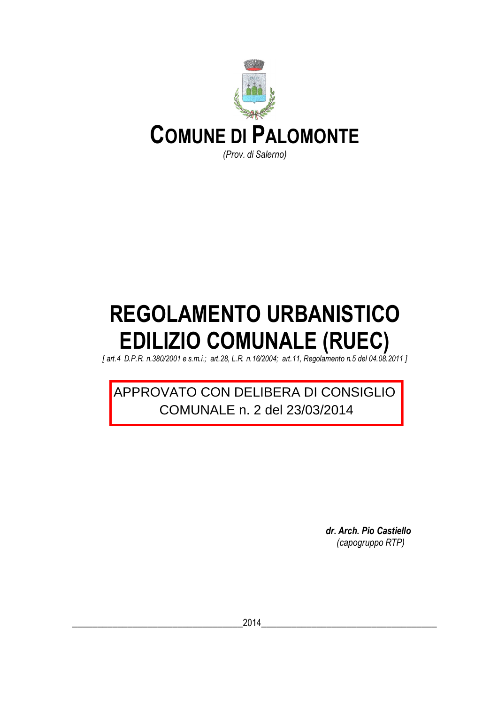

# REGOLAMENTO URBANISTICO EDILIZIO COMUNALE (RUEC)

[ art.4 D.P.R. n.380/2001 e s.m.i.; art.28, L.R. n.16/2004; art.11, Regolamento n.5 del 04.08.2011 ]

# APPROVATO CON DELIBERA DI CONSIGLIO COMUNALE n. 2 del 23/03/2014

dr. Arch. Pio Castiello (capogruppo RTP)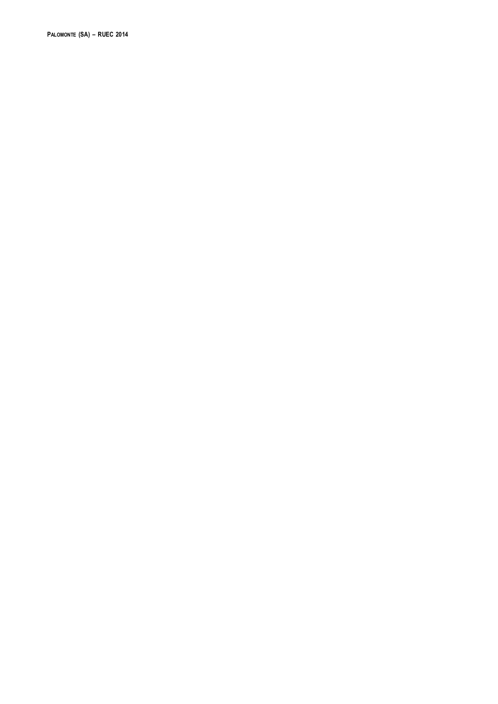PALOMONTE (SA) – RUEC 2014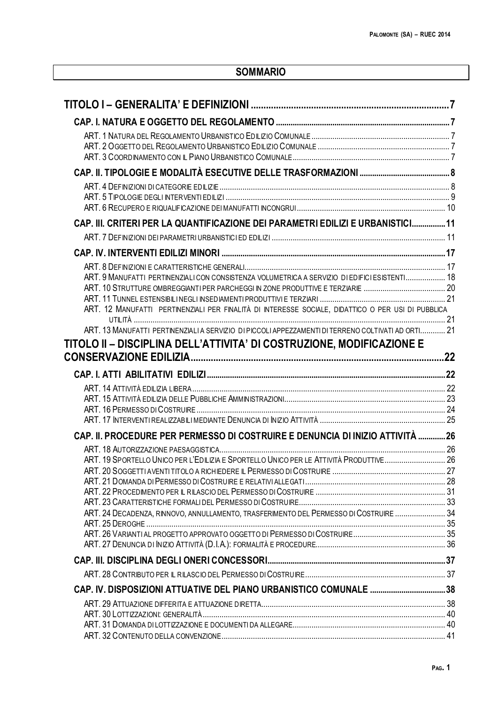# **SOMMARIO**

| CAP. III. CRITERI PER LA QUANTIFICAZIONE DEI PARAMETRI EDILIZI E URBANISTICI 11                    |     |
|----------------------------------------------------------------------------------------------------|-----|
|                                                                                                    |     |
|                                                                                                    |     |
| ART. 9 MANUFATTI PERTINENZIALI CON CONSISTENZA VOLUMETRICA A SERVIZIO DI EDIFICI ESISTENTI 18      |     |
| ART. 10 STRUTTURE OMBREGGIANTI PER PARCHEGGI IN ZONE PRODUTTIVE E TERZIARIE  20                    |     |
|                                                                                                    |     |
| ART. 12 MANUFATTI PERTINENZIALI PER FINALITÀ DI INTERESSE SOCIALE, DIDATTICO O PER USI DI PUBBLICA |     |
| ART. 13 MANUFATTI PERTINENZIALI A SERVIZIO DI PICCOLI APPEZZAMENTI DI TERRENO COLTIVATI AD ORTI 21 |     |
| TITOLO II – DISCIPLINA DELL'ATTIVITA' DI COSTRUZIONE, MODIFICAZIONE E                              |     |
|                                                                                                    | .22 |
|                                                                                                    |     |
|                                                                                                    |     |
|                                                                                                    |     |
|                                                                                                    |     |
| CAP. II. PROCEDURE PER PERMESSO DI COSTRUIRE E DENUNCIA DI INIZIO ATTIVITÀ 26                      |     |
|                                                                                                    |     |
| ART. 19 SPORTELLO UNICO PER L'EDILIZIA E SPORTELLO UNICO PER LE ATTIVITÀ PRODUTTIVE 26             |     |
|                                                                                                    |     |
|                                                                                                    |     |
| ART. 24 DECADENZA, RINNOVO, ANNULLAMENTO, TRASFERIMENTO DEL PERMESSO DI COSTRUIRE  34              |     |
|                                                                                                    |     |
|                                                                                                    |     |
|                                                                                                    |     |
|                                                                                                    |     |
| CAP. IV. DISPOSIZIONI ATTUATIVE DEL PIANO URBANISTICO COMUNALE 38                                  |     |
|                                                                                                    |     |
|                                                                                                    |     |
|                                                                                                    |     |
|                                                                                                    |     |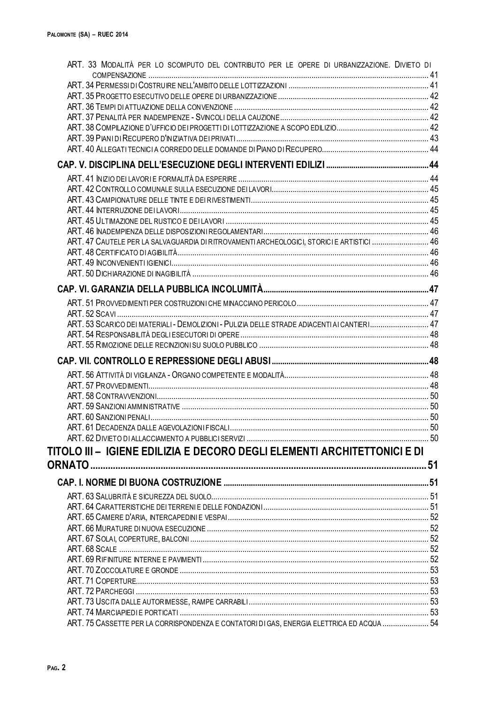| ART. 33 MODALITÀ PER LO SCOMPUTO DEL CONTRIBUTO PER LE OPERE DI URBANIZZAZIONE. DIVIETO DI   |  |
|----------------------------------------------------------------------------------------------|--|
|                                                                                              |  |
|                                                                                              |  |
|                                                                                              |  |
|                                                                                              |  |
|                                                                                              |  |
|                                                                                              |  |
|                                                                                              |  |
|                                                                                              |  |
|                                                                                              |  |
|                                                                                              |  |
|                                                                                              |  |
|                                                                                              |  |
|                                                                                              |  |
|                                                                                              |  |
|                                                                                              |  |
| ART. 47 CAUTELE PER LA SALVAGUARDIA DI RITROVAMENTI ARCHEOLOGICI, STORICI E ARTISTICI  46    |  |
|                                                                                              |  |
|                                                                                              |  |
|                                                                                              |  |
|                                                                                              |  |
|                                                                                              |  |
|                                                                                              |  |
|                                                                                              |  |
| ART. 53 SCARICO DEI MATERIALI - DEMOLIZIONI - PULIZIA DELLE STRADE ADIACENTI AI CANTIERI  47 |  |
|                                                                                              |  |
|                                                                                              |  |
|                                                                                              |  |
|                                                                                              |  |
|                                                                                              |  |
|                                                                                              |  |
|                                                                                              |  |
|                                                                                              |  |
|                                                                                              |  |
|                                                                                              |  |
|                                                                                              |  |
| TITOLO III - IGIENE EDILIZIA E DECORO DEGLI ELEMENTI ARCHITETTONICI E DI                     |  |
|                                                                                              |  |
|                                                                                              |  |
|                                                                                              |  |
|                                                                                              |  |
|                                                                                              |  |
|                                                                                              |  |
|                                                                                              |  |
|                                                                                              |  |
|                                                                                              |  |
|                                                                                              |  |
|                                                                                              |  |
|                                                                                              |  |
|                                                                                              |  |
|                                                                                              |  |
| ART. 75 CASSETTE PER LA CORRISPONDENZA E CONTATORI DI GAS, ENERGIA ELETTRICA ED ACQUA  54    |  |
|                                                                                              |  |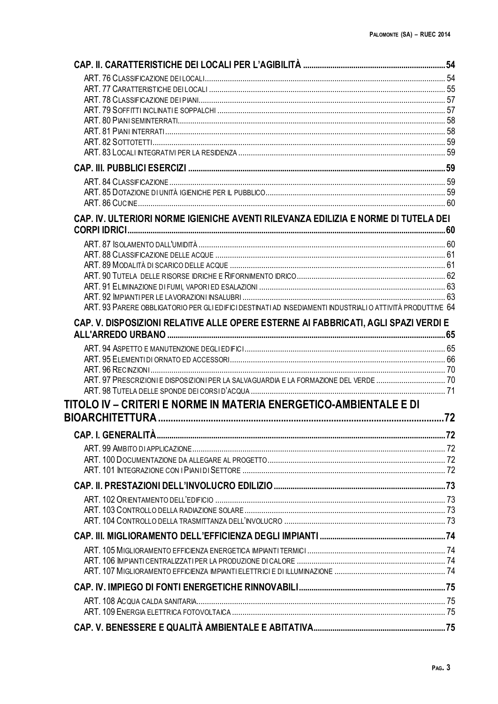| CAP. IV. ULTERIORI NORME IGIENICHE AVENTI RILEVANZA EDILIZIA E NORME DI TUTELA DEI                         |  |
|------------------------------------------------------------------------------------------------------------|--|
|                                                                                                            |  |
|                                                                                                            |  |
|                                                                                                            |  |
|                                                                                                            |  |
|                                                                                                            |  |
| ART. 93 PARERE OBBLIGATORIO PER GLI EDIFICI DESTINATI AD INSEDIAMENTI INDUSTRIALI O ATTIVITÀ PRODUTTIVE 64 |  |
| CAP. V. DISPOSIZIONI RELATIVE ALLE OPERE ESTERNE AI FABBRICATI, AGLI SPAZI VERDI E                         |  |
|                                                                                                            |  |
|                                                                                                            |  |
|                                                                                                            |  |
|                                                                                                            |  |
| ART. 97 PRESCRIZIONI E DISPOSIZIONI PER LA SALVAGUARDIA E LA FORMAZIONE DEL VERDE 70                       |  |
|                                                                                                            |  |
| TITOLO IV – CRITERI E NORME IN MATERIA ENERGETICO-AMBIENTALE E DI                                          |  |
|                                                                                                            |  |
|                                                                                                            |  |
|                                                                                                            |  |
|                                                                                                            |  |
|                                                                                                            |  |
|                                                                                                            |  |
|                                                                                                            |  |
|                                                                                                            |  |
|                                                                                                            |  |
|                                                                                                            |  |
|                                                                                                            |  |
|                                                                                                            |  |
|                                                                                                            |  |
|                                                                                                            |  |
|                                                                                                            |  |
|                                                                                                            |  |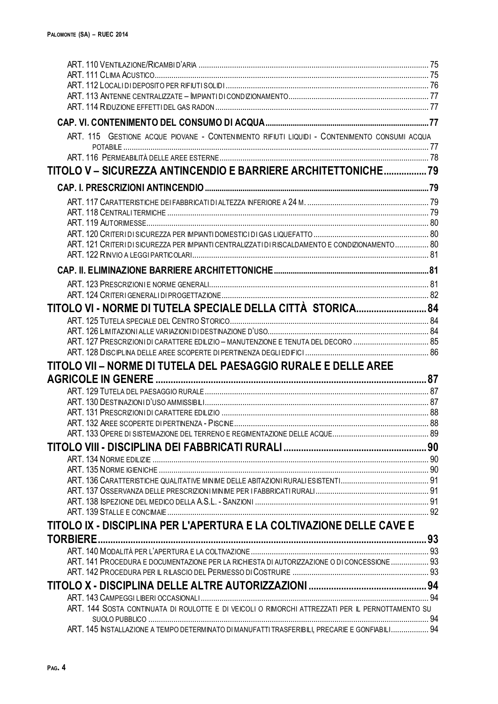| ART. 115 GESTIONE ACQUE PIOVANE - CONTENIMENTO RIFIUTI LIQUIDI - CONTENIMENTO CONSUMI ACQUA      |  |
|--------------------------------------------------------------------------------------------------|--|
|                                                                                                  |  |
|                                                                                                  |  |
| TITOLO V-SICUREZZA ANTINCENDIO E BARRIERE ARCHITETTONICHE 79                                     |  |
|                                                                                                  |  |
|                                                                                                  |  |
|                                                                                                  |  |
|                                                                                                  |  |
|                                                                                                  |  |
| ART. 121 CRITERI DI SICUREZZA PER IMPIANTI CENTRALIZZATI DI RISCALDAMENTO E CONDIZIONAMENTO 80   |  |
|                                                                                                  |  |
|                                                                                                  |  |
|                                                                                                  |  |
|                                                                                                  |  |
|                                                                                                  |  |
| TITOLO VI - NORME DI TUTELA SPECIALE DELLA CITTÀ STORICA 84                                      |  |
|                                                                                                  |  |
|                                                                                                  |  |
| 85. ART. 127 PRESCRIZIONI DI CARATTERE EDILIZIO - MANUTENZIONE E TENUTA DEL DECORO  85           |  |
|                                                                                                  |  |
| TITOLO VII - NORME DI TUTELA DEL PAESAGGIO RURALE E DELLE AREE                                   |  |
|                                                                                                  |  |
|                                                                                                  |  |
|                                                                                                  |  |
|                                                                                                  |  |
|                                                                                                  |  |
|                                                                                                  |  |
|                                                                                                  |  |
|                                                                                                  |  |
|                                                                                                  |  |
|                                                                                                  |  |
|                                                                                                  |  |
|                                                                                                  |  |
|                                                                                                  |  |
| TITOLO IX - DISCIPLINA PER L'APERTURA E LA COLTIVAZIONE DELLE CAVE E                             |  |
|                                                                                                  |  |
|                                                                                                  |  |
| ART. 141 PROCEDURA E DOCUMENTAZIONE PER LA RICHIESTA DI AUTORIZZAZIONE O DI CONCESSIONE  93      |  |
|                                                                                                  |  |
|                                                                                                  |  |
|                                                                                                  |  |
| ART. 144 SOSTA CONTINUATA DI ROULOTTE E DI VEICOLI O RIMORCHI ATTREZZATI PER IL PERNOTTAMENTO SU |  |
|                                                                                                  |  |
| ART. 145 INSTALLAZIONE A TEMPO DETERMINATO DI MANUFATTI TRASFERIBILI, PRECARIE E GONFIABILI 94   |  |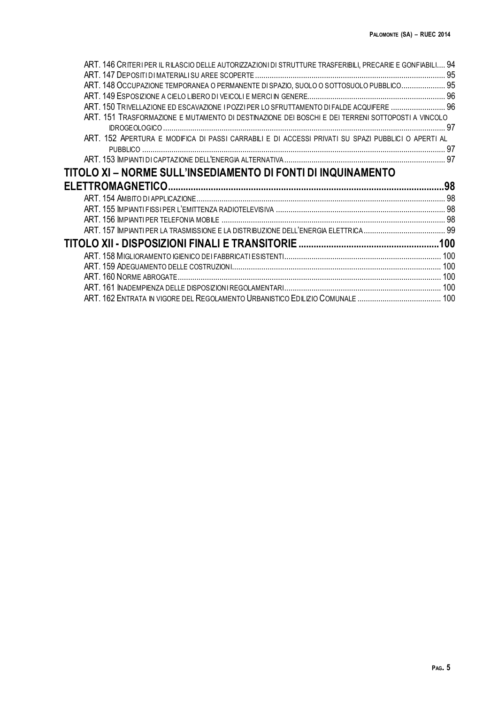| ART. 146 CRITERI PER IL RILASCIO DELLE AUTORIZZAZIONI DI STRUTTURE TRASFERIBILI, PRECARIE E GONFIABILI 94 |  |
|-----------------------------------------------------------------------------------------------------------|--|
|                                                                                                           |  |
| ART. 148 OCCUPAZIONE TEMPORANEA O PERMANENTE DI SPAZIO, SUOLO O SOTTOSUOLO PUBBLICO 95                    |  |
|                                                                                                           |  |
| ART. 150 TRIVELLAZIONE ED ESCAVAZIONE I POZZI PER LO SFRUTTAMENTO DI FALDE ACQUIFERE  96                  |  |
| ART. 151 TRASFORMAZIONE E MUTAMENTO DI DESTINAZIONE DEI BOSCHI E DEI TERRENI SOTTOPOSTI A VINCOLO         |  |
|                                                                                                           |  |
| ART. 152 APERTURA E MODIFICA DI PASSI CARRABILI E DI ACCESSI PRIVATI SU SPAZI PUBBLICI O APERTI AL        |  |
|                                                                                                           |  |
|                                                                                                           |  |
| TITOLO XI – NORME SULL'INSEDIAMENTO DI FONTI DI INQUINAMENTO                                              |  |
|                                                                                                           |  |
|                                                                                                           |  |
|                                                                                                           |  |
|                                                                                                           |  |
|                                                                                                           |  |
|                                                                                                           |  |
|                                                                                                           |  |
|                                                                                                           |  |
|                                                                                                           |  |
|                                                                                                           |  |
|                                                                                                           |  |
|                                                                                                           |  |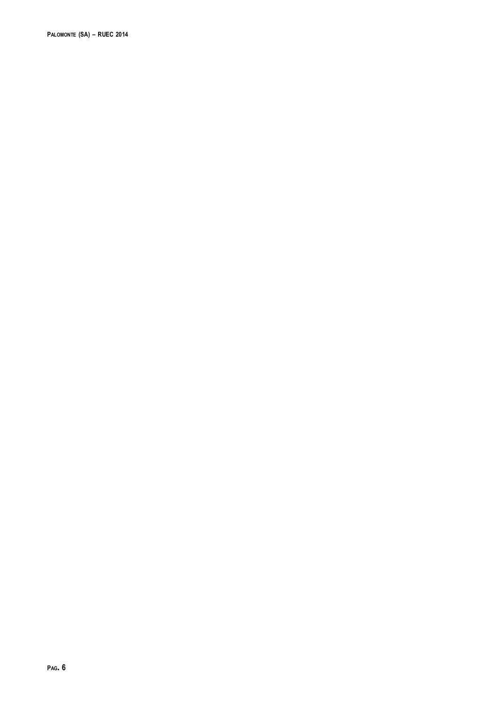PALOMONTE (SA) – RUEC 2014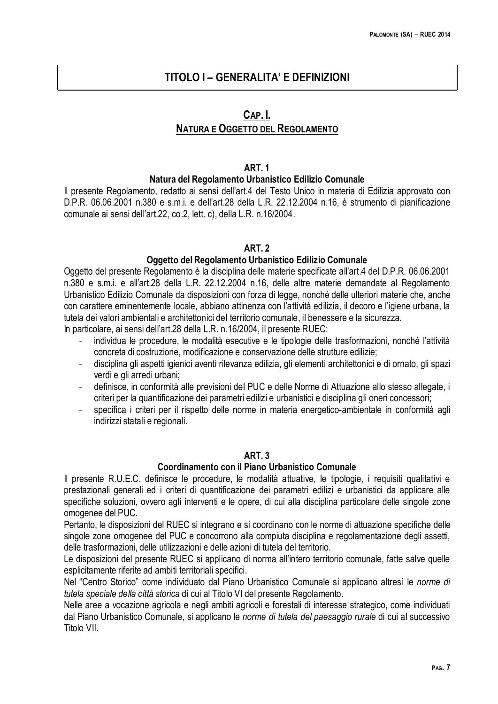# TITOLO I – GENERALITA' E DEFINIZIONI

# CAP. I. NATURA E OGGETTO DEL REGOLAMENTO

#### ART. 1

#### Natura del Regolamento Urbanistico Edilizio Comunale

Il presente Regolamento, redatto ai sensi dell'art.4 del Testo Unico in materia di Edilizia approvato con D.P.R. 06.06.2001 n.380 e s.m.i. e dell'art.28 della L.R. 22.12.2004 n.16, è strumento di pianificazione comunale ai sensi dell'art.22, co.2, lett. c), della L.R. n.16/2004.

#### ART. 2

#### Oggetto del Regolamento Urbanistico Edilizio Comunale

Oggetto del presente Regolamento è la disciplina delle materie specificate all'art.4 del D.P.R. 06.06.2001 n.380 e s.m.i. e all'art.28 della L.R. 22.12.2004 n.16, delle altre materie demandate al Regolamento Urbanistico Edilizio Comunale da disposizioni con forza di legge, nonché delle ulteriori materie che, anche con carattere eminentemente locale, abbiano attinenza con l'attività edilizia, il decoro e l'igiene urbana, la tutela dei valori ambientali e architettonici del territorio comunale, il benessere e la sicurezza.

In particolare, ai sensi dell'art.28 della L.R. n.16/2004, il presente RUEC:

- individua le procedure, le modalità esecutive e le tipologie delle trasformazioni, nonché l'attività concreta di costruzione, modificazione e conservazione delle strutture edilizie;
- disciplina gli aspetti igienici aventi rilevanza edilizia, gli elementi architettonici e di ornato, gli spazi verdi e gli arredi urbani;
- definisce, in conformità alle previsioni del PUC e delle Norme di Attuazione allo stesso allegate, i criteri per la quantificazione dei parametri edilizi e urbanistici e disciplina gli oneri concessori;
- specifica i criteri per il rispetto delle norme in materia energetico-ambientale in conformità agli indirizzi statali e regionali.

#### ART. 3

#### Coordinamento con il Piano Urbanistico Comunale

Il presente R.U.E.C. definisce le procedure, le modalità attuative, le tipologie, i requisiti qualitativi e prestazionali generali ed i criteri di quantificazione dei parametri edilizi e urbanistici da applicare alle specifiche soluzioni, ovvero agli interventi e le opere, di cui alla disciplina particolare delle singole zone omogenee del PUC.

Pertanto, le disposizioni del RUEC si integrano e si coordinano con le norme di attuazione specifiche delle singole zone omogenee del PUC e concorrono alla compiuta disciplina e regolamentazione degli assetti, delle trasformazioni, delle utilizzazioni e delle azioni di tutela del territorio.

Le disposizioni del presente RUEC si applicano di norma all'intero territorio comunale, fatte salve quelle esplicitamente riferite ad ambiti territoriali specifici.

Nel "Centro Storico" come individuato dal Piano Urbanistico Comunale si applicano altresì le norme di tutela speciale della città storica di cui al Titolo VI del presente Regolamento.

Nelle aree a vocazione agricola e negli ambiti agricoli e forestali di interesse strategico, come individuati dal Piano Urbanistico Comunale, si applicano le norme di tutela del paesaggio rurale di cui al successivo Titolo VII.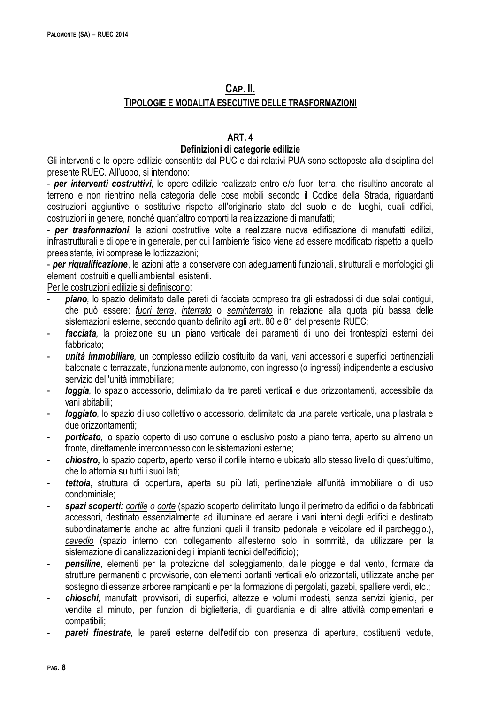# CAP. II. TIPOLOGIE E MODALITÀ ESECUTIVE DELLE TRASFORMAZIONI

#### ART. 4

#### Definizioni di categorie edilizie

Gli interventi e le opere edilizie consentite dal PUC e dai relativi PUA sono sottoposte alla disciplina del presente RUEC. All'uopo, si intendono:

- per interventi costruttivi, le opere edilizie realizzate entro e/o fuori terra, che risultino ancorate al terreno e non rientrino nella categoria delle cose mobili secondo il Codice della Strada, riguardanti costruzioni aggiuntive o sostitutive rispetto all'originario stato del suolo e dei luoghi, quali edifici, costruzioni in genere, nonché quant'altro comporti la realizzazione di manufatti;

- per trasformazioni, le azioni costruttive volte a realizzare nuova edificazione di manufatti edilizi, infrastrutturali e di opere in generale, per cui l'ambiente fisico viene ad essere modificato rispetto a quello preesistente, ivi comprese le lottizzazioni;

- per riqualificazione, le azioni atte a conservare con adeguamenti funzionali, strutturali e morfologici gli elementi costruiti e quelli ambientali esistenti.

Per le costruzioni edilizie si definiscono:

- piano, lo spazio delimitato dalle pareti di facciata compreso tra gli estradossi di due solai contigui, che può essere: fuori terra, interrato o seminterrato in relazione alla quota più bassa delle sistemazioni esterne, secondo quanto definito agli artt. 80 e 81 del presente RUEC;
- facciata, la proiezione su un piano verticale dei paramenti di uno dei frontespizi esterni dei fabbricato;
- unità immobiliare, un complesso edilizio costituito da vani, vani accessori e superfici pertinenziali balconate o terrazzate, funzionalmente autonomo, con ingresso (o ingressi) indipendente a esclusivo servizio dell'unità immobiliare;
- loggia, lo spazio accessorio, delimitato da tre pareti verticali e due orizzontamenti, accessibile da vani abitabili;
- loggiato, lo spazio di uso collettivo o accessorio, delimitato da una parete verticale, una pilastrata e due orizzontamenti;
- porticato, lo spazio coperto di uso comune o esclusivo posto a piano terra, aperto su almeno un fronte, direttamente interconnesso con le sistemazioni esterne;
- chiostro, lo spazio coperto, aperto verso il cortile interno e ubicato allo stesso livello di quest'ultimo, che lo attornia su tutti i suoi lati;
- tettoia, struttura di copertura, aperta su più lati, pertinenziale all'unità immobiliare o di uso condominiale;
- spazi scoperti: cortile o corte (spazio scoperto delimitato lungo il perimetro da edifici o da fabbricati accessori, destinato essenzialmente ad illuminare ed aerare i vani interni degli edifici e destinato subordinatamente anche ad altre funzioni quali il transito pedonale e veicolare ed il parcheggio.), cavedio (spazio interno con collegamento all'esterno solo in sommità, da utilizzare per la sistemazione di canalizzazioni degli impianti tecnici dell'edificio);
- pensiline, elementi per la protezione dal soleggiamento, dalle piogge e dal vento, formate da strutture permanenti o provvisorie, con elementi portanti verticali e/o orizzontali, utilizzate anche per sostegno di essenze arboree rampicanti e per la formazione di pergolati, gazebi, spalliere verdi, etc.;
- chioschi, manufatti provvisori, di superfici, altezze e volumi modesti, senza servizi igienici, per vendite al minuto, per funzioni di biglietteria, di guardiania e di altre attività complementari e compatibili;
- pareti finestrate, le pareti esterne dell'edificio con presenza di aperture, costituenti vedute,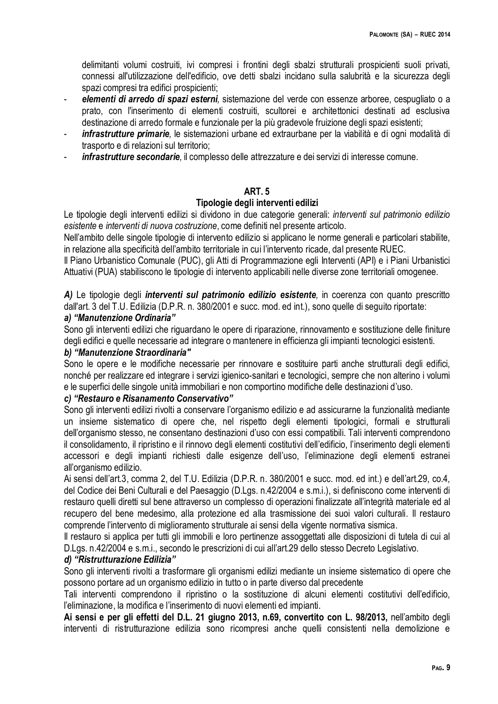delimitanti volumi costruiti, ivi compresi i frontini degli sbalzi strutturali prospicienti suoli privati, connessi all'utilizzazione dell'edificio, ove detti sbalzi incidano sulla salubrità e la sicurezza degli spazi compresi tra edifici prospicienti;

- elementi di arredo di spazi esterni, sistemazione del verde con essenze arboree, cespugliato o a prato, con l'inserimento di elementi costruiti, scultorei e architettonici destinati ad esclusiva destinazione di arredo formale e funzionale per la più gradevole fruizione degli spazi esistenti;
- infrastrutture primarie, le sistemazioni urbane ed extraurbane per la viabilità e di ogni modalità di trasporto e di relazioni sul territorio;
- infrastrutture secondarie, il complesso delle attrezzature e dei servizi di interesse comune.

#### ART. 5

#### Tipologie degli interventi edilizi

Le tipologie degli interventi edilizi si dividono in due categorie generali: *interventi sul patrimonio edilizio* esistente e interventi di nuova costruzione, come definiti nel presente articolo.

Nell'ambito delle singole tipologie di intervento edilizio si applicano le norme generali e particolari stabilite, in relazione alla specificità dell'ambito territoriale in cui l'intervento ricade, dal presente RUEC.

Il Piano Urbanistico Comunale (PUC), gli Atti di Programmazione egli Interventi (API) e i Piani Urbanistici Attuativi (PUA) stabiliscono le tipologie di intervento applicabili nelle diverse zone territoriali omogenee.

A) Le tipologie degli *interventi sul patrimonio edilizio esistente*, in coerenza con quanto prescritto dall'art. 3 del T.U. Edilizia (D.P.R. n. 380/2001 e succ. mod. ed int.), sono quelle di seguito riportate:

#### a) "Manutenzione Ordinaria"

Sono gli interventi edilizi che riguardano le opere di riparazione, rinnovamento e sostituzione delle finiture degli edifici e quelle necessarie ad integrare o mantenere in efficienza gli impianti tecnologici esistenti.

#### b) "Manutenzione Straordinaria"

Sono le opere e le modifiche necessarie per rinnovare e sostituire parti anche strutturali degli edifici, nonché per realizzare ed integrare i servizi igienico-sanitari e tecnologici, sempre che non alterino i volumi e le superfici delle singole unità immobiliari e non comportino modifiche delle destinazioni d'uso.

#### c) "Restauro e Risanamento Conservativo"

Sono gli interventi edilizi rivolti a conservare l'organismo edilizio e ad assicurarne la funzionalità mediante un insieme sistematico di opere che, nel rispetto degli elementi tipologici, formali e strutturali dell'organismo stesso, ne consentano destinazioni d'uso con essi compatibili. Tali interventi comprendono il consolidamento, il ripristino e il rinnovo degli elementi costitutivi dell'edificio, l'inserimento degli elementi accessori e degli impianti richiesti dalle esigenze dell'uso, l'eliminazione degli elementi estranei all'organismo edilizio.

Ai sensi dell'art.3, comma 2, del T.U. Edilizia (D.P.R. n. 380/2001 e succ. mod. ed int.) e dell'art.29, co.4, del Codice dei Beni Culturali e del Paesaggio (D.Lgs. n.42/2004 e s.m.i.), si definiscono come interventi di restauro quelli diretti sul bene attraverso un complesso di operazioni finalizzate all'integrità materiale ed al recupero del bene medesimo, alla protezione ed alla trasmissione dei suoi valori culturali. Il restauro comprende l'intervento di miglioramento strutturale ai sensi della vigente normativa sismica.

Il restauro si applica per tutti gli immobili e loro pertinenze assoggettati alle disposizioni di tutela di cui al D.Lgs. n.42/2004 e s.m.i., secondo le prescrizioni di cui all'art.29 dello stesso Decreto Legislativo.

#### d) "Ristrutturazione Edilizia"

Sono gli interventi rivolti a trasformare gli organismi edilizi mediante un insieme sistematico di opere che possono portare ad un organismo edilizio in tutto o in parte diverso dal precedente

Tali interventi comprendono il ripristino o la sostituzione di alcuni elementi costitutivi dell'edificio, l'eliminazione, la modifica e l'inserimento di nuovi elementi ed impianti.

Ai sensi e per gli effetti del D.L. 21 giugno 2013, n.69, convertito con L. 98/2013, nell'ambito degli interventi di ristrutturazione edilizia sono ricompresi anche quelli consistenti nella demolizione e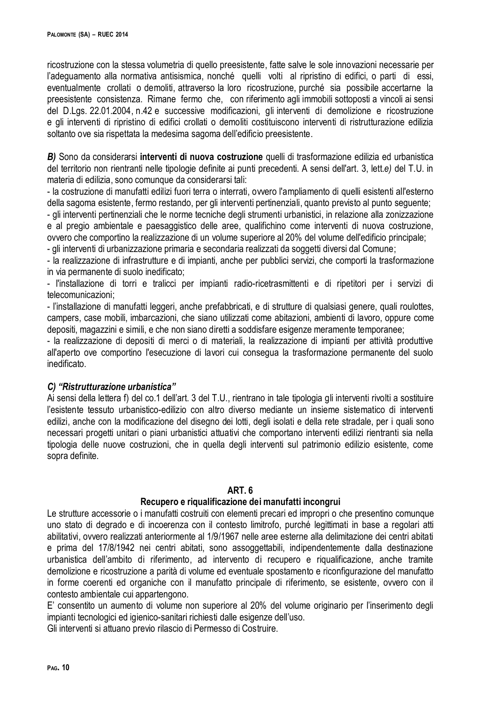ricostruzione con la stessa volumetria di quello preesistente, fatte salve le sole innovazioni necessarie per l'adeguamento alla normativa antisismica, nonché quelli volti al ripristino di edifici, o parti di essi, eventualmente crollati o demoliti, attraverso la loro ricostruzione, purché sia possibile accertarne la preesistente consistenza. Rimane fermo che, con riferimento agli immobili sottoposti a vincoli ai sensi del D.Lgs. 22.01.2004, n.42 e successive modificazioni, gli interventi di demolizione e ricostruzione e gli interventi di ripristino di edifici crollati o demoliti costituiscono interventi di ristrutturazione edilizia soltanto ove sia rispettata la medesima sagoma dell'edificio preesistente.

B) Sono da considerarsi interventi di nuova costruzione quelli di trasformazione edilizia ed urbanistica del territorio non rientranti nelle tipologie definite ai punti precedenti. A sensi dell'art. 3, lett.e) del T.U. in materia di edilizia, sono comunque da considerarsi tali:

- la costruzione di manufatti edilizi fuori terra o interrati, ovvero l'ampliamento di quelli esistenti all'esterno della sagoma esistente, fermo restando, per gli interventi pertinenziali, quanto previsto al punto seguente; - gli interventi pertinenziali che le norme tecniche degli strumenti urbanistici, in relazione alla zonizzazione e al pregio ambientale e paesaggistico delle aree, qualifichino come interventi di nuova costruzione, ovvero che comportino la realizzazione di un volume superiore al 20% del volume dell'edificio principale;

- gli interventi di urbanizzazione primaria e secondaria realizzati da soggetti diversi dal Comune;

- la realizzazione di infrastrutture e di impianti, anche per pubblici servizi, che comporti la trasformazione in via permanente di suolo inedificato;

- l'installazione di torri e tralicci per impianti radio-ricetrasmittenti e di ripetitori per i servizi di telecomunicazioni;

- l'installazione di manufatti leggeri, anche prefabbricati, e di strutture di qualsiasi genere, quali roulottes, campers, case mobili, imbarcazioni, che siano utilizzati come abitazioni, ambienti di lavoro, oppure come depositi, magazzini e simili, e che non siano diretti a soddisfare esigenze meramente temporanee;

- la realizzazione di depositi di merci o di materiali, la realizzazione di impianti per attività produttive all'aperto ove comportino l'esecuzione di lavori cui consegua la trasformazione permanente del suolo inedificato.

#### C) "Ristrutturazione urbanistica"

Ai sensi della lettera f) del co.1 dell'art. 3 del T.U., rientrano in tale tipologia gli interventi rivolti a sostituire l'esistente tessuto urbanistico-edilizio con altro diverso mediante un insieme sistematico di interventi edilizi, anche con la modificazione del disegno dei lotti, degli isolati e della rete stradale, per i quali sono necessari progetti unitari o piani urbanistici attuativi che comportano interventi edilizi rientranti sia nella tipologia delle nuove costruzioni, che in quella degli interventi sul patrimonio edilizio esistente, come sopra definite.

#### ART. 6

#### Recupero e riqualificazione dei manufatti incongrui

Le strutture accessorie o i manufatti costruiti con elementi precari ed impropri o che presentino comunque uno stato di degrado e di incoerenza con il contesto limitrofo, purché legittimati in base a regolari atti abilitativi, ovvero realizzati anteriormente al 1/9/1967 nelle aree esterne alla delimitazione dei centri abitati e prima del 17/8/1942 nei centri abitati, sono assoggettabili, indipendentemente dalla destinazione urbanistica dell'ambito di riferimento, ad intervento di recupero e riqualificazione, anche tramite demolizione e ricostruzione a parità di volume ed eventuale spostamento e riconfigurazione del manufatto in forme coerenti ed organiche con il manufatto principale di riferimento, se esistente, ovvero con il contesto ambientale cui appartengono.

E' consentito un aumento di volume non superiore al 20% del volume originario per l'inserimento degli impianti tecnologici ed igienico-sanitari richiesti dalle esigenze dell'uso.

Gli interventi si attuano previo rilascio di Permesso di Costruire.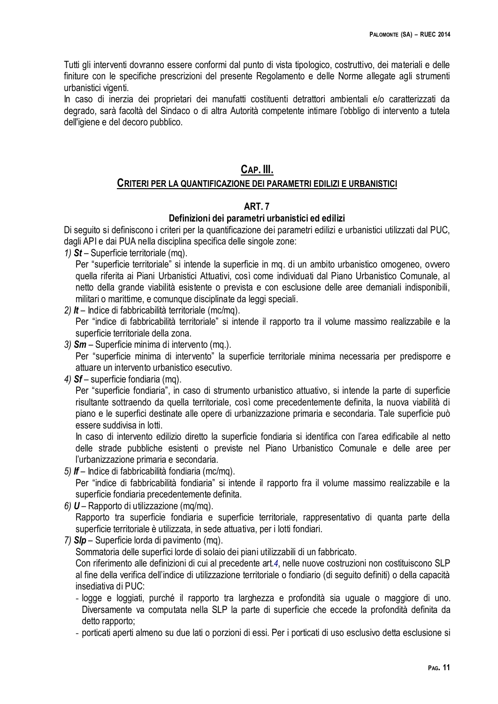Tutti gli interventi dovranno essere conformi dal punto di vista tipologico, costruttivo, dei materiali e delle finiture con le specifiche prescrizioni del presente Regolamento e delle Norme allegate agli strumenti urbanistici vigenti.

In caso di inerzia dei proprietari dei manufatti costituenti detrattori ambientali e/o caratterizzati da degrado, sarà facoltà del Sindaco o di altra Autorità competente intimare l'obbligo di intervento a tutela dell'igiene e del decoro pubblico.

# CAP. III. CRITERI PER LA QUANTIFICAZIONE DEI PARAMETRI EDILIZI E URBANISTICI

#### ART. 7

#### Definizioni dei parametri urbanistici ed edilizi

Di seguito si definiscono i criteri per la quantificazione dei parametri edilizi e urbanistici utilizzati dal PUC, dagli API e dai PUA nella disciplina specifica delle singole zone:

1)  $St$  – Superficie territoriale (mq).

Per "superficie territoriale" si intende la superficie in mq. di un ambito urbanistico omogeneo, ovvero quella riferita ai Piani Urbanistici Attuativi, così come individuati dal Piano Urbanistico Comunale, al netto della grande viabilità esistente o prevista e con esclusione delle aree demaniali indisponibili, militari o marittime, e comunque disciplinate da leggi speciali.

2)  $It$  – Indice di fabbricabilità territoriale (mc/mq).

Per "indice di fabbricabilità territoriale" si intende il rapporto tra il volume massimo realizzabile e la superficie territoriale della zona.

3)  $Sm$  – Superficie minima di intervento (mq.).

Per "superficie minima di intervento" la superficie territoriale minima necessaria per predisporre e attuare un intervento urbanistico esecutivo.

4) Sf – superficie fondiaria (mq).

Per "superficie fondiaria", in caso di strumento urbanistico attuativo, si intende la parte di superficie risultante sottraendo da quella territoriale, così come precedentemente definita, la nuova viabilità di piano e le superfici destinate alle opere di urbanizzazione primaria e secondaria. Tale superficie può essere suddivisa in lotti.

In caso di intervento edilizio diretto la superficie fondiaria si identifica con l'area edificabile al netto delle strade pubbliche esistenti o previste nel Piano Urbanistico Comunale e delle aree per l'urbanizzazione primaria e secondaria.

- 5) If Indice di fabbricabilità fondiaria (mc/mq). Per "indice di fabbricabilità fondiaria" si intende il rapporto fra il volume massimo realizzabile e la superficie fondiaria precedentemente definita.
- 6)  $U$  Rapporto di utilizzazione (mg/mg). Rapporto tra superficie fondiaria e superficie territoriale, rappresentativo di quanta parte della superficie territoriale è utilizzata, in sede attuativa, per i lotti fondiari.
- 7) Slp Superficie lorda di pavimento (mq). Sommatoria delle superfici lorde di solaio dei piani utilizzabili di un fabbricato. Con riferimento alle definizioni di cui al precedente art.4, nelle nuove costruzioni non costituiscono SLP al fine della verifica dell'indice di utilizzazione territoriale o fondiario (di seguito definiti) o della capacità insediativa di PUC:
	- logge e loggiati, purché il rapporto tra larghezza e profondità sia uguale o maggiore di uno. Diversamente va computata nella SLP la parte di superficie che eccede la profondità definita da detto rapporto;

- porticati aperti almeno su due lati o porzioni di essi. Per i porticati di uso esclusivo detta esclusione si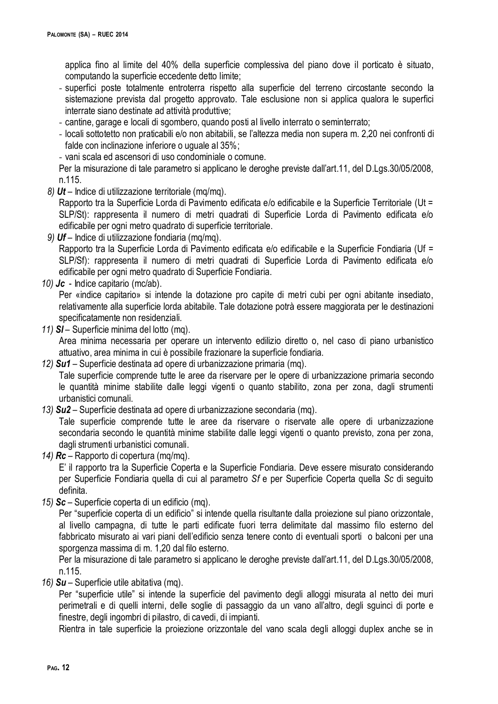applica fino al limite del 40% della superficie complessiva del piano dove il porticato è situato, computando la superficie eccedente detto limite;

- superfici poste totalmente entroterra rispetto alla superficie del terreno circostante secondo la sistemazione prevista dal progetto approvato. Tale esclusione non si applica qualora le superfici interrate siano destinate ad attività produttive;
- cantine, garage e locali di sgombero, quando posti al livello interrato o seminterrato;
- locali sottotetto non praticabili e/o non abitabili, se l'altezza media non supera m. 2,20 nei confronti di falde con inclinazione inferiore o uguale al 35%;
- vani scala ed ascensori di uso condominiale o comune.

Per la misurazione di tale parametro si applicano le deroghe previste dall'art.11, del D.Lgs.30/05/2008, n.115.

8)  $Ut$  – Indice di utilizzazione territoriale (mq/mq).

Rapporto tra la Superficie Lorda di Pavimento edificata e/o edificabile e la Superficie Territoriale (Ut = SLP/St): rappresenta il numero di metri quadrati di Superficie Lorda di Pavimento edificata e/o edificabile per ogni metro quadrato di superficie territoriale.

- 9) Uf Indice di utilizzazione fondiaria (mq/mq). Rapporto tra la Superficie Lorda di Pavimento edificata e/o edificabile e la Superficie Fondiaria (Uf = SLP/Sf): rappresenta il numero di metri quadrati di Superficie Lorda di Pavimento edificata e/o edificabile per ogni metro quadrato di Superficie Fondiaria.
- 10) Jc Indice capitario (mc/ab).

Per «indice capitario» si intende la dotazione pro capite di metri cubi per ogni abitante insediato, relativamente alla superficie lorda abitabile. Tale dotazione potrà essere maggiorata per le destinazioni specificatamente non residenziali.

- 11) SI Superficie minima del lotto (mq). Area minima necessaria per operare un intervento edilizio diretto o, nel caso di piano urbanistico attuativo, area minima in cui è possibile frazionare la superficie fondiaria.
- 12) Su1 Superficie destinata ad opere di urbanizzazione primaria (mq). Tale superficie comprende tutte le aree da riservare per le opere di urbanizzazione primaria secondo le quantità minime stabilite dalle leggi vigenti o quanto stabilito, zona per zona, dagli strumenti urbanistici comunali.
- 13) Su2 Superficie destinata ad opere di urbanizzazione secondaria (mq).

Tale superficie comprende tutte le aree da riservare o riservate alle opere di urbanizzazione secondaria secondo le quantità minime stabilite dalle leggi vigenti o quanto previsto, zona per zona, dagli strumenti urbanistici comunali.

14) Rc – Rapporto di copertura (mq/mq).

E' il rapporto tra la Superficie Coperta e la Superficie Fondiaria. Deve essere misurato considerando per Superficie Fondiaria quella di cui al parametro Sf e per Superficie Coperta quella Sc di seguito definita.

15) Sc – Superficie coperta di un edificio (mq).

Per "superficie coperta di un edificio" si intende quella risultante dalla proiezione sul piano orizzontale, al livello campagna, di tutte le parti edificate fuori terra delimitate dal massimo filo esterno del fabbricato misurato ai vari piani dell'edificio senza tenere conto di eventuali sporti o balconi per una sporgenza massima di m. 1,20 dal filo esterno.

Per la misurazione di tale parametro si applicano le deroghe previste dall'art.11, del D.Lgs.30/05/2008, n.115.

16) **Su** – Superficie utile abitativa (mq).

Per "superficie utile" si intende la superficie del pavimento degli alloggi misurata al netto dei muri perimetrali e di quelli interni, delle soglie di passaggio da un vano all'altro, degli sguinci di porte e finestre, degli ingombri di pilastro, di cavedi, di impianti.

Rientra in tale superficie la proiezione orizzontale del vano scala degli alloggi duplex anche se in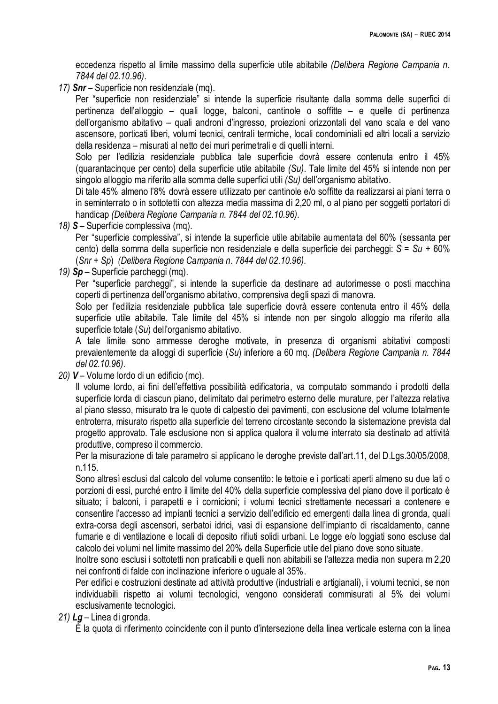eccedenza rispetto al limite massimo della superficie utile abitabile (Delibera Regione Campania n. 7844 del 02.10.96).

17) **Snr** – Superficie non residenziale (mq).

Per "superficie non residenziale" si intende la superficie risultante dalla somma delle superfici di pertinenza dell'alloggio – quali logge, balconi, cantinole o soffitte – e quelle di pertinenza dell'organismo abitativo – quali androni d'ingresso, proiezioni orizzontali del vano scala e del vano ascensore, porticati liberi, volumi tecnici, centrali termiche, locali condominiali ed altri locali a servizio della residenza – misurati al netto dei muri perimetrali e di quelli interni.

Solo per l'edilizia residenziale pubblica tale superficie dovrà essere contenuta entro il 45% (quarantacinque per cento) della superficie utile abitabile (Su). Tale limite del 45% si intende non per singolo alloggio ma riferito alla somma delle superfici utili (Su) dell'organismo abitativo.

Di tale 45% almeno l'8% dovrà essere utilizzato per cantinole e/o soffitte da realizzarsi ai piani terra o in seminterrato o in sottotetti con altezza media massima di 2,20 ml, o al piano per soggetti portatori di handicap (Delibera Regione Campania n. 7844 del 02.10.96).

18) S – Superficie complessiva (mq).

Per "superficie complessiva", si intende la superficie utile abitabile aumentata del 60% (sessanta per cento) della somma della superficie non residenziale e della superficie dei parcheggi:  $S = Su + 60%$ (Snr + Sp) (Delibera Regione Campania n. 7844 del 02.10.96).

19) Sp – Superficie parcheggi (mq).

Per "superficie parcheggi", si intende la superficie da destinare ad autorimesse o posti macchina coperti di pertinenza dell'organismo abitativo, comprensiva degli spazi di manovra.

Solo per l'edilizia residenziale pubblica tale superficie dovrà essere contenuta entro il 45% della superficie utile abitabile. Tale limite del 45% si intende non per singolo alloggio ma riferito alla superficie totale (Su) dell'organismo abitativo.

A tale limite sono ammesse deroghe motivate, in presenza di organismi abitativi composti prevalentemente da alloggi di superficie (Su) inferiore a 60 mq. (Delibera Regione Campania n. 7844 del 02.10.96).

20) V – Volume lordo di un edificio (mc).

Il volume lordo, ai fini dell'effettiva possibilità edificatoria, va computato sommando i prodotti della superficie lorda di ciascun piano, delimitato dal perimetro esterno delle murature, per l'altezza relativa al piano stesso, misurato tra le quote di calpestio dei pavimenti, con esclusione del volume totalmente entroterra, misurato rispetto alla superficie del terreno circostante secondo la sistemazione prevista dal progetto approvato. Tale esclusione non si applica qualora il volume interrato sia destinato ad attività produttive, compreso il commercio.

Per la misurazione di tale parametro si applicano le deroghe previste dall'art.11, del D.Lgs.30/05/2008, n.115.

Sono altresì esclusi dal calcolo del volume consentito: le tettoie e i porticati aperti almeno su due lati o porzioni di essi, purché entro il limite del 40% della superficie complessiva del piano dove il porticato è situato; i balconi, i parapetti e i cornicioni; i volumi tecnici strettamente necessari a contenere e consentire l'accesso ad impianti tecnici a servizio dell'edificio ed emergenti dalla linea di gronda, quali extra-corsa degli ascensori, serbatoi idrici, vasi di espansione dell'impianto di riscaldamento, canne fumarie e di ventilazione e locali di deposito rifiuti solidi urbani. Le logge e/o loggiati sono escluse dal calcolo dei volumi nel limite massimo del 20% della Superficie utile del piano dove sono situate.

Inoltre sono esclusi i sottotetti non praticabili e quelli non abitabili se l'altezza media non supera m 2,20 nei confronti di falde con inclinazione inferiore o uguale al 35%.

Per edifici e costruzioni destinate ad attività produttive (industriali e artigianali), i volumi tecnici, se non individuabili rispetto ai volumi tecnologici, vengono considerati commisurati al 5% dei volumi esclusivamente tecnologici.

21)  $La$  – Linea di gronda.

È la quota di riferimento coincidente con il punto d'intersezione della linea verticale esterna con la linea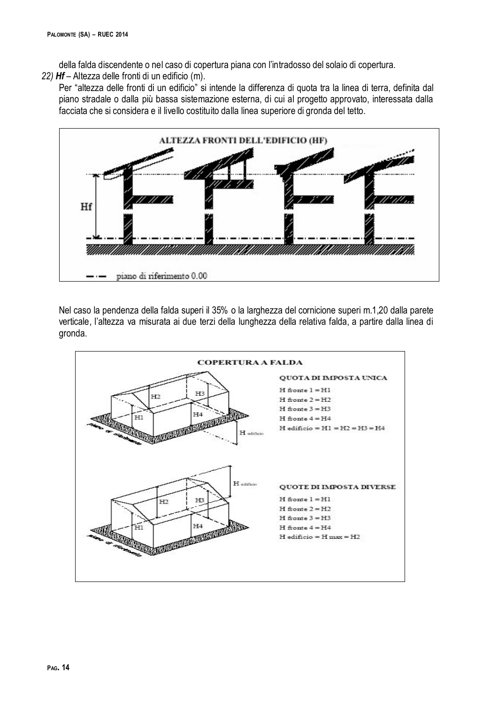della falda discendente o nel caso di copertura piana con l'intradosso del solaio di copertura.

22)  $Hf$  – Altezza delle fronti di un edificio (m).

Per "altezza delle fronti di un edificio" si intende la differenza di quota tra la linea di terra, definita dal piano stradale o dalla più bassa sistemazione esterna, di cui al progetto approvato, interessata dalla facciata che si considera e il livello costituito dalla linea superiore di gronda del tetto.



Nel caso la pendenza della falda superi il 35% o la larghezza del cornicione superi m.1,20 dalla parete verticale, l'altezza va misurata ai due terzi della lunghezza della relativa falda, a partire dalla linea di gronda.

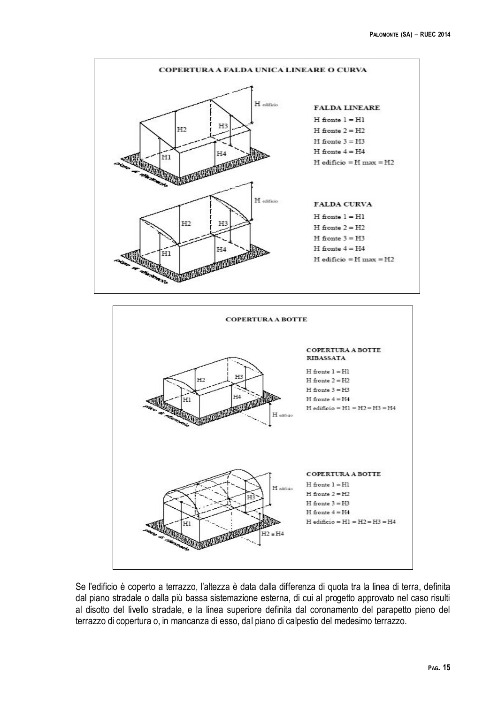



Se l'edificio è coperto a terrazzo, l'altezza è data dalla differenza di quota tra la linea di terra, definita dal piano stradale o dalla più bassa sistemazione esterna, di cui al progetto approvato nel caso risulti al disotto del livello stradale, e la linea superiore definita dal coronamento del parapetto pieno del terrazzo di copertura o, in mancanza di esso, dal piano di calpestio del medesimo terrazzo.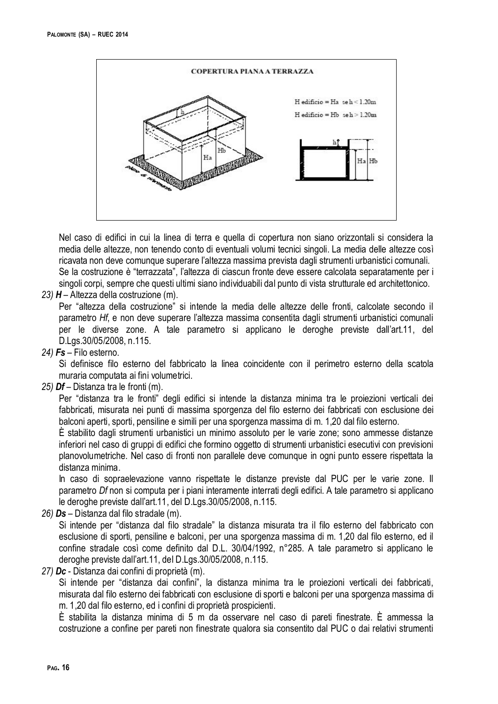

Nel caso di edifici in cui la linea di terra e quella di copertura non siano orizzontali si considera la media delle altezze, non tenendo conto di eventuali volumi tecnici singoli. La media delle altezze così ricavata non deve comunque superare l'altezza massima prevista dagli strumenti urbanistici comunali. Se la costruzione è "terrazzata", l'altezza di ciascun fronte deve essere calcolata separatamente per i singoli corpi, sempre che questi ultimi siano individuabili dal punto di vista strutturale ed architettonico.

23)  $H -$  Altezza della costruzione (m).

Per "altezza della costruzione" si intende la media delle altezze delle fronti, calcolate secondo il parametro Hf, e non deve superare l'altezza massima consentita dagli strumenti urbanistici comunali per le diverse zone. A tale parametro si applicano le deroghe previste dall'art.11, del D.Lgs.30/05/2008, n.115.

24) Fs – Filo esterno.

Si definisce filo esterno del fabbricato la linea coincidente con il perimetro esterno della scatola muraria computata ai fini volumetrici.

25)  $Df$  – Distanza tra le fronti (m).

Per "distanza tra le fronti" degli edifici si intende la distanza minima tra le proiezioni verticali dei fabbricati, misurata nei punti di massima sporgenza del filo esterno dei fabbricati con esclusione dei balconi aperti, sporti, pensiline e simili per una sporgenza massima di m. 1,20 dal filo esterno.

È stabilito dagli strumenti urbanistici un minimo assoluto per le varie zone; sono ammesse distanze inferiori nel caso di gruppi di edifici che formino oggetto di strumenti urbanistici esecutivi con previsioni planovolumetriche. Nel caso di fronti non parallele deve comunque in ogni punto essere rispettata la distanza minima.

In caso di sopraelevazione vanno rispettate le distanze previste dal PUC per le varie zone. Il parametro Df non si computa per i piani interamente interrati degli edifici. A tale parametro si applicano le deroghe previste dall'art.11, del D.Lgs.30/05/2008, n.115.

26) Ds – Distanza dal filo stradale (m).

Si intende per "distanza dal filo stradale" la distanza misurata tra il filo esterno del fabbricato con esclusione di sporti, pensiline e balconi, per una sporgenza massima di m. 1,20 dal filo esterno, ed il confine stradale così come definito dal D.L. 30/04/1992, n°285. A tale parametro si applicano le deroghe previste dall'art.11, del D.Lgs.30/05/2008, n.115.

27) Dc - Distanza dai confini di proprietà (m).

Si intende per "distanza dai confini", la distanza minima tra le proiezioni verticali dei fabbricati, misurata dal filo esterno dei fabbricati con esclusione di sporti e balconi per una sporgenza massima di m. 1,20 dal filo esterno, ed i confini di proprietà prospicienti.

È stabilita la distanza minima di 5 m da osservare nel caso di pareti finestrate. È ammessa la costruzione a confine per pareti non finestrate qualora sia consentito dal PUC o dai relativi strumenti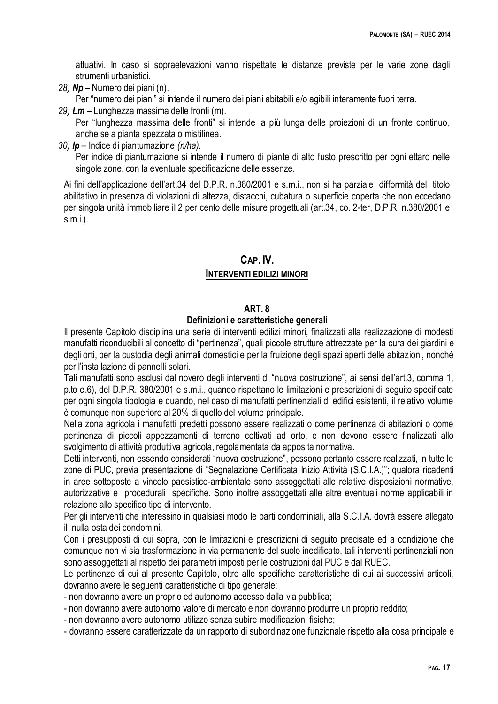attuativi. In caso si sopraelevazioni vanno rispettate le distanze previste per le varie zone dagli strumenti urbanistici.

- 28) Np Numero dei piani (n).
	- Per "numero dei piani" si intende il numero dei piani abitabili e/o agibili interamente fuori terra.
- 29)  $\mathsf{L}m$  Lunghezza massima delle fronti (m).

Per "lunghezza massima delle fronti" si intende la più lunga delle proiezioni di un fronte continuo, anche se a pianta spezzata o mistilinea.

30) **Ip** – Indice di piantumazione  $(n/ha)$ .

Per indice di piantumazione si intende il numero di piante di alto fusto prescritto per ogni ettaro nelle singole zone, con la eventuale specificazione delle essenze.

Ai fini dell'applicazione dell'art.34 del D.P.R. n.380/2001 e s.m.i., non si ha parziale difformità del titolo abilitativo in presenza di violazioni di altezza, distacchi, cubatura o superficie coperta che non eccedano per singola unità immobiliare il 2 per cento delle misure progettuali (art.34, co. 2-ter, D.P.R. n.380/2001 e s.m.i.).

## CAP. IV. INTERVENTI EDILIZI MINORI

#### ART. 8

#### Definizioni e caratteristiche generali

Il presente Capitolo disciplina una serie di interventi edilizi minori, finalizzati alla realizzazione di modesti manufatti riconducibili al concetto di "pertinenza", quali piccole strutture attrezzate per la cura dei giardini e degli orti, per la custodia degli animali domestici e per la fruizione degli spazi aperti delle abitazioni, nonché per l'installazione di pannelli solari.

Tali manufatti sono esclusi dal novero degli interventi di "nuova costruzione", ai sensi dell'art.3, comma 1, p.to e.6), del D.P.R. 380/2001 e s.m.i., quando rispettano le limitazioni e prescrizioni di seguito specificate per ogni singola tipologia e quando, nel caso di manufatti pertinenziali di edifici esistenti, il relativo volume è comunque non superiore al 20% di quello del volume principale.

Nella zona agricola i manufatti predetti possono essere realizzati o come pertinenza di abitazioni o come pertinenza di piccoli appezzamenti di terreno coltivati ad orto, e non devono essere finalizzati allo svolgimento di attività produttiva agricola, regolamentata da apposita normativa.

Detti interventi, non essendo considerati "nuova costruzione", possono pertanto essere realizzati, in tutte le zone di PUC, previa presentazione di "Segnalazione Certificata Inizio Attività (S.C.I.A.)"; qualora ricadenti in aree sottoposte a vincolo paesistico-ambientale sono assoggettati alle relative disposizioni normative, autorizzative e procedurali specifiche. Sono inoltre assoggettati alle altre eventuali norme applicabili in relazione allo specifico tipo di intervento.

Per gli interventi che interessino in qualsiasi modo le parti condominiali, alla S.C.I.A. dovrà essere allegato il nulla osta dei condomini.

Con i presupposti di cui sopra, con le limitazioni e prescrizioni di seguito precisate ed a condizione che comunque non vi sia trasformazione in via permanente del suolo inedificato, tali interventi pertinenziali non sono assoggettati al rispetto dei parametri imposti per le costruzioni dal PUC e dal RUEC.

Le pertinenze di cui al presente Capitolo, oltre alle specifiche caratteristiche di cui ai successivi articoli, dovranno avere le seguenti caratteristiche di tipo generale:

- non dovranno avere un proprio ed autonomo accesso dalla via pubblica;
- non dovranno avere autonomo valore di mercato e non dovranno produrre un proprio reddito;
- non dovranno avere autonomo utilizzo senza subire modificazioni fisiche;
- dovranno essere caratterizzate da un rapporto di subordinazione funzionale rispetto alla cosa principale e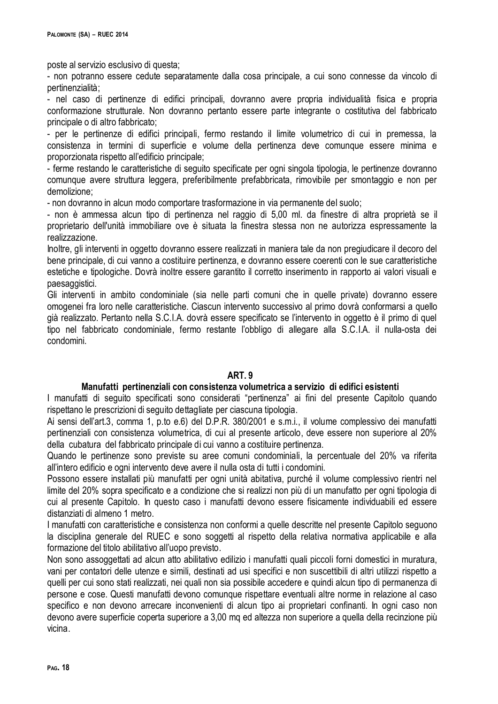poste al servizio esclusivo di questa;

- non potranno essere cedute separatamente dalla cosa principale, a cui sono connesse da vincolo di pertinenzialità;

- nel caso di pertinenze di edifici principali, dovranno avere propria individualità fisica e propria conformazione strutturale. Non dovranno pertanto essere parte integrante o costitutiva del fabbricato principale o di altro fabbricato;

- per le pertinenze di edifici principali, fermo restando il limite volumetrico di cui in premessa, la consistenza in termini di superficie e volume della pertinenza deve comunque essere minima e proporzionata rispetto all'edificio principale;

- ferme restando le caratteristiche di seguito specificate per ogni singola tipologia, le pertinenze dovranno comunque avere struttura leggera, preferibilmente prefabbricata, rimovibile per smontaggio e non per demolizione;

- non dovranno in alcun modo comportare trasformazione in via permanente del suolo;

- non è ammessa alcun tipo di pertinenza nel raggio di 5,00 ml. da finestre di altra proprietà se il proprietario dell'unità immobiliare ove è situata la finestra stessa non ne autorizza espressamente la realizzazione.

Inoltre, gli interventi in oggetto dovranno essere realizzati in maniera tale da non pregiudicare il decoro del bene principale, di cui vanno a costituire pertinenza, e dovranno essere coerenti con le sue caratteristiche estetiche e tipologiche. Dovrà inoltre essere garantito il corretto inserimento in rapporto ai valori visuali e paesaggistici.

Gli interventi in ambito condominiale (sia nelle parti comuni che in quelle private) dovranno essere omogenei fra loro nelle caratteristiche. Ciascun intervento successivo al primo dovrà conformarsi a quello già realizzato. Pertanto nella S.C.I.A. dovrà essere specificato se l'intervento in oggetto è il primo di quel tipo nel fabbricato condominiale, fermo restante l'obbligo di allegare alla S.C.I.A. il nulla-osta dei condomini.

#### ART. 9

#### Manufatti pertinenziali con consistenza volumetrica a servizio di edifici esistenti

I manufatti di seguito specificati sono considerati "pertinenza" ai fini del presente Capitolo quando rispettano le prescrizioni di seguito dettagliate per ciascuna tipologia.

Ai sensi dell'art.3, comma 1, p.to e.6) del D.P.R. 380/2001 e s.m.i., il volume complessivo dei manufatti pertinenziali con consistenza volumetrica, di cui al presente articolo, deve essere non superiore al 20% della cubatura del fabbricato principale di cui vanno a costituire pertinenza.

Quando le pertinenze sono previste su aree comuni condominiali, la percentuale del 20% va riferita all'intero edificio e ogni intervento deve avere il nulla osta di tutti i condomini.

Possono essere installati più manufatti per ogni unità abitativa, purché il volume complessivo rientri nel limite del 20% sopra specificato e a condizione che si realizzi non più di un manufatto per ogni tipologia di cui al presente Capitolo. In questo caso i manufatti devono essere fisicamente individuabili ed essere distanziati di almeno 1 metro.

I manufatti con caratteristiche e consistenza non conformi a quelle descritte nel presente Capitolo seguono la disciplina generale del RUEC e sono soggetti al rispetto della relativa normativa applicabile e alla formazione del titolo abilitativo all'uopo previsto.

Non sono assoggettati ad alcun atto abilitativo edilizio i manufatti quali piccoli forni domestici in muratura, vani per contatori delle utenze e simili, destinati ad usi specifici e non suscettibili di altri utilizzi rispetto a quelli per cui sono stati realizzati, nei quali non sia possibile accedere e quindi alcun tipo di permanenza di persone e cose. Questi manufatti devono comunque rispettare eventuali altre norme in relazione al caso specifico e non devono arrecare inconvenienti di alcun tipo ai proprietari confinanti. In ogni caso non devono avere superficie coperta superiore a 3,00 mq ed altezza non superiore a quella della recinzione più vicina.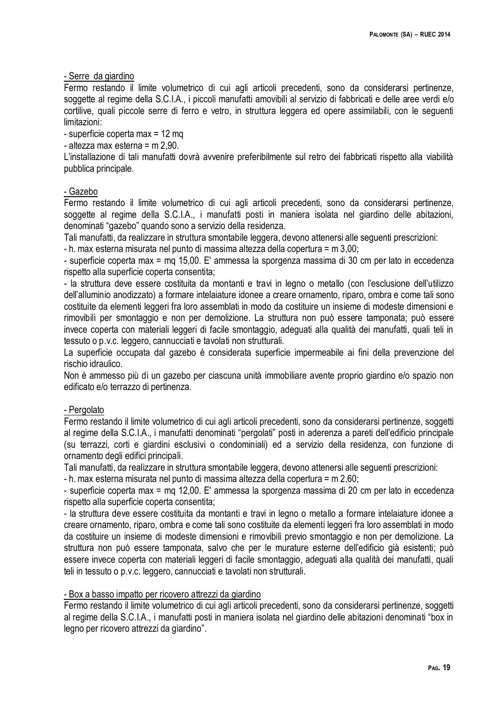#### - Serre da giardino

Fermo restando il limite volumetrico di cui agli articoli precedenti, sono da considerarsi pertinenze, soggette al regime della S.C.I.A., i piccoli manufatti amovibili al servizio di fabbricati e delle aree verdi e/o cortilive, quali piccole serre di ferro e vetro, in struttura leggera ed opere assimilabili, con le seguenti limitazioni:

- superficie coperta max = 12 mq

- altezza max esterna = m 2,90.

L'installazione di tali manufatti dovrà avvenire preferibilmente sul retro dei fabbricati rispetto alla viabilità pubblica principale.

#### - Gazebo

Fermo restando il limite volumetrico di cui agli articoli precedenti, sono da considerarsi pertinenze, soggette al regime della S.C.I.A., i manufatti posti in maniera isolata nel giardino delle abitazioni, denominati "gazebo" quando sono a servizio della residenza.

Tali manufatti, da realizzare in struttura smontabile leggera, devono attenersi alle seguenti prescrizioni:

- h. max esterna misurata nel punto di massima altezza della copertura = m 3,00;

- superficie coperta max = mq 15,00. E' ammessa la sporgenza massima di 30 cm per lato in eccedenza rispetto alla superficie coperta consentita;

- la struttura deve essere costituita da montanti e travi in legno o metallo (con l'esclusione dell'utilizzo dell'alluminio anodizzato) a formare intelaiature idonee a creare ornamento, riparo, ombra e come tali sono costituite da elementi leggeri fra loro assemblati in modo da costituire un insieme di modeste dimensioni e rimovibili per smontaggio e non per demolizione. La struttura non può essere tamponata; può essere invece coperta con materiali leggeri di facile smontaggio, adeguati alla qualità dei manufatti, quali teli in tessuto o p.v.c. leggero, cannucciati e tavolati non strutturali.

La superficie occupata dal gazebo è considerata superficie impermeabile ai fini della prevenzione del rischio idraulico.

Non è ammesso più di un gazebo per ciascuna unità immobiliare avente proprio giardino e/o spazio non edificato e/o terrazzo di pertinenza.

#### - Pergolato

Fermo restando il limite volumetrico di cui agli articoli precedenti, sono da considerarsi pertinenze, soggetti al regime della S.C.I.A., i manufatti denominati "pergolati" posti in aderenza a pareti dell'edificio principale (su terrazzi, corti e giardini esclusivi o condominiali) ed a servizio della residenza, con funzione di ornamento degli edifici principali.

Tali manufatti, da realizzare in struttura smontabile leggera, devono attenersi alle seguenti prescrizioni:

- h. max esterna misurata nel punto di massima altezza della copertura = m 2,60;

- superficie coperta max = mq 12,00. E' ammessa la sporgenza massima di 20 cm per lato in eccedenza rispetto alla superficie coperta consentita;

- la struttura deve essere costituita da montanti e travi in legno o metallo a formare intelaiature idonee a creare ornamento, riparo, ombra e come tali sono costituite da elementi leggeri fra loro assemblati in modo da costituire un insieme di modeste dimensioni e rimovibili previo smontaggio e non per demolizione. La struttura non può essere tamponata, salvo che per le murature esterne dell'edificio già esistenti; può essere invece coperta con materiali leggeri di facile smontaggio, adeguati alla qualità dei manufatti, quali teli in tessuto o p.v.c. leggero, cannucciati e tavolati non strutturali.

#### - Box a basso impatto per ricovero attrezzi da giardino

Fermo restando il limite volumetrico di cui agli articoli precedenti, sono da considerarsi pertinenze, soggetti al regime della S.C.I.A., i manufatti posti in maniera isolata nel giardino delle abitazioni denominati "box in legno per ricovero attrezzi da giardino".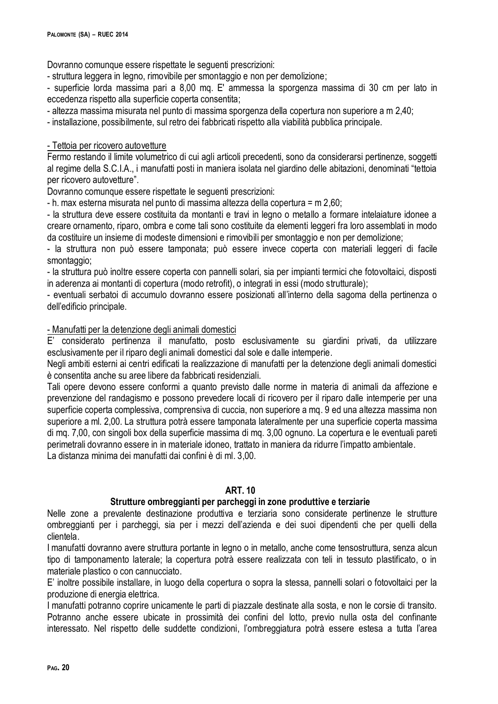Dovranno comunque essere rispettate le seguenti prescrizioni:

- struttura leggera in legno, rimovibile per smontaggio e non per demolizione;

- superficie lorda massima pari a 8,00 mq. E' ammessa la sporgenza massima di 30 cm per lato in eccedenza rispetto alla superficie coperta consentita;

- altezza massima misurata nel punto di massima sporgenza della copertura non superiore a m 2,40;

- installazione, possibilmente, sul retro dei fabbricati rispetto alla viabilità pubblica principale.

#### - Tettoia per ricovero autovetture

Fermo restando il limite volumetrico di cui agli articoli precedenti, sono da considerarsi pertinenze, soggetti al regime della S.C.I.A., i manufatti posti in maniera isolata nel giardino delle abitazioni, denominati "tettoia per ricovero autovetture".

Dovranno comunque essere rispettate le seguenti prescrizioni:

- h. max esterna misurata nel punto di massima altezza della copertura = m 2,60;

- la struttura deve essere costituita da montanti e travi in legno o metallo a formare intelaiature idonee a creare ornamento, riparo, ombra e come tali sono costituite da elementi leggeri fra loro assemblati in modo da costituire un insieme di modeste dimensioni e rimovibili per smontaggio e non per demolizione;

- la struttura non può essere tamponata; può essere invece coperta con materiali leggeri di facile smontaggio;

- la struttura può inoltre essere coperta con pannelli solari, sia per impianti termici che fotovoltaici, disposti in aderenza ai montanti di copertura (modo retrofit), o integrati in essi (modo strutturale);

- eventuali serbatoi di accumulo dovranno essere posizionati all'interno della sagoma della pertinenza o dell'edificio principale.

#### - Manufatti per la detenzione degli animali domestici

E' considerato pertinenza il manufatto, posto esclusivamente su giardini privati, da utilizzare esclusivamente per il riparo degli animali domestici dal sole e dalle intemperie.

Negli ambiti esterni ai centri edificati la realizzazione di manufatti per la detenzione degli animali domestici è consentita anche su aree libere da fabbricati residenziali.

Tali opere devono essere conformi a quanto previsto dalle norme in materia di animali da affezione e prevenzione del randagismo e possono prevedere locali di ricovero per il riparo dalle intemperie per una superficie coperta complessiva, comprensiva di cuccia, non superiore a mq. 9 ed una altezza massima non superiore a ml. 2,00. La struttura potrà essere tamponata lateralmente per una superficie coperta massima di mq. 7,00, con singoli box della superficie massima di mq. 3,00 ognuno. La copertura e le eventuali pareti perimetrali dovranno essere in in materiale idoneo, trattato in maniera da ridurre l'impatto ambientale. La distanza minima dei manufatti dai confini è di ml. 3,00.

#### ART. 10

#### Strutture ombreggianti per parcheggi in zone produttive e terziarie

Nelle zone a prevalente destinazione produttiva e terziaria sono considerate pertinenze le strutture ombreggianti per i parcheggi, sia per i mezzi dell'azienda e dei suoi dipendenti che per quelli della clientela.

I manufatti dovranno avere struttura portante in legno o in metallo, anche come tensostruttura, senza alcun tipo di tamponamento laterale; la copertura potrà essere realizzata con teli in tessuto plastificato, o in materiale plastico o con cannucciato.

E' inoltre possibile installare, in luogo della copertura o sopra la stessa, pannelli solari o fotovoltaici per la produzione di energia elettrica.

I manufatti potranno coprire unicamente le parti di piazzale destinate alla sosta, e non le corsie di transito. Potranno anche essere ubicate in prossimità dei confini del lotto, previo nulla osta del confinante interessato. Nel rispetto delle suddette condizioni, l'ombreggiatura potrà essere estesa a tutta l'area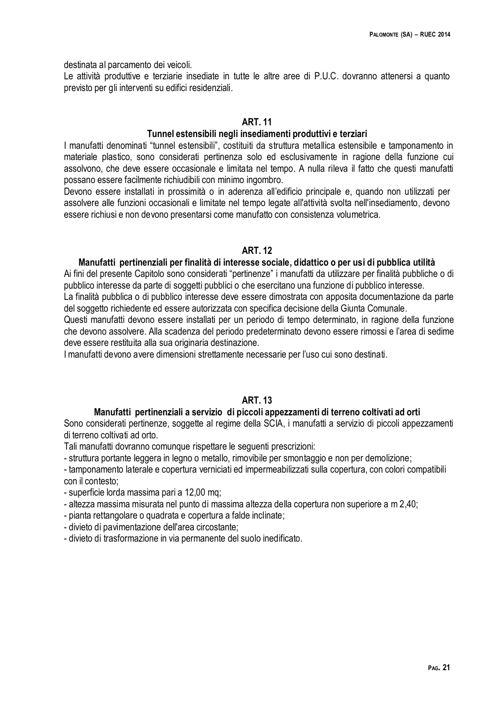destinata al parcamento dei veicoli.

Le attività produttive e terziarie insediate in tutte le altre aree di P.U.C. dovranno attenersi a quanto previsto per gli interventi su edifici residenziali.

#### ART. 11

#### Tunnel estensibili negli insediamenti produttivi e terziari

I manufatti denominati "tunnel estensibili", costituiti da struttura metallica estensibile e tamponamento in materiale plastico, sono considerati pertinenza solo ed esclusivamente in ragione della funzione cui assolvono, che deve essere occasionale e limitata nel tempo. A nulla rileva il fatto che questi manufatti possano essere facilmente richiudibili con minimo ingombro.

Devono essere installati in prossimità o in aderenza all'edificio principale e, quando non utilizzati per assolvere alle funzioni occasionali e limitate nel tempo legate all'attività svolta nell'insediamento, devono essere richiusi e non devono presentarsi come manufatto con consistenza volumetrica.

#### ART. 12

#### Manufatti pertinenziali per finalità di interesse sociale, didattico o per usi di pubblica utilità

Ai fini del presente Capitolo sono considerati "pertinenze" i manufatti da utilizzare per finalità pubbliche o di pubblico interesse da parte di soggetti pubblici o che esercitano una funzione di pubblico interesse.

La finalità pubblica o di pubblico interesse deve essere dimostrata con apposita documentazione da parte del soggetto richiedente ed essere autorizzata con specifica decisione della Giunta Comunale.

Questi manufatti devono essere installati per un periodo di tempo determinato, in ragione della funzione che devono assolvere. Alla scadenza del periodo predeterminato devono essere rimossi e l'area di sedime deve essere restituita alla sua originaria destinazione.

I manufatti devono avere dimensioni strettamente necessarie per l'uso cui sono destinati.

#### ART. 13

#### Manufatti pertinenziali a servizio di piccoli appezzamenti di terreno coltivati ad orti

Sono considerati pertinenze, soggette al regime della SCIA, i manufatti a servizio di piccoli appezzamenti di terreno coltivati ad orto.

Tali manufatti dovranno comunque rispettare le seguenti prescrizioni:

- struttura portante leggera in legno o metallo, rimovibile per smontaggio e non per demolizione;

- tamponamento laterale e copertura verniciati ed impermeabilizzati sulla copertura, con colori compatibili con il contesto;

- superficie lorda massima pari a 12,00 mq;

- altezza massima misurata nel punto di massima altezza della copertura non superiore a m 2,40;
- pianta rettangolare o quadrata e copertura a falde inclinate;
- divieto di pavimentazione dell'area circostante;
- divieto di trasformazione in via permanente del suolo inedificato.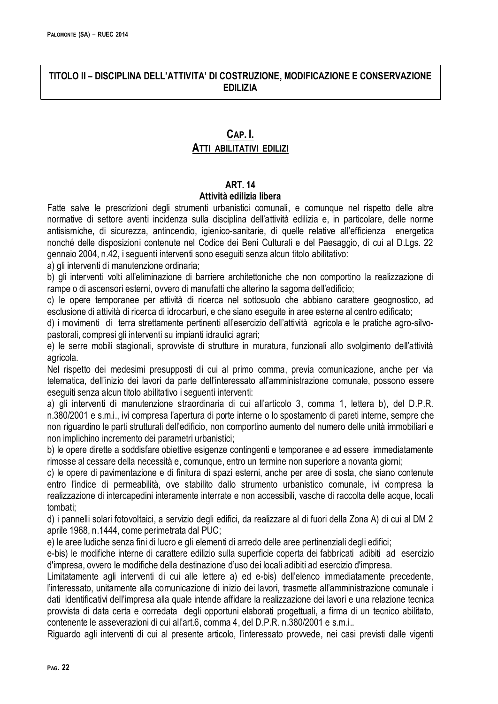### TITOLO II – DISCIPLINA DELL'ATTIVITA' DI COSTRUZIONE, MODIFICAZIONE E CONSERVAZIONE EDILIZIA

# CAP. I. ATTI ABILITATIVI EDILIZI

#### ART. 14

#### Attività edilizia libera

Fatte salve le prescrizioni degli strumenti urbanistici comunali, e comunque nel rispetto delle altre normative di settore aventi incidenza sulla disciplina dell'attività edilizia e, in particolare, delle norme antisismiche, di sicurezza, antincendio, igienico-sanitarie, di quelle relative all'efficienza energetica nonché delle disposizioni contenute nel Codice dei Beni Culturali e del Paesaggio, di cui al D.Lgs. 22 gennaio 2004, n.42, i seguenti interventi sono eseguiti senza alcun titolo abilitativo:

a) gli interventi di manutenzione ordinaria;

b) gli interventi volti all'eliminazione di barriere architettoniche che non comportino la realizzazione di rampe o di ascensori esterni, ovvero di manufatti che alterino la sagoma dell'edificio;

c) le opere temporanee per attività di ricerca nel sottosuolo che abbiano carattere geognostico, ad esclusione di attività di ricerca di idrocarburi, e che siano eseguite in aree esterne al centro edificato;

d) i movimenti di terra strettamente pertinenti all'esercizio dell'attività agricola e le pratiche agro-silvopastorali, compresi gli interventi su impianti idraulici agrari;

e) le serre mobili stagionali, sprovviste di strutture in muratura, funzionali allo svolgimento dell'attività agricola.

Nel rispetto dei medesimi presupposti di cui al primo comma, previa comunicazione, anche per via telematica, dell'inizio dei lavori da parte dell'interessato all'amministrazione comunale, possono essere eseguiti senza alcun titolo abilitativo i seguenti interventi:

a) gli interventi di manutenzione straordinaria di cui all'articolo 3, comma 1, lettera b), del D.P.R. n.380/2001 e s.m.i., ivi compresa l'apertura di porte interne o lo spostamento di pareti interne, sempre che non riguardino le parti strutturali dell'edificio, non comportino aumento del numero delle unità immobiliari e non implichino incremento dei parametri urbanistici;

b) le opere dirette a soddisfare obiettive esigenze contingenti e temporanee e ad essere immediatamente rimosse al cessare della necessità e, comunque, entro un termine non superiore a novanta giorni;

c) le opere di pavimentazione e di finitura di spazi esterni, anche per aree di sosta, che siano contenute entro l'indice di permeabilità, ove stabilito dallo strumento urbanistico comunale, ivi compresa la realizzazione di intercapedini interamente interrate e non accessibili, vasche di raccolta delle acque, locali tombati;

d) i pannelli solari fotovoltaici, a servizio degli edifici, da realizzare al di fuori della Zona A) di cui al DM 2 aprile 1968, n.1444, come perimetrata dal PUC;

e) le aree ludiche senza fini di lucro e gli elementi di arredo delle aree pertinenziali degli edifici;

e-bis) le modifiche interne di carattere edilizio sulla superficie coperta dei fabbricati adibiti ad esercizio d'impresa, ovvero le modifiche della destinazione d'uso dei locali adibiti ad esercizio d'impresa.

Limitatamente agli interventi di cui alle lettere a) ed e-bis) dell'elenco immediatamente precedente, l'interessato, unitamente alla comunicazione di inizio dei lavori, trasmette all'amministrazione comunale i dati identificativi dell'impresa alla quale intende affidare la realizzazione dei lavori e una relazione tecnica provvista di data certa e corredata degli opportuni elaborati progettuali, a firma di un tecnico abilitato, contenente le asseverazioni di cui all'art.6, comma 4, del D.P.R. n.380/2001 e s.m.i..

Riguardo agli interventi di cui al presente articolo, l'interessato provvede, nei casi previsti dalle vigenti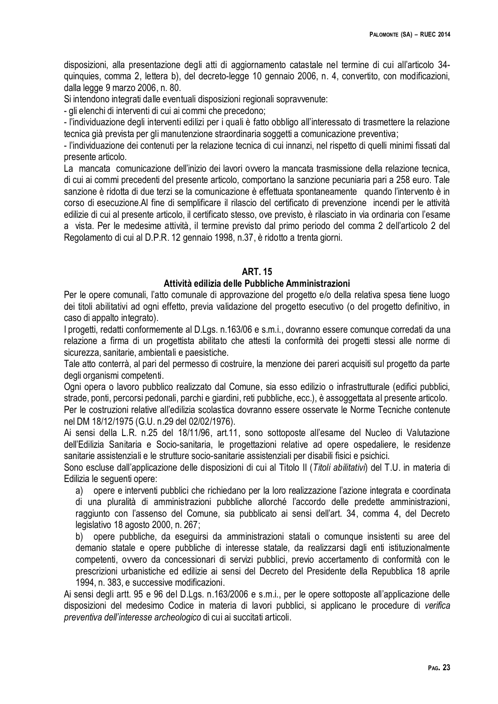disposizioni, alla presentazione degli atti di aggiornamento catastale nel termine di cui all'articolo 34 quinquies, comma 2, lettera b), del decreto-legge 10 gennaio 2006, n. 4, convertito, con modificazioni, dalla legge 9 marzo 2006, n. 80.

Si intendono integrati dalle eventuali disposizioni regionali sopravvenute:

- gli elenchi di interventi di cui ai commi che precedono;

- l'individuazione degli interventi edilizi per i quali è fatto obbligo all'interessato di trasmettere la relazione tecnica già prevista per gli manutenzione straordinaria soggetti a comunicazione preventiva;

- l'individuazione dei contenuti per la relazione tecnica di cui innanzi, nel rispetto di quelli minimi fissati dal presente articolo.

La mancata comunicazione dell'inizio dei lavori ovvero la mancata trasmissione della relazione tecnica, di cui ai commi precedenti del presente articolo, comportano la sanzione pecuniaria pari a 258 euro. Tale sanzione è ridotta di due terzi se la comunicazione è effettuata spontaneamente quando l'intervento è in corso di esecuzione.Al fine di semplificare il rilascio del certificato di prevenzione incendi per le attività edilizie di cui al presente articolo, il certificato stesso, ove previsto, è rilasciato in via ordinaria con l'esame a vista. Per le medesime attività, il termine previsto dal primo periodo del comma 2 dell'articolo 2 del Regolamento di cui al D.P.R. 12 gennaio 1998, n.37, è ridotto a trenta giorni.

#### ART. 15

#### Attività edilizia delle Pubbliche Amministrazioni

Per le opere comunali, l'atto comunale di approvazione del progetto e/o della relativa spesa tiene luogo dei titoli abilitativi ad ogni effetto, previa validazione del progetto esecutivo (o del progetto definitivo, in caso di appalto integrato).

I progetti, redatti conformemente al D.Lgs. n.163/06 e s.m.i., dovranno essere comunque corredati da una relazione a firma di un progettista abilitato che attesti la conformità dei progetti stessi alle norme di sicurezza, sanitarie, ambientali e paesistiche.

Tale atto conterrà, al pari del permesso di costruire, la menzione dei pareri acquisiti sul progetto da parte degli organismi competenti.

Ogni opera o lavoro pubblico realizzato dal Comune, sia esso edilizio o infrastrutturale (edifici pubblici, strade, ponti, percorsi pedonali, parchi e giardini, reti pubbliche, ecc.), è assoggettata al presente articolo.

Per le costruzioni relative all'edilizia scolastica dovranno essere osservate le Norme Tecniche contenute nel DM 18/12/1975 (G.U. n.29 del 02/02/1976).

Ai sensi della L.R. n.25 del 18/11/96, art.11, sono sottoposte all'esame del Nucleo di Valutazione dell'Edilizia Sanitaria e Socio-sanitaria, le progettazioni relative ad opere ospedaliere, le residenze sanitarie assistenziali e le strutture socio-sanitarie assistenziali per disabili fisici e psichici.

Sono escluse dall'applicazione delle disposizioni di cui al Titolo II (Titoli abilitativi) del T.U. in materia di Edilizia le seguenti opere:

a) opere e interventi pubblici che richiedano per la loro realizzazione l'azione integrata e coordinata di una pluralità di amministrazioni pubbliche allorché l'accordo delle predette amministrazioni, raggiunto con l'assenso del Comune, sia pubblicato ai sensi dell'art. 34, comma 4, del Decreto legislativo 18 agosto 2000, n. 267;

b) opere pubbliche, da eseguirsi da amministrazioni statali o comunque insistenti su aree del demanio statale e opere pubbliche di interesse statale, da realizzarsi dagli enti istituzionalmente competenti, ovvero da concessionari di servizi pubblici, previo accertamento di conformità con le prescrizioni urbanistiche ed edilizie ai sensi del Decreto del Presidente della Repubblica 18 aprile 1994, n. 383, e successive modificazioni.

Ai sensi degli artt. 95 e 96 del D.Lgs. n.163/2006 e s.m.i., per le opere sottoposte all'applicazione delle disposizioni del medesimo Codice in materia di lavori pubblici, si applicano le procedure di verifica preventiva dell'interesse archeologico di cui ai succitati articoli.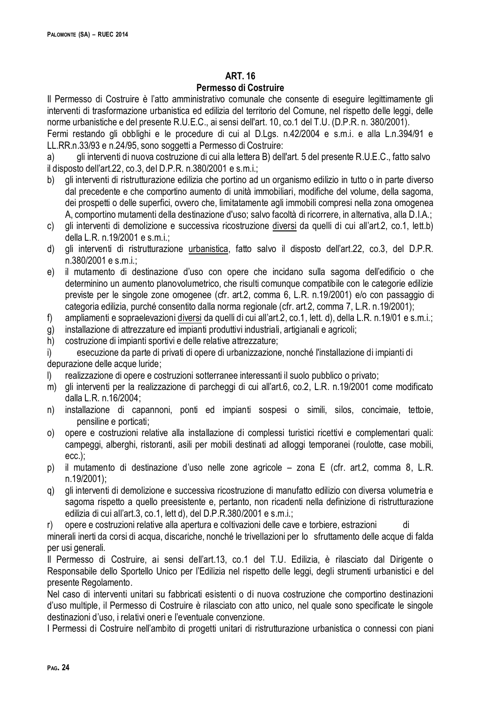# ART. 16

#### Permesso di Costruire

Il Permesso di Costruire è l'atto amministrativo comunale che consente di eseguire legittimamente gli interventi di trasformazione urbanistica ed edilizia del territorio del Comune, nel rispetto delle leggi, delle norme urbanistiche e del presente R.U.E.C., ai sensi dell'art. 10, co.1 del T.U. (D.P.R. n. 380/2001).

Fermi restando gli obblighi e le procedure di cui al D.Lgs. n.42/2004 e s.m.i. e alla L.n.394/91 e LL.RR.n.33/93 e n.24/95, sono soggetti a Permesso di Costruire:

a) gli interventi di nuova costruzione di cui alla lettera B) dell'art. 5 del presente R.U.E.C., fatto salvo il disposto dell'art.22, co.3, del D.P.R. n.380/2001 e s.m.i.;

- b) gli interventi di ristrutturazione edilizia che portino ad un organismo edilizio in tutto o in parte diverso dal precedente e che comportino aumento di unità immobiliari, modifiche del volume, della sagoma, dei prospetti o delle superfici, ovvero che, limitatamente agli immobili compresi nella zona omogenea A, comportino mutamenti della destinazione d'uso; salvo facoltà di ricorrere, in alternativa, alla D.I.A.;
- c) gli interventi di demolizione e successiva ricostruzione diversi da quelli di cui all'art.2, co.1, lett.b) della L.R. n.19/2001 e s.m.i.;
- d) gli interventi di ristrutturazione urbanistica, fatto salvo il disposto dell'art.22, co.3, del D.P.R. n.380/2001 e s.m.i.;
- e) il mutamento di destinazione d'uso con opere che incidano sulla sagoma dell'edificio o che determinino un aumento planovolumetrico, che risulti comunque compatibile con le categorie edilizie previste per le singole zone omogenee (cfr. art.2, comma 6, L.R. n.19/2001) e/o con passaggio di categoria edilizia, purché consentito dalla norma regionale (cfr. art.2, comma 7, L.R. n.19/2001);
- f) ampliamenti e sopraelevazioni diversi da quelli di cui all'art.2, co.1, lett. d), della L.R. n.19/01 e s.m.i.;
- g) installazione di attrezzature ed impianti produttivi industriali, artigianali e agricoli;
- h) costruzione di impianti sportivi e delle relative attrezzature;
- i) esecuzione da parte di privati di opere di urbanizzazione, nonché l'installazione di impianti di depurazione delle acque luride;
- l) realizzazione di opere e costruzioni sotterranee interessanti il suolo pubblico o privato;
- m) gli interventi per la realizzazione di parcheggi di cui all'art.6, co.2, L.R. n.19/2001 come modificato dalla L.R. n.16/2004;
- n) installazione di capannoni, ponti ed impianti sospesi o simili, silos, concimaie, tettoie, pensiline e porticati;
- o) opere e costruzioni relative alla installazione di complessi turistici ricettivi e complementari quali: campeggi, alberghi, ristoranti, asili per mobili destinati ad alloggi temporanei (roulotte, case mobili, ecc.);
- p) il mutamento di destinazione d'uso nelle zone agricole zona E (cfr. art.2, comma 8, L.R. n.19/2001);
- q) gli interventi di demolizione e successiva ricostruzione di manufatto edilizio con diversa volumetria e sagoma rispetto a quello preesistente e, pertanto, non ricadenti nella definizione di ristrutturazione edilizia di cui all'art.3, co.1, lett d), del D.P.R.380/2001 e s.m.i.;

r) opere e costruzioni relative alla apertura e coltivazioni delle cave e torbiere, estrazioni di

minerali inerti da corsi di acqua, discariche, nonché le trivellazioni per lo sfruttamento delle acque di falda per usi generali.

Il Permesso di Costruire, ai sensi dell'art.13, co.1 del T.U. Edilizia, è rilasciato dal Dirigente o Responsabile dello Sportello Unico per l'Edilizia nel rispetto delle leggi, degli strumenti urbanistici e del presente Regolamento.

Nel caso di interventi unitari su fabbricati esistenti o di nuova costruzione che comportino destinazioni d'uso multiple, il Permesso di Costruire è rilasciato con atto unico, nel quale sono specificate le singole destinazioni d'uso, i relativi oneri e l'eventuale convenzione.

I Permessi di Costruire nell'ambito di progetti unitari di ristrutturazione urbanistica o connessi con piani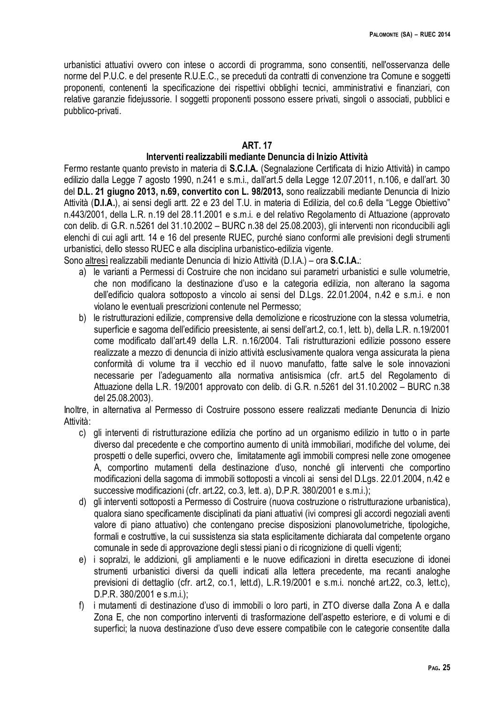urbanistici attuativi ovvero con intese o accordi di programma, sono consentiti, nell'osservanza delle norme del P.U.C. e del presente R.U.E.C., se preceduti da contratti di convenzione tra Comune e soggetti proponenti, contenenti la specificazione dei rispettivi obblighi tecnici, amministrativi e finanziari, con relative garanzie fidejussorie. I soggetti proponenti possono essere privati, singoli o associati, pubblici e pubblico-privati.

#### ART. 17

#### Interventi realizzabili mediante Denuncia di Inizio Attività

Fermo restante quanto previsto in materia di S.C.I.A. (Segnalazione Certificata di Inizio Attività) in campo edilizio dalla Legge 7 agosto 1990, n.241 e s.m.i., dall'art.5 della Legge 12.07.2011, n.106, e dall'art. 30 del D.L. 21 giugno 2013, n.69, convertito con L. 98/2013, sono realizzabili mediante Denuncia di Inizio Attività (D.I.A.), ai sensi degli artt. 22 e 23 del T.U. in materia di Edilizia, del co.6 della "Legge Obiettivo" n.443/2001, della L.R. n.19 del 28.11.2001 e s.m.i. e del relativo Regolamento di Attuazione (approvato con delib. di G.R. n.5261 del 31.10.2002 – BURC n.38 del 25.08.2003), gli interventi non riconducibili agli elenchi di cui agli artt. 14 e 16 del presente RUEC, purché siano conformi alle previsioni degli strumenti urbanistici, dello stesso RUEC e alla disciplina urbanistico-edilizia vigente.

Sono altresì realizzabili mediante Denuncia di Inizio Attività (D.I.A.) – ora S.C.I.A.:

- a) le varianti a Permessi di Costruire che non incidano sui parametri urbanistici e sulle volumetrie, che non modificano la destinazione d'uso e la categoria edilizia, non alterano la sagoma dell'edificio qualora sottoposto a vincolo ai sensi del D.Lgs. 22.01.2004, n.42 e s.m.i. e non violano le eventuali prescrizioni contenute nel Permesso;
- b) le ristrutturazioni edilizie, comprensive della demolizione e ricostruzione con la stessa volumetria, superficie e sagoma dell'edificio preesistente, ai sensi dell'art.2, co.1, lett. b), della L.R. n.19/2001 come modificato dall'art.49 della L.R. n.16/2004. Tali ristrutturazioni edilizie possono essere realizzate a mezzo di denuncia di inizio attività esclusivamente qualora venga assicurata la piena conformità di volume tra il vecchio ed il nuovo manufatto, fatte salve le sole innovazioni necessarie per l'adeguamento alla normativa antisismica (cfr. art.5 del Regolamento di Attuazione della L.R. 19/2001 approvato con delib. di G.R. n.5261 del 31.10.2002 – BURC n.38 del 25.08.2003).

Inoltre, in alternativa al Permesso di Costruire possono essere realizzati mediante Denuncia di Inizio Attività:

- c) gli interventi di ristrutturazione edilizia che portino ad un organismo edilizio in tutto o in parte diverso dal precedente e che comportino aumento di unità immobiliari, modifiche del volume, dei prospetti o delle superfici, ovvero che, limitatamente agli immobili compresi nelle zone omogenee A, comportino mutamenti della destinazione d'uso, nonché gli interventi che comportino modificazioni della sagoma di immobili sottoposti a vincoli ai sensi del D.Lgs. 22.01.2004, n.42 e successive modificazioni (cfr. art.22, co.3, lett. a), D.P.R. 380/2001 e s.m.i.);
- d) gli interventi sottoposti a Permesso di Costruire (nuova costruzione o ristrutturazione urbanistica), qualora siano specificamente disciplinati da piani attuativi (ivi compresi gli accordi negoziali aventi valore di piano attuativo) che contengano precise disposizioni planovolumetriche, tipologiche, formali e costruttive, la cui sussistenza sia stata esplicitamente dichiarata dal competente organo comunale in sede di approvazione degli stessi piani o di ricognizione di quelli vigenti;
- e) i sopralzi, le addizioni, gli ampliamenti e le nuove edificazioni in diretta esecuzione di idonei strumenti urbanistici diversi da quelli indicati alla lettera precedente, ma recanti analoghe previsioni di dettaglio (cfr. art.2, co.1, lett.d), L.R.19/2001 e s.m.i. nonché art.22, co.3, lett.c), D.P.R. 380/2001 e s.m.i.);
- f) i mutamenti di destinazione d'uso di immobili o loro parti, in ZTO diverse dalla Zona A e dalla Zona E, che non comportino interventi di trasformazione dell'aspetto esteriore, e di volumi e di superfici: la nuova destinazione d'uso deve essere compatibile con le categorie consentite dalla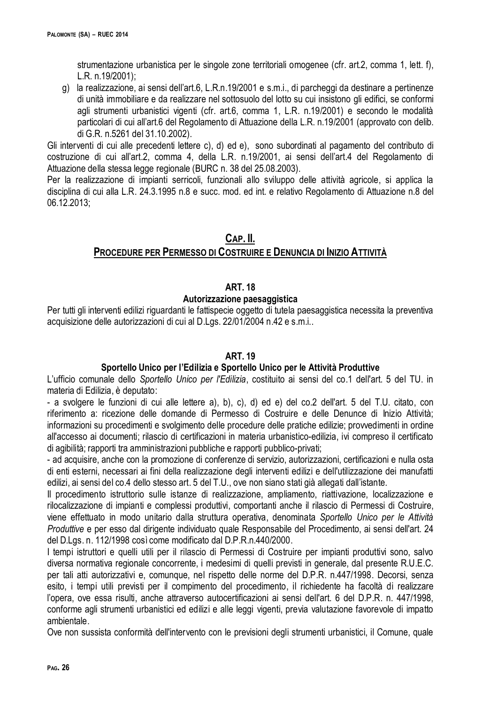strumentazione urbanistica per le singole zone territoriali omogenee (cfr. art.2, comma 1, lett. f), L.R. n.19/2001);

g) la realizzazione, ai sensi dell'art.6, L.R.n.19/2001 e s.m.i., di parcheggi da destinare a pertinenze di unità immobiliare e da realizzare nel sottosuolo del lotto su cui insistono gli edifici, se conformi agli strumenti urbanistici vigenti (cfr. art.6, comma 1, L.R. n.19/2001) e secondo le modalità particolari di cui all'art.6 del Regolamento di Attuazione della L.R. n.19/2001 (approvato con delib. di G.R. n.5261 del 31.10.2002).

Gli interventi di cui alle precedenti lettere c), d) ed e), sono subordinati al pagamento del contributo di costruzione di cui all'art.2, comma 4, della L.R. n.19/2001, ai sensi dell'art.4 del Regolamento di Attuazione della stessa legge regionale (BURC n. 38 del 25.08.2003).

Per la realizzazione di impianti serricoli, funzionali allo sviluppo delle attività agricole, si applica la disciplina di cui alla L.R. 24.3.1995 n.8 e succ. mod. ed int. e relativo Regolamento di Attuazione n.8 del 06.12.2013;

#### CAP. II. PROCEDURE PER PERMESSO DI COSTRUIRE E DENUNCIA DI INIZIO ATTIVITÀ

#### ART. 18

#### Autorizzazione paesaggistica

Per tutti gli interventi edilizi riguardanti le fattispecie oggetto di tutela paesaggistica necessita la preventiva acquisizione delle autorizzazioni di cui al D.Lgs. 22/01/2004 n.42 e s.m.i..

#### ART. 19

#### Sportello Unico per l'Edilizia e Sportello Unico per le Attività Produttive

L'ufficio comunale dello Sportello Unico per l'Edilizia, costituito ai sensi del co.1 dell'art. 5 del TU. in materia di Edilizia, è deputato:

- a svolgere le funzioni di cui alle lettere a), b), c), d) ed e) del co.2 dell'art. 5 del T.U. citato, con riferimento a: ricezione delle domande di Permesso di Costruire e delle Denunce di Inizio Attività; informazioni su procedimenti e svolgimento delle procedure delle pratiche edilizie; provvedimenti in ordine all'accesso ai documenti; rilascio di certificazioni in materia urbanistico-edilizia, ivi compreso il certificato di agibilità; rapporti tra amministrazioni pubbliche e rapporti pubblico-privati;

- ad acquisire, anche con la promozione di conferenze di servizio, autorizzazioni, certificazioni e nulla osta di enti esterni, necessari ai fini della realizzazione degli interventi edilizi e dell'utilizzazione dei manufatti edilizi, ai sensi del co.4 dello stesso art. 5 del T.U., ove non siano stati già allegati dall'istante.

Il procedimento istruttorio sulle istanze di realizzazione, ampliamento, riattivazione, localizzazione e rilocalizzazione di impianti e complessi produttivi, comportanti anche il rilascio di Permessi di Costruire, viene effettuato in modo unitario dalla struttura operativa, denominata Sportello Unico per le Attività Produttive e per esso dal dirigente individuato quale Responsabile del Procedimento, ai sensi dell'art. 24 del D.Lgs. n. 112/1998 così come modificato dal D.P.R.n.440/2000.

I tempi istruttori e quelli utili per il rilascio di Permessi di Costruire per impianti produttivi sono, salvo diversa normativa regionale concorrente, i medesimi di quelli previsti in generale, dal presente R.U.E.C. per tali atti autorizzativi e, comunque, nel rispetto delle norme del D.P.R. n.447/1998. Decorsi, senza esito, i tempi utili previsti per il compimento del procedimento, il richiedente ha facoltà di realizzare l'opera, ove essa risulti, anche attraverso autocertificazioni ai sensi dell'art. 6 del D.P.R. n. 447/1998, conforme agli strumenti urbanistici ed edilizi e alle leggi vigenti, previa valutazione favorevole di impatto ambientale.

Ove non sussista conformità dell'intervento con le previsioni degli strumenti urbanistici, il Comune, quale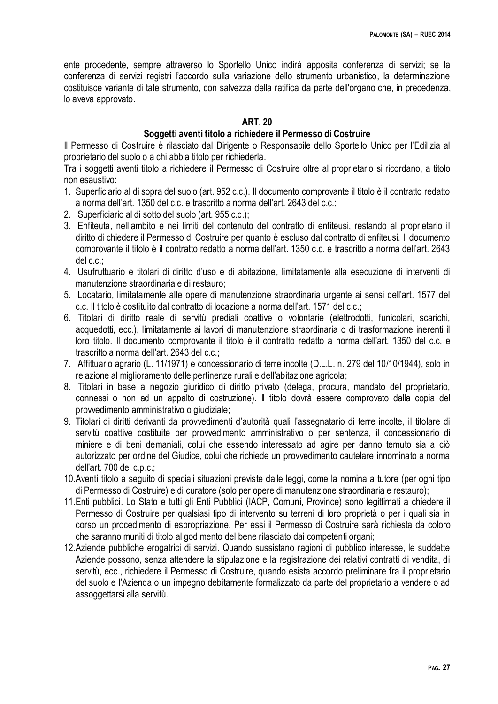ente procedente, sempre attraverso lo Sportello Unico indirà apposita conferenza di servizi; se la conferenza di servizi registri l'accordo sulla variazione dello strumento urbanistico, la determinazione costituisce variante di tale strumento, con salvezza della ratifica da parte dell'organo che, in precedenza, lo aveva approvato.

#### ART. 20

#### Soggetti aventi titolo a richiedere il Permesso di Costruire

Il Permesso di Costruire è rilasciato dal Dirigente o Responsabile dello Sportello Unico per l'Edilizia al proprietario del suolo o a chi abbia titolo per richiederla.

Tra i soggetti aventi titolo a richiedere il Permesso di Costruire oltre al proprietario si ricordano, a titolo non esaustivo:

- 1. Superficiario al di sopra del suolo (art. 952 c.c.). Il documento comprovante il titolo è il contratto redatto a norma dell'art. 1350 del c.c. e trascritto a norma dell'art. 2643 del c.c.;
- 2. Superficiario al di sotto del suolo (art. 955 c.c.);
- 3. Enfiteuta, nell'ambito e nei limiti del contenuto del contratto di enfiteusi, restando al proprietario il diritto di chiedere il Permesso di Costruire per quanto è escluso dal contratto di enfiteusi. Il documento comprovante il titolo è il contratto redatto a norma dell'art. 1350 c.c. e trascritto a norma dell'art. 2643 del c.c.;
- 4. Usufruttuario e titolari di diritto d'uso e di abitazione, limitatamente alla esecuzione di interventi di manutenzione straordinaria e di restauro;
- 5. Locatario, limitatamente alle opere di manutenzione straordinaria urgente ai sensi dell'art. 1577 del c.c. Il titolo è costituito dal contratto di locazione a norma dell'art. 1571 del c.c.;
- 6. Titolari di diritto reale di servitù prediali coattive o volontarie (elettrodotti, funicolari, scarichi, acquedotti, ecc.), limitatamente ai lavori di manutenzione straordinaria o di trasformazione inerenti il loro titolo. Il documento comprovante il titolo è il contratto redatto a norma dell'art. 1350 del c.c. e trascritto a norma dell'art. 2643 del c.c.;
- 7. Affittuario agrario (L. 11/1971) e concessionario di terre incolte (D.L.L. n. 279 del 10/10/1944), solo in relazione al miglioramento delle pertinenze rurali e dell'abitazione agricola;
- 8. Titolari in base a negozio giuridico di diritto privato (delega, procura, mandato del proprietario, connessi o non ad un appalto di costruzione). Il titolo dovrà essere comprovato dalla copia del provvedimento amministrativo o giudiziale;
- 9. Titolari di diritti derivanti da provvedimenti d'autorità quali l'assegnatario di terre incolte, il titolare di servitù coattive costituite per provvedimento amministrativo o per sentenza, il concessionario di miniere e di beni demaniali, colui che essendo interessato ad agire per danno temuto sia a ciò autorizzato per ordine del Giudice, colui che richiede un provvedimento cautelare innominato a norma dell'art. 700 del c.p.c.;
- 10.Aventi titolo a seguito di speciali situazioni previste dalle leggi, come la nomina a tutore (per ogni tipo di Permesso di Costruire) e di curatore (solo per opere di manutenzione straordinaria e restauro);
- 11.Enti pubblici. Lo Stato e tutti gli Enti Pubblici (IACP, Comuni, Province) sono legittimati a chiedere il Permesso di Costruire per qualsiasi tipo di intervento su terreni di loro proprietà o per i quali sia in corso un procedimento di espropriazione. Per essi il Permesso di Costruire sarà richiesta da coloro che saranno muniti di titolo al godimento del bene rilasciato dai competenti organi;
- 12.Aziende pubbliche erogatrici di servizi. Quando sussistano ragioni di pubblico interesse, le suddette Aziende possono, senza attendere la stipulazione e la registrazione dei relativi contratti di vendita, di servitù, ecc., richiedere il Permesso di Costruire, quando esista accordo preliminare fra il proprietario del suolo e l'Azienda o un impegno debitamente formalizzato da parte del proprietario a vendere o ad assoggettarsi alla servitù.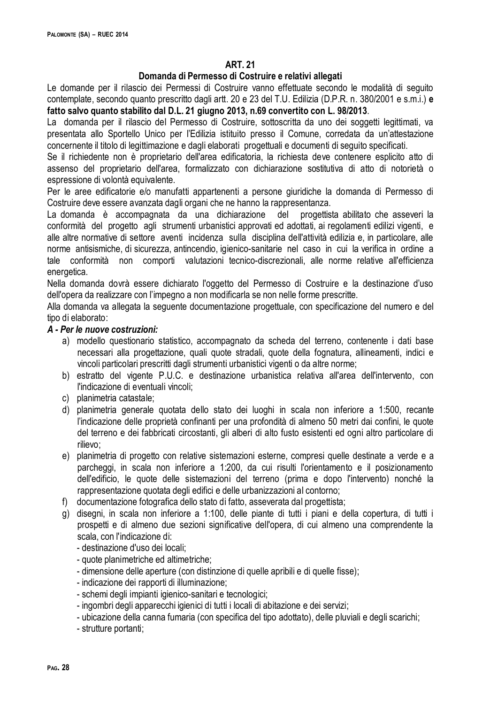#### ART. 21

#### Domanda di Permesso di Costruire e relativi allegati

Le domande per il rilascio dei Permessi di Costruire vanno effettuate secondo le modalità di seguito contemplate, secondo quanto prescritto dagli artt. 20 e 23 del T.U. Edilizia (D.P.R. n. 380/2001 e s.m.i.) e fatto salvo quanto stabilito dal D.L. 21 giugno 2013, n.69 convertito con L. 98/2013.

La domanda per il rilascio del Permesso di Costruire, sottoscritta da uno dei soggetti legittimati, va presentata allo Sportello Unico per l'Edilizia istituito presso il Comune, corredata da un'attestazione concernente il titolo di legittimazione e dagli elaborati progettuali e documenti di seguito specificati.

Se il richiedente non è proprietario dell'area edificatoria, la richiesta deve contenere esplicito atto di assenso del proprietario dell'area, formalizzato con dichiarazione sostitutiva di atto di notorietà o espressione di volontà equivalente.

Per le aree edificatorie e/o manufatti appartenenti a persone giuridiche la domanda di Permesso di

Costruire deve essere avanzata dagli organi che ne hanno la rappresentanza.<br>La domanda è accompagnata da una dichiarazione del progettista abilitato che asseveri la La domanda è accompagnata da una dichiarazione del conformità del progetto agli strumenti urbanistici approvati ed adottati, ai regolamenti edilizi vigenti, e alle altre normative di settore aventi incidenza sulla disciplina dell'attività edilizia e, in particolare, alle norme antisismiche, di sicurezza, antincendio, igienico-sanitarie nel caso in cui la verifica in ordine a tale conformità non comporti valutazioni tecnico-discrezionali, alle norme relative all'efficienza energetica.

Nella domanda dovrà essere dichiarato l'oggetto del Permesso di Costruire e la destinazione d'uso dell'opera da realizzare con l'impegno a non modificarla se non nelle forme prescritte.

Alla domanda va allegata la seguente documentazione progettuale, con specificazione del numero e del tipo di elaborato:

#### A - Per le nuove costruzioni:

- a) modello questionario statistico, accompagnato da scheda del terreno, contenente i dati base necessari alla progettazione, quali quote stradali, quote della fognatura, allineamenti, indici e vincoli particolari prescritti dagli strumenti urbanistici vigenti o da altre norme;
- b) estratto del vigente P.U.C. e destinazione urbanistica relativa all'area dell'intervento, con l'indicazione di eventuali vincoli;
- c) planimetria catastale;
- d) planimetria generale quotata dello stato dei luoghi in scala non inferiore a 1:500, recante l'indicazione delle proprietà confinanti per una profondità di almeno 50 metri dai confini, le quote del terreno e dei fabbricati circostanti, gli alberi di alto fusto esistenti ed ogni altro particolare di rilievo;
- e) planimetria di progetto con relative sistemazioni esterne, compresi quelle destinate a verde e a parcheggi, in scala non inferiore a 1:200, da cui risulti l'orientamento e il posizionamento dell'edificio, le quote delle sistemazioni del terreno (prima e dopo l'intervento) nonché la rappresentazione quotata degli edifici e delle urbanizzazioni al contorno;
- f) documentazione fotografica dello stato di fatto, asseverata dal progettista;
- g) disegni, in scala non inferiore a 1:100, delle piante di tutti i piani e della copertura, di tutti i prospetti e di almeno due sezioni significative dell'opera, di cui almeno una comprendente la scala, con l'indicazione di:
	- destinazione d'uso dei locali;
	- quote planimetriche ed altimetriche;
	- dimensione delle aperture (con distinzione di quelle apribili e di quelle fisse);
	- indicazione dei rapporti di illuminazione;
	- schemi degli impianti igienico-sanitari e tecnologici;
	- ingombri degli apparecchi igienici di tutti i locali di abitazione e dei servizi;
	- ubicazione della canna fumaria (con specifica del tipo adottato), delle pluviali e degli scarichi;
	- strutture portanti;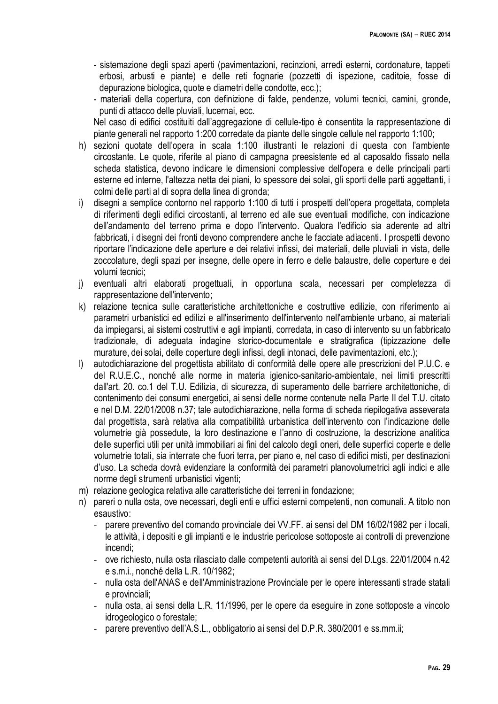- sistemazione degli spazi aperti (pavimentazioni, recinzioni, arredi esterni, cordonature, tappeti erbosi, arbusti e piante) e delle reti fognarie (pozzetti di ispezione, caditoie, fosse di depurazione biologica, quote e diametri delle condotte, ecc.);
- materiali della copertura, con definizione di falde, pendenze, volumi tecnici, camini, gronde, punti di attacco delle pluviali, lucernai, ecc.

Nel caso di edifici costituiti dall'aggregazione di cellule-tipo è consentita la rappresentazione di piante generali nel rapporto 1:200 corredate da piante delle singole cellule nel rapporto 1:100;

- h) sezioni quotate dell'opera in scala 1:100 illustranti le relazioni di questa con l'ambiente circostante. Le quote, riferite al piano di campagna preesistente ed al caposaldo fissato nella scheda statistica, devono indicare le dimensioni complessive dell'opera e delle principali parti esterne ed interne, l'altezza netta dei piani, lo spessore dei solai, gli sporti delle parti aggettanti, i colmi delle parti al di sopra della linea di gronda;
- i) disegni a semplice contorno nel rapporto 1:100 di tutti i prospetti dell'opera progettata, completa di riferimenti degli edifici circostanti, al terreno ed alle sue eventuali modifiche, con indicazione dell'andamento del terreno prima e dopo l'intervento. Qualora l'edificio sia aderente ad altri fabbricati, i disegni dei fronti devono comprendere anche le facciate adiacenti. I prospetti devono riportare l'indicazione delle aperture e dei relativi infissi, dei materiali, delle pluviali in vista, delle zoccolature, degli spazi per insegne, delle opere in ferro e delle balaustre, delle coperture e dei volumi tecnici;
- j) eventuali altri elaborati progettuali, in opportuna scala, necessari per completezza di rappresentazione dell'intervento;
- k) relazione tecnica sulle caratteristiche architettoniche e costruttive edilizie, con riferimento ai parametri urbanistici ed edilizi e all'inserimento dell'intervento nell'ambiente urbano, ai materiali da impiegarsi, ai sistemi costruttivi e agli impianti, corredata, in caso di intervento su un fabbricato tradizionale, di adeguata indagine storico-documentale e stratigrafica (tipizzazione delle murature, dei solai, delle coperture degli infissi, degli intonaci, delle pavimentazioni, etc.);
- l) autodichiarazione del progettista abilitato di conformità delle opere alle prescrizioni del P.U.C. e del R.U.E.C., nonché alle norme in materia igienico-sanitario-ambientale, nei limiti prescritti dall'art. 20. co.1 del T.U. Edilizia, di sicurezza, di superamento delle barriere architettoniche, di contenimento dei consumi energetici, ai sensi delle norme contenute nella Parte II del T.U. citato e nel D.M. 22/01/2008 n.37; tale autodichiarazione, nella forma di scheda riepilogativa asseverata dal progettista, sarà relativa alla compatibilità urbanistica dell'intervento con l'indicazione delle volumetrie già possedute, la loro destinazione e l'anno di costruzione, la descrizione analitica delle superfici utili per unità immobiliari ai fini del calcolo degli oneri, delle superfici coperte e delle volumetrie totali, sia interrate che fuori terra, per piano e, nel caso di edifici misti, per destinazioni d'uso. La scheda dovrà evidenziare la conformità dei parametri planovolumetrici agli indici e alle norme degli strumenti urbanistici vigenti;
- m) relazione geologica relativa alle caratteristiche dei terreni in fondazione;
- n) pareri o nulla osta, ove necessari, degli enti e uffici esterni competenti, non comunali. A titolo non esaustivo:
	- parere preventivo del comando provinciale dei VV.FF. ai sensi del DM 16/02/1982 per i locali, le attività, i depositi e gli impianti e le industrie pericolose sottoposte ai controlli di prevenzione incendi;
	- ove richiesto, nulla osta rilasciato dalle competenti autorità ai sensi del D.Lgs. 22/01/2004 n.42 e s.m.i., nonché della L.R. 10/1982;
	- nulla osta dell'ANAS e dell'Amministrazione Provinciale per le opere interessanti strade statali e provinciali;
	- nulla osta, ai sensi della L.R. 11/1996, per le opere da eseguire in zone sottoposte a vincolo idrogeologico o forestale;
	- parere preventivo dell'A.S.L., obbligatorio ai sensi del D.P.R. 380/2001 e ss.mm.ii;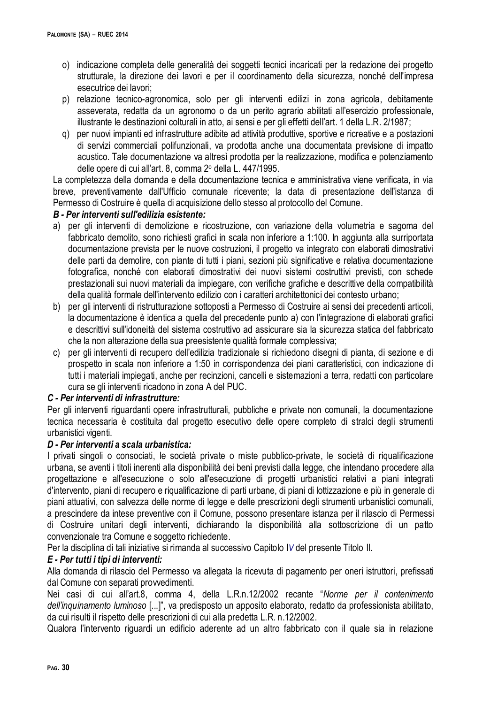- o) indicazione completa delle generalità dei soggetti tecnici incaricati per la redazione dei progetto strutturale, la direzione dei lavori e per il coordinamento della sicurezza, nonché dell'impresa esecutrice dei lavori;
- p) relazione tecnico-agronomica, solo per gli interventi edilizi in zona agricola, debitamente asseverata, redatta da un agronomo o da un perito agrario abilitati all'esercizio professionale, illustrante le destinazioni colturali in atto, ai sensi e per gli effetti dell'art. 1 della L.R. 2/1987;
- q) per nuovi impianti ed infrastrutture adibite ad attività produttive, sportive e ricreative e a postazioni di servizi commerciali polifunzionali, va prodotta anche una documentata previsione di impatto acustico. Tale documentazione va altresì prodotta per la realizzazione, modifica e potenziamento delle opere di cui all'art. 8, comma 2<sup>o</sup> della L. 447/1995.

La completezza della domanda e della documentazione tecnica e amministrativa viene verificata, in via breve, preventivamente dall'Ufficio comunale ricevente; la data di presentazione dell'istanza di Permesso di Costruire è quella di acquisizione dello stesso al protocollo del Comune.

#### B - Per interventi sull'edilizia esistente:

- a) per gli interventi di demolizione e ricostruzione, con variazione della volumetria e sagoma del fabbricato demolito, sono richiesti grafici in scala non inferiore a 1:100. In aggiunta alla surriportata documentazione prevista per le nuove costruzioni, il progetto va integrato con elaborati dimostrativi delle parti da demolire, con piante di tutti i piani, sezioni più significative e relativa documentazione fotografica, nonché con elaborati dimostrativi dei nuovi sistemi costruttivi previsti, con schede prestazionali sui nuovi materiali da impiegare, con verifiche grafiche e descrittive della compatibilità della qualità formale dell'intervento edilizio con i caratteri architettonici dei contesto urbano;
- b) per gli interventi di ristrutturazione sottoposti a Permesso di Costruire ai sensi dei precedenti articoli, la documentazione è identica a quella del precedente punto a) con l'integrazione di elaborati grafici e descrittivi sull'idoneità del sistema costruttivo ad assicurare sia la sicurezza statica del fabbricato che la non alterazione della sua preesistente qualità formale complessiva;
- c) per gli interventi di recupero dell'edilizia tradizionale si richiedono disegni di pianta, di sezione e di prospetto in scala non inferiore a 1:50 in corrispondenza dei piani caratteristici, con indicazione di tutti i materiali impiegati, anche per recinzioni, cancelli e sistemazioni a terra, redatti con particolare cura se gli interventi ricadono in zona A del PUC.

#### C - Per interventi di infrastrutture:

Per gli interventi riguardanti opere infrastrutturali, pubbliche e private non comunali, la documentazione tecnica necessaria è costituita dal progetto esecutivo delle opere completo di stralci degli strumenti urbanistici vigenti.

#### D - Per interventi a scala urbanistica:

I privati singoli o consociati, le società private o miste pubblico-private, le società di riqualificazione urbana, se aventi i titoli inerenti alla disponibilità dei beni previsti dalla legge, che intendano procedere alla progettazione e all'esecuzione o solo all'esecuzione di progetti urbanistici relativi a piani integrati d'intervento, piani di recupero e riqualificazione di parti urbane, di piani di lottizzazione e più in generale di piani attuativi, con salvezza delle norme di legge e delle prescrizioni degli strumenti urbanistici comunali, a prescindere da intese preventive con il Comune, possono presentare istanza per il rilascio di Permessi di Costruire unitari degli interventi, dichiarando la disponibilità alla sottoscrizione di un patto convenzionale tra Comune e soggetto richiedente.

Per la disciplina di tali iniziative si rimanda al successivo Capitolo IV del presente Titolo II.

#### E - Per tutti i tipi di interventi:

Alla domanda di rilascio del Permesso va allegata la ricevuta di pagamento per oneri istruttori, prefissati dal Comune con separati provvedimenti.

Nei casi di cui all'art.8, comma 4, della L.R.n.12/2002 recante "Norme per il contenimento dell'inquinamento luminoso [...]", va predisposto un apposito elaborato, redatto da professionista abilitato, da cui risulti il rispetto delle prescrizioni di cui alla predetta L.R. n.12/2002.

Qualora l'intervento riguardi un edificio aderente ad un altro fabbricato con il quale sia in relazione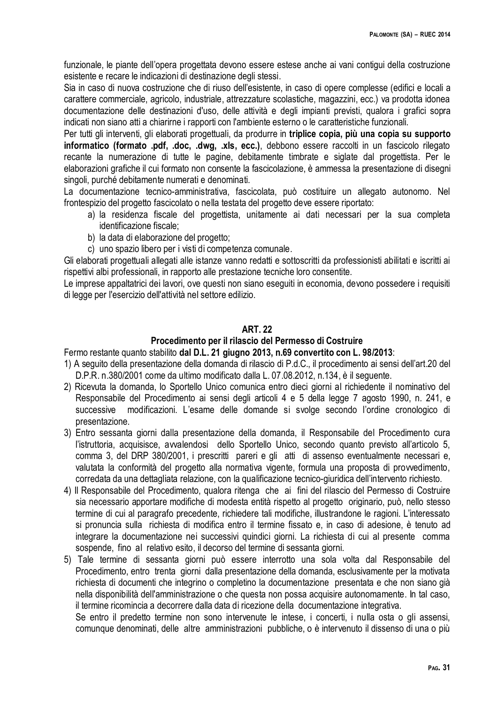funzionale, le piante dell'opera progettata devono essere estese anche ai vani contigui della costruzione esistente e recare le indicazioni di destinazione degli stessi.

Sia in caso di nuova costruzione che di riuso dell'esistente, in caso di opere complesse (edifici e locali a carattere commerciale, agricolo, industriale, attrezzature scolastiche, magazzini, ecc.) va prodotta idonea documentazione delle destinazioni d'uso, delle attività e degli impianti previsti, qualora i grafici sopra indicati non siano atti a chiarirne i rapporti con l'ambiente esterno o le caratteristiche funzionali.

Per tutti gli interventi, gli elaborati progettuali, da produrre in triplice copia, più una copia su supporto informatico (formato .pdf, .doc, .dwg, .xls, ecc.), debbono essere raccolti in un fascicolo rilegato recante la numerazione di tutte le pagine, debitamente timbrate e siglate dal progettista. Per le elaborazioni grafiche il cui formato non consente la fascicolazione, è ammessa la presentazione di disegni singoli, purché debitamente numerati e denominati.

La documentazione tecnico-amministrativa, fascicolata, può costituire un allegato autonomo. Nel frontespizio del progetto fascicolato o nella testata del progetto deve essere riportato:

- a) la residenza fiscale del progettista, unitamente ai dati necessari per la sua completa identificazione fiscale;
- b) la data di elaborazione del progetto;
- c) uno spazio libero per i visti di competenza comunale.

Gli elaborati progettuali allegati alle istanze vanno redatti e sottoscritti da professionisti abilitati e iscritti ai rispettivi albi professionali, in rapporto alle prestazione tecniche loro consentite.

Le imprese appaltatrici dei lavori, ove questi non siano eseguiti in economia, devono possedere i requisiti di legge per l'esercizio dell'attività nel settore edilizio.

#### ART. 22

#### Procedimento per il rilascio del Permesso di Costruire

Fermo restante quanto stabilito dal D.L. 21 giugno 2013, n.69 convertito con L. 98/2013:

- 1) A seguito della presentazione della domanda di rilascio di P.d.C., il procedimento ai sensi dell'art.20 del D.P.R. n.380/2001 come da ultimo modificato dalla L. 07.08.2012, n.134, è il seguente.
- 2) Ricevuta la domanda, lo Sportello Unico comunica entro dieci giorni al richiedente il nominativo del Responsabile del Procedimento ai sensi degli articoli 4 e 5 della legge 7 agosto 1990, n. 241, e successive modificazioni. L'esame delle domande si svolge secondo l'ordine cronologico di presentazione.
- 3) Entro sessanta giorni dalla presentazione della domanda, il Responsabile del Procedimento cura l'istruttoria, acquisisce, avvalendosi dello Sportello Unico, secondo quanto previsto all'articolo 5, comma 3, del DRP 380/2001, i prescritti pareri e gli atti di assenso eventualmente necessari e, valutata la conformità del progetto alla normativa vigente, formula una proposta di provvedimento, corredata da una dettagliata relazione, con la qualificazione tecnico-giuridica dell'intervento richiesto.
- 4) Il Responsabile del Procedimento, qualora ritenga che ai fini del rilascio del Permesso di Costruire sia necessario apportare modifiche di modesta entità rispetto al progetto originario, può, nello stesso termine di cui al paragrafo precedente, richiedere tali modifiche, illustrandone le ragioni. L'interessato si pronuncia sulla richiesta di modifica entro il termine fissato e, in caso di adesione, è tenuto ad integrare la documentazione nei successivi quindici giorni. La richiesta di cui al presente comma sospende, fino al relativo esito, il decorso del termine di sessanta giorni.
- 5) Tale termine di sessanta giorni può essere interrotto una sola volta dal Responsabile del Procedimento, entro trenta giorni dalla presentazione della domanda, esclusivamente per la motivata richiesta di documenti che integrino o completino la documentazione presentata e che non siano già nella disponibilità dell'amministrazione o che questa non possa acquisire autonomamente. In tal caso, il termine ricomincia a decorrere dalla data di ricezione della documentazione integrativa.

Se entro il predetto termine non sono intervenute le intese, i concerti, i nulla osta o gli assensi, comunque denominati, delle altre amministrazioni pubbliche, o è intervenuto il dissenso di una o più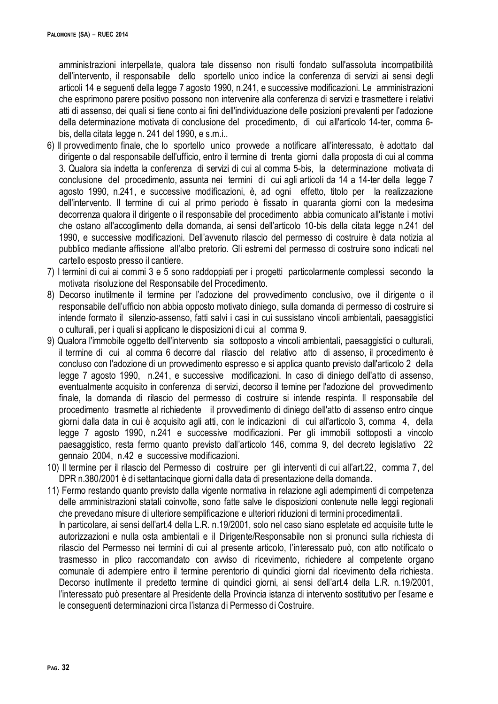amministrazioni interpellate, qualora tale dissenso non risulti fondato sull'assoluta incompatibilità dell'intervento, il responsabile dello sportello unico indice la conferenza di servizi ai sensi degli articoli 14 e seguenti della legge 7 agosto 1990, n.241, e successive modificazioni. Le amministrazioni che esprimono parere positivo possono non intervenire alla conferenza di servizi e trasmettere i relativi atti di assenso, dei quali si tiene conto ai fini dell'individuazione delle posizioni prevalenti per l'adozione della determinazione motivata di conclusione del procedimento, di cui all'articolo 14-ter, comma 6 bis, della citata legge n. 241 del 1990, e s.m.i..

- 6) Il provvedimento finale, che lo sportello unico provvede a notificare all'interessato, è adottato dal dirigente o dal responsabile dell'ufficio, entro il termine di trenta giorni dalla proposta di cui al comma 3. Qualora sia indetta la conferenza di servizi di cui al comma 5-bis, la determinazione motivata di conclusione del procedimento, assunta nei termini di cui agli articoli da 14 a 14-ter della legge 7 agosto 1990, n.241, e successive modificazioni, è, ad ogni effetto, titolo per la realizzazione dell'intervento. Il termine di cui al primo periodo è fissato in quaranta giorni con la medesima decorrenza qualora il dirigente o il responsabile del procedimento abbia comunicato all'istante i motivi che ostano all'accoglimento della domanda, ai sensi dell'articolo 10-bis della citata legge n.241 del 1990, e successive modificazioni. Dell'avvenuto rilascio del permesso di costruire è data notizia al pubblico mediante affissione all'albo pretorio. Gli estremi del permesso di costruire sono indicati nel cartello esposto presso il cantiere.
- 7) I termini di cui ai commi 3 e 5 sono raddoppiati per i progetti particolarmente complessi secondo la motivata risoluzione del Responsabile del Procedimento.
- 8) Decorso inutilmente il termine per l'adozione del provvedimento conclusivo, ove il dirigente o il responsabile dell'ufficio non abbia opposto motivato diniego, sulla domanda di permesso di costruire si intende formato il silenzio-assenso, fatti salvi i casi in cui sussistano vincoli ambientali, paesaggistici o culturali, per i quali si applicano le disposizioni di cui al comma 9.
- 9) Qualora l'immobile oggetto dell'intervento sia sottoposto a vincoli ambientali, paesaggistici o culturali, il termine di cui al comma 6 decorre dal rilascio del relativo atto di assenso, il procedimento è concluso con l'adozione di un provvedimento espresso e si applica quanto previsto dall'articolo 2 della legge 7 agosto 1990, n.241, e successive modificazioni. In caso di diniego dell'atto di assenso, eventualmente acquisito in conferenza di servizi, decorso il temine per l'adozione del provvedimento finale, la domanda di rilascio del permesso di costruire si intende respinta. Il responsabile del procedimento trasmette al richiedente il provvedimento di diniego dell'atto di assenso entro cinque giorni dalla data in cui è acquisito agli atti, con le indicazioni di cui all'articolo 3, comma 4, della legge 7 agosto 1990, n.241 e successive modificazioni. Per gli immobili sottoposti a vincolo paesaggistico, resta fermo quanto previsto dall'articolo 146, comma 9, del decreto legislativo 22 gennaio 2004, n.42 e successive modificazioni.
- 10) Il termine per il rilascio del Permesso di costruire per gli interventi di cui all'art.22, comma 7, del DPR n.380/2001 è di settantacinque giorni dalla data di presentazione della domanda.
- 11) Fermo restando quanto previsto dalla vigente normativa in relazione agli adempimenti di competenza delle amministrazioni statali coinvolte, sono fatte salve le disposizioni contenute nelle leggi regionali che prevedano misure di ulteriore semplificazione e ulteriori riduzioni di termini procedimentali. In particolare, ai sensi dell'art.4 della L.R. n.19/2001, solo nel caso siano espletate ed acquisite tutte le autorizzazioni e nulla osta ambientali e il Dirigente/Responsabile non si pronunci sulla richiesta di rilascio del Permesso nei termini di cui al presente articolo, l'interessato può, con atto notificato o trasmesso in plico raccomandato con avviso di ricevimento, richiedere al competente organo comunale di adempiere entro il termine perentorio di quindici giorni dal ricevimento della richiesta. Decorso inutilmente il predetto termine di quindici giorni, ai sensi dell'art.4 della L.R. n.19/2001, l'interessato può presentare al Presidente della Provincia istanza di intervento sostitutivo per l'esame e le conseguenti determinazioni circa l'istanza di Permesso di Costruire.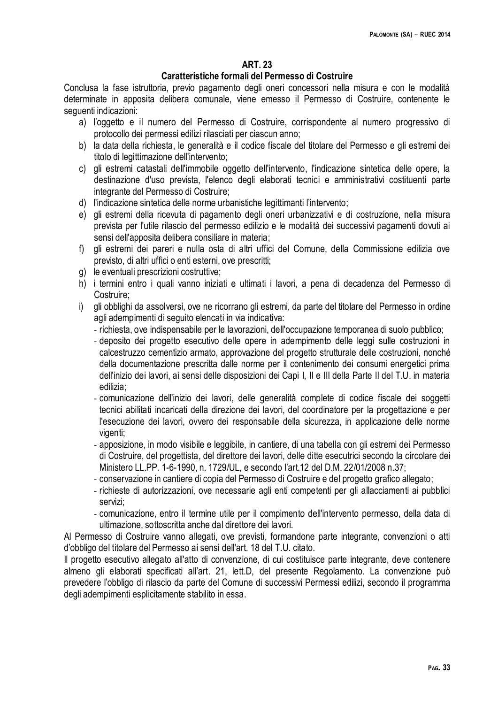#### ART. 23

#### Caratteristiche formali del Permesso di Costruire

Conclusa la fase istruttoria, previo pagamento degli oneri concessori nella misura e con le modalità determinate in apposita delibera comunale, viene emesso il Permesso di Costruire, contenente le seguenti indicazioni:

- a) l'oggetto e il numero del Permesso di Costruire, corrispondente al numero progressivo di protocollo dei permessi edilizi rilasciati per ciascun anno;
- b) la data della richiesta, le generalità e il codice fiscale del titolare del Permesso e gli estremi dei titolo di legittimazione dell'intervento;
- c) gli estremi catastali dell'immobile oggetto dell'intervento, l'indicazione sintetica delle opere, la destinazione d'uso prevista, l'elenco degli elaborati tecnici e amministrativi costituenti parte integrante del Permesso di Costruire;
- d) l'indicazione sintetica delle norme urbanistiche legittimanti l'intervento;
- e) gli estremi della ricevuta di pagamento degli oneri urbanizzativi e di costruzione, nella misura prevista per l'utile rilascio del permesso edilizio e le modalità dei successivi pagamenti dovuti ai sensi dell'apposita delibera consiliare in materia;
- f) gli estremi dei pareri e nulla osta di altri uffici del Comune, della Commissione edilizia ove previsto, di altri uffici o enti esterni, ove prescritti;
- g) le eventuali prescrizioni costruttive;
- h) i termini entro i quali vanno iniziati e ultimati i lavori, a pena di decadenza del Permesso di Costruire;
- i) gli obblighi da assolversi, ove ne ricorrano gli estremi, da parte del titolare del Permesso in ordine agli adempimenti di seguito elencati in via indicativa:
	- richiesta, ove indispensabile per le lavorazioni, dell'occupazione temporanea di suolo pubblico;
	- deposito dei progetto esecutivo delle opere in adempimento delle leggi sulle costruzioni in calcestruzzo cementizio armato, approvazione del progetto strutturale delle costruzioni, nonché della documentazione prescritta dalle norme per il contenimento dei consumi energetici prima dell'inizio dei lavori, ai sensi delle disposizioni dei Capi I, II e III della Parte II del T.U. in materia edilizia;
	- comunicazione dell'inizio dei lavori, delle generalità complete di codice fiscale dei soggetti tecnici abilitati incaricati della direzione dei lavori, del coordinatore per la progettazione e per l'esecuzione dei lavori, ovvero dei responsabile della sicurezza, in applicazione delle norme vigenti;
	- apposizione, in modo visibile e leggibile, in cantiere, di una tabella con gli estremi dei Permesso di Costruire, del progettista, del direttore dei lavori, delle ditte esecutrici secondo la circolare dei Ministero LL.PP. 1-6-1990, n. 1729/UL, e secondo l'art.12 del D.M. 22/01/2008 n.37;
	- conservazione in cantiere di copia del Permesso di Costruire e del progetto grafico allegato;
	- richieste di autorizzazioni, ove necessarie agli enti competenti per gli allacciamenti ai pubblici servizi;
	- comunicazione, entro il termine utile per il compimento dell'intervento permesso, della data di ultimazione, sottoscritta anche dal direttore dei lavori.

Al Permesso di Costruire vanno allegati, ove previsti, formandone parte integrante, convenzioni o atti d'obbligo del titolare del Permesso ai sensi dell'art. 18 del T.U. citato.

Il progetto esecutivo allegato all'atto di convenzione, di cui costituisce parte integrante, deve contenere almeno gli elaborati specificati all'art. 21, lett.D, del presente Regolamento. La convenzione può prevedere l'obbligo di rilascio da parte del Comune di successivi Permessi edilizi, secondo il programma degli adempimenti esplicitamente stabilito in essa.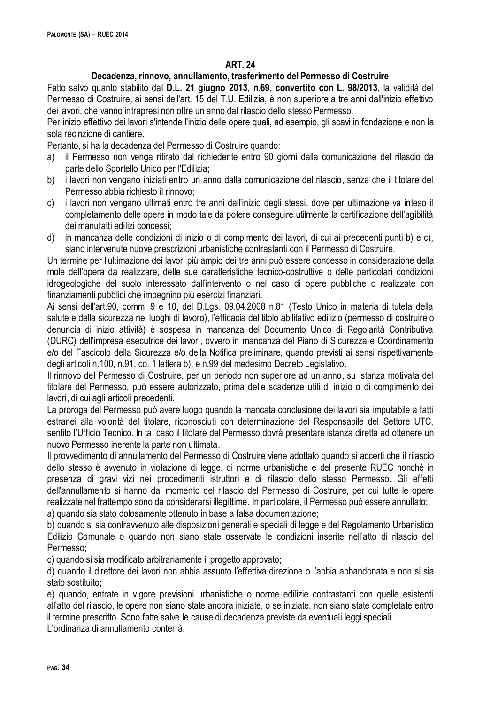#### ART. 24

#### Decadenza, rinnovo, annullamento, trasferimento del Permesso di Costruire

Fatto salvo quanto stabilito dal **D.L. 21 giugno 2013, n.69, convertito con L. 98/2013**, la validità del Permesso di Costruire, ai sensi dell'art. 15 del T.U. Edilizia, è non superiore a tre anni dall'inizio effettivo dei lavori, che vanno intrapresi non oltre un anno dal rilascio dello stesso Permesso.

Per inizio effettivo dei lavori s'intende l'inizio delle opere quali, ad esempio, gli scavi in fondazione e non la sola recinzione di cantiere.

Pertanto, si ha la decadenza del Permesso di Costruire quando:

- a) il Permesso non venga ritirato dal richiedente entro 90 giorni dalla comunicazione del rilascio da parte dello Sportello Unico per l'Edilizia;
- b) i lavori non vengano iniziati entro un anno dalla comunicazione del rilascio, senza che il titolare del Permesso abbia richiesto il rinnovo;
- c) i lavori non vengano ultimati entro tre anni dall'inizio degli stessi, dove per ultimazione va inteso il completamento delle opere in modo tale da potere conseguire utilmente la certificazione dell'agibilità dei manufatti edilizi concessi;
- d) in mancanza delle condizioni di inizio o di compimento dei lavori, di cui ai precedenti punti b) e c), siano intervenute nuove prescrizioni urbanistiche contrastanti con il Permesso di Costruire.

Un termine per l'ultimazione dei lavori più ampio dei tre anni può essere concesso in considerazione della mole dell'opera da realizzare, delle sue caratteristiche tecnico-costruttive o delle particolari condizioni idrogeologiche del suolo interessato dall'intervento o nel caso di opere pubbliche o realizzate con finanziamenti pubblici che impegnino più esercizi finanziari.

Ai sensi dell'art.90, commi 9 e 10, del D.Lgs. 09.04.2008 n.81 (Testo Unico in materia di tutela della salute e della sicurezza nei luoghi di lavoro), l'efficacia del titolo abilitativo edilizio (permesso di costruire o denuncia di inizio attività) è sospesa in mancanza del Documento Unico di Regolarità Contributiva (DURC) dell'impresa esecutrice dei lavori, ovvero in mancanza del Piano di Sicurezza e Coordinamento e/o del Fascicolo della Sicurezza e/o della Notifica preliminare, quando previsti ai sensi rispettivamente degli articoli n.100, n.91, co. 1 lettera b), e n.99 del medesimo Decreto Legislativo.

Il rinnovo del Permesso di Costruire, per un periodo non superiore ad un anno, su istanza motivata del titolare del Permesso, può essere autorizzato, prima delle scadenze utili di inizio o di compimento dei lavori, di cui agli articoli precedenti.

La proroga del Permesso può avere luogo quando la mancata conclusione dei lavori sia imputabile a fatti estranei alla volontà del titolare, riconosciuti con determinazione del Responsabile del Settore UTC, sentito l'Ufficio Tecnico. In tal caso il titolare del Permesso dovrà presentare istanza diretta ad ottenere un nuovo Permesso inerente la parte non ultimata.

Il provvedimento di annullamento del Permesso di Costruire viene adottato quando si accerti che il rilascio dello stesso è avvenuto in violazione di legge, di norme urbanistiche e del presente RUEC nonché in presenza di gravi vizi nei procedimenti istruttori e di rilascio dello stesso Permesso. Gli effetti dell'annullamento si hanno dal momento del rilascio del Permesso di Costruire, per cui tutte le opere realizzate nel frattempo sono da considerarsi illegittime. In particolare, il Permesso può essere annullato:

a) quando sia stato dolosamente ottenuto in base a falsa documentazione;

b) quando si sia contravvenuto alle disposizioni generali e speciali di legge e del Regolamento Urbanistico Edilizio Comunale o quando non siano state osservate le condizioni inserite nell'atto di rilascio del Permesso;

c) quando si sia modificato arbitrariamente il progetto approvato;

d) quando il direttore dei lavori non abbia assunto l'effettiva direzione o l'abbia abbandonata e non si sia stato sostituito;

e) quando, entrate in vigore previsioni urbanistiche o norme edilizie contrastanti con quelle esistenti all'atto del rilascio, le opere non siano state ancora iniziate, o se iniziate, non siano state completate entro il termine prescritto. Sono fatte salve le cause di decadenza previste da eventuali leggi speciali.

L'ordinanza di annullamento conterrà: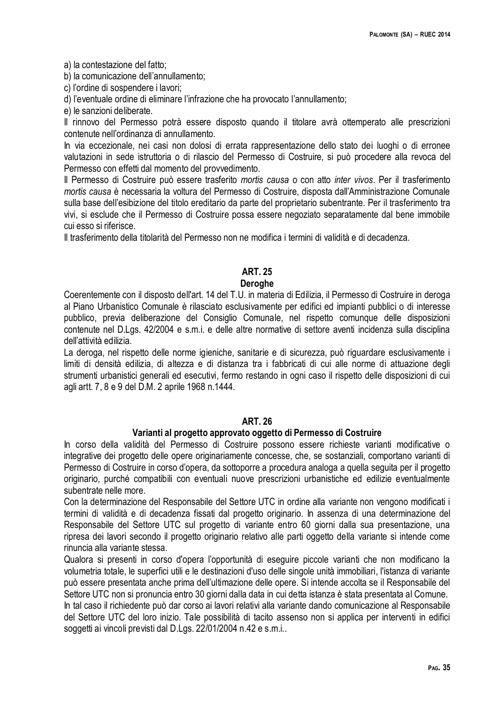a) la contestazione del fatto;

b) la comunicazione dell'annullamento;

c) l'ordine di sospendere i lavori;

d) l'eventuale ordine di eliminare l'infrazione che ha provocato l'annullamento;

e) le sanzioni deliberate.

Il rinnovo del Permesso potrà essere disposto quando il titolare avrà ottemperato alle prescrizioni contenute nell'ordinanza di annullamento.

In via eccezionale, nei casi non dolosi di errata rappresentazione dello stato dei luoghi o di erronee valutazioni in sede istruttoria o di rilascio del Permesso di Costruire, si può procedere alla revoca del Permesso con effetti dal momento del provvedimento.

Il Permesso di Costruire può essere trasferito mortis causa o con atto inter vivos. Per il trasferimento mortis causa è necessaria la voltura del Permesso di Costruire, disposta dall'Amministrazione Comunale sulla base dell'esibizione del titolo ereditario da parte del proprietario subentrante. Per il trasferimento tra vivi, si esclude che il Permesso di Costruire possa essere negoziato separatamente dal bene immobile cui esso si riferisce.

Il trasferimento della titolarità del Permesso non ne modifica i termini di validità e di decadenza.

## ART. 25 **Deroghe**

Coerentemente con il disposto dell'art. 14 del T.U. in materia di Edilizia, il Permesso di Costruire in deroga al Piano Urbanistico Comunale è rilasciato esclusivamente per edifici ed impianti pubblici o di interesse pubblico, previa deliberazione del Consiglio Comunale, nel rispetto comunque delle disposizioni contenute nel D.Lgs. 42/2004 e s.m.i. e delle altre normative di settore aventi incidenza sulla disciplina dell'attività edilizia.

La deroga, nel rispetto delle norme igieniche, sanitarie e di sicurezza, può riguardare esclusivamente i limiti di densità edilizia, di altezza e di distanza tra i fabbricati di cui alle norme di attuazione degli strumenti urbanistici generali ed esecutivi, fermo restando in ogni caso il rispetto delle disposizioni di cui agli artt. 7, 8 e 9 del D.M. 2 aprile 1968 n.1444.

#### ART. 26

#### Varianti al progetto approvato oggetto di Permesso di Costruire

In corso della validità del Permesso di Costruire possono essere richieste varianti modificative o integrative dei progetto delle opere originariamente concesse, che, se sostanziali, comportano varianti di Permesso di Costruire in corso d'opera, da sottoporre a procedura analoga a quella seguita per il progetto originario, purché compatibili con eventuali nuove prescrizioni urbanistiche ed edilizie eventualmente subentrate nelle more.

Con la determinazione del Responsabile del Settore UTC in ordine alla variante non vengono modificati i termini di validità e di decadenza fissati dal progetto originario. In assenza di una determinazione del Responsabile del Settore UTC sul progetto di variante entro 60 giorni dalla sua presentazione, una ripresa dei lavori secondo il progetto originario relativo alle parti oggetto della variante si intende come rinuncia alla variante stessa.

Qualora si presenti in corso d'opera l'opportunità di eseguire piccole varianti che non modificano la volumetria totale, le superfici utili e le destinazioni d'uso delle singole unità immobiliari, l'istanza di variante può essere presentata anche prima dell'ultimazione delle opere. Si intende accolta se il Responsabile del Settore UTC non si pronuncia entro 30 giorni dalla data in cui detta istanza è stata presentata al Comune.

In tal caso il richiedente può dar corso ai lavori relativi alla variante dando comunicazione al Responsabile del Settore UTC del loro inizio. Tale possibilità di tacito assenso non si applica per interventi in edifici soggetti ai vincoli previsti dal D.Lgs. 22/01/2004 n.42 e s.m.i..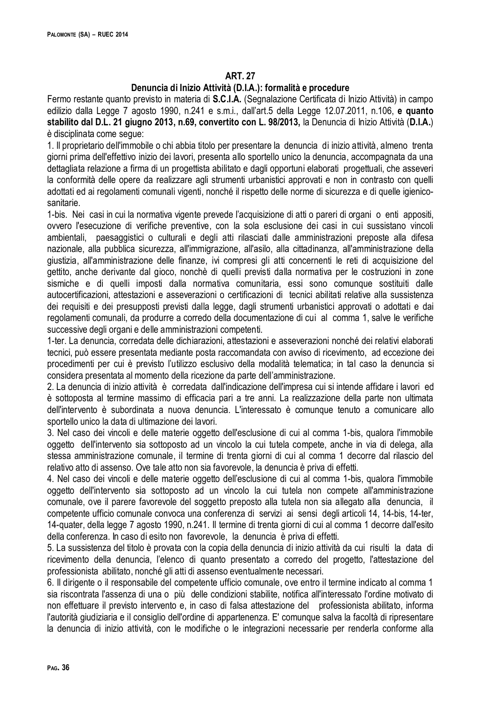## Denuncia di Inizio Attività (D.I.A.): formalità e procedure

Fermo restante quanto previsto in materia di S.C.I.A. (Segnalazione Certificata di Inizio Attività) in campo edilizio dalla Legge 7 agosto 1990, n.241 e s.m.i., dall'art.5 della Legge 12.07.2011, n.106, e quanto stabilito dal D.L. 21 giugno 2013, n.69, convertito con L. 98/2013, la Denuncia di Inizio Attività (D.I.A.) è disciplinata come segue:

1. Il proprietario dell'immobile o chi abbia titolo per presentare la denuncia di inizio attività, almeno trenta giorni prima dell'effettivo inizio dei lavori, presenta allo sportello unico la denuncia, accompagnata da una dettagliata relazione a firma di un progettista abilitato e dagli opportuni elaborati progettuali, che asseveri la conformità delle opere da realizzare agli strumenti urbanistici approvati e non in contrasto con quelli adottati ed ai regolamenti comunali vigenti, nonché il rispetto delle norme di sicurezza e di quelle igienicosanitarie.

1-bis. Nei casi in cui la normativa vigente prevede l'acquisizione di atti o pareri di organi o enti appositi, ovvero l'esecuzione di verifiche preventive, con la sola esclusione dei casi in cui sussistano vincoli ambientali, paesaggistici o culturali e degli atti rilasciati dalle amministrazioni preposte alla difesa nazionale, alla pubblica sicurezza, all'immigrazione, all'asilo, alla cittadinanza, all'amministrazione della giustizia, all'amministrazione delle finanze, ivi compresi gli atti concernenti le reti di acquisizione del gettito, anche derivante dal gioco, nonchè di quelli previsti dalla normativa per le costruzioni in zone sismiche e di quelli imposti dalla normativa comunitaria, essi sono comunque sostituiti dalle autocertificazioni, attestazioni e asseverazioni o certificazioni di tecnici abilitati relative alla sussistenza dei requisiti e dei presupposti previsti dalla legge, dagli strumenti urbanistici approvati o adottati e dai regolamenti comunali, da produrre a corredo della documentazione di cui al comma 1, salve le verifiche successive degli organi e delle amministrazioni competenti.

1-ter. La denuncia, corredata delle dichiarazioni, attestazioni e asseverazioni nonché dei relativi elaborati tecnici, può essere presentata mediante posta raccomandata con avviso di ricevimento, ad eccezione dei procedimenti per cui è previsto l'utilizzo esclusivo della modalità telematica; in tal caso la denuncia si considera presentata al momento della ricezione da parte dell'amministrazione.

2. La denuncia di inizio attività è corredata dall'indicazione dell'impresa cui si intende affidare i lavori ed è sottoposta al termine massimo di efficacia pari a tre anni. La realizzazione della parte non ultimata dell'intervento è subordinata a nuova denuncia. L'interessato è comunque tenuto a comunicare allo sportello unico la data di ultimazione dei lavori.

3. Nel caso dei vincoli e delle materie oggetto dell'esclusione di cui al comma 1-bis, qualora l'immobile oggetto dell'intervento sia sottoposto ad un vincolo la cui tutela compete, anche in via di delega, alla stessa amministrazione comunale, il termine di trenta giorni di cui al comma 1 decorre dal rilascio del relativo atto di assenso. Ove tale atto non sia favorevole, la denuncia è priva di effetti.

4. Nel caso dei vincoli e delle materie oggetto dell'esclusione di cui al comma 1-bis, qualora l'immobile oggetto dell'intervento sia sottoposto ad un vincolo la cui tutela non compete all'amministrazione comunale, ove il parere favorevole del soggetto preposto alla tutela non sia allegato alla denuncia, il competente ufficio comunale convoca una conferenza di servizi ai sensi degli articoli 14, 14-bis, 14-ter, 14-quater, della legge 7 agosto 1990, n.241. Il termine di trenta giorni di cui al comma 1 decorre dall'esito della conferenza. In caso di esito non favorevole, la denuncia è priva di effetti.

5. La sussistenza del titolo è provata con la copia della denuncia di inizio attività da cui risulti la data di ricevimento della denuncia, l'elenco di quanto presentato a corredo del progetto, l'attestazione del professionista abilitato, nonché gli atti di assenso eventualmente necessari.

6. Il dirigente o il responsabile del competente ufficio comunale, ove entro il termine indicato al comma 1 sia riscontrata l'assenza di una o più delle condizioni stabilite, notifica all'interessato l'ordine motivato di non effettuare il previsto intervento e, in caso di falsa attestazione del professionista abilitato, informa l'autorità giudiziaria e il consiglio dell'ordine di appartenenza. E' comunque salva la facoltà di ripresentare la denuncia di inizio attività, con le modifiche o le integrazioni necessarie per renderla conforme alla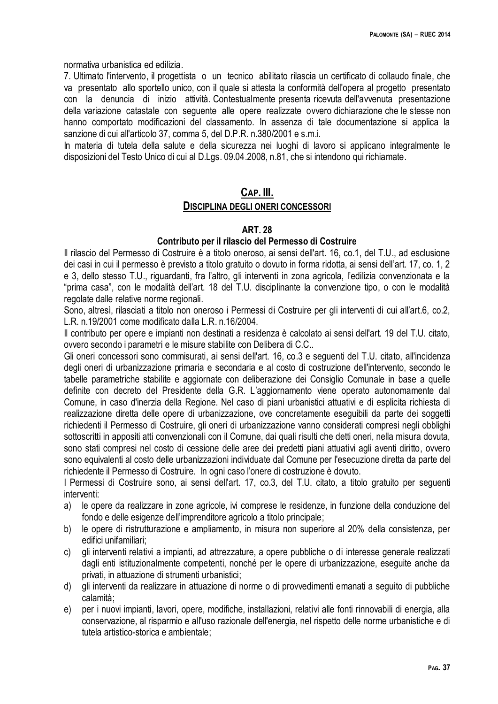normativa urbanistica ed edilizia.

7. Ultimato l'intervento, il progettista o un tecnico abilitato rilascia un certificato di collaudo finale, che va presentato allo sportello unico, con il quale si attesta la conformità dell'opera al progetto presentato con la denuncia di inizio attività. Contestualmente presenta ricevuta dell'avvenuta presentazione della variazione catastale con seguente alle opere realizzate ovvero dichiarazione che le stesse non hanno comportato modificazioni del classamento. In assenza di tale documentazione si applica la sanzione di cui all'articolo 37, comma 5, del D.P.R. n.380/2001 e s.m.i.

In materia di tutela della salute e della sicurezza nei luoghi di lavoro si applicano integralmente le disposizioni del Testo Unico di cui al D.Lgs. 09.04.2008, n.81, che si intendono qui richiamate.

## CAP. III.

### DISCIPLINA DEGLI ONERI CONCESSORI

## ART. 28

#### Contributo per il rilascio del Permesso di Costruire

Il rilascio del Permesso di Costruire è a titolo oneroso, ai sensi dell'art. 16, co.1, del T.U., ad esclusione dei casi in cui il permesso è previsto a titolo gratuito o dovuto in forma ridotta, ai sensi dell'art. 17, co. 1, 2 e 3, dello stesso T.U., riguardanti, fra l'altro, gli interventi in zona agricola, l'edilizia convenzionata e la "prima casa", con le modalità dell'art. 18 del T.U. disciplinante la convenzione tipo, o con le modalità regolate dalle relative norme regionali.

Sono, altresì, rilasciati a titolo non oneroso i Permessi di Costruire per gli interventi di cui all'art.6, co.2, L.R. n.19/2001 come modificato dalla L.R. n.16/2004.

Il contributo per opere e impianti non destinati a residenza è calcolato ai sensi dell'art. 19 del T.U. citato, ovvero secondo i parametri e le misure stabilite con Delibera di C.C..

Gli oneri concessori sono commisurati, ai sensi dell'art. 16, co.3 e seguenti del T.U. citato, all'incidenza degli oneri di urbanizzazione primaria e secondaria e al costo di costruzione dell'intervento, secondo le tabelle parametriche stabilite e aggiornate con deliberazione dei Consiglio Comunale in base a quelle definite con decreto del Presidente della G.R. L'aggiornamento viene operato autonomamente dal Comune, in caso d'inerzia della Regione. Nel caso di piani urbanistici attuativi e di esplicita richiesta di realizzazione diretta delle opere di urbanizzazione, ove concretamente eseguibili da parte dei soggetti richiedenti il Permesso di Costruire, gli oneri di urbanizzazione vanno considerati compresi negli obblighi sottoscritti in appositi atti convenzionali con il Comune, dai quali risulti che detti oneri, nella misura dovuta, sono stati compresi nel costo di cessione delle aree dei predetti piani attuativi agli aventi diritto, ovvero sono equivalenti al costo delle urbanizzazioni individuate dal Comune per l'esecuzione diretta da parte del richiedente il Permesso di Costruire. In ogni caso l'onere di costruzione è dovuto.

I Permessi di Costruire sono, ai sensi dell'art. 17, co.3, del T.U. citato, a titolo gratuito per seguenti interventi:

- a) le opere da realizzare in zone agricole, ivi comprese le residenze, in funzione della conduzione del fondo e delle esigenze dell'imprenditore agricolo a titolo principale;
- b) le opere di ristrutturazione e ampliamento, in misura non superiore al 20% della consistenza, per edifici unifamiliari;
- c) gli interventi relativi a impianti, ad attrezzature, a opere pubbliche o di interesse generale realizzati dagli enti istituzionalmente competenti, nonché per le opere di urbanizzazione, eseguite anche da privati, in attuazione di strumenti urbanistici;
- d) gli interventi da realizzare in attuazione di norme o di provvedimenti emanati a seguito di pubbliche calamità;
- e) per i nuovi impianti, lavori, opere, modifiche, installazioni, relativi alle fonti rinnovabili di energia, alla conservazione, al risparmio e all'uso razionale dell'energia, nel rispetto delle norme urbanistiche e di tutela artistico-storica e ambientale;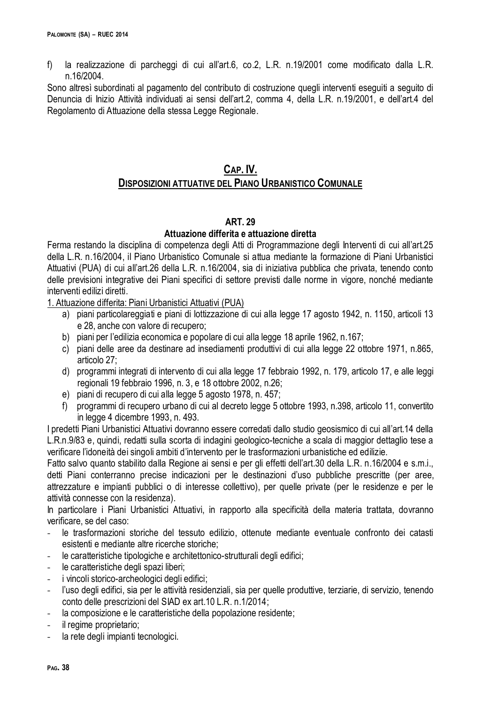f) la realizzazione di parcheggi di cui all'art.6, co.2, L.R. n.19/2001 come modificato dalla L.R. n.16/2004.

Sono altresì subordinati al pagamento del contributo di costruzione quegli interventi eseguiti a seguito di Denuncia di Inizio Attività individuati ai sensi dell'art.2, comma 4, della L.R. n.19/2001, e dell'art.4 del Regolamento di Attuazione della stessa Legge Regionale.

## CAP. IV. DISPOSIZIONI ATTUATIVE DEL PIANO URBANISTICO COMUNALE

#### ART. 29

#### Attuazione differita e attuazione diretta

Ferma restando la disciplina di competenza degli Atti di Programmazione degli Interventi di cui all'art.25 della L.R. n.16/2004, il Piano Urbanistico Comunale si attua mediante la formazione di Piani Urbanistici Attuativi (PUA) di cui all'art.26 della L.R. n.16/2004, sia di iniziativa pubblica che privata, tenendo conto delle previsioni integrative dei Piani specifici di settore previsti dalle norme in vigore, nonché mediante interventi edilizi diretti.

1. Attuazione differita: Piani Urbanistici Attuativi (PUA)

- a) piani particolareggiati e piani di lottizzazione di cui alla legge 17 agosto 1942, n. 1150, articoli 13 e 28, anche con valore di recupero;
- b) piani per l'edilizia economica e popolare di cui alla legge 18 aprile 1962, n.167;
- c) piani delle aree da destinare ad insediamenti produttivi di cui alla legge 22 ottobre 1971, n.865, articolo 27;
- d) programmi integrati di intervento di cui alla legge 17 febbraio 1992, n. 179, articolo 17, e alle leggi regionali 19 febbraio 1996, n. 3, e 18 ottobre 2002, n.26;
- e) piani di recupero di cui alla legge 5 agosto 1978, n. 457;
- f) programmi di recupero urbano di cui al decreto legge 5 ottobre 1993, n.398, articolo 11, convertito in legge 4 dicembre 1993, n. 493.

I predetti Piani Urbanistici Attuativi dovranno essere corredati dallo studio geosismico di cui all'art.14 della L.R.n.9/83 e, quindi, redatti sulla scorta di indagini geologico-tecniche a scala di maggior dettaglio tese a verificare l'idoneità dei singoli ambiti d'intervento per le trasformazioni urbanistiche ed edilizie.

Fatto salvo quanto stabilito dalla Regione ai sensi e per gli effetti dell'art.30 della L.R. n.16/2004 e s.m.i., detti Piani conterranno precise indicazioni per le destinazioni d'uso pubbliche prescritte (per aree, attrezzature e impianti pubblici o di interesse collettivo), per quelle private (per le residenze e per le attività connesse con la residenza).

In particolare i Piani Urbanistici Attuativi, in rapporto alla specificità della materia trattata, dovranno verificare, se del caso:

- le trasformazioni storiche del tessuto edilizio, ottenute mediante eventuale confronto dei catasti esistenti e mediante altre ricerche storiche;
- le caratteristiche tipologiche e architettonico-strutturali degli edifici;
- le caratteristiche degli spazi liberi:
- i vincoli storico-archeologici degli edifici;
- l'uso degli edifici, sia per le attività residenziali, sia per quelle produttive, terziarie, di servizio, tenendo conto delle prescrizioni del SIAD ex art.10 L.R. n.1/2014;
- la composizione e le caratteristiche della popolazione residente;
- il regime proprietario;
- la rete degli impianti tecnologici.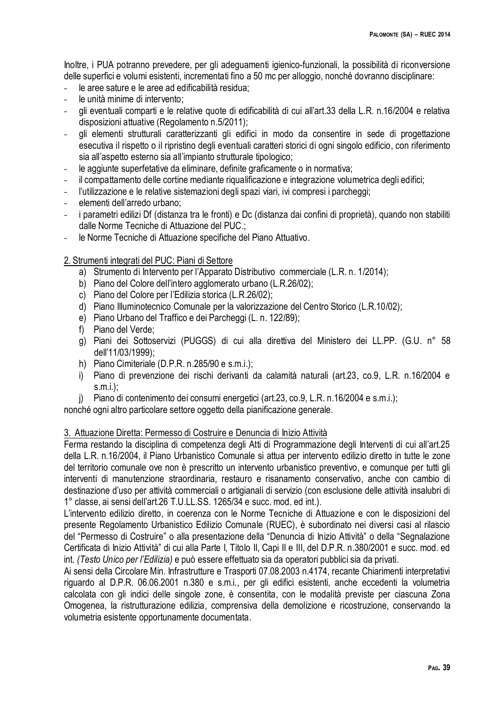Inoltre, i PUA potranno prevedere, per gli adeguamenti igienico-funzionali, la possibilità di riconversione delle superfici e volumi esistenti, incrementati fino a 50 mc per alloggio, nonché dovranno disciplinare:

- le aree sature e le aree ad edificabilità residua;
- le unità minime di intervento;
- gli eventuali comparti e le relative quote di edificabilità di cui all'art.33 della L.R. n.16/2004 e relativa disposizioni attuative (Regolamento n.5/2011);
- gli elementi strutturali caratterizzanti gli edifici in modo da consentire in sede di progettazione esecutiva il rispetto o il ripristino degli eventuali caratteri storici di ogni singolo edificio, con riferimento sia all'aspetto esterno sia all'impianto strutturale tipologico;
- le aggiunte superfetative da eliminare, definite graficamente o in normativa;
- il compattamento delle cortine mediante riqualificazione e integrazione volumetrica degli edifici;
- l'utilizzazione e le relative sistemazioni degli spazi viari, ivi compresi i parcheggi;
- elementi dell'arredo urbano;
- i parametri edilizi Df (distanza tra le fronti) e Dc (distanza dai confini di proprietà), quando non stabiliti dalle Norme Tecniche di Attuazione del PUC.;
- le Norme Tecniche di Attuazione specifiche del Piano Attuativo.

## 2. Strumenti integrati del PUC: Piani di Settore

- a) Strumento di Intervento per l'Apparato Distributivo commerciale (L.R. n. 1/2014);
- b) Piano del Colore dell'intero agglomerato urbano (L.R.26/02);
- c) Piano del Colore per l'Edilizia storica (L.R.26/02);
- d) Piano Illuminotecnico Comunale per la valorizzazione del Centro Storico (L.R.10/02);
- e) Piano Urbano del Traffico e dei Parcheggi (L. n. 122/89);
- f) Piano del Verde;
- g) Piani dei Sottoservizi (PUGGS) di cui alla direttiva del Ministero dei LL.PP. (G.U. n° 58 dell'11/03/1999);
- h) Piano Cimiteriale (D.P.R. n.285/90 e s.m.i.);
- i) Piano di prevenzione dei rischi derivanti da calamità naturali (art.23, co.9, L.R. n.16/2004 e  $s.m.i.$ ):
- Piano di contenimento dei consumi energetici (art.23, co.9, L.R. n.16/2004 e s.m.i.);

nonché ogni altro particolare settore oggetto della pianificazione generale.

## 3. Attuazione Diretta: Permesso di Costruire e Denuncia di Inizio Attività

Ferma restando la disciplina di competenza degli Atti di Programmazione degli Interventi di cui all'art.25 della L.R. n.16/2004, il Piano Urbanistico Comunale si attua per intervento edilizio diretto in tutte le zone del territorio comunale ove non è prescritto un intervento urbanistico preventivo, e comunque per tutti gli interventi di manutenzione straordinaria, restauro e risanamento conservativo, anche con cambio di destinazione d'uso per attività commerciali o artigianali di servizio (con esclusione delle attività insalubri di 1° classe, ai sensi dell'art.26 T.U.LL.SS. 1265/34 e succ. mod. ed int.).

L'intervento edilizio diretto, in coerenza con le Norme Tecniche di Attuazione e con le disposizioni del presente Regolamento Urbanistico Edilizio Comunale (RUEC), è subordinato nei diversi casi al rilascio del "Permesso di Costruire" o alla presentazione della "Denuncia di Inizio Attività" o della "Segnalazione Certificata di Inizio Attività" di cui alla Parte I, Titolo II, Capi II e III, del D.P.R. n.380/2001 e succ. mod. ed int. (Testo Unico per l'Edilizia) e può essere effettuato sia da operatori pubblici sia da privati.

Ai sensi della Circolare Min. Infrastrutture e Trasporti 07.08.2003 n.4174, recante Chiarimenti interpretativi riguardo al D.P.R. 06.06.2001 n.380 e s.m.i., per gli edifici esistenti, anche eccedenti la volumetria calcolata con gli indici delle singole zone, è consentita, con le modalità previste per ciascuna Zona Omogenea, la ristrutturazione edilizia, comprensiva della demolizione e ricostruzione, conservando la volumetria esistente opportunamente documentata.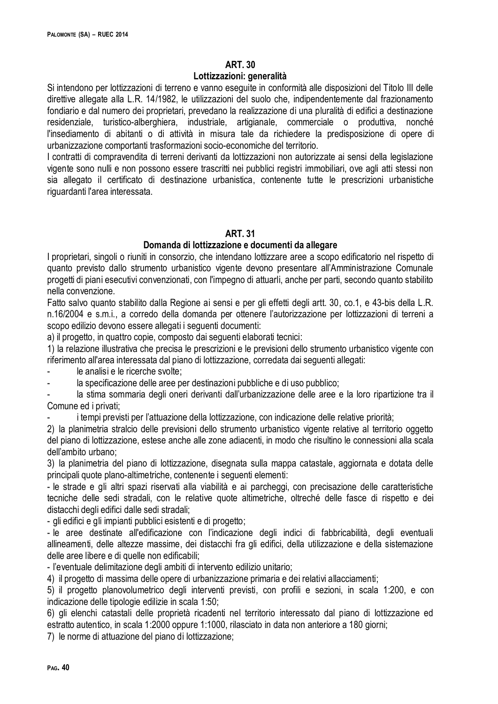#### Lottizzazioni: generalità

Si intendono per lottizzazioni di terreno e vanno eseguite in conformità alle disposizioni del Titolo III delle direttive allegate alla L.R. 14/1982, le utilizzazioni del suolo che, indipendentemente dal frazionamento fondiario e dal numero dei proprietari, prevedano la realizzazione di una pluralità di edifici a destinazione residenziale, turistico-alberghiera, industriale, artigianale, commerciale o produttiva, nonché l'insediamento di abitanti o di attività in misura tale da richiedere la predisposizione di opere di urbanizzazione comportanti trasformazioni socio-economiche del territorio.

I contratti di compravendita di terreni derivanti da lottizzazioni non autorizzate ai sensi della legislazione vigente sono nulli e non possono essere trascritti nei pubblici registri immobiliari, ove agli atti stessi non sia allegato il certificato di destinazione urbanistica, contenente tutte le prescrizioni urbanistiche riguardanti l'area interessata.

#### ART. 31

#### Domanda di lottizzazione e documenti da allegare

I proprietari, singoli o riuniti in consorzio, che intendano lottizzare aree a scopo edificatorio nel rispetto di quanto previsto dallo strumento urbanistico vigente devono presentare all'Amministrazione Comunale progetti di piani esecutivi convenzionati, con l'impegno di attuarli, anche per parti, secondo quanto stabilito nella convenzione.

Fatto salvo quanto stabilito dalla Regione ai sensi e per gli effetti degli artt. 30, co.1, e 43-bis della L.R. n.16/2004 e s.m.i., a corredo della domanda per ottenere l'autorizzazione per lottizzazioni di terreni a scopo edilizio devono essere allegati i seguenti documenti:

a) il progetto, in quattro copie, composto dai seguenti elaborati tecnici:

1) la relazione illustrativa che precisa le prescrizioni e le previsioni dello strumento urbanistico vigente con riferimento all'area interessata dal piano di lottizzazione, corredata dai seguenti allegati:

le analisi e le ricerche svolte:

la specificazione delle aree per destinazioni pubbliche e di uso pubblico;

la stima sommaria degli oneri derivanti dall'urbanizzazione delle aree e la loro ripartizione tra il Comune ed i privati;

i tempi previsti per l'attuazione della lottizzazione, con indicazione delle relative priorità;

2) la planimetria stralcio delle previsioni dello strumento urbanistico vigente relative al territorio oggetto del piano di lottizzazione, estese anche alle zone adiacenti, in modo che risultino le connessioni alla scala dell'ambito urbano;

3) la planimetria del piano di lottizzazione, disegnata sulla mappa catastale, aggiornata e dotata delle principali quote plano-altimetriche, contenente i seguenti elementi:

- le strade e gli altri spazi riservati alla viabilità e ai parcheggi, con precisazione delle caratteristiche tecniche delle sedi stradali, con le relative quote altimetriche, oltreché delle fasce di rispetto e dei distacchi degli edifici dalle sedi stradali;

- gli edifici e gli impianti pubblici esistenti e di progetto;

- le aree destinate all'edificazione con l'indicazione degli indici di fabbricabilità, degli eventuali allineamenti, delle altezze massime, dei distacchi fra gli edifici, della utilizzazione e della sistemazione delle aree libere e di quelle non edificabili;

- l'eventuale delimitazione degli ambiti di intervento edilizio unitario;

4) il progetto di massima delle opere di urbanizzazione primaria e dei relativi allacciamenti;

5) il progetto planovolumetrico degli interventi previsti, con profili e sezioni, in scala 1:200, e con indicazione delle tipologie edilizie in scala 1:50;

6) gli elenchi catastali delle proprietà ricadenti nel territorio interessato dal piano di lottizzazione ed estratto autentico, in scala 1:2000 oppure 1:1000, rilasciato in data non anteriore a 180 giorni;

7) le norme di attuazione del piano di lottizzazione;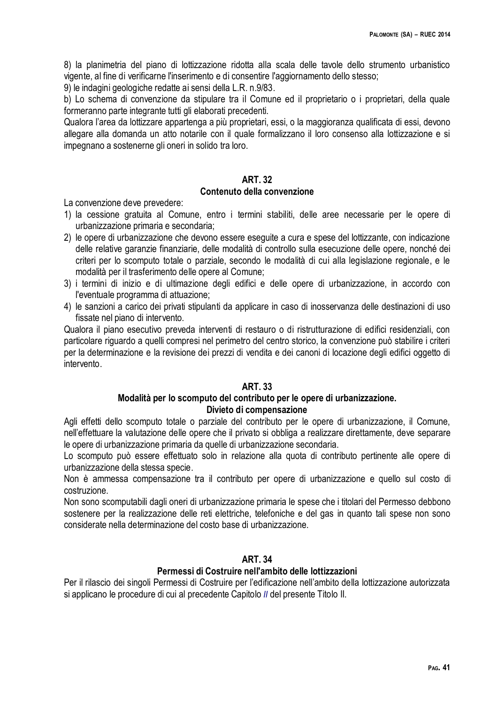8) la planimetria del piano di lottizzazione ridotta alla scala delle tavole dello strumento urbanistico vigente, al fine di verificarne l'inserimento e di consentire l'aggiornamento dello stesso;

9) le indagini geologiche redatte ai sensi della L.R. n.9/83.

b) Lo schema di convenzione da stipulare tra il Comune ed il proprietario o i proprietari, della quale formeranno parte integrante tutti gli elaborati precedenti.

Qualora l'area da lottizzare appartenga a più proprietari, essi, o la maggioranza qualificata di essi, devono allegare alla domanda un atto notarile con il quale formalizzano il loro consenso alla lottizzazione e si impegnano a sostenerne gli oneri in solido tra loro.

## ART. 32

#### Contenuto della convenzione

La convenzione deve prevedere:

- 1) la cessione gratuita al Comune, entro i termini stabiliti, delle aree necessarie per le opere di urbanizzazione primaria e secondaria;
- 2) le opere di urbanizzazione che devono essere eseguite a cura e spese del lottizzante, con indicazione delle relative garanzie finanziarie, delle modalità di controllo sulla esecuzione delle opere, nonché dei criteri per lo scomputo totale o parziale, secondo le modalità di cui alla legislazione regionale, e le modalità per il trasferimento delle opere al Comune;
- 3) i termini di inizio e di ultimazione degli edifici e delle opere di urbanizzazione, in accordo con l'eventuale programma di attuazione;
- 4) le sanzioni a carico dei privati stipulanti da applicare in caso di inosservanza delle destinazioni di uso fissate nel piano di intervento.

Qualora il piano esecutivo preveda interventi di restauro o di ristrutturazione di edifici residenziali, con particolare riguardo a quelli compresi nel perimetro del centro storico, la convenzione può stabilire i criteri per la determinazione e la revisione dei prezzi di vendita e dei canoni di locazione degli edifici oggetto di intervento.

#### ART. 33

#### Modalità per lo scomputo del contributo per le opere di urbanizzazione. Divieto di compensazione

Agli effetti dello scomputo totale o parziale del contributo per le opere di urbanizzazione, il Comune, nell'effettuare la valutazione delle opere che il privato si obbliga a realizzare direttamente, deve separare le opere di urbanizzazione primaria da quelle di urbanizzazione secondaria.

Lo scomputo può essere effettuato solo in relazione alla quota di contributo pertinente alle opere di urbanizzazione della stessa specie.

Non è ammessa compensazione tra il contributo per opere di urbanizzazione e quello sul costo di costruzione.

Non sono scomputabili dagli oneri di urbanizzazione primaria le spese che i titolari del Permesso debbono sostenere per la realizzazione delle reti elettriche, telefoniche e del gas in quanto tali spese non sono considerate nella determinazione del costo base di urbanizzazione.

## ART. 34

#### Permessi di Costruire nell'ambito delle lottizzazioni

Per il rilascio dei singoli Permessi di Costruire per l'edificazione nell'ambito della lottizzazione autorizzata si applicano le procedure di cui al precedente Capitolo II del presente Titolo II.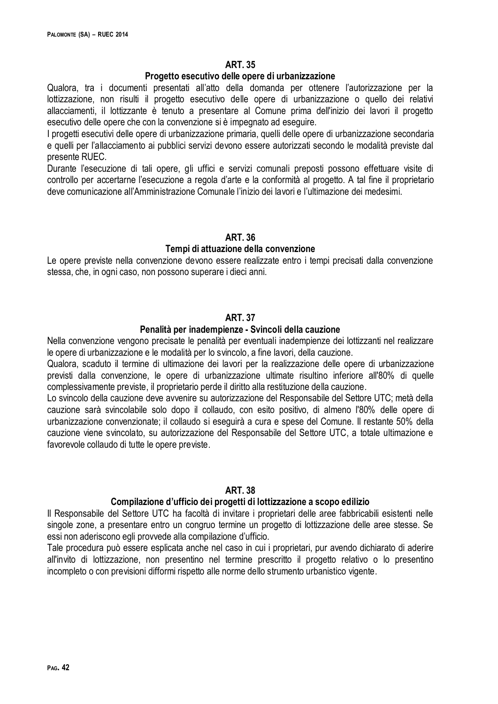## Progetto esecutivo delle opere di urbanizzazione

Qualora, tra i documenti presentati all'atto della domanda per ottenere l'autorizzazione per la lottizzazione, non risulti il progetto esecutivo delle opere di urbanizzazione o quello dei relativi allacciamenti, il lottizzante è tenuto a presentare al Comune prima dell'inizio dei lavori il progetto esecutivo delle opere che con la convenzione si è impegnato ad eseguire.

I progetti esecutivi delle opere di urbanizzazione primaria, quelli delle opere di urbanizzazione secondaria e quelli per l'allacciamento ai pubblici servizi devono essere autorizzati secondo le modalità previste dal presente RUEC.

Durante l'esecuzione di tali opere, gli uffici e servizi comunali preposti possono effettuare visite di controllo per accertarne l'esecuzione a regola d'arte e la conformità al progetto. A tal fine il proprietario deve comunicazione all'Amministrazione Comunale l'inizio dei lavori e l'ultimazione dei medesimi.

## ART. 36

## Tempi di attuazione della convenzione

Le opere previste nella convenzione devono essere realizzate entro i tempi precisati dalla convenzione stessa, che, in ogni caso, non possono superare i dieci anni.

#### ART. 37

#### Penalità per inadempienze - Svincoli della cauzione

Nella convenzione vengono precisate le penalità per eventuali inadempienze dei lottizzanti nel realizzare le opere di urbanizzazione e le modalità per lo svincolo, a fine lavori, della cauzione.

Qualora, scaduto il termine di ultimazione dei lavori per la realizzazione delle opere di urbanizzazione previsti dalla convenzione, le opere di urbanizzazione ultimate risultino inferiore all'80% di quelle complessivamente previste, il proprietario perde il diritto alla restituzione della cauzione.

Lo svincolo della cauzione deve avvenire su autorizzazione del Responsabile del Settore UTC; metà della cauzione sarà svincolabile solo dopo il collaudo, con esito positivo, di almeno l'80% delle opere di urbanizzazione convenzionate; il collaudo si eseguirà a cura e spese del Comune. Il restante 50% della cauzione viene svincolato, su autorizzazione del Responsabile del Settore UTC, a totale ultimazione e favorevole collaudo di tutte le opere previste.

#### ART. 38

#### Compilazione d'ufficio dei progetti di lottizzazione a scopo edilizio

Il Responsabile del Settore UTC ha facoltà di invitare i proprietari delle aree fabbricabili esistenti nelle singole zone, a presentare entro un congruo termine un progetto di lottizzazione delle aree stesse. Se essi non aderiscono egli provvede alla compilazione d'ufficio.

Tale procedura può essere esplicata anche nel caso in cui i proprietari, pur avendo dichiarato di aderire all'invito di lottizzazione, non presentino nel termine prescritto il progetto relativo o lo presentino incompleto o con previsioni difformi rispetto alle norme dello strumento urbanistico vigente.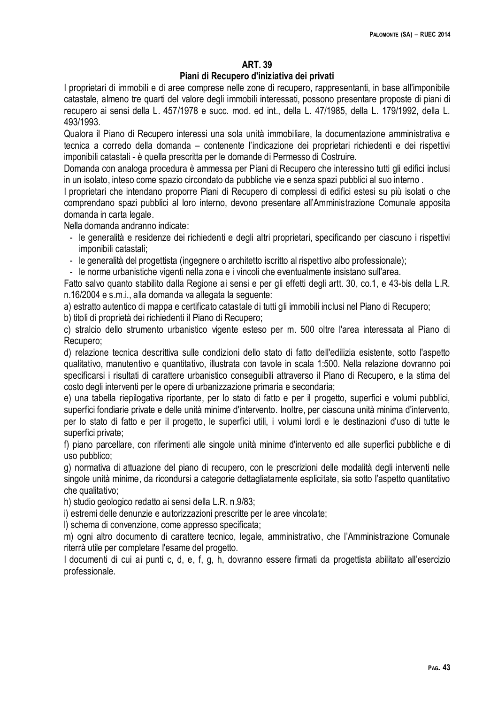#### Piani di Recupero d'iniziativa dei privati

I proprietari di immobili e di aree comprese nelle zone di recupero, rappresentanti, in base all'imponibile catastale, almeno tre quarti del valore degli immobili interessati, possono presentare proposte di piani di recupero ai sensi della L. 457/1978 e succ. mod. ed int., della L. 47/1985, della L. 179/1992, della L. 493/1993.

Qualora il Piano di Recupero interessi una sola unità immobiliare, la documentazione amministrativa e tecnica a corredo della domanda – contenente l'indicazione dei proprietari richiedenti e dei rispettivi imponibili catastali - è quella prescritta per le domande di Permesso di Costruire.

Domanda con analoga procedura è ammessa per Piani di Recupero che interessino tutti gli edifici inclusi in un isolato, inteso come spazio circondato da pubbliche vie e senza spazi pubblici al suo interno .

I proprietari che intendano proporre Piani di Recupero di complessi di edifici estesi su più isolati o che comprendano spazi pubblici al loro interno, devono presentare all'Amministrazione Comunale apposita domanda in carta legale.

Nella domanda andranno indicate:

- le generalità e residenze dei richiedenti e degli altri proprietari, specificando per ciascuno i rispettivi imponibili catastali;
- le generalità del progettista (ingegnere o architetto iscritto al rispettivo albo professionale);

- le norme urbanistiche vigenti nella zona e i vincoli che eventualmente insistano sull'area.

Fatto salvo quanto stabilito dalla Regione ai sensi e per gli effetti degli artt. 30, co.1, e 43-bis della L.R. n.16/2004 e s.m.i., alla domanda va allegata la seguente:

a) estratto autentico di mappa e certificato catastale di tutti gli immobili inclusi nel Piano di Recupero;

b) titoli di proprietà dei richiedenti il Piano di Recupero;

c) stralcio dello strumento urbanistico vigente esteso per m. 500 oltre l'area interessata al Piano di Recupero;

d) relazione tecnica descrittiva sulle condizioni dello stato di fatto dell'edilizia esistente, sotto l'aspetto qualitativo, manutentivo e quantitativo, illustrata con tavole in scala 1:500. Nella relazione dovranno poi specificarsi i risultati di carattere urbanistico conseguibili attraverso il Piano di Recupero, e la stima del costo degli interventi per le opere di urbanizzazione primaria e secondaria;

e) una tabella riepilogativa riportante, per lo stato di fatto e per il progetto, superfici e volumi pubblici, superfici fondiarie private e delle unità minime d'intervento. Inoltre, per ciascuna unità minima d'intervento, per lo stato di fatto e per il progetto, le superfici utili, i volumi lordi e le destinazioni d'uso di tutte le superfici private;

f) piano parcellare, con riferimenti alle singole unità minime d'intervento ed alle superfici pubbliche e di uso pubblico;

g) normativa di attuazione del piano di recupero, con le prescrizioni delle modalità degli interventi nelle singole unità minime, da ricondursi a categorie dettagliatamente esplicitate, sia sotto l'aspetto quantitativo che qualitativo;

h) studio geologico redatto ai sensi della L.R. n.9/83;

i) estremi delle denunzie e autorizzazioni prescritte per le aree vincolate;

l) schema di convenzione, come appresso specificata;

m) ogni altro documento di carattere tecnico, legale, amministrativo, che l'Amministrazione Comunale riterrà utile per completare l'esame del progetto.

I documenti di cui ai punti c, d, e, f, g, h, dovranno essere firmati da progettista abilitato all'esercizio professionale.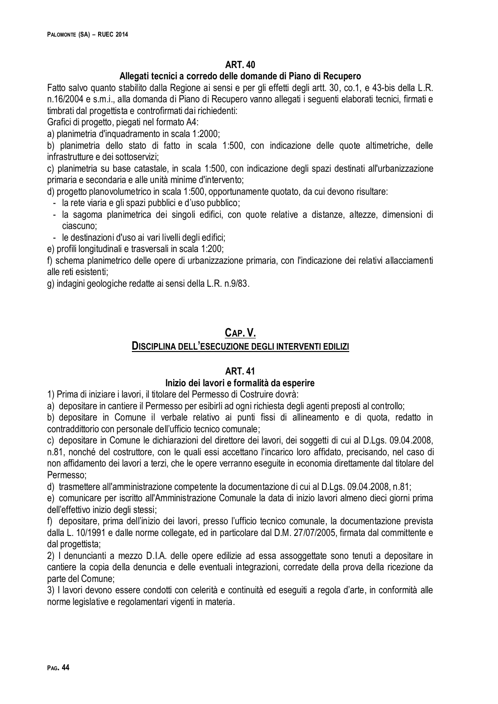## Allegati tecnici a corredo delle domande di Piano di Recupero

Fatto salvo quanto stabilito dalla Regione ai sensi e per gli effetti degli artt. 30, co.1, e 43-bis della L.R. n.16/2004 e s.m.i., alla domanda di Piano di Recupero vanno allegati i seguenti elaborati tecnici, firmati e timbrati dal progettista e controfirmati dai richiedenti:

Grafici di progetto, piegati nel formato A4:

a) planimetria d'inquadramento in scala 1:2000;

b) planimetria dello stato di fatto in scala 1:500, con indicazione delle quote altimetriche, delle infrastrutture e dei sottoservizi;

c) planimetria su base catastale, in scala 1:500, con indicazione degli spazi destinati all'urbanizzazione primaria e secondaria e alle unità minime d'intervento;

d) progetto planovolumetrico in scala 1:500, opportunamente quotato, da cui devono risultare:

- la rete viaria e gli spazi pubblici e d'uso pubblico;
- la sagoma planimetrica dei singoli edifici, con quote relative a distanze, altezze, dimensioni di ciascuno;
- le destinazioni d'uso ai vari livelli degli edifici;

e) profili longitudinali e trasversali in scala 1:200;

f) schema planimetrico delle opere di urbanizzazione primaria, con l'indicazione dei relativi allacciamenti alle reti esistenti;

g) indagini geologiche redatte ai sensi della L.R. n.9/83.

# CAP. V.

# DISCIPLINA DELL'ESECUZIONE DEGLI INTERVENTI EDILIZI

# ART. 41

# Inizio dei lavori e formalità da esperire

1) Prima di iniziare i lavori, il titolare del Permesso di Costruire dovrà:

a) depositare in cantiere il Permesso per esibirli ad ogni richiesta degli agenti preposti al controllo;

b) depositare in Comune il verbale relativo ai punti fissi di allineamento e di quota, redatto in contraddittorio con personale dell'ufficio tecnico comunale;

c) depositare in Comune le dichiarazioni del direttore dei lavori, dei soggetti di cui al D.Lgs. 09.04.2008, n.81, nonché del costruttore, con le quali essi accettano l'incarico loro affidato, precisando, nel caso di non affidamento dei lavori a terzi, che le opere verranno eseguite in economia direttamente dal titolare del Permesso;

d) trasmettere all'amministrazione competente la documentazione di cui al D.Lgs. 09.04.2008, n.81;

e) comunicare per iscritto all'Amministrazione Comunale la data di inizio lavori almeno dieci giorni prima dell'effettivo inizio degli stessi;

f) depositare, prima dell'inizio dei lavori, presso l'ufficio tecnico comunale, la documentazione prevista dalla L. 10/1991 e dalle norme collegate, ed in particolare dal D.M. 27/07/2005, firmata dal committente e dal progettista;

2) I denuncianti a mezzo D.I.A. delle opere edilizie ad essa assoggettate sono tenuti a depositare in cantiere la copia della denuncia e delle eventuali integrazioni, corredate della prova della ricezione da parte del Comune;

3) I lavori devono essere condotti con celerità e continuità ed eseguiti a regola d'arte, in conformità alle norme legislative e regolamentari vigenti in materia.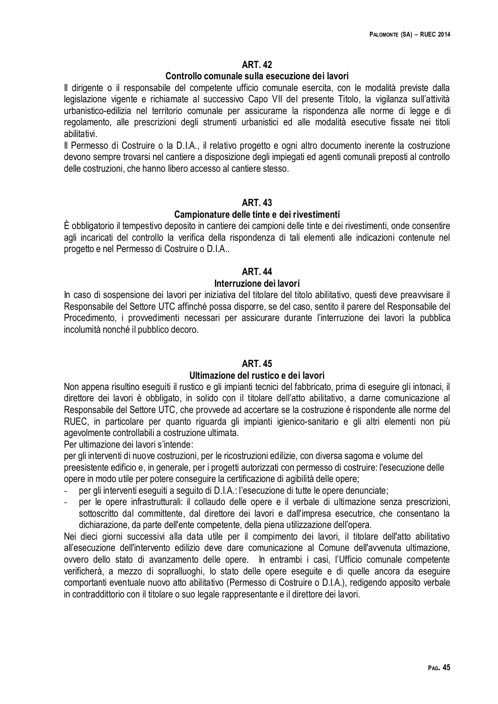#### Controllo comunale sulla esecuzione dei lavori

Il dirigente o il responsabile del competente ufficio comunale esercita, con le modalità previste dalla legislazione vigente e richiamate al successivo Capo VII del presente Titolo, la vigilanza sull'attività urbanistico-edilizia nel territorio comunale per assicurarne la rispondenza alle norme di legge e di regolamento, alle prescrizioni degli strumenti urbanistici ed alle modalità esecutive fissate nei titoli abilitativi.

Il Permesso di Costruire o la D.I.A., il relativo progetto e ogni altro documento inerente la costruzione devono sempre trovarsi nel cantiere a disposizione degli impiegati ed agenti comunali preposti al controllo delle costruzioni, che hanno libero accesso al cantiere stesso.

#### **ART 43**

#### Campionature delle tinte e dei rivestimenti

È obbligatorio il tempestivo deposito in cantiere dei campioni delle tinte e dei rivestimenti, onde consentire agli incaricati del controllo la verifica della rispondenza di tali elementi alle indicazioni contenute nel progetto e nel Permesso di Costruire o D.I.A..

## ART 44

## Interruzione dei lavori

In caso di sospensione dei lavori per iniziativa del titolare del titolo abilitativo, questi deve preavvisare il Responsabile del Settore UTC affinché possa disporre, se del caso, sentito il parere del Responsabile del Procedimento, i provvedimenti necessari per assicurare durante l'interruzione dei lavori la pubblica incolumità nonché il pubblico decoro.

#### ART. 45

#### Ultimazione del rustico e dei lavori

Non appena risultino eseguiti il rustico e gli impianti tecnici del fabbricato, prima di eseguire gli intonaci, il direttore dei lavori è obbligato, in solido con il titolare dell'atto abilitativo, a darne comunicazione al Responsabile del Settore UTC, che provvede ad accertare se la costruzione è rispondente alle norme del RUEC, in particolare per quanto riguarda gli impianti igienico-sanitario e gli altri elementi non più agevolmente controllabili a costruzione ultimata.

Per ultimazione dei lavori s'intende:

per gli interventi di nuove costruzioni, per le ricostruzioni edilizie, con diversa sagoma e volume del preesistente edificio e, in generale, per i progetti autorizzati con permesso di costruire: l'esecuzione delle opere in modo utile per potere conseguire la certificazione di agibilità delle opere;

- per gli interventi eseguiti a seguito di D.I.A.: l'esecuzione di tutte le opere denunciate;
- per le opere infrastrutturali: il collaudo delle opere e il verbale di ultimazione senza prescrizioni, sottoscritto dal committente, dal direttore dei lavori e dall'impresa esecutrice, che consentano la dichiarazione, da parte dell'ente competente, della piena utilizzazione dell'opera.

Nei dieci giorni successivi alla data utile per il compimento dei lavori, il titolare dell'atto abilitativo all'esecuzione dell'intervento edilizio deve dare comunicazione al Comune dell'avvenuta ultimazione, ovvero dello stato di avanzamento delle opere. In entrambi i casi, l'Ufficio comunale competente verificherà, a mezzo di sopralluoghi, lo stato delle opere eseguite e di quelle ancora da eseguire comportanti eventuale nuovo atto abilitativo (Permesso di Costruire o D.I.A.), redigendo apposito verbale in contraddittorio con il titolare o suo legale rappresentante e il direttore dei lavori.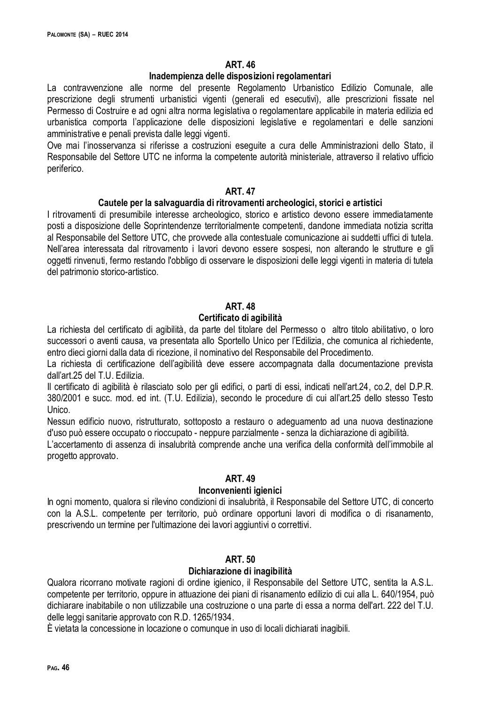#### Inadempienza delle disposizioni regolamentari

La contravvenzione alle norme del presente Regolamento Urbanistico Edilizio Comunale, alle prescrizione degli strumenti urbanistici vigenti (generali ed esecutivi), alle prescrizioni fissate nel Permesso di Costruire e ad ogni altra norma legislativa o regolamentare applicabile in materia edilizia ed urbanistica comporta l'applicazione delle disposizioni legislative e regolamentari e delle sanzioni amministrative e penali prevista dalle leggi vigenti.

Ove mai l'inosservanza si riferisse a costruzioni eseguite a cura delle Amministrazioni dello Stato, il Responsabile del Settore UTC ne informa la competente autorità ministeriale, attraverso il relativo ufficio periferico.

#### ART. 47

#### Cautele per la salvaguardia di ritrovamenti archeologici, storici e artistici

I ritrovamenti di presumibile interesse archeologico, storico e artistico devono essere immediatamente posti a disposizione delle Soprintendenze territorialmente competenti, dandone immediata notizia scritta al Responsabile del Settore UTC, che provvede alla contestuale comunicazione ai suddetti uffici di tutela. Nell'area interessata dal ritrovamento i lavori devono essere sospesi, non alterando le strutture e gli oggetti rinvenuti, fermo restando l'obbligo di osservare le disposizioni delle leggi vigenti in materia di tutela del patrimonio storico-artistico.

#### ART. 48

#### Certificato di agibilità

La richiesta del certificato di agibilità, da parte del titolare del Permesso o altro titolo abilitativo, o loro successori o aventi causa, va presentata allo Sportello Unico per l'Edilizia, che comunica al richiedente, entro dieci giorni dalla data di ricezione, il nominativo del Responsabile del Procedimento.

La richiesta di certificazione dell'agibilità deve essere accompagnata dalla documentazione prevista dall'art.25 del T.U. Edilizia.

Il certificato di agibilità è rilasciato solo per gli edifici, o parti di essi, indicati nell'art.24, co.2, del D.P.R. 380/2001 e succ. mod. ed int. (T.U. Edilizia), secondo le procedure di cui all'art.25 dello stesso Testo Unico.

Nessun edificio nuovo, ristrutturato, sottoposto a restauro o adeguamento ad una nuova destinazione d'uso può essere occupato o rioccupato - neppure parzialmente - senza la dichiarazione di agibilità.

L'accertamento di assenza di insalubrità comprende anche una verifica della conformità dell'immobile al progetto approvato.

## ART. 49

## Inconvenienti igienici

In ogni momento, qualora si rilevino condizioni di insalubrità, il Responsabile del Settore UTC, di concerto con la A.S.L. competente per territorio, può ordinare opportuni lavori di modifica o di risanamento, prescrivendo un termine per l'ultimazione dei lavori aggiuntivi o correttivi.

#### ART. 50

#### Dichiarazione di inagibilità

Qualora ricorrano motivate ragioni di ordine igienico, il Responsabile del Settore UTC, sentita la A.S.L. competente per territorio, oppure in attuazione dei piani di risanamento edilizio di cui alla L. 640/1954, può dichiarare inabitabile o non utilizzabile una costruzione o una parte di essa a norma dell'art. 222 del T.U. delle leggi sanitarie approvato con R.D. 1265/1934.

È vietata la concessione in locazione o comunque in uso di locali dichiarati inagibili.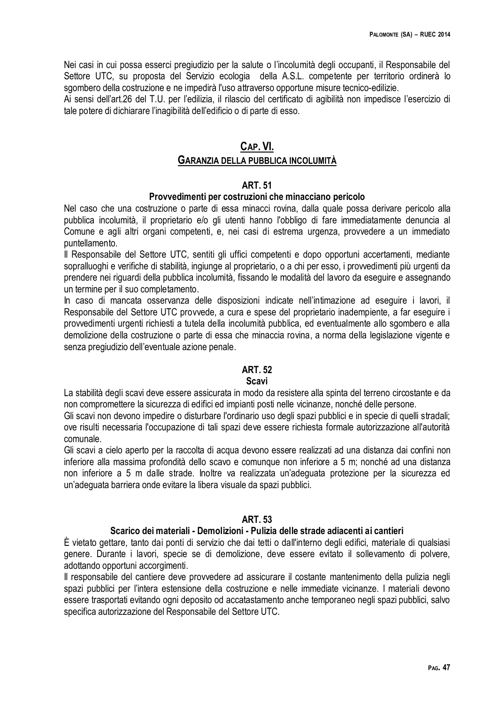Nei casi in cui possa esserci pregiudizio per la salute o l'incolumità degli occupanti, il Responsabile del Settore UTC, su proposta del Servizio ecologia della A.S.L. competente per territorio ordinerà lo sgombero della costruzione e ne impedirà l'uso attraverso opportune misure tecnico-edilizie.

Ai sensi dell'art.26 del T.U. per l'edilizia, il rilascio del certificato di agibilità non impedisce l'esercizio di tale potere di dichiarare l'inagibilità dell'edificio o di parte di esso.

# CAP. VI. GARANZIA DELLA PUBBLICA INCOLUMITÀ

#### ART. 51

#### Provvedimenti per costruzioni che minacciano pericolo

Nel caso che una costruzione o parte di essa minacci rovina, dalla quale possa derivare pericolo alla pubblica incolumità, il proprietario e/o gli utenti hanno l'obbligo di fare immediatamente denuncia al Comune e agli altri organi competenti, e, nei casi di estrema urgenza, provvedere a un immediato puntellamento.

Il Responsabile del Settore UTC, sentiti gli uffici competenti e dopo opportuni accertamenti, mediante sopralluoghi e verifiche di stabilità, ingiunge al proprietario, o a chi per esso, i provvedimenti più urgenti da prendere nei riguardi della pubblica incolumità, fissando le modalità del lavoro da eseguire e assegnando un termine per il suo completamento.

In caso di mancata osservanza delle disposizioni indicate nell'intimazione ad eseguire i lavori, il Responsabile del Settore UTC provvede, a cura e spese del proprietario inadempiente, a far eseguire i provvedimenti urgenti richiesti a tutela della incolumità pubblica, ed eventualmente allo sgombero e alla demolizione della costruzione o parte di essa che minaccia rovina, a norma della legislazione vigente e senza pregiudizio dell'eventuale azione penale.

## ART. 52

#### Scavi

La stabilità degli scavi deve essere assicurata in modo da resistere alla spinta del terreno circostante e da non compromettere la sicurezza di edifici ed impianti posti nelle vicinanze, nonché delle persone.

Gli scavi non devono impedire o disturbare l'ordinario uso degli spazi pubblici e in specie di quelli stradali; ove risulti necessaria l'occupazione di tali spazi deve essere richiesta formale autorizzazione all'autorità comunale.

Gli scavi a cielo aperto per la raccolta di acqua devono essere realizzati ad una distanza dai confini non inferiore alla massima profondità dello scavo e comunque non inferiore a 5 m; nonché ad una distanza non inferiore a 5 m dalle strade. Inoltre va realizzata un'adeguata protezione per la sicurezza ed un'adeguata barriera onde evitare la libera visuale da spazi pubblici.

#### **ART 53**

#### Scarico dei materiali - Demolizioni - Pulizia delle strade adiacenti ai cantieri

È vietato gettare, tanto dai ponti di servizio che dai tetti o dall'interno degli edifici, materiale di qualsiasi genere. Durante i lavori, specie se di demolizione, deve essere evitato il sollevamento di polvere, adottando opportuni accorgimenti.

Il responsabile del cantiere deve provvedere ad assicurare il costante mantenimento della pulizia negli spazi pubblici per l'intera estensione della costruzione e nelle immediate vicinanze. I materiali devono essere trasportati evitando ogni deposito od accatastamento anche temporaneo negli spazi pubblici, salvo specifica autorizzazione del Responsabile del Settore UTC.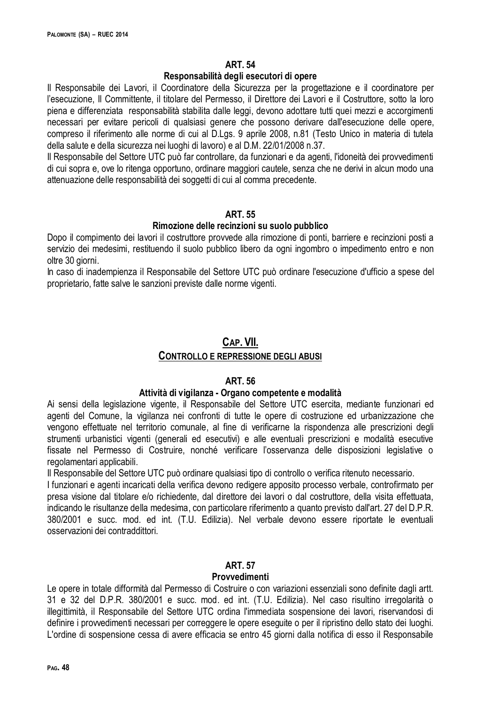#### Responsabilità degli esecutori di opere

Il Responsabile dei Lavori, il Coordinatore della Sicurezza per la progettazione e il coordinatore per l'esecuzione, Il Committente, il titolare del Permesso, il Direttore dei Lavori e il Costruttore, sotto la loro piena e differenziata responsabilità stabilita dalle leggi, devono adottare tutti quei mezzi e accorgimenti necessari per evitare pericoli di qualsiasi genere che possono derivare dall'esecuzione delle opere, compreso il riferimento alle norme di cui al D.Lgs. 9 aprile 2008, n.81 (Testo Unico in materia di tutela della salute e della sicurezza nei luoghi di lavoro) e al D.M. 22/01/2008 n.37.

Il Responsabile del Settore UTC può far controllare, da funzionari e da agenti, l'idoneità dei provvedimenti di cui sopra e, ove lo ritenga opportuno, ordinare maggiori cautele, senza che ne derivi in alcun modo una attenuazione delle responsabilità dei soggetti di cui al comma precedente.

#### ART. 55

## Rimozione delle recinzioni su suolo pubblico

Dopo il compimento dei lavori il costruttore provvede alla rimozione di ponti, barriere e recinzioni posti a servizio dei medesimi, restituendo il suolo pubblico libero da ogni ingombro o impedimento entro e non oltre 30 giorni.

In caso di inadempienza il Responsabile del Settore UTC può ordinare l'esecuzione d'ufficio a spese del proprietario, fatte salve le sanzioni previste dalle norme vigenti.

# CAP. VII.

## CONTROLLO E REPRESSIONE DEGLI ABUSI

## ART. 56

#### Attività di vigilanza - Organo competente e modalità

Ai sensi della legislazione vigente, il Responsabile del Settore UTC esercita, mediante funzionari ed agenti del Comune, la vigilanza nei confronti di tutte le opere di costruzione ed urbanizzazione che vengono effettuate nel territorio comunale, al fine di verificarne la rispondenza alle prescrizioni degli strumenti urbanistici vigenti (generali ed esecutivi) e alle eventuali prescrizioni e modalità esecutive fissate nel Permesso di Costruire, nonché verificare l'osservanza delle disposizioni legislative o regolamentari applicabili.

Il Responsabile del Settore UTC può ordinare qualsiasi tipo di controllo o verifica ritenuto necessario.

I funzionari e agenti incaricati della verifica devono redigere apposito processo verbale, controfirmato per presa visione dal titolare e/o richiedente, dal direttore dei lavori o dal costruttore, della visita effettuata, indicando le risultanze della medesima, con particolare riferimento a quanto previsto dall'art. 27 del D.P.R. 380/2001 e succ. mod. ed int. (T.U. Edilizia). Nel verbale devono essere riportate le eventuali osservazioni dei contraddittori.

#### ART. 57

#### Provvedimenti

Le opere in totale difformità dal Permesso di Costruire o con variazioni essenziali sono definite dagli artt. 31 e 32 del D.P.R. 380/2001 e succ. mod. ed int. (T.U. Edilizia). Nel caso risultino irregolarità o illegittimità, il Responsabile del Settore UTC ordina l'immediata sospensione dei lavori, riservandosi di definire i provvedimenti necessari per correggere le opere eseguite o per il ripristino dello stato dei luoghi. L'ordine di sospensione cessa di avere efficacia se entro 45 giorni dalla notifica di esso il Responsabile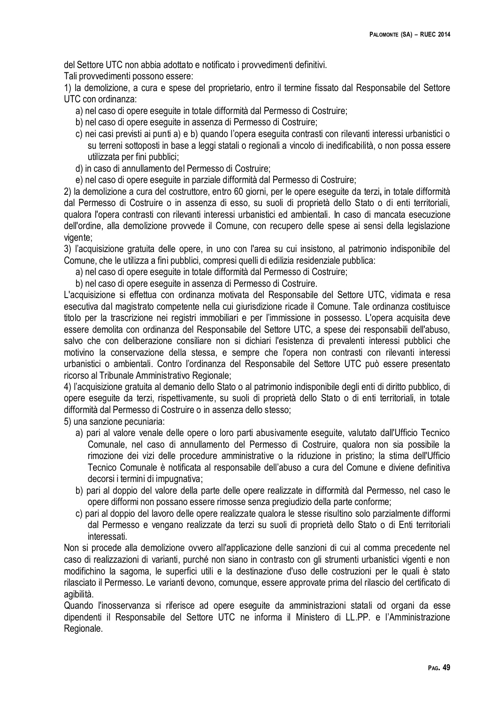del Settore UTC non abbia adottato e notificato i provvedimenti definitivi.

Tali provvedimenti possono essere:

1) la demolizione, a cura e spese del proprietario, entro il termine fissato dal Responsabile del Settore UTC con ordinanza:

- a) nel caso di opere eseguite in totale difformità dal Permesso di Costruire;
- b) nel caso di opere eseguite in assenza di Permesso di Costruire;
- c) nei casi previsti ai punti a) e b) quando l'opera eseguita contrasti con rilevanti interessi urbanistici o su terreni sottoposti in base a leggi statali o regionali a vincolo di inedificabilità, o non possa essere utilizzata per fini pubblici;
- d) in caso di annullamento del Permesso di Costruire;
- e) nel caso di opere eseguite in parziale difformità dal Permesso di Costruire;

2) la demolizione a cura del costruttore, entro 60 giorni, per le opere eseguite da terzi, in totale difformità dal Permesso di Costruire o in assenza di esso, su suoli di proprietà dello Stato o di enti territoriali, qualora l'opera contrasti con rilevanti interessi urbanistici ed ambientali. In caso di mancata esecuzione dell'ordine, alla demolizione provvede il Comune, con recupero delle spese ai sensi della legislazione vigente;

3) l'acquisizione gratuita delle opere, in uno con l'area su cui insistono, al patrimonio indisponibile del Comune, che le utilizza a fini pubblici, compresi quelli di edilizia residenziale pubblica:

- a) nel caso di opere eseguite in totale difformità dal Permesso di Costruire;
- b) nel caso di opere eseguite in assenza di Permesso di Costruire.

L'acquisizione si effettua con ordinanza motivata del Responsabile del Settore UTC, vidimata e resa esecutiva dal magistrato competente nella cui giurisdizione ricade il Comune. Tale ordinanza costituisce titolo per la trascrizione nei registri immobiliari e per l'immissione in possesso. L'opera acquisita deve essere demolita con ordinanza del Responsabile del Settore UTC, a spese dei responsabili dell'abuso, salvo che con deliberazione consiliare non si dichiari l'esistenza di prevalenti interessi pubblici che motivino la conservazione della stessa, e sempre che l'opera non contrasti con rilevanti interessi urbanistici o ambientali. Contro l'ordinanza del Responsabile del Settore UTC può essere presentato ricorso al Tribunale Amministrativo Regionale;

4) l'acquisizione gratuita al demanio dello Stato o al patrimonio indisponibile degli enti di diritto pubblico, di opere eseguite da terzi, rispettivamente, su suoli di proprietà dello Stato o di enti territoriali, in totale difformità dal Permesso di Costruire o in assenza dello stesso;

5) una sanzione pecuniaria:

- a) pari al valore venale delle opere o loro parti abusivamente eseguite, valutato dall'Ufficio Tecnico Comunale, nel caso di annullamento del Permesso di Costruire, qualora non sia possibile la rimozione dei vizi delle procedure amministrative o la riduzione in pristino; la stima dell'Ufficio Tecnico Comunale è notificata al responsabile dell'abuso a cura del Comune e diviene definitiva decorsi i termini di impugnativa;
- b) pari al doppio del valore della parte delle opere realizzate in difformità dal Permesso, nel caso le opere difformi non possano essere rimosse senza pregiudizio della parte conforme;
- c) pari al doppio del lavoro delle opere realizzate qualora le stesse risultino solo parzialmente difformi dal Permesso e vengano realizzate da terzi su suoli di proprietà dello Stato o di Enti territoriali interessati.

Non si procede alla demolizione ovvero all'applicazione delle sanzioni di cui al comma precedente nel caso di realizzazioni di varianti, purché non siano in contrasto con gli strumenti urbanistici vigenti e non modifichino la sagoma, le superfici utili e la destinazione d'uso delle costruzioni per le quali è stato rilasciato il Permesso. Le varianti devono, comunque, essere approvate prima del rilascio del certificato di agibilità.

Quando l'inosservanza si riferisce ad opere eseguite da amministrazioni statali od organi da esse dipendenti il Responsabile del Settore UTC ne informa il Ministero di LL.PP. e l'Amministrazione Regionale.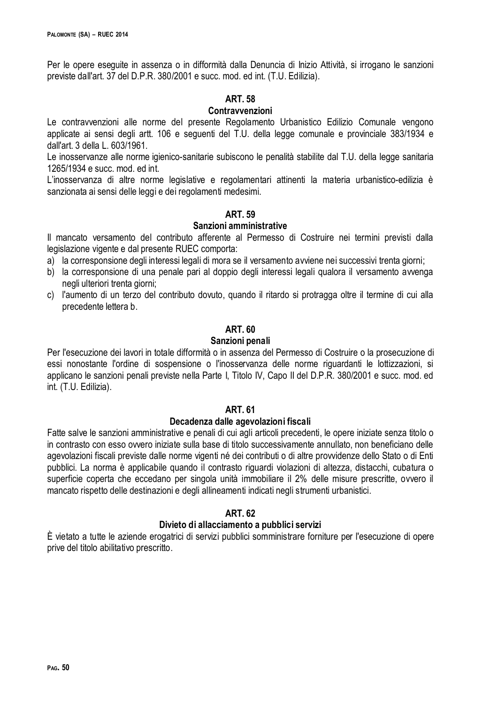Per le opere eseguite in assenza o in difformità dalla Denuncia di Inizio Attività, si irrogano le sanzioni previste dall'art. 37 del D.P.R. 380/2001 e succ. mod. ed int. (T.U. Edilizia).

## ART. 58

#### Contravvenzioni

Le contravvenzioni alle norme del presente Regolamento Urbanistico Edilizio Comunale vengono applicate ai sensi degli artt. 106 e seguenti del T.U. della legge comunale e provinciale 383/1934 e dall'art. 3 della L. 603/1961.

Le inosservanze alle norme igienico-sanitarie subiscono le penalità stabilite dal T.U. della legge sanitaria 1265/1934 e succ. mod. ed int.

L'inosservanza di altre norme legislative e regolamentari attinenti la materia urbanistico-edilizia è sanzionata ai sensi delle leggi e dei regolamenti medesimi.

#### ART. 59

### Sanzioni amministrative

Il mancato versamento del contributo afferente al Permesso di Costruire nei termini previsti dalla legislazione vigente e dal presente RUEC comporta:

- a) la corresponsione degli interessi legali di mora se il versamento avviene nei successivi trenta giorni;
- b) la corresponsione di una penale pari al doppio degli interessi legali qualora il versamento avvenga negli ulteriori trenta giorni;
- c) l'aumento di un terzo del contributo dovuto, quando il ritardo si protragga oltre il termine di cui alla precedente lettera b.

## ART. 60

#### Sanzioni penali

Per l'esecuzione dei lavori in totale difformità o in assenza del Permesso di Costruire o la prosecuzione di essi nonostante l'ordine di sospensione o l'inosservanza delle norme riguardanti le lottizzazioni, si applicano le sanzioni penali previste nella Parte I, Titolo IV, Capo II del D.P.R. 380/2001 e succ. mod. ed int. (T.U. Edilizia).

#### ART. 61

#### Decadenza dalle agevolazioni fiscali

Fatte salve le sanzioni amministrative e penali di cui agli articoli precedenti, le opere iniziate senza titolo o in contrasto con esso ovvero iniziate sulla base di titolo successivamente annullato, non beneficiano delle agevolazioni fiscali previste dalle norme vigenti né dei contributi o di altre provvidenze dello Stato o di Enti pubblici. La norma è applicabile quando il contrasto riguardi violazioni di altezza, distacchi, cubatura o superficie coperta che eccedano per singola unità immobiliare il 2% delle misure prescritte, ovvero il mancato rispetto delle destinazioni e degli allineamenti indicati negli strumenti urbanistici.

#### ART. 62

#### Divieto di allacciamento a pubblici servizi

È vietato a tutte le aziende erogatrici di servizi pubblici somministrare forniture per l'esecuzione di opere prive del titolo abilitativo prescritto.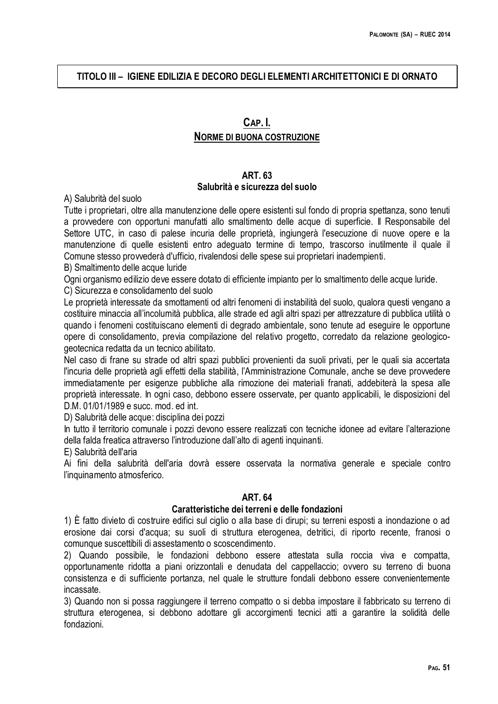# TITOLO III – IGIENE EDILIZIA E DECORO DEGLI ELEMENTI ARCHITETTONICI E DI ORNATO

# CAP. I. NORME DI BUONA COSTRUZIONE

## ART. 63 Salubrità e sicurezza del suolo

A) Salubrità del suolo

Tutte i proprietari, oltre alla manutenzione delle opere esistenti sul fondo di propria spettanza, sono tenuti a provvedere con opportuni manufatti allo smaltimento delle acque di superficie. Il Responsabile del Settore UTC, in caso di palese incuria delle proprietà, ingiungerà l'esecuzione di nuove opere e la manutenzione di quelle esistenti entro adeguato termine di tempo, trascorso inutilmente il quale il Comune stesso provvederà d'ufficio, rivalendosi delle spese sui proprietari inadempienti.

B) Smaltimento delle acque luride

Ogni organismo edilizio deve essere dotato di efficiente impianto per lo smaltimento delle acque luride. C) Sicurezza e consolidamento del suolo

Le proprietà interessate da smottamenti od altri fenomeni di instabilità del suolo, qualora questi vengano a costituire minaccia all'incolumità pubblica, alle strade ed agli altri spazi per attrezzature di pubblica utilità o quando i fenomeni costituiscano elementi di degrado ambientale, sono tenute ad eseguire le opportune opere di consolidamento, previa compilazione del relativo progetto, corredato da relazione geologicogeotecnica redatta da un tecnico abilitato.

Nel caso di frane su strade od altri spazi pubblici provenienti da suoli privati, per le quali sia accertata l'incuria delle proprietà agli effetti della stabilità, l'Amministrazione Comunale, anche se deve provvedere immediatamente per esigenze pubbliche alla rimozione dei materiali franati, addebiterà la spesa alle proprietà interessate. In ogni caso, debbono essere osservate, per quanto applicabili, le disposizioni del D.M. 01/01/1989 e succ. mod. ed int.

D) Salubrità delle acque: disciplina dei pozzi

In tutto il territorio comunale i pozzi devono essere realizzati con tecniche idonee ad evitare l'alterazione della falda freatica attraverso l'introduzione dall'alto di agenti inquinanti.

E) Salubrità dell'aria

Ai fini della salubrità dell'aria dovrà essere osservata la normativa generale e speciale contro l'inquinamento atmosferico.

#### ART. 64

#### Caratteristiche dei terreni e delle fondazioni

1) È fatto divieto di costruire edifici sul ciglio o alla base di dirupi; su terreni esposti a inondazione o ad erosione dai corsi d'acqua; su suoli di struttura eterogenea, detritici, di riporto recente, franosi o comunque suscettibili di assestamento o scoscendimento.

2) Quando possibile, le fondazioni debbono essere attestata sulla roccia viva e compatta, opportunamente ridotta a piani orizzontali e denudata del cappellaccio; ovvero su terreno di buona consistenza e di sufficiente portanza, nel quale le strutture fondali debbono essere convenientemente incassate.

3) Quando non si possa raggiungere il terreno compatto o si debba impostare il fabbricato su terreno di struttura eterogenea, si debbono adottare gli accorgimenti tecnici atti a garantire la solidità delle fondazioni.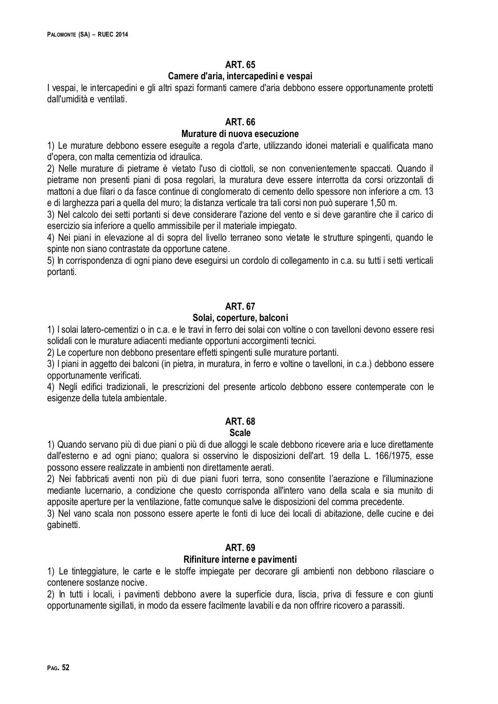#### Camere d'aria, intercapedini e vespai

I vespai, le intercapedini e gli altri spazi formanti camere d'aria debbono essere opportunamente protetti dall'umidità e ventilati.

## ART. 66

## Murature di nuova esecuzione

1) Le murature debbono essere eseguite a regola d'arte, utilizzando idonei materiali e qualificata mano d'opera, con malta cementizia od idraulica.

2) Nelle murature di pietrame è vietato l'uso di ciottoli, se non convenientemente spaccati. Quando il pietrame non presenti piani di posa regolari, la muratura deve essere interrotta da corsi orizzontali di mattoni a due filari o da fasce continue di conglomerato di cemento dello spessore non inferiore a cm. 13 e di larghezza pari a quella del muro; la distanza verticale tra tali corsi non può superare 1,50 m.

3) Nel calcolo dei setti portanti si deve considerare l'azione del vento e si deve garantire che il carico di esercizio sia inferiore a quello ammissibile per il materiale impiegato.

4) Nei piani in elevazione al di sopra del livello terraneo sono vietate le strutture spingenti, quando le spinte non siano contrastate da opportune catene.

5) In corrispondenza di ogni piano deve eseguirsi un cordolo di collegamento in c.a. su tutti i setti verticali portanti.

## ART. 67

#### Solai, coperture, balconi

1) I solai latero-cementizi o in c.a. e le travi in ferro dei solai con voltine o con tavelloni devono essere resi solidali con le murature adiacenti mediante opportuni accorgimenti tecnici.

2) Le coperture non debbono presentare effetti spingenti sulle murature portanti.

3) I piani in aggetto dei balconi (in pietra, in muratura, in ferro e voltine o tavelloni, in c.a.) debbono essere opportunamente verificati.

4) Negli edifici tradizionali, le prescrizioni del presente articolo debbono essere contemperate con le esigenze della tutela ambientale.

#### ART. 68

#### Scale

1) Quando servano più di due piani o più di due alloggi le scale debbono ricevere aria e luce direttamente dall'esterno e ad ogni piano; qualora si osservino le disposizioni dell'art. 19 della L. 166/1975, esse possono essere realizzate in ambienti non direttamente aerati.

2) Nei fabbricati aventi non più di due piani fuori terra, sono consentite l'aerazione e l'illuminazione mediante lucernario, a condizione che questo corrisponda all'intero vano della scala e sia munito di apposite aperture per la ventilazione, fatte comunque salve le disposizioni del comma precedente.

3) Nel vano scala non possono essere aperte le fonti di luce dei locali di abitazione, delle cucine e dei gabinetti.

## ART. 69

#### Rifiniture interne e pavimenti

1) Le tinteggiature, le carte e le stoffe impiegate per decorare gli ambienti non debbono rilasciare o contenere sostanze nocive.

2) In tutti i locali, i pavimenti debbono avere la superficie dura, liscia, priva di fessure e con giunti opportunamente sigillati, in modo da essere facilmente lavabili e da non offrire ricovero a parassiti.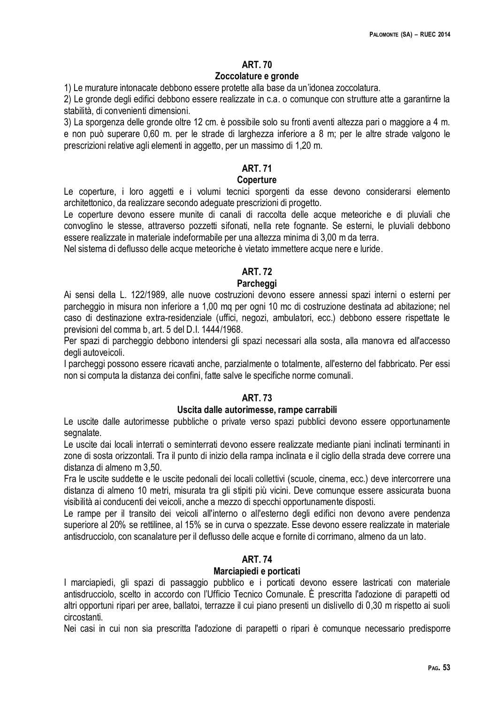#### Zoccolature e gronde

1) Le murature intonacate debbono essere protette alla base da un'idonea zoccolatura.

2) Le gronde degli edifici debbono essere realizzate in c.a. o comunque con strutture atte a garantirne la stabilità, di convenienti dimensioni.

3) La sporgenza delle gronde oltre 12 cm. è possibile solo su fronti aventi altezza pari o maggiore a 4 m. e non può superare 0,60 m. per le strade di larghezza inferiore a 8 m; per le altre strade valgono le prescrizioni relative agli elementi in aggetto, per un massimo di 1,20 m.

#### ART. 71

## **Coperture**

Le coperture, i loro aggetti e i volumi tecnici sporgenti da esse devono considerarsi elemento architettonico, da realizzare secondo adeguate prescrizioni di progetto.

Le coperture devono essere munite di canali di raccolta delle acque meteoriche e di pluviali che convoglino le stesse, attraverso pozzetti sifonati, nella rete fognante. Se esterni, le pluviali debbono essere realizzate in materiale indeformabile per una altezza minima di 3,00 m da terra.

Nel sistema di deflusso delle acque meteoriche è vietato immettere acque nere e luride.

# ART. 72

## **Parcheggi**

Ai sensi della L. 122/1989, alle nuove costruzioni devono essere annessi spazi interni o esterni per parcheggio in misura non inferiore a 1,00 mq per ogni 10 mc di costruzione destinata ad abitazione; nel caso di destinazione extra-residenziale (uffici, negozi, ambulatori, ecc.) debbono essere rispettate le previsioni del comma b, art. 5 del D.I. 1444/1968.

Per spazi di parcheggio debbono intendersi gli spazi necessari alla sosta, alla manovra ed all'accesso degli autoveicoli.

I parcheggi possono essere ricavati anche, parzialmente o totalmente, all'esterno del fabbricato. Per essi non si computa la distanza dei confini, fatte salve le specifiche norme comunali.

## ART. 73

#### Uscita dalle autorimesse, rampe carrabili

Le uscite dalle autorimesse pubbliche o private verso spazi pubblici devono essere opportunamente segnalate.

Le uscite dai locali interrati o seminterrati devono essere realizzate mediante piani inclinati terminanti in zone di sosta orizzontali. Tra il punto di inizio della rampa inclinata e il ciglio della strada deve correre una distanza di almeno m 3,50.

Fra le uscite suddette e le uscite pedonali dei locali collettivi (scuole, cinema, ecc.) deve intercorrere una distanza di almeno 10 metri, misurata tra gli stipiti più vicini. Deve comunque essere assicurata buona visibilità ai conducenti dei veicoli, anche a mezzo di specchi opportunamente disposti.

Le rampe per il transito dei veicoli all'interno o all'esterno degli edifici non devono avere pendenza superiore al 20% se rettilinee, al 15% se in curva o spezzate. Esse devono essere realizzate in materiale antisdrucciolo, con scanalature per il deflusso delle acque e fornite di corrimano, almeno da un lato.

#### ART. 74

#### Marciapiedi e porticati

I marciapiedi, gli spazi di passaggio pubblico e i porticati devono essere lastricati con materiale antisdrucciolo, scelto in accordo con l'Ufficio Tecnico Comunale. È prescritta l'adozione di parapetti od altri opportuni ripari per aree, ballatoi, terrazze il cui piano presenti un dislivello di 0,30 m rispetto ai suoli circostanti.

Nei casi in cui non sia prescritta l'adozione di parapetti o ripari è comunque necessario predisporre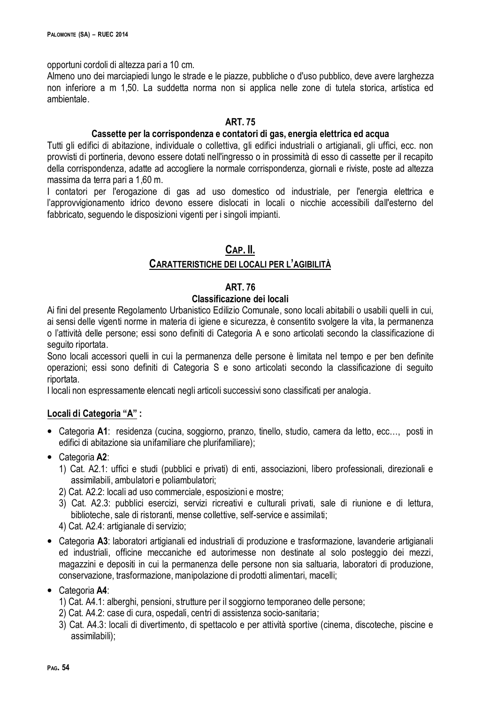opportuni cordoli di altezza pari a 10 cm.

Almeno uno dei marciapiedi lungo le strade e le piazze, pubbliche o d'uso pubblico, deve avere larghezza non inferiore a m 1,50. La suddetta norma non si applica nelle zone di tutela storica, artistica ed ambientale.

## ART. 75

#### Cassette per la corrispondenza e contatori di gas, energia elettrica ed acqua

Tutti gli edifici di abitazione, individuale o collettiva, gli edifici industriali o artigianali, gli uffici, ecc. non provvisti di portineria, devono essere dotati nell'ingresso o in prossimità di esso di cassette per il recapito della corrispondenza, adatte ad accogliere la normale corrispondenza, giornali e riviste, poste ad altezza massima da terra pari a 1,60 m.

I contatori per l'erogazione di gas ad uso domestico od industriale, per l'energia elettrica e l'approvvigionamento idrico devono essere dislocati in locali o nicchie accessibili dall'esterno del fabbricato, seguendo le disposizioni vigenti per i singoli impianti.

## CAP. II.

## CARATTERISTICHE DEI LOCALI PER L'AGIBILITÀ

## ART. 76

## Classificazione dei locali

Ai fini del presente Regolamento Urbanistico Edilizio Comunale, sono locali abitabili o usabili quelli in cui, ai sensi delle vigenti norme in materia di igiene e sicurezza, è consentito svolgere la vita, la permanenza o l'attività delle persone; essi sono definiti di Categoria A e sono articolati secondo la classificazione di seguito riportata.

Sono locali accessori quelli in cui la permanenza delle persone è limitata nel tempo e per ben definite operazioni; essi sono definiti di Categoria S e sono articolati secondo la classificazione di seguito riportata.

I locali non espressamente elencati negli articoli successivi sono classificati per analogia.

#### Locali di Categoria "A" :

- Categoria A1: residenza (cucina, soggiorno, pranzo, tinello, studio, camera da letto, ecc…, posti in edifici di abitazione sia unifamiliare che plurifamiliare);
- Categoria A2:
	- 1) Cat. A2.1: uffici e studi (pubblici e privati) di enti, associazioni, libero professionali, direzionali e assimilabili, ambulatori e poliambulatori;
	- 2) Cat. A2.2: locali ad uso commerciale, esposizioni e mostre;
	- 3) Cat. A2.3: pubblici esercizi, servizi ricreativi e culturali privati, sale di riunione e di lettura, biblioteche, sale di ristoranti, mense collettive, self-service e assimilati;
	- 4) Cat. A2.4: artigianale di servizio;
- Categoria A3: laboratori artigianali ed industriali di produzione e trasformazione, lavanderie artigianali ed industriali, officine meccaniche ed autorimesse non destinate al solo posteggio dei mezzi, magazzini e depositi in cui la permanenza delle persone non sia saltuaria, laboratori di produzione, conservazione, trasformazione, manipolazione di prodotti alimentari, macelli;
- Categoria A4:
	- 1) Cat. A4.1: alberghi, pensioni, strutture per il soggiorno temporaneo delle persone;
	- 2) Cat. A4.2: case di cura, ospedali, centri di assistenza socio-sanitaria;
	- 3) Cat. A4.3: locali di divertimento, di spettacolo e per attività sportive (cinema, discoteche, piscine e assimilabili);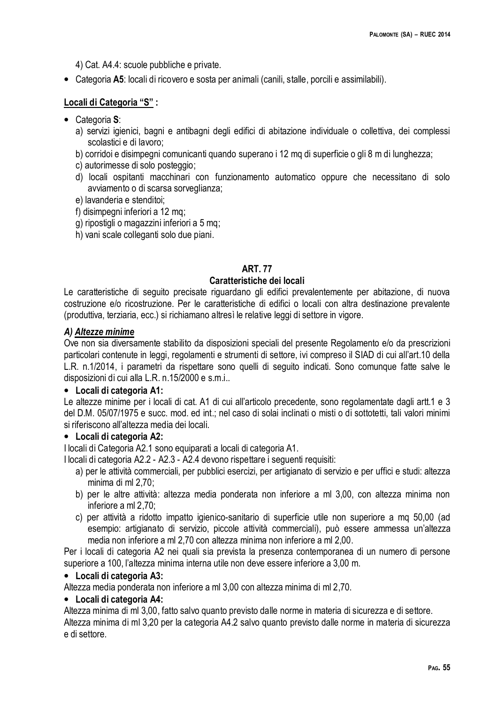4) Cat. A4.4: scuole pubbliche e private.

• Categoria A5: locali di ricovero e sosta per animali (canili, stalle, porcili e assimilabili).

## Locali di Categoria "S":

- Categoria S:
	- a) servizi igienici, bagni e antibagni degli edifici di abitazione individuale o collettiva, dei complessi scolastici e di lavoro;
	- b) corridoi e disimpegni comunicanti quando superano i 12 mg di superficie o gli 8 m di lunghezza;
	- c) autorimesse di solo posteggio;
	- d) locali ospitanti macchinari con funzionamento automatico oppure che necessitano di solo avviamento o di scarsa sorveglianza;
	- e) lavanderia e stenditoi;
	- f) disimpegni inferiori a 12 mq;
	- g) ripostigli o magazzini inferiori a 5 mq;
	- h) vani scale colleganti solo due piani.

# ART. 77

## Caratteristiche dei locali

Le caratteristiche di seguito precisate riguardano gli edifici prevalentemente per abitazione, di nuova costruzione e/o ricostruzione. Per le caratteristiche di edifici o locali con altra destinazione prevalente (produttiva, terziaria, ecc.) si richiamano altresì le relative leggi di settore in vigore.

#### A) Altezze minime

Ove non sia diversamente stabilito da disposizioni speciali del presente Regolamento e/o da prescrizioni particolari contenute in leggi, regolamenti e strumenti di settore, ivi compreso il SIAD di cui all'art.10 della L.R. n.1/2014, i parametri da rispettare sono quelli di seguito indicati. Sono comunque fatte salve le disposizioni di cui alla L.R. n.15/2000 e s.m.i..

#### • Locali di categoria A1:

Le altezze minime per i locali di cat. A1 di cui all'articolo precedente, sono regolamentate dagli artt.1 e 3 del D.M. 05/07/1975 e succ. mod. ed int.; nel caso di solai inclinati o misti o di sottotetti, tali valori minimi si riferiscono all'altezza media dei locali.

## • Locali di categoria A2:

I locali di Categoria A2.1 sono equiparati a locali di categoria A1.

I locali di categoria A2.2 - A2.3 - A2.4 devono rispettare i seguenti requisiti:

- a) per le attività commerciali, per pubblici esercizi, per artigianato di servizio e per uffici e studi: altezza minima di ml 2,70;
- b) per le altre attività: altezza media ponderata non inferiore a ml 3,00, con altezza minima non inferiore a ml 2,70;
- c) per attività a ridotto impatto igienico-sanitario di superficie utile non superiore a mq 50,00 (ad esempio: artigianato di servizio, piccole attività commerciali), può essere ammessa un'altezza media non inferiore a ml 2,70 con altezza minima non inferiore a ml 2,00.

Per i locali di categoria A2 nei quali sia prevista la presenza contemporanea di un numero di persone superiore a 100, l'altezza minima interna utile non deve essere inferiore a 3,00 m.

#### • Locali di categoria A3:

Altezza media ponderata non inferiore a ml 3,00 con altezza minima di ml 2,70.

#### • Locali di categoria A4:

Altezza minima di ml 3,00, fatto salvo quanto previsto dalle norme in materia di sicurezza e di settore.

Altezza minima di ml 3,20 per la categoria A4.2 salvo quanto previsto dalle norme in materia di sicurezza e di settore.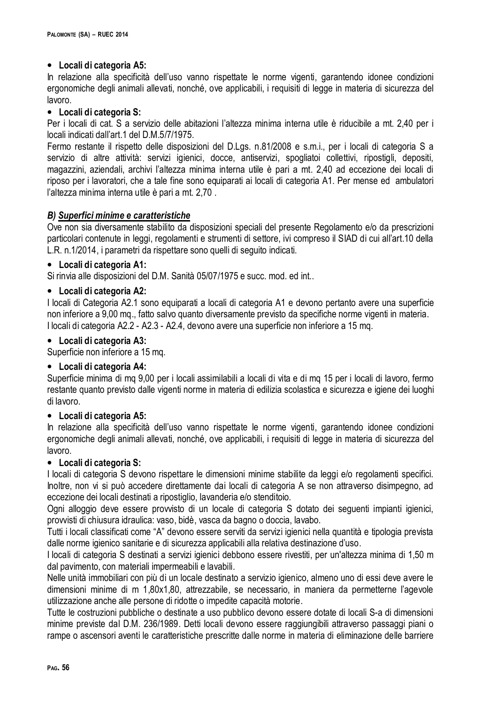## • Locali di categoria A5:

In relazione alla specificità dell'uso vanno rispettate le norme vigenti, garantendo idonee condizioni ergonomiche degli animali allevati, nonché, ove applicabili, i requisiti di legge in materia di sicurezza del lavoro.

## • Locali di categoria S:

Per i locali di cat. S a servizio delle abitazioni l'altezza minima interna utile è riducibile a mt. 2,40 per i locali indicati dall'art.1 del D.M.5/7/1975.

Fermo restante il rispetto delle disposizioni del D.Lgs. n.81/2008 e s.m.i., per i locali di categoria S a servizio di altre attività: servizi igienici, docce, antiservizi, spogliatoi collettivi, ripostigli, depositi, magazzini, aziendali, archivi l'altezza minima interna utile è pari a mt. 2,40 ad eccezione dei locali di riposo per i lavoratori, che a tale fine sono equiparati ai locali di categoria A1. Per mense ed ambulatori l'altezza minima interna utile è pari a mt. 2,70 .

## B) Superfici minime e caratteristiche

Ove non sia diversamente stabilito da disposizioni speciali del presente Regolamento e/o da prescrizioni particolari contenute in leggi, regolamenti e strumenti di settore, ivi compreso il SIAD di cui all'art.10 della L.R. n.1/2014, i parametri da rispettare sono quelli di seguito indicati.

## • Locali di categoria A1:

Si rinvia alle disposizioni del D.M. Sanità 05/07/1975 e succ. mod. ed int..

## • Locali di categoria A2:

I locali di Categoria A2.1 sono equiparati a locali di categoria A1 e devono pertanto avere una superficie non inferiore a 9,00 mq., fatto salvo quanto diversamente previsto da specifiche norme vigenti in materia. I locali di categoria A2.2 - A2.3 - A2.4, devono avere una superficie non inferiore a 15 mq.

## • Locali di categoria A3:

Superficie non inferiore a 15 mq.

## • Locali di categoria A4:

Superficie minima di mq 9,00 per i locali assimilabili a locali di vita e di mq 15 per i locali di lavoro, fermo restante quanto previsto dalle vigenti norme in materia di edilizia scolastica e sicurezza e igiene dei luoghi di lavoro.

#### • Locali di categoria A5:

In relazione alla specificità dell'uso vanno rispettate le norme vigenti, garantendo idonee condizioni ergonomiche degli animali allevati, nonché, ove applicabili, i requisiti di legge in materia di sicurezza del lavoro.

#### • Locali di categoria S:

I locali di categoria S devono rispettare le dimensioni minime stabilite da leggi e/o regolamenti specifici. Inoltre, non vi si può accedere direttamente dai locali di categoria A se non attraverso disimpegno, ad eccezione dei locali destinati a ripostiglio, lavanderia e/o stenditoio.

Ogni alloggio deve essere provvisto di un locale di categoria S dotato dei seguenti impianti igienici, provvisti di chiusura idraulica: vaso, bidè, vasca da bagno o doccia, lavabo.

Tutti i locali classificati come "A" devono essere serviti da servizi igienici nella quantità e tipologia prevista dalle norme igienico sanitarie e di sicurezza applicabili alla relativa destinazione d'uso.

I locali di categoria S destinati a servizi igienici debbono essere rivestiti, per un'altezza minima di 1,50 m dal pavimento, con materiali impermeabili e lavabili.

Nelle unità immobiliari con più di un locale destinato a servizio igienico, almeno uno di essi deve avere le dimensioni minime di m 1,80x1,80, attrezzabile, se necessario, in maniera da permetterne l'agevole utilizzazione anche alle persone di ridotte o impedite capacità motorie.

Tutte le costruzioni pubbliche o destinate a uso pubblico devono essere dotate di locali S-a di dimensioni minime previste dal D.M. 236/1989. Detti locali devono essere raggiungibili attraverso passaggi piani o rampe o ascensori aventi le caratteristiche prescritte dalle norme in materia di eliminazione delle barriere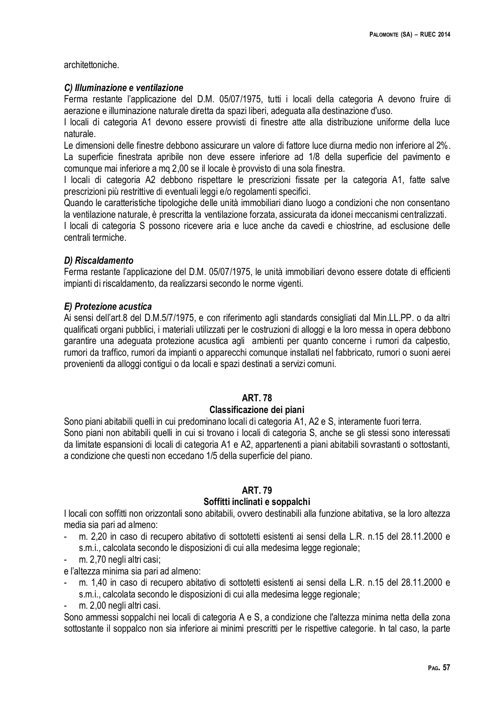architettoniche.

## C) Illuminazione e ventilazione

Ferma restante l'applicazione del D.M. 05/07/1975, tutti i locali della categoria A devono fruire di aerazione e illuminazione naturale diretta da spazi liberi, adeguata alla destinazione d'uso.

I locali di categoria A1 devono essere provvisti di finestre atte alla distribuzione uniforme della luce naturale.

Le dimensioni delle finestre debbono assicurare un valore di fattore luce diurna medio non inferiore al 2%. La superficie finestrata apribile non deve essere inferiore ad 1/8 della superficie del pavimento e comunque mai inferiore a mq 2,00 se il locale è provvisto di una sola finestra.

I locali di categoria A2 debbono rispettare le prescrizioni fissate per la categoria A1, fatte salve prescrizioni più restrittive di eventuali leggi e/o regolamenti specifici.

Quando le caratteristiche tipologiche delle unità immobiliari diano luogo a condizioni che non consentano la ventilazione naturale, è prescritta la ventilazione forzata, assicurata da idonei meccanismi centralizzati.

I locali di categoria S possono ricevere aria e luce anche da cavedi e chiostrine, ad esclusione delle centrali termiche.

## D) Riscaldamento

Ferma restante l'applicazione del D.M. 05/07/1975, le unità immobiliari devono essere dotate di efficienti impianti di riscaldamento, da realizzarsi secondo le norme vigenti.

## E) Protezione acustica

Ai sensi dell'art.8 del D.M.5/7/1975, e con riferimento agli standards consigliati dal Min.LL.PP. o da altri qualificati organi pubblici, i materiali utilizzati per le costruzioni di alloggi e la loro messa in opera debbono garantire una adeguata protezione acustica agli ambienti per quanto concerne i rumori da calpestio, rumori da traffico, rumori da impianti o apparecchi comunque installati nel fabbricato, rumori o suoni aerei provenienti da alloggi contigui o da locali e spazi destinati a servizi comuni.

# ART. 78

#### Classificazione dei piani

Sono piani abitabili quelli in cui predominano locali di categoria A1, A2 e S, interamente fuori terra. Sono piani non abitabili quelli in cui si trovano i locali di categoria S, anche se gli stessi sono interessati da limitate espansioni di locali di categoria A1 e A2, appartenenti a piani abitabili sovrastanti o sottostanti, a condizione che questi non eccedano 1/5 della superficie del piano.

#### ART. 79

## Soffitti inclinati e soppalchi

I locali con soffitti non orizzontali sono abitabili, ovvero destinabili alla funzione abitativa, se la loro altezza media sia pari ad almeno:

- m. 2,20 in caso di recupero abitativo di sottotetti esistenti ai sensi della L.R. n.15 del 28.11.2000 e s.m.i., calcolata secondo le disposizioni di cui alla medesima legge regionale;
- m. 2,70 negli altri casi;

e l'altezza minima sia pari ad almeno:

- m. 1,40 in caso di recupero abitativo di sottotetti esistenti ai sensi della L.R. n.15 del 28.11.2000 e s.m.i., calcolata secondo le disposizioni di cui alla medesima legge regionale;
- m. 2,00 negli altri casi.

Sono ammessi soppalchi nei locali di categoria A e S, a condizione che l'altezza minima netta della zona sottostante il soppalco non sia inferiore ai minimi prescritti per le rispettive categorie. In tal caso, la parte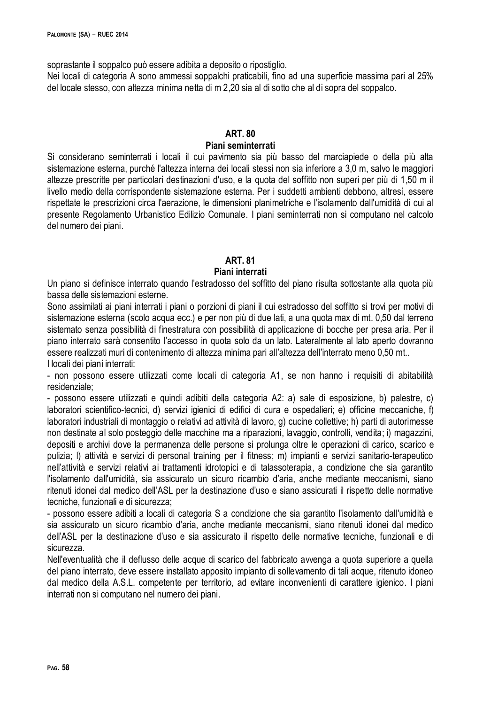soprastante il soppalco può essere adibita a deposito o ripostiglio.

Nei locali di categoria A sono ammessi soppalchi praticabili, fino ad una superficie massima pari al 25% del locale stesso, con altezza minima netta di m 2,20 sia al di sotto che al di sopra del soppalco.

#### ART. 80 Piani seminterrati

Si considerano seminterrati i locali il cui pavimento sia più basso del marciapiede o della più alta sistemazione esterna, purché l'altezza interna dei locali stessi non sia inferiore a 3,0 m, salvo le maggiori altezze prescritte per particolari destinazioni d'uso, e la quota del soffitto non superi per più di 1,50 m il livello medio della corrispondente sistemazione esterna. Per i suddetti ambienti debbono, altresì, essere rispettate le prescrizioni circa l'aerazione, le dimensioni planimetriche e l'isolamento dall'umidità di cui al presente Regolamento Urbanistico Edilizio Comunale. I piani seminterrati non si computano nel calcolo del numero dei piani.

## ART. 81

#### Piani interrati

Un piano si definisce interrato quando l'estradosso del soffitto del piano risulta sottostante alla quota più bassa delle sistemazioni esterne.

Sono assimilati ai piani interrati i piani o porzioni di piani il cui estradosso del soffitto si trovi per motivi di sistemazione esterna (scolo acqua ecc.) e per non più di due lati, a una quota max di mt. 0,50 dal terreno sistemato senza possibilità di finestratura con possibilità di applicazione di bocche per presa aria. Per il piano interrato sarà consentito l'accesso in quota solo da un lato. Lateralmente al lato aperto dovranno essere realizzati muri di contenimento di altezza minima pari all'altezza dell'interrato meno 0,50 mt.. I locali dei piani interrati:

- non possono essere utilizzati come locali di categoria A1, se non hanno i requisiti di abitabilità residenziale;

- possono essere utilizzati e quindi adibiti della categoria A2: a) sale di esposizione, b) palestre, c) laboratori scientifico-tecnici, d) servizi igienici di edifici di cura e ospedalieri; e) officine meccaniche, f) laboratori industriali di montaggio o relativi ad attività di lavoro, g) cucine collettive; h) parti di autorimesse non destinate al solo posteggio delle macchine ma a riparazioni, lavaggio, controlli, vendita; i) magazzini, depositi e archivi dove la permanenza delle persone si prolunga oltre le operazioni di carico, scarico e pulizia; l) attività e servizi di personal training per il fitness; m) impianti e servizi sanitario-terapeutico nell'attività e servizi relativi ai trattamenti idrotopici e di talassoterapia, a condizione che sia garantito l'isolamento dall'umidità, sia assicurato un sicuro ricambio d'aria, anche mediante meccanismi, siano ritenuti idonei dal medico dell'ASL per la destinazione d'uso e siano assicurati il rispetto delle normative tecniche, funzionali e di sicurezza;

- possono essere adibiti a locali di categoria S a condizione che sia garantito l'isolamento dall'umidità e sia assicurato un sicuro ricambio d'aria, anche mediante meccanismi, siano ritenuti idonei dal medico dell'ASL per la destinazione d'uso e sia assicurato il rispetto delle normative tecniche, funzionali e di sicurezza.

Nell'eventualità che il deflusso delle acque di scarico del fabbricato avvenga a quota superiore a quella del piano interrato, deve essere installato apposito impianto di sollevamento di tali acque, ritenuto idoneo dal medico della A.S.L. competente per territorio, ad evitare inconvenienti di carattere igienico. I piani interrati non si computano nel numero dei piani.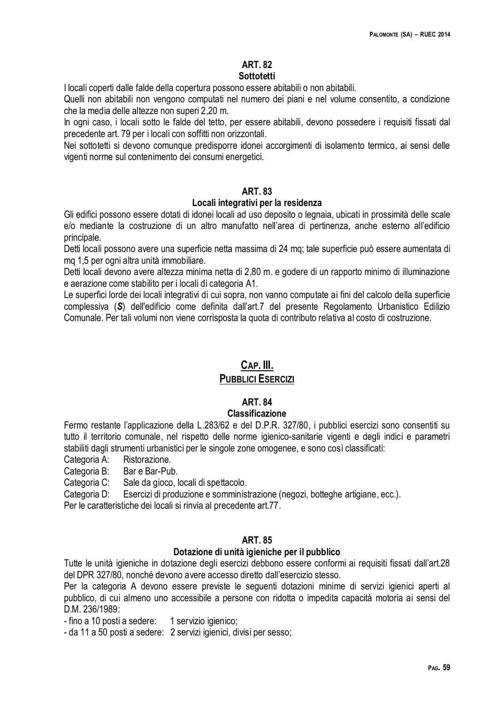#### ART. 82 **Sottotetti**

I locali coperti dalle falde della copertura possono essere abitabili o non abitabili.

Quelli non abitabili non vengono computati nel numero dei piani e nel volume consentito, a condizione che la media delle altezze non superi 2,20 m.

In ogni caso, i locali sotto le falde del tetto, per essere abitabili, devono possedere i requisiti fissati dal precedente art. 79 per i locali con soffitti non orizzontali.

Nei sottotetti si devono comunque predisporre idonei accorgimenti di isolamento termico, ai sensi delle vigenti norme sul contenimento dei consumi energetici.

## ART. 83

#### Locali integrativi per la residenza

Gli edifici possono essere dotati di idonei locali ad uso deposito o legnaia, ubicati in prossimità delle scale e/o mediante la costruzione di un altro manufatto nell'area di pertinenza, anche esterno all'edificio principale.

Detti locali possono avere una superficie netta massima di 24 mq; tale superficie può essere aumentata di mq 1,5 per ogni altra unità immobiliare.

Detti locali devono avere altezza minima netta di 2,80 m. e godere di un rapporto minimo di illuminazione e aerazione come stabilito per i locali di categoria A1.

Le superfici lorde dei locali integrativi di cui sopra, non vanno computate ai fini del calcolo della superficie complessiva (S) dell'edificio come definita dall'art.7 del presente Regolamento Urbanistico Edilizio Comunale. Per tali volumi non viene corrisposta la quota di contributo relativa al costo di costruzione.

# CAP. III. PUBBLICI ESERCIZI

# ART. 84

## Classificazione

Fermo restante l'applicazione della L.283/62 e del D.P.R. 327/80, i pubblici esercizi sono consentiti su tutto il territorio comunale, nel rispetto delle norme igienico-sanitarie vigenti e degli indici e parametri stabiliti dagli strumenti urbanistici per le singole zone omogenee, e sono così classificati:

Categoria A: Ristorazione.

Categoria B: Bar e Bar-Pub.

Categoria C: Sale da gioco, locali di spettacolo.

Categoria D: Esercizi di produzione e somministrazione (negozi, botteghe artigiane, ecc.).

Per le caratteristiche dei locali si rinvia al precedente art.77.

## ART. 85

#### Dotazione di unità igieniche per il pubblico

Tutte le unità igieniche in dotazione degli esercizi debbono essere conformi ai requisiti fissati dall'art.28 del DPR 327/80, nonché devono avere accesso diretto dall'esercizio stesso.

Per la categoria A devono essere previste le seguenti dotazioni minime di servizi igienici aperti al pubblico, di cui almeno uno accessibile a persone con ridotta o impedita capacità motoria ai sensi del D.M. 236/1989:

- fino a 10 posti a sedere: 1 servizio igienico;

- da 11 a 50 posti a sedere: 2 servizi igienici, divisi per sesso;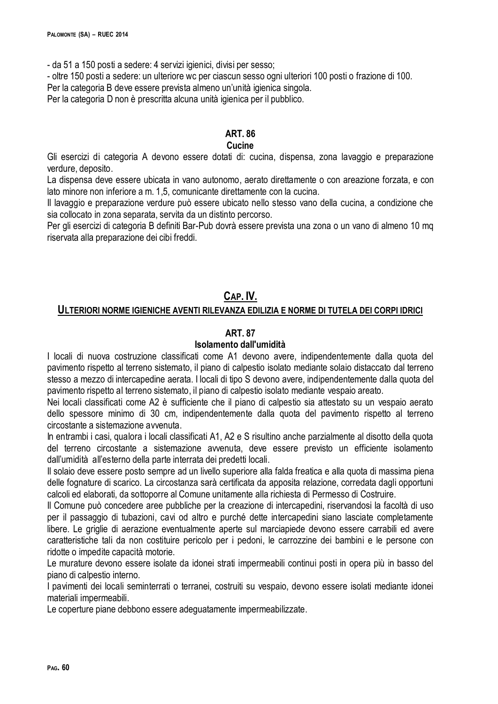- da 51 a 150 posti a sedere: 4 servizi igienici, divisi per sesso;

- oltre 150 posti a sedere: un ulteriore wc per ciascun sesso ogni ulteriori 100 posti o frazione di 100.

Per la categoria B deve essere prevista almeno un'unità igienica singola.

Per la categoria D non è prescritta alcuna unità igienica per il pubblico.

# ART. 86

## Cucine

Gli esercizi di categoria A devono essere dotati di: cucina, dispensa, zona lavaggio e preparazione verdure, deposito.

La dispensa deve essere ubicata in vano autonomo, aerato direttamente o con areazione forzata, e con lato minore non inferiore a m. 1,5, comunicante direttamente con la cucina.

Il lavaggio e preparazione verdure può essere ubicato nello stesso vano della cucina, a condizione che sia collocato in zona separata, servita da un distinto percorso.

Per gli esercizi di categoria B definiti Bar-Pub dovrà essere prevista una zona o un vano di almeno 10 mq riservata alla preparazione dei cibi freddi.

# CAP. IV.

## ULTERIORI NORME IGIENICHE AVENTI RILEVANZA EDILIZIA E NORME DI TUTELA DEI CORPI IDRICI

## ART. 87

## Isolamento dall'umidità

I locali di nuova costruzione classificati come A1 devono avere, indipendentemente dalla quota del pavimento rispetto al terreno sistemato, il piano di calpestio isolato mediante solaio distaccato dal terreno stesso a mezzo di intercapedine aerata. I locali di tipo S devono avere, indipendentemente dalla quota del pavimento rispetto al terreno sistemato, il piano di calpestio isolato mediante vespaio areato.

Nei locali classificati come A2 è sufficiente che il piano di calpestio sia attestato su un vespaio aerato dello spessore minimo di 30 cm, indipendentemente dalla quota del pavimento rispetto al terreno circostante a sistemazione avvenuta.

In entrambi i casi, qualora i locali classificati A1, A2 e S risultino anche parzialmente al disotto della quota del terreno circostante a sistemazione avvenuta, deve essere previsto un efficiente isolamento dall'umidità all'esterno della parte interrata dei predetti locali.

Il solaio deve essere posto sempre ad un livello superiore alla falda freatica e alla quota di massima piena delle fognature di scarico. La circostanza sarà certificata da apposita relazione, corredata dagli opportuni calcoli ed elaborati, da sottoporre al Comune unitamente alla richiesta di Permesso di Costruire.

Il Comune può concedere aree pubbliche per la creazione di intercapedini, riservandosi la facoltà di uso per il passaggio di tubazioni, cavi od altro e purché dette intercapedini siano lasciate completamente libere. Le griglie di aerazione eventualmente aperte sul marciapiede devono essere carrabili ed avere caratteristiche tali da non costituire pericolo per i pedoni, le carrozzine dei bambini e le persone con ridotte o impedite capacità motorie.

Le murature devono essere isolate da idonei strati impermeabili continui posti in opera più in basso del piano di calpestio interno.

I pavimenti dei locali seminterrati o terranei, costruiti su vespaio, devono essere isolati mediante idonei materiali impermeabili.

Le coperture piane debbono essere adeguatamente impermeabilizzate.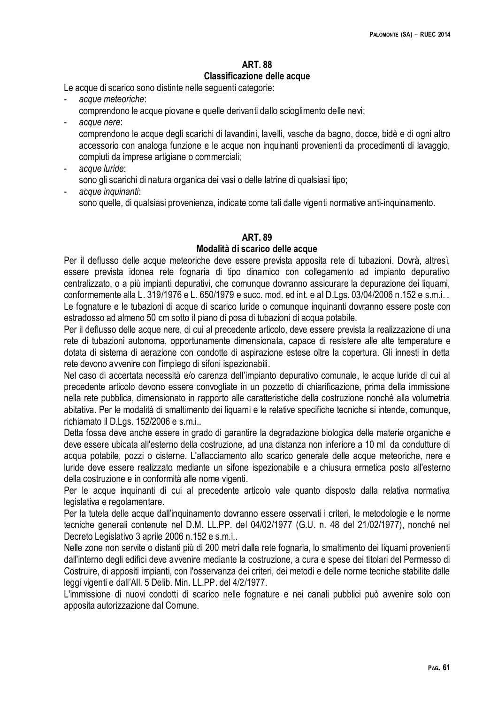## ART. 88 Classificazione delle acque

Le acque di scarico sono distinte nelle seguenti categorie:

- acque meteoriche:
	- comprendono le acque piovane e quelle derivanti dallo scioglimento delle nevi;
- acque nere:

comprendono le acque degli scarichi di lavandini, lavelli, vasche da bagno, docce, bidè e di ogni altro accessorio con analoga funzione e le acque non inquinanti provenienti da procedimenti di lavaggio, compiuti da imprese artigiane o commerciali;

- acque luride: sono gli scarichi di natura organica dei vasi o delle latrine di qualsiasi tipo;
- acque inquinanti: sono quelle, di qualsiasi provenienza, indicate come tali dalle vigenti normative anti-inquinamento.

## ART. 89

## Modalità di scarico delle acque

Per il deflusso delle acque meteoriche deve essere prevista apposita rete di tubazioni. Dovrà, altresì, essere prevista idonea rete fognaria di tipo dinamico con collegamento ad impianto depurativo centralizzato, o a più impianti depurativi, che comunque dovranno assicurare la depurazione dei liquami, conformemente alla L. 319/1976 e L. 650/1979 e succ. mod. ed int. e al D.Lgs. 03/04/2006 n.152 e s.m.i. . Le fognature e le tubazioni di acque di scarico luride o comunque inquinanti dovranno essere poste con estradosso ad almeno 50 cm sotto il piano di posa di tubazioni di acqua potabile.

Per il deflusso delle acque nere, di cui al precedente articolo, deve essere prevista la realizzazione di una rete di tubazioni autonoma, opportunamente dimensionata, capace di resistere alle alte temperature e dotata di sistema di aerazione con condotte di aspirazione estese oltre la copertura. Gli innesti in detta rete devono avvenire con l'impiego di sifoni ispezionabili.

Nel caso di accertata necessità e/o carenza dell'impianto depurativo comunale, le acque luride di cui al precedente articolo devono essere convogliate in un pozzetto di chiarificazione, prima della immissione nella rete pubblica, dimensionato in rapporto alle caratteristiche della costruzione nonché alla volumetria abitativa. Per le modalità di smaltimento dei liquami e le relative specifiche tecniche si intende, comunque, richiamato il D.Lgs. 152/2006 e s.m.i..

Detta fossa deve anche essere in grado di garantire la degradazione biologica delle materie organiche e deve essere ubicata all'esterno della costruzione, ad una distanza non inferiore a 10 ml da condutture di acqua potabile, pozzi o cisterne. L'allacciamento allo scarico generale delle acque meteoriche, nere e luride deve essere realizzato mediante un sifone ispezionabile e a chiusura ermetica posto all'esterno della costruzione e in conformità alle nome vigenti.

Per le acque inquinanti di cui al precedente articolo vale quanto disposto dalla relativa normativa legislativa e regolamentare.

Per la tutela delle acque dall'inquinamento dovranno essere osservati i criteri, le metodologie e le norme tecniche generali contenute nel D.M. LL.PP. del 04/02/1977 (G.U. n. 48 del 21/02/1977), nonché nel Decreto Legislativo 3 aprile 2006 n.152 e s.m.i..

Nelle zone non servite o distanti più di 200 metri dalla rete fognaria, lo smaltimento dei liquami provenienti dall'interno degli edifici deve avvenire mediante la costruzione, a cura e spese dei titolari del Permesso di Costruire, di appositi impianti, con l'osservanza dei criteri, dei metodi e delle norme tecniche stabilite dalle leggi vigenti e dall'All. 5 Delib. Min. LL.PP. del 4/2/1977.

L'immissione di nuovi condotti di scarico nelle fognature e nei canali pubblici può avvenire solo con apposita autorizzazione dal Comune.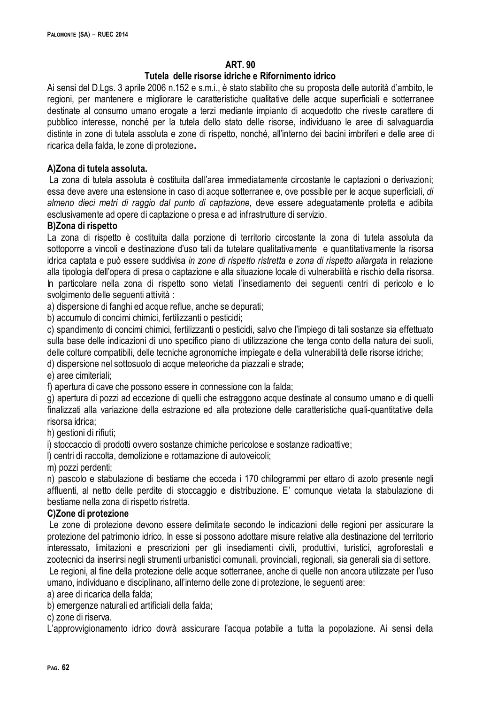## Tutela delle risorse idriche e Rifornimento idrico

Ai sensi del D.Lgs. 3 aprile 2006 n.152 e s.m.i., è stato stabilito che su proposta delle autorità d'ambito, le regioni, per mantenere e migliorare le caratteristiche qualitative delle acque superficiali e sotterranee destinate al consumo umano erogate a terzi mediante impianto di acquedotto che riveste carattere di pubblico interesse, nonché per la tutela dello stato delle risorse, individuano le aree di salvaguardia distinte in zone di tutela assoluta e zone di rispetto, nonché, all'interno dei bacini imbriferi e delle aree di ricarica della falda, le zone di protezione.

## A)Zona di tutela assoluta.

 La zona di tutela assoluta è costituita dall'area immediatamente circostante le captazioni o derivazioni; essa deve avere una estensione in caso di acque sotterranee e, ove possibile per le acque superficiali, di almeno dieci metri di raggio dal punto di captazione, deve essere adeguatamente protetta e adibita esclusivamente ad opere di captazione o presa e ad infrastrutture di servizio.

#### B)Zona di rispetto

La zona di rispetto è costituita dalla porzione di territorio circostante la zona di tutela assoluta da sottoporre a vincoli e destinazione d'uso tali da tutelare qualitativamente e quantitativamente la risorsa idrica captata e può essere suddivisa in zone di rispetto ristretta e zona di rispetto allargata in relazione alla tipologia dell'opera di presa o captazione e alla situazione locale di vulnerabilità e rischio della risorsa. In particolare nella zona di rispetto sono vietati l'insediamento dei seguenti centri di pericolo e lo svolgimento delle seguenti attività :

a) dispersione di fanghi ed acque reflue, anche se depurati;

b) accumulo di concimi chimici, fertilizzanti o pesticidi;

c) spandimento di concimi chimici, fertilizzanti o pesticidi, salvo che l'impiego di tali sostanze sia effettuato sulla base delle indicazioni di uno specifico piano di utilizzazione che tenga conto della natura dei suoli, delle colture compatibili, delle tecniche agronomiche impiegate e della vulnerabilità delle risorse idriche;

d) dispersione nel sottosuolo di acque meteoriche da piazzali e strade;

e) aree cimiteriali;

f) apertura di cave che possono essere in connessione con la falda;

g) apertura di pozzi ad eccezione di quelli che estraggono acque destinate al consumo umano e di quelli finalizzati alla variazione della estrazione ed alla protezione delle caratteristiche quali-quantitative della risorsa idrica;

h) gestioni di rifiuti;

i) stoccaccio di prodotti ovvero sostanze chimiche pericolose e sostanze radioattive;

l) centri di raccolta, demolizione e rottamazione di autoveicoli;

m) pozzi perdenti;

n) pascolo e stabulazione di bestiame che ecceda i 170 chilogrammi per ettaro di azoto presente negli affluenti, al netto delle perdite di stoccaggio e distribuzione. E' comunque vietata la stabulazione di bestiame nella zona di rispetto ristretta.

#### C)Zone di protezione

 Le zone di protezione devono essere delimitate secondo le indicazioni delle regioni per assicurare la protezione del patrimonio idrico. In esse si possono adottare misure relative alla destinazione del territorio interessato, limitazioni e prescrizioni per gli insediamenti civili, produttivi, turistici, agroforestali e zootecnici da inserirsi negli strumenti urbanistici comunali, provinciali, regionali, sia generali sia di settore.

 Le regioni, al fine della protezione delle acque sotterranee, anche di quelle non ancora utilizzate per l'uso umano, individuano e disciplinano, all'interno delle zone di protezione, le seguenti aree:

a) aree di ricarica della falda;

b) emergenze naturali ed artificiali della falda;

c) zone di riserva.

L'approvvigionamento idrico dovrà assicurare l'acqua potabile a tutta la popolazione. Ai sensi della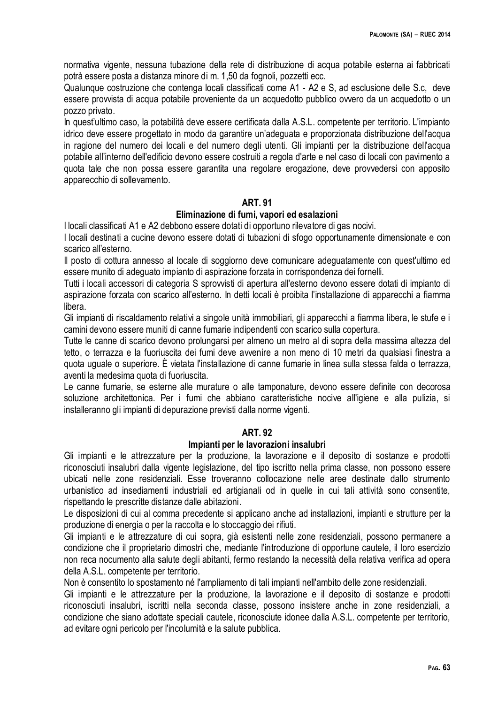normativa vigente, nessuna tubazione della rete di distribuzione di acqua potabile esterna ai fabbricati potrà essere posta a distanza minore di m. 1,50 da fognoli, pozzetti ecc.

Qualunque costruzione che contenga locali classificati come A1 - A2 e S, ad esclusione delle S.c, deve essere provvista di acqua potabile proveniente da un acquedotto pubblico ovvero da un acquedotto o un pozzo privato.

In quest'ultimo caso, la potabilità deve essere certificata dalla A.S.L. competente per territorio. L'impianto idrico deve essere progettato in modo da garantire un'adeguata e proporzionata distribuzione dell'acqua in ragione del numero dei locali e del numero degli utenti. Gli impianti per la distribuzione dell'acqua potabile all'interno dell'edificio devono essere costruiti a regola d'arte e nel caso di locali con pavimento a quota tale che non possa essere garantita una regolare erogazione, deve provvedersi con apposito apparecchio di sollevamento.

#### ART. 91

#### Eliminazione di fumi, vapori ed esalazioni

I locali classificati A1 e A2 debbono essere dotati di opportuno rilevatore di gas nocivi.

I locali destinati a cucine devono essere dotati di tubazioni di sfogo opportunamente dimensionate e con scarico all'esterno.

Il posto di cottura annesso al locale di soggiorno deve comunicare adeguatamente con quest'ultimo ed essere munito di adeguato impianto di aspirazione forzata in corrispondenza dei fornelli.

Tutti i locali accessori di categoria S sprovvisti di apertura all'esterno devono essere dotati di impianto di aspirazione forzata con scarico all'esterno. In detti locali è proibita l'installazione di apparecchi a fiamma libera.

Gli impianti di riscaldamento relativi a singole unità immobiliari, gli apparecchi a fiamma libera, le stufe e i camini devono essere muniti di canne fumarie indipendenti con scarico sulla copertura.

Tutte le canne di scarico devono prolungarsi per almeno un metro al di sopra della massima altezza del tetto, o terrazza e la fuoriuscita dei fumi deve avvenire a non meno di 10 metri da qualsiasi finestra a quota uguale o superiore. È vietata l'installazione di canne fumarie in linea sulla stessa falda o terrazza, aventi la medesima quota di fuoriuscita.

Le canne fumarie, se esterne alle murature o alle tamponature, devono essere definite con decorosa soluzione architettonica. Per i fumi che abbiano caratteristiche nocive all'igiene e alla pulizia, si installeranno gli impianti di depurazione previsti dalla norme vigenti.

## ART. 92

#### Impianti per le lavorazioni insalubri

Gli impianti e le attrezzature per la produzione, la lavorazione e il deposito di sostanze e prodotti riconosciuti insalubri dalla vigente legislazione, del tipo iscritto nella prima classe, non possono essere ubicati nelle zone residenziali. Esse troveranno collocazione nelle aree destinate dallo strumento urbanistico ad insediamenti industriali ed artigianali od in quelle in cui tali attività sono consentite, rispettando le prescritte distanze dalle abitazioni.

Le disposizioni di cui al comma precedente si applicano anche ad installazioni, impianti e strutture per la produzione di energia o per la raccolta e lo stoccaggio dei rifiuti.

Gli impianti e le attrezzature di cui sopra, già esistenti nelle zone residenziali, possono permanere a condizione che il proprietario dimostri che, mediante l'introduzione di opportune cautele, il loro esercizio non reca nocumento alla salute degli abitanti, fermo restando la necessità della relativa verifica ad opera della A.S.L. competente per territorio.

Non è consentito lo spostamento né l'ampliamento di tali impianti nell'ambito delle zone residenziali.

Gli impianti e le attrezzature per la produzione, la lavorazione e il deposito di sostanze e prodotti riconosciuti insalubri, iscritti nella seconda classe, possono insistere anche in zone residenziali, a condizione che siano adottate speciali cautele, riconosciute idonee dalla A.S.L. competente per territorio, ad evitare ogni pericolo per l'incolumità e la salute pubblica.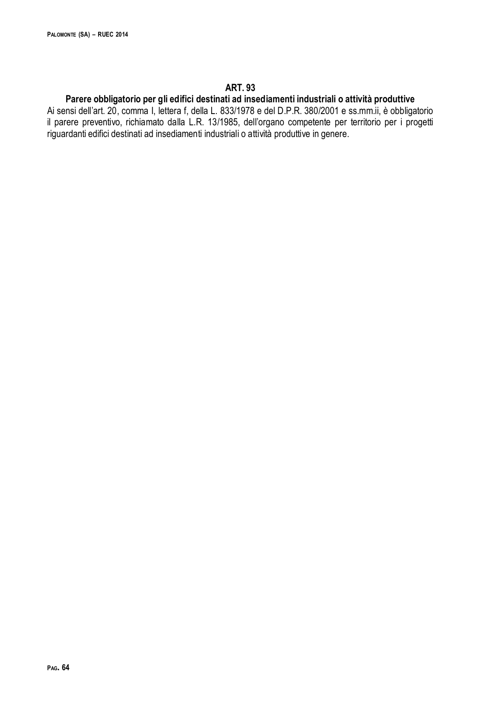# Parere obbligatorio per gli edifici destinati ad insediamenti industriali o attività produttive

Ai sensi dell'art. 20, comma I, lettera f, della L. 833/1978 e del D.P.R. 380/2001 e ss.mm.ii, è obbligatorio il parere preventivo, richiamato dalla L.R. 13/1985, dell'organo competente per territorio per i progetti riguardanti edifici destinati ad insediamenti industriali o attività produttive in genere.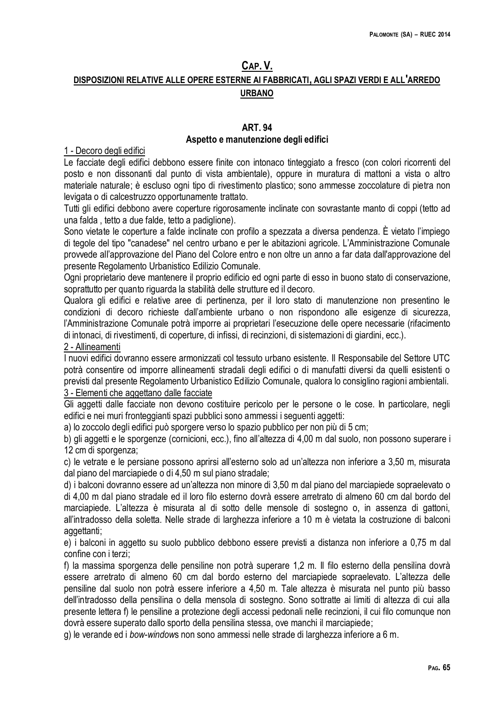# CAP. V.

## DISPOSIZIONI RELATIVE ALLE OPERE ESTERNE AI FABBRICATI, AGLI SPAZI VERDI E ALL'ARREDO URBANO

## ART. 94

## Aspetto e manutenzione degli edifici

1 - Decoro degli edifici

Le facciate degli edifici debbono essere finite con intonaco tinteggiato a fresco (con colori ricorrenti del posto e non dissonanti dal punto di vista ambientale), oppure in muratura di mattoni a vista o altro materiale naturale; è escluso ogni tipo di rivestimento plastico; sono ammesse zoccolature di pietra non levigata o di calcestruzzo opportunamente trattato.

Tutti gli edifici debbono avere coperture rigorosamente inclinate con sovrastante manto di coppi (tetto ad una falda , tetto a due falde, tetto a padiglione).

Sono vietate le coperture a falde inclinate con profilo a spezzata a diversa pendenza. È vietato l'impiego di tegole del tipo "canadese" nel centro urbano e per le abitazioni agricole. L'Amministrazione Comunale provvede all'approvazione del Piano del Colore entro e non oltre un anno a far data dall'approvazione del presente Regolamento Urbanistico Edilizio Comunale.

Ogni proprietario deve mantenere il proprio edificio ed ogni parte di esso in buono stato di conservazione, soprattutto per quanto riguarda la stabilità delle strutture ed il decoro.

Qualora gli edifici e relative aree di pertinenza, per il loro stato di manutenzione non presentino le condizioni di decoro richieste dall'ambiente urbano o non rispondono alle esigenze di sicurezza, l'Amministrazione Comunale potrà imporre ai proprietari l'esecuzione delle opere necessarie (rifacimento di intonaci, di rivestimenti, di coperture, di infissi, di recinzioni, di sistemazioni di giardini, ecc.).

#### 2 - Allineamenti

I nuovi edifici dovranno essere armonizzati col tessuto urbano esistente. Il Responsabile del Settore UTC potrà consentire od imporre allineamenti stradali degli edifici o di manufatti diversi da quelli esistenti o previsti dal presente Regolamento Urbanistico Edilizio Comunale, qualora lo consiglino ragioni ambientali. 3 - Elementi che aggettano dalle facciate

Gli aggetti dalle facciate non devono costituire pericolo per le persone o le cose. In particolare, negli edifici e nei muri fronteggianti spazi pubblici sono ammessi i seguenti aggetti:

a) lo zoccolo degli edifici può sporgere verso lo spazio pubblico per non più di 5 cm;

b) gli aggetti e le sporgenze (cornicioni, ecc.), fino all'altezza di 4,00 m dal suolo, non possono superare i 12 cm di sporgenza;

c) le vetrate e le persiane possono aprirsi all'esterno solo ad un'altezza non inferiore a 3,50 m, misurata dal piano del marciapiede o di 4,50 m sul piano stradale;

d) i balconi dovranno essere ad un'altezza non minore di 3,50 m dal piano del marciapiede sopraelevato o di 4,00 m dal piano stradale ed il loro filo esterno dovrà essere arretrato di almeno 60 cm dal bordo del marciapiede. L'altezza è misurata al di sotto delle mensole di sostegno o, in assenza di gattoni, all'intradosso della soletta. Nelle strade di larghezza inferiore a 10 m è vietata la costruzione di balconi aggettanti:

e) i balconi in aggetto su suolo pubblico debbono essere previsti a distanza non inferiore a 0,75 m dal confine con i terzi;

f) la massima sporgenza delle pensiline non potrà superare 1,2 m. Il filo esterno della pensilina dovrà essere arretrato di almeno 60 cm dal bordo esterno del marciapiede sopraelevato. L'altezza delle pensiline dal suolo non potrà essere inferiore a 4,50 m. Tale altezza è misurata nel punto più basso dell'intradosso della pensilina o della mensola di sostegno. Sono sottratte ai limiti di altezza di cui alla presente lettera f) le pensiline a protezione degli accessi pedonali nelle recinzioni, il cui filo comunque non dovrà essere superato dallo sporto della pensilina stessa, ove manchi il marciapiede;

g) le verande ed i bow-windows non sono ammessi nelle strade di larghezza inferiore a 6 m.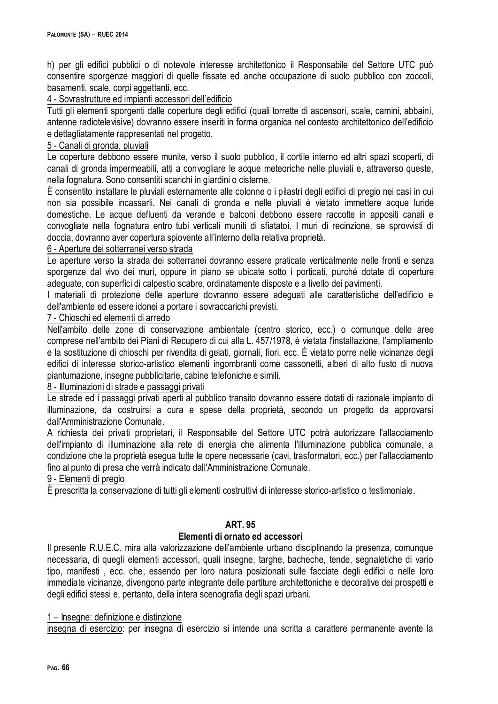h) per gli edifici pubblici o di notevole interesse architettonico il Responsabile del Settore UTC può consentire sporgenze maggiori di quelle fissate ed anche occupazione di suolo pubblico con zoccoli, basamenti, scale, corpi aggettanti, ecc.

#### 4 - Sovrastrutture ed impianti accessori dell'edificio

Tutti gli elementi sporgenti dalle coperture degli edifici (quali torrette di ascensori, scale, camini, abbaini, antenne radiotelevisive) dovranno essere inseriti in forma organica nel contesto architettonico dell'edificio e dettagliatamente rappresentati nel progetto.

## 5 - Canali di gronda, pluviali

Le coperture debbono essere munite, verso il suolo pubblico, il cortile interno ed altri spazi scoperti, di canali di gronda impermeabili, atti a convogliare le acque meteoriche nelle pluviali e, attraverso queste, nella fognatura. Sono consentiti scarichi in giardini o cisterne.

È consentito installare le pluviali esternamente alle colonne o i pilastri degli edifici di pregio nei casi in cui non sia possibile incassarli. Nei canali di gronda e nelle pluviali è vietato immettere acque luride domestiche. Le acque defluenti da verande e balconi debbono essere raccolte in appositi canali e convogliate nella fognatura entro tubi verticali muniti di sfiatatoi. I muri di recinzione, se sprovvisti di doccia, dovranno aver copertura spiovente all'interno della relativa proprietà.

#### 6 - Aperture dei sotterranei verso strada

Le aperture verso la strada dei sotterranei dovranno essere praticate verticalmente nelle fronti e senza sporgenze dal vivo dei muri, oppure in piano se ubicate sotto i porticati, purché dotate di coperture adeguate, con superfici di calpestio scabre, ordinatamente disposte e a livello dei pavimenti.

I materiali di protezione delle aperture dovranno essere adeguati alle caratteristiche dell'edificio e dell'ambiente ed essere idonei a portare i sovraccarichi previsti.

#### 7 - Chioschi ed elementi di arredo

Nell'ambito delle zone di conservazione ambientale (centro storico, ecc.) o comunque delle aree comprese nell'ambito dei Piani di Recupero di cui alla L. 457/1978, è vietata l'installazione, l'ampliamento e la sostituzione di chioschi per rivendita di gelati, giornali, fiori, ecc. È vietato porre nelle vicinanze degli edifici di interesse storico-artistico elementi ingombranti come cassonetti, alberi di alto fusto di nuova piantumazione, insegne pubblicitarie, cabine telefoniche e simili.

#### 8 - Illuminazioni di strade e passaggi privati

Le strade ed i passaggi privati aperti al pubblico transito dovranno essere dotati di razionale impianto di illuminazione, da costruirsi a cura e spese della proprietà, secondo un progetto da approvarsi dall'Amministrazione Comunale.

A richiesta dei privati proprietari, il Responsabile del Settore UTC potrà autorizzare l'allacciamento dell'impianto di illuminazione alla rete di energia che alimenta l'illuminazione pubblica comunale, a condizione che la proprietà esegua tutte le opere necessarie (cavi, trasformatori, ecc.) per l'allacciamento fino al punto di presa che verrà indicato dall'Amministrazione Comunale.

#### 9 - Elementi di pregio

È prescritta la conservazione di tutti gli elementi costruttivi di interesse storico-artistico o testimoniale.

#### ART. 95

#### Elementi di ornato ed accessori

Il presente R.U.E.C. mira alla valorizzazione dell'ambiente urbano disciplinando la presenza, comunque necessaria, di quegli elementi accessori, quali insegne, targhe, bacheche, tende, segnaletiche di vario tipo, manifesti , ecc. che, essendo per loro natura posizionati sulle facciate degli edifici o nelle loro immediate vicinanze, divengono parte integrante delle partiture architettoniche e decorative dei prospetti e degli edifici stessi e, pertanto, della intera scenografia degli spazi urbani.

#### 1 – Insegne: definizione e distinzione

insegna di esercizio: per insegna di esercizio si intende una scritta a carattere permanente avente la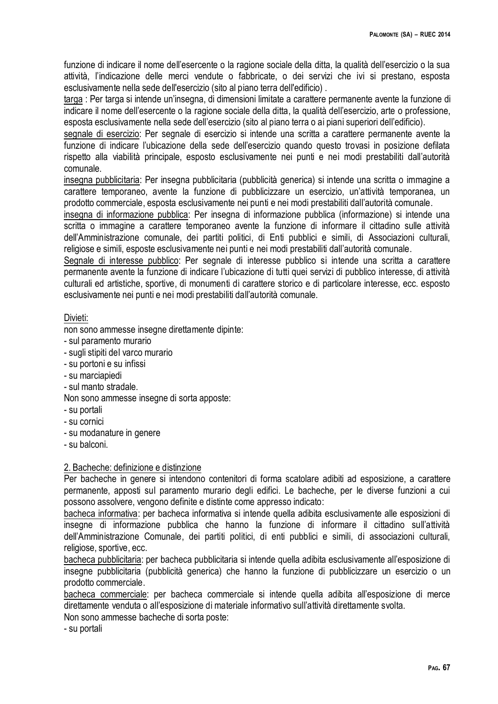funzione di indicare il nome dell'esercente o la ragione sociale della ditta, la qualità dell'esercizio o la sua attività, l'indicazione delle merci vendute o fabbricate, o dei servizi che ivi si prestano, esposta esclusivamente nella sede dell'esercizio (sito al piano terra dell'edificio) .

targa : Per targa si intende un'insegna, di dimensioni limitate a carattere permanente avente la funzione di indicare il nome dell'esercente o la ragione sociale della ditta, la qualità dell'esercizio, arte o professione, esposta esclusivamente nella sede dell'esercizio (sito al piano terra o ai piani superiori dell'edificio).

segnale di esercizio: Per segnale di esercizio si intende una scritta a carattere permanente avente la funzione di indicare l'ubicazione della sede dell'esercizio quando questo trovasi in posizione defilata rispetto alla viabilità principale, esposto esclusivamente nei punti e nei modi prestabiliti dall'autorità comunale.

insegna pubblicitaria: Per insegna pubblicitaria (pubblicità generica) si intende una scritta o immagine a carattere temporaneo, avente la funzione di pubblicizzare un esercizio, un'attività temporanea, un prodotto commerciale, esposta esclusivamente nei punti e nei modi prestabiliti dall'autorità comunale.

insegna di informazione pubblica: Per insegna di informazione pubblica (informazione) si intende una scritta o immagine a carattere temporaneo avente la funzione di informare il cittadino sulle attività dell'Amministrazione comunale, dei partiti politici, di Enti pubblici e simili, di Associazioni culturali, religiose e simili, esposte esclusivamente nei punti e nei modi prestabiliti dall'autorità comunale.

Segnale di interesse pubblico: Per segnale di interesse pubblico si intende una scritta a carattere permanente avente la funzione di indicare l'ubicazione di tutti quei servizi di pubblico interesse, di attività culturali ed artistiche, sportive, di monumenti di carattere storico e di particolare interesse, ecc. esposto esclusivamente nei punti e nei modi prestabiliti dall'autorità comunale.

#### Divieti:

non sono ammesse insegne direttamente dipinte:

- sul paramento murario
- sugli stipiti del varco murario
- su portoni e su infissi
- su marciapiedi
- sul manto stradale.

Non sono ammesse insegne di sorta apposte:

- su portali
- su cornici
- su modanature in genere
- su balconi.

#### 2. Bacheche: definizione e distinzione

Per bacheche in genere si intendono contenitori di forma scatolare adibiti ad esposizione, a carattere permanente, apposti sul paramento murario degli edifici. Le bacheche, per le diverse funzioni a cui possono assolvere, vengono definite e distinte come appresso indicato:

bacheca informativa: per bacheca informativa si intende quella adibita esclusivamente alle esposizioni di insegne di informazione pubblica che hanno la funzione di informare il cittadino sull'attività dell'Amministrazione Comunale, dei partiti politici, di enti pubblici e simili, di associazioni culturali, religiose, sportive, ecc.

bacheca pubblicitaria: per bacheca pubblicitaria si intende quella adibita esclusivamente all'esposizione di insegne pubblicitaria (pubblicità generica) che hanno la funzione di pubblicizzare un esercizio o un prodotto commerciale.

bacheca commerciale: per bacheca commerciale si intende quella adibita all'esposizione di merce direttamente venduta o all'esposizione di materiale informativo sull'attività direttamente svolta.

Non sono ammesse bacheche di sorta poste:

- su portali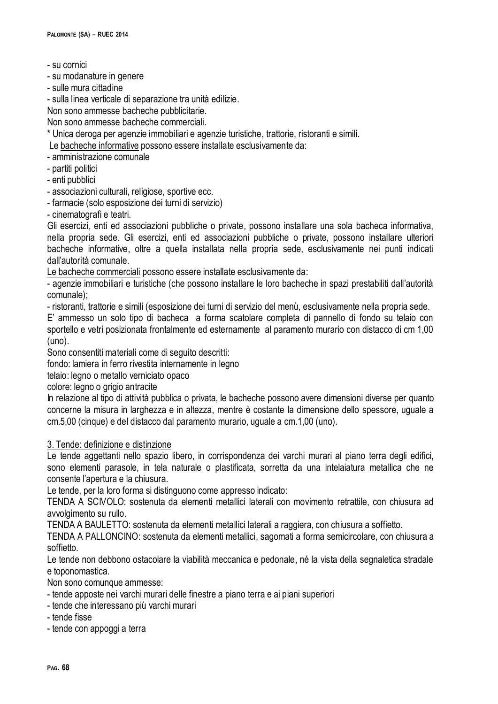- su cornici
- su modanature in genere
- sulle mura cittadine

- sulla linea verticale di separazione tra unità edilizie.

Non sono ammesse bacheche pubblicitarie.

Non sono ammesse bacheche commerciali.

\* Unica deroga per agenzie immobiliari e agenzie turistiche, trattorie, ristoranti e simili.

Le bacheche informative possono essere installate esclusivamente da:

- amministrazione comunale

- partiti politici
- enti pubblici
- associazioni culturali, religiose, sportive ecc.
- farmacie (solo esposizione dei turni di servizio)
- cinematografi e teatri.

Gli esercizi, enti ed associazioni pubbliche o private, possono installare una sola bacheca informativa, nella propria sede. Gli esercizi, enti ed associazioni pubbliche o private, possono installare ulteriori bacheche informative, oltre a quella installata nella propria sede, esclusivamente nei punti indicati dall'autorità comunale.

Le bacheche commerciali possono essere installate esclusivamente da:

- agenzie immobiliari e turistiche (che possono installare le loro bacheche in spazi prestabiliti dall'autorità comunale);

- ristoranti, trattorie e simili (esposizione dei turni di servizio del menù, esclusivamente nella propria sede.

E' ammesso un solo tipo di bacheca a forma scatolare completa di pannello di fondo su telaio con sportello e vetri posizionata frontalmente ed esternamente al paramento murario con distacco di cm 1,00 (uno).

Sono consentiti materiali come di seguito descritti:

fondo: lamiera in ferro rivestita internamente in legno

telaio: legno o metallo verniciato opaco

colore: legno o grigio antracite

In relazione al tipo di attività pubblica o privata, le bacheche possono avere dimensioni diverse per quanto concerne la misura in larghezza e in altezza, mentre è costante la dimensione dello spessore, uguale a cm.5,00 (cinque) e del distacco dal paramento murario, uguale a cm.1,00 (uno).

## 3. Tende: definizione e distinzione

Le tende aggettanti nello spazio libero, in corrispondenza dei varchi murari al piano terra degli edifici, sono elementi parasole, in tela naturale o plastificata, sorretta da una intelaiatura metallica che ne consente l'apertura e la chiusura.

Le tende, per la loro forma si distinguono come appresso indicato:

TENDA A SCIVOLO: sostenuta da elementi metallici laterali con movimento retrattile, con chiusura ad avvolgimento su rullo.

TENDA A BAULETTO: sostenuta da elementi metallici laterali a raggiera, con chiusura a soffietto.

TENDA A PALLONCINO: sostenuta da elementi metallici, sagomati a forma semicircolare, con chiusura a soffietto.

Le tende non debbono ostacolare la viabilità meccanica e pedonale, né la vista della segnaletica stradale e toponomastica.

Non sono comunque ammesse:

- tende apposte nei varchi murari delle finestre a piano terra e ai piani superiori
- tende che interessano più varchi murari
- tende fisse
- tende con appoggi a terra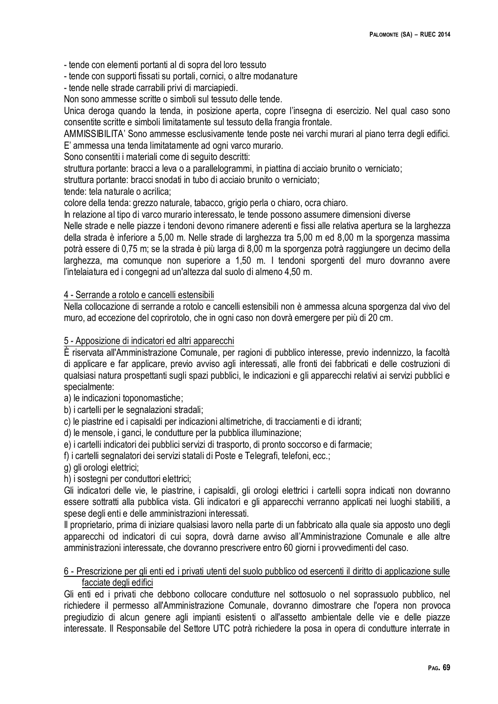- tende con elementi portanti al di sopra del loro tessuto

- tende con supporti fissati su portali, cornici, o altre modanature

- tende nelle strade carrabili privi di marciapiedi.

Non sono ammesse scritte o simboli sul tessuto delle tende.

Unica deroga quando la tenda, in posizione aperta, copre l'insegna di esercizio. Nel qual caso sono consentite scritte e simboli limitatamente sul tessuto della frangia frontale.

AMMISSIBILITA' Sono ammesse esclusivamente tende poste nei varchi murari al piano terra degli edifici. E' ammessa una tenda limitatamente ad ogni varco murario.

Sono consentiti i materiali come di seguito descritti:

struttura portante: bracci a leva o a parallelogrammi, in piattina di acciaio brunito o verniciato;

struttura portante: bracci snodati in tubo di acciaio brunito o verniciato;

tende: tela naturale o acrilica;

colore della tenda: grezzo naturale, tabacco, grigio perla o chiaro, ocra chiaro.

In relazione al tipo di varco murario interessato, le tende possono assumere dimensioni diverse

Nelle strade e nelle piazze i tendoni devono rimanere aderenti e fissi alle relativa apertura se la larghezza della strada è inferiore a 5,00 m. Nelle strade di larghezza tra 5,00 m ed 8,00 m la sporgenza massima potrà essere di 0,75 m; se la strada è più larga di 8,00 m la sporgenza potrà raggiungere un decimo della larghezza, ma comunque non superiore a 1,50 m. I tendoni sporgenti del muro dovranno avere l'intelaiatura ed i congegni ad un'altezza dal suolo di almeno 4,50 m.

#### 4 - Serrande a rotolo e cancelli estensibili

Nella collocazione di serrande a rotolo e cancelli estensibili non è ammessa alcuna sporgenza dal vivo del muro, ad eccezione del coprirotolo, che in ogni caso non dovrà emergere per più di 20 cm.

#### 5 - Apposizione di indicatori ed altri apparecchi

È riservata all'Amministrazione Comunale, per ragioni di pubblico interesse, previo indennizzo, la facoltà di applicare e far applicare, previo avviso agli interessati, alle fronti dei fabbricati e delle costruzioni di qualsiasi natura prospettanti sugli spazi pubblici, le indicazioni e gli apparecchi relativi ai servizi pubblici e specialmente:

a) le indicazioni toponomastiche;

b) i cartelli per le segnalazioni stradali;

c) le piastrine ed i capisaldi per indicazioni altimetriche, di tracciamenti e di idranti;

d) le mensole, i ganci, le condutture per la pubblica illuminazione;

e) i cartelli indicatori dei pubblici servizi di trasporto, di pronto soccorso e di farmacie;

f) i cartelli segnalatori dei servizi statali di Poste e Telegrafi, telefoni, ecc.;

g) gli orologi elettrici;

h) i sostegni per conduttori elettrici;

Gli indicatori delle vie, le piastrine, i capisaldi, gli orologi elettrici i cartelli sopra indicati non dovranno essere sottratti alla pubblica vista. Gli indicatori e gli apparecchi verranno applicati nei luoghi stabiliti, a spese degli enti e delle amministrazioni interessati.

Il proprietario, prima di iniziare qualsiasi lavoro nella parte di un fabbricato alla quale sia apposto uno degli apparecchi od indicatori di cui sopra, dovrà darne avviso all'Amministrazione Comunale e alle altre amministrazioni interessate, che dovranno prescrivere entro 60 giorni i provvedimenti del caso.

#### 6 - Prescrizione per gli enti ed i privati utenti del suolo pubblico od esercenti il diritto di applicazione sulle facciate degli edifici

Gli enti ed i privati che debbono collocare condutture nel sottosuolo o nel soprassuolo pubblico, nel richiedere il permesso all'Amministrazione Comunale, dovranno dimostrare che l'opera non provoca pregiudizio di alcun genere agli impianti esistenti o all'assetto ambientale delle vie e delle piazze interessate. Il Responsabile del Settore UTC potrà richiedere la posa in opera di condutture interrate in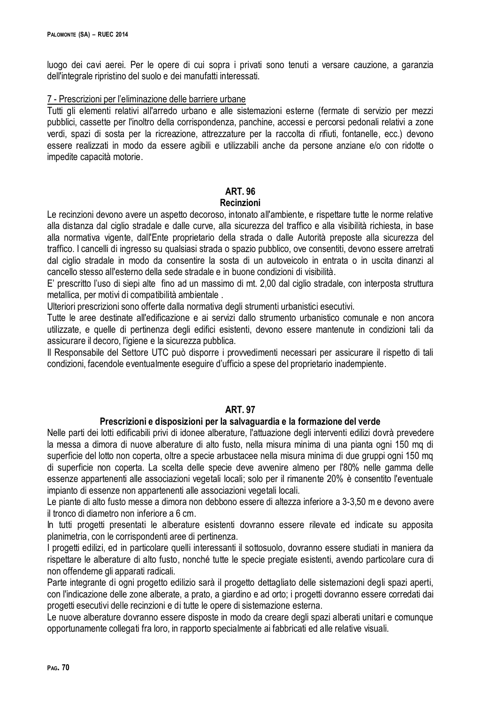luogo dei cavi aerei. Per le opere di cui sopra i privati sono tenuti a versare cauzione, a garanzia dell'integrale ripristino del suolo e dei manufatti interessati.

#### 7 - Prescrizioni per l'eliminazione delle barriere urbane

Tutti gli elementi relativi all'arredo urbano e alle sistemazioni esterne (fermate di servizio per mezzi pubblici, cassette per l'inoltro della corrispondenza, panchine, accessi e percorsi pedonali relativi a zone verdi, spazi di sosta per la ricreazione, attrezzature per la raccolta di rifiuti, fontanelle, ecc.) devono essere realizzati in modo da essere agibili e utilizzabili anche da persone anziane e/o con ridotte o impedite capacità motorie.

# ART. 96

#### Recinzioni

Le recinzioni devono avere un aspetto decoroso, intonato all'ambiente, e rispettare tutte le norme relative alla distanza dal ciglio stradale e dalle curve, alla sicurezza del traffico e alla visibilità richiesta, in base alla normativa vigente, dall'Ente proprietario della strada o dalle Autorità preposte alla sicurezza del traffico. I cancelli di ingresso su qualsiasi strada o spazio pubblico, ove consentiti, devono essere arretrati dal ciglio stradale in modo da consentire la sosta di un autoveicolo in entrata o in uscita dinanzi al cancello stesso all'esterno della sede stradale e in buone condizioni di visibilità.

E' prescritto l'uso di siepi alte fino ad un massimo di mt. 2,00 dal ciglio stradale, con interposta struttura metallica, per motivi di compatibilità ambientale .

Ulteriori prescrizioni sono offerte dalla normativa degli strumenti urbanistici esecutivi.

Tutte le aree destinate all'edificazione e ai servizi dallo strumento urbanistico comunale e non ancora utilizzate, e quelle di pertinenza degli edifici esistenti, devono essere mantenute in condizioni tali da assicurare il decoro, l'igiene e la sicurezza pubblica.

Il Responsabile del Settore UTC può disporre i provvedimenti necessari per assicurare il rispetto di tali condizioni, facendole eventualmente eseguire d'ufficio a spese del proprietario inadempiente.

#### ART. 97

#### Prescrizioni e disposizioni per la salvaguardia e la formazione del verde

Nelle parti dei lotti edificabili privi di idonee alberature, l'attuazione degli interventi edilizi dovrà prevedere la messa a dimora di nuove alberature di alto fusto, nella misura minima di una pianta ogni 150 mq di superficie del lotto non coperta, oltre a specie arbustacee nella misura minima di due gruppi ogni 150 mq di superficie non coperta. La scelta delle specie deve avvenire almeno per l'80% nelle gamma delle essenze appartenenti alle associazioni vegetali locali; solo per il rimanente 20% è consentito l'eventuale impianto di essenze non appartenenti alle associazioni vegetali locali.

Le piante di alto fusto messe a dimora non debbono essere di altezza inferiore a 3-3,50 m e devono avere il tronco di diametro non inferiore a 6 cm.

In tutti progetti presentati le alberature esistenti dovranno essere rilevate ed indicate su apposita planimetria, con le corrispondenti aree di pertinenza.

I progetti edilizi, ed in particolare quelli interessanti il sottosuolo, dovranno essere studiati in maniera da rispettare le alberature di alto fusto, nonché tutte le specie pregiate esistenti, avendo particolare cura di non offenderne gli apparati radicali.

Parte integrante di ogni progetto edilizio sarà il progetto dettagliato delle sistemazioni degli spazi aperti, con l'indicazione delle zone alberate, a prato, a giardino e ad orto; i progetti dovranno essere corredati dai progetti esecutivi delle recinzioni e di tutte le opere di sistemazione esterna.

Le nuove alberature dovranno essere disposte in modo da creare degli spazi alberati unitari e comunque opportunamente collegati fra loro, in rapporto specialmente ai fabbricati ed alle relative visuali.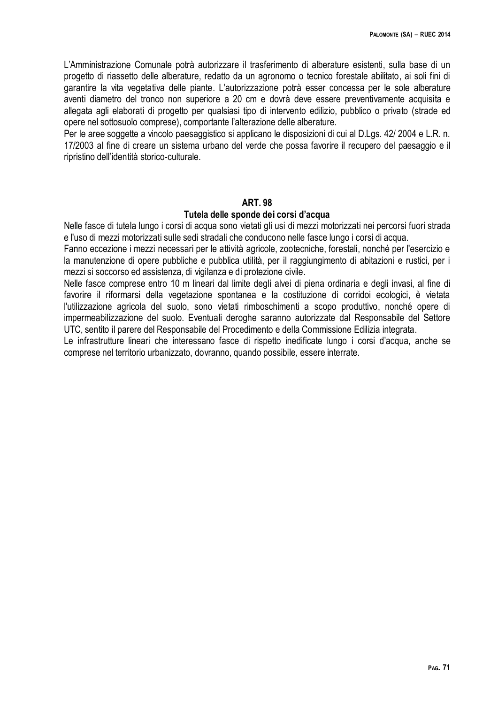L'Amministrazione Comunale potrà autorizzare il trasferimento di alberature esistenti, sulla base di un progetto di riassetto delle alberature, redatto da un agronomo o tecnico forestale abilitato, ai soli fini di garantire la vita vegetativa delle piante. L'autorizzazione potrà esser concessa per le sole alberature aventi diametro del tronco non superiore a 20 cm e dovrà deve essere preventivamente acquisita e allegata agli elaborati di progetto per qualsiasi tipo di intervento edilizio, pubblico o privato (strade ed opere nel sottosuolo comprese), comportante l'alterazione delle alberature.

Per le aree soggette a vincolo paesaggistico si applicano le disposizioni di cui al D.Lgs. 42/ 2004 e L.R. n. 17/2003 al fine di creare un sistema urbano del verde che possa favorire il recupero del paesaggio e il ripristino dell'identità storico-culturale.

#### ART. 98

#### Tutela delle sponde dei corsi d'acqua

Nelle fasce di tutela lungo i corsi di acqua sono vietati gli usi di mezzi motorizzati nei percorsi fuori strada e l'uso di mezzi motorizzati sulle sedi stradali che conducono nelle fasce lungo i corsi di acqua.

Fanno eccezione i mezzi necessari per le attività agricole, zootecniche, forestali, nonché per l'esercizio e la manutenzione di opere pubbliche e pubblica utilità, per il raggiungimento di abitazioni e rustici, per i mezzi si soccorso ed assistenza, di vigilanza e di protezione civile.

Nelle fasce comprese entro 10 m lineari dal limite degli alvei di piena ordinaria e degli invasi, al fine di favorire il riformarsi della vegetazione spontanea e la costituzione di corridoi ecologici, è vietata l'utilizzazione agricola del suolo, sono vietati rimboschimenti a scopo produttivo, nonché opere di impermeabilizzazione del suolo. Eventuali deroghe saranno autorizzate dal Responsabile del Settore UTC, sentito il parere del Responsabile del Procedimento e della Commissione Edilizia integrata.

Le infrastrutture lineari che interessano fasce di rispetto inedificate lungo i corsi d'acqua, anche se comprese nel territorio urbanizzato, dovranno, quando possibile, essere interrate.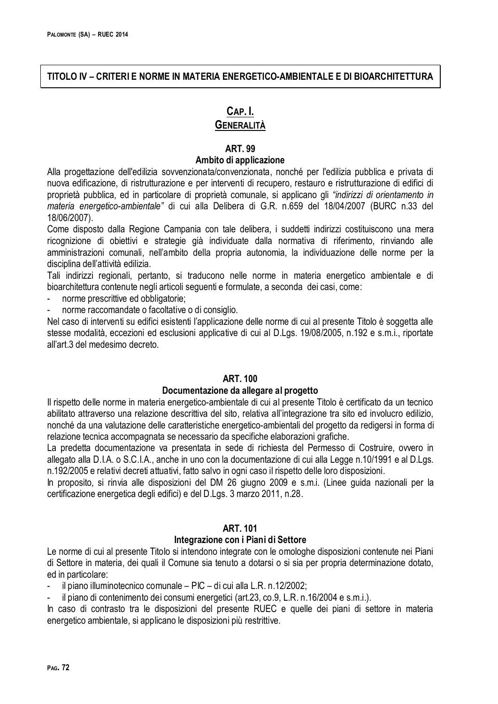# TITOLO IV – CRITERI E NORME IN MATERIA ENERGETICO-AMBIENTALE E DI BIOARCHITETTURA

# CAP. I. GENERALITÀ

### ART. 99

### Ambito di applicazione

Alla progettazione dell'edilizia sovvenzionata/convenzionata, nonché per l'edilizia pubblica e privata di nuova edificazione, di ristrutturazione e per interventi di recupero, restauro e ristrutturazione di edifici di proprietà pubblica, ed in particolare di proprietà comunale, si applicano gli "indirizzi di orientamento in materia energetico-ambientale" di cui alla Delibera di G.R. n.659 del 18/04/2007 (BURC n.33 del 18/06/2007).

Come disposto dalla Regione Campania con tale delibera, i suddetti indirizzi costituiscono una mera ricognizione di obiettivi e strategie già individuate dalla normativa di riferimento, rinviando alle amministrazioni comunali, nell'ambito della propria autonomia, la individuazione delle norme per la disciplina dell'attività edilizia.

Tali indirizzi regionali, pertanto, si traducono nelle norme in materia energetico ambientale e di bioarchitettura contenute negli articoli seguenti e formulate, a seconda dei casi, come:

- norme prescrittive ed obbligatorie;

- norme raccomandate o facoltative o di consiglio.

Nel caso di interventi su edifici esistenti l'applicazione delle norme di cui al presente Titolo è soggetta alle stesse modalità, eccezioni ed esclusioni applicative di cui al D.Lgs. 19/08/2005, n.192 e s.m.i., riportate all'art.3 del medesimo decreto.

#### ART. 100

#### Documentazione da allegare al progetto

Il rispetto delle norme in materia energetico-ambientale di cui al presente Titolo è certificato da un tecnico abilitato attraverso una relazione descrittiva del sito, relativa all'integrazione tra sito ed involucro edilizio, nonché da una valutazione delle caratteristiche energetico-ambientali del progetto da redigersi in forma di relazione tecnica accompagnata se necessario da specifiche elaborazioni grafiche.

La predetta documentazione va presentata in sede di richiesta del Permesso di Costruire, ovvero in allegato alla D.I.A. o S.C.I.A., anche in uno con la documentazione di cui alla Legge n.10/1991 e al D.Lgs. n.192/2005 e relativi decreti attuativi, fatto salvo in ogni caso il rispetto delle loro disposizioni.

In proposito, si rinvia alle disposizioni del DM 26 giugno 2009 e s.m.i. (Linee guida nazionali per la certificazione energetica degli edifici) e del D.Lgs. 3 marzo 2011, n.28.

### ART. 101

### Integrazione con i Piani di Settore

Le norme di cui al presente Titolo si intendono integrate con le omologhe disposizioni contenute nei Piani di Settore in materia, dei quali il Comune sia tenuto a dotarsi o si sia per propria determinazione dotato, ed in particolare:

- il piano illuminotecnico comunale – PIC – di cui alla L.R. n.12/2002;

il piano di contenimento dei consumi energetici (art. 23, co. 9, L.R. n. 16/2004 e s.m.i.).

In caso di contrasto tra le disposizioni del presente RUEC e quelle dei piani di settore in materia energetico ambientale, si applicano le disposizioni più restrittive.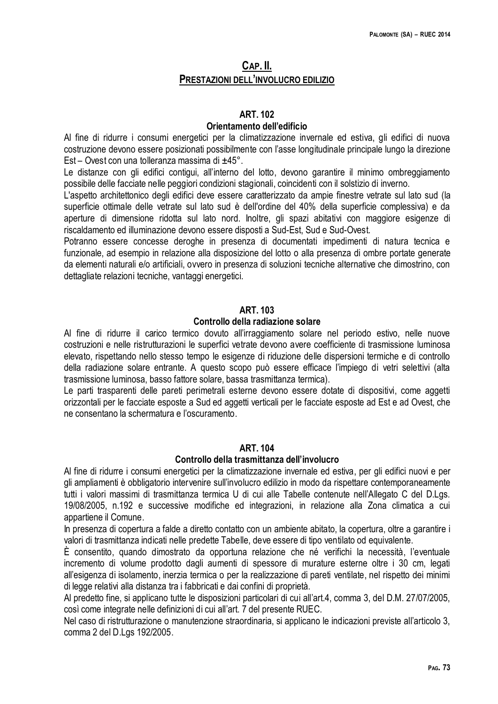# CAP. II. PRESTAZIONI DELL'INVOLUCRO EDILIZIO

#### ART. 102

### Orientamento dell'edificio

Al fine di ridurre i consumi energetici per la climatizzazione invernale ed estiva, gli edifici di nuova costruzione devono essere posizionati possibilmente con l'asse longitudinale principale lungo la direzione Est – Ovest con una tolleranza massima di ±45°.

Le distanze con gli edifici contigui, all'interno del lotto, devono garantire il minimo ombreggiamento possibile delle facciate nelle peggiori condizioni stagionali, coincidenti con il solstizio di inverno.

L'aspetto architettonico degli edifici deve essere caratterizzato da ampie finestre vetrate sul lato sud (la superficie ottimale delle vetrate sul lato sud è dell'ordine del 40% della superficie complessiva) e da aperture di dimensione ridotta sul lato nord. Inoltre, gli spazi abitativi con maggiore esigenze di riscaldamento ed illuminazione devono essere disposti a Sud-Est, Sud e Sud-Ovest.

Potranno essere concesse deroghe in presenza di documentati impedimenti di natura tecnica e funzionale, ad esempio in relazione alla disposizione del lotto o alla presenza di ombre portate generate da elementi naturali e/o artificiali, ovvero in presenza di soluzioni tecniche alternative che dimostrino, con dettagliate relazioni tecniche, vantaggi energetici.

### ART. 103

#### Controllo della radiazione solare

Al fine di ridurre il carico termico dovuto all'irraggiamento solare nel periodo estivo, nelle nuove costruzioni e nelle ristrutturazioni le superfici vetrate devono avere coefficiente di trasmissione luminosa elevato, rispettando nello stesso tempo le esigenze di riduzione delle dispersioni termiche e di controllo della radiazione solare entrante. A questo scopo può essere efficace l'impiego di vetri selettivi (alta trasmissione luminosa, basso fattore solare, bassa trasmittanza termica).

Le parti trasparenti delle pareti perimetrali esterne devono essere dotate di dispositivi, come aggetti orizzontali per le facciate esposte a Sud ed aggetti verticali per le facciate esposte ad Est e ad Ovest, che ne consentano la schermatura e l'oscuramento.

### ART. 104

#### Controllo della trasmittanza dell'involucro

Al fine di ridurre i consumi energetici per la climatizzazione invernale ed estiva, per gli edifici nuovi e per gli ampliamenti è obbligatorio intervenire sull'involucro edilizio in modo da rispettare contemporaneamente tutti i valori massimi di trasmittanza termica U di cui alle Tabelle contenute nell'Allegato C del D.Lgs. 19/08/2005, n.192 e successive modifiche ed integrazioni, in relazione alla Zona climatica a cui appartiene il Comune.

In presenza di copertura a falde a diretto contatto con un ambiente abitato, la copertura, oltre a garantire i valori di trasmittanza indicati nelle predette Tabelle, deve essere di tipo ventilato od equivalente.

È consentito, quando dimostrato da opportuna relazione che né verifichi la necessità, l'eventuale incremento di volume prodotto dagli aumenti di spessore di murature esterne oltre i 30 cm, legati all'esigenza di isolamento, inerzia termica o per la realizzazione di pareti ventilate, nel rispetto dei minimi di legge relativi alla distanza tra i fabbricati e dai confini di proprietà.

Al predetto fine, si applicano tutte le disposizioni particolari di cui all'art.4, comma 3, del D.M. 27/07/2005, così come integrate nelle definizioni di cui all'art. 7 del presente RUEC.

Nel caso di ristrutturazione o manutenzione straordinaria, si applicano le indicazioni previste all'articolo 3, comma 2 del D.Lgs 192/2005.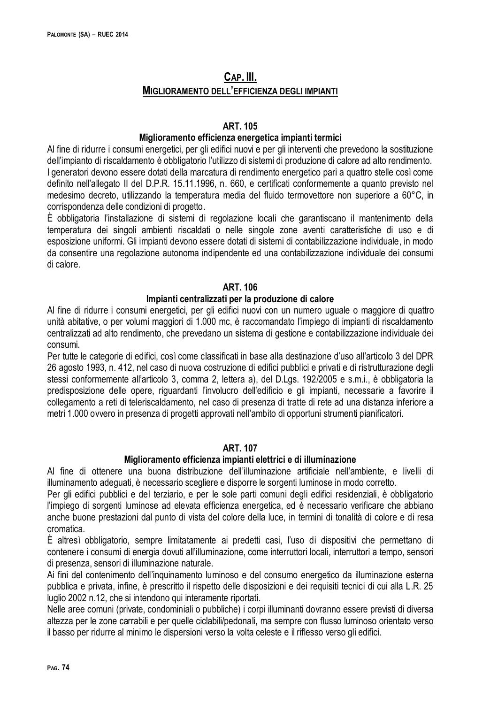# CAP. III. MIGLIORAMENTO DELL'EFFICIENZA DEGLI IMPIANTI

### ART. 105

### Miglioramento efficienza energetica impianti termici

Al fine di ridurre i consumi energetici, per gli edifici nuovi e per gli interventi che prevedono la sostituzione dell'impianto di riscaldamento è obbligatorio l'utilizzo di sistemi di produzione di calore ad alto rendimento. I generatori devono essere dotati della marcatura di rendimento energetico pari a quattro stelle così come definito nell'allegato II del D.P.R. 15.11.1996, n. 660, e certificati conformemente a quanto previsto nel medesimo decreto, utilizzando la temperatura media del fluido termovettore non superiore a 60°C, in corrispondenza delle condizioni di progetto.

È obbligatoria l'installazione di sistemi di regolazione locali che garantiscano il mantenimento della temperatura dei singoli ambienti riscaldati o nelle singole zone aventi caratteristiche di uso e di esposizione uniformi. Gli impianti devono essere dotati di sistemi di contabilizzazione individuale, in modo da consentire una regolazione autonoma indipendente ed una contabilizzazione individuale dei consumi di calore.

### ART. 106

### Impianti centralizzati per la produzione di calore

Al fine di ridurre i consumi energetici, per gli edifici nuovi con un numero uguale o maggiore di quattro unità abitative, o per volumi maggiori di 1.000 mc, è raccomandato l'impiego di impianti di riscaldamento centralizzati ad alto rendimento, che prevedano un sistema di gestione e contabilizzazione individuale dei consumi.

Per tutte le categorie di edifici, così come classificati in base alla destinazione d'uso all'articolo 3 del DPR 26 agosto 1993, n. 412, nel caso di nuova costruzione di edifici pubblici e privati e di ristrutturazione degli stessi conformemente all'articolo 3, comma 2, lettera a), del D.Lgs. 192/2005 e s.m.i., è obbligatoria la predisposizione delle opere, riguardanti l'involucro dell'edificio e gli impianti, necessarie a favorire il collegamento a reti di teleriscaldamento, nel caso di presenza di tratte di rete ad una distanza inferiore a metri 1.000 ovvero in presenza di progetti approvati nell'ambito di opportuni strumenti pianificatori.

### ART. 107

### Miglioramento efficienza impianti elettrici e di illuminazione

Al fine di ottenere una buona distribuzione dell'illuminazione artificiale nell'ambiente, e livelli di illuminamento adeguati, è necessario scegliere e disporre le sorgenti luminose in modo corretto.

Per gli edifici pubblici e del terziario, e per le sole parti comuni degli edifici residenziali, è obbligatorio l'impiego di sorgenti luminose ad elevata efficienza energetica, ed è necessario verificare che abbiano anche buone prestazioni dal punto di vista del colore della luce, in termini di tonalità di colore e di resa cromatica.

È altresì obbligatorio, sempre limitatamente ai predetti casi, l'uso di dispositivi che permettano di contenere i consumi di energia dovuti all'illuminazione, come interruttori locali, interruttori a tempo, sensori di presenza, sensori di illuminazione naturale.

Ai fini del contenimento dell'inquinamento luminoso e del consumo energetico da illuminazione esterna pubblica e privata, infine, è prescritto il rispetto delle disposizioni e dei requisiti tecnici di cui alla L.R. 25 luglio 2002 n.12, che si intendono qui interamente riportati.

Nelle aree comuni (private, condominiali o pubbliche) i corpi illuminanti dovranno essere previsti di diversa altezza per le zone carrabili e per quelle ciclabili/pedonali, ma sempre con flusso luminoso orientato verso il basso per ridurre al minimo le dispersioni verso la volta celeste e il riflesso verso gli edifici.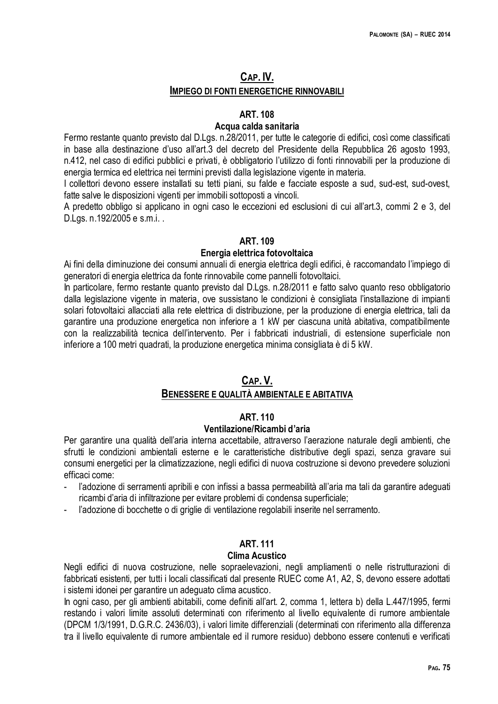# CAP. IV. IMPIEGO DI FONTI ENERGETICHE RINNOVABILI

### ART. 108

#### Acqua calda sanitaria

Fermo restante quanto previsto dal D.Lgs. n.28/2011, per tutte le categorie di edifici, così come classificati in base alla destinazione d'uso all'art.3 del decreto del Presidente della Repubblica 26 agosto 1993, n.412, nel caso di edifici pubblici e privati, è obbligatorio l'utilizzo di fonti rinnovabili per la produzione di energia termica ed elettrica nei termini previsti dalla legislazione vigente in materia.

I collettori devono essere installati su tetti piani, su falde e facciate esposte a sud, sud-est, sud-ovest, fatte salve le disposizioni vigenti per immobili sottoposti a vincoli.

A predetto obbligo si applicano in ogni caso le eccezioni ed esclusioni di cui all'art.3, commi 2 e 3, del D.Lgs. n.192/2005 e s.m.i. .

## ART. 109

### Energia elettrica fotovoltaica

Ai fini della diminuzione dei consumi annuali di energia elettrica degli edifici, è raccomandato l'impiego di generatori di energia elettrica da fonte rinnovabile come pannelli fotovoltaici.

In particolare, fermo restante quanto previsto dal D.Lgs. n.28/2011 e fatto salvo quanto reso obbligatorio dalla legislazione vigente in materia, ove sussistano le condizioni è consigliata l'installazione di impianti solari fotovoltaici allacciati alla rete elettrica di distribuzione, per la produzione di energia elettrica, tali da garantire una produzione energetica non inferiore a 1 kW per ciascuna unità abitativa, compatibilmente con la realizzabilità tecnica dell'intervento. Per i fabbricati industriali, di estensione superficiale non inferiore a 100 metri quadrati, la produzione energetica minima consigliata è di 5 kW.

### CAP. V.

## BENESSERE E QUALITÀ AMBIENTALE E ABITATIVA

### ART. 110

### Ventilazione/Ricambi d'aria

Per garantire una qualità dell'aria interna accettabile, attraverso l'aerazione naturale degli ambienti, che sfrutti le condizioni ambientali esterne e le caratteristiche distributive degli spazi, senza gravare sui consumi energetici per la climatizzazione, negli edifici di nuova costruzione si devono prevedere soluzioni efficaci come:

- l'adozione di serramenti apribili e con infissi a bassa permeabilità all'aria ma tali da garantire adeguati ricambi d'aria di infiltrazione per evitare problemi di condensa superficiale;
- l'adozione di bocchette o di griglie di ventilazione regolabili inserite nel serramento.

## ART. 111

### Clima Acustico

Negli edifici di nuova costruzione, nelle sopraelevazioni, negli ampliamenti o nelle ristrutturazioni di fabbricati esistenti, per tutti i locali classificati dal presente RUEC come A1, A2, S, devono essere adottati i sistemi idonei per garantire un adeguato clima acustico.

In ogni caso, per gli ambienti abitabili, come definiti all'art. 2, comma 1, lettera b) della L.447/1995, fermi restando i valori limite assoluti determinati con riferimento al livello equivalente di rumore ambientale (DPCM 1/3/1991, D.G.R.C. 2436/03), i valori limite differenziali (determinati con riferimento alla differenza tra il livello equivalente di rumore ambientale ed il rumore residuo) debbono essere contenuti e verificati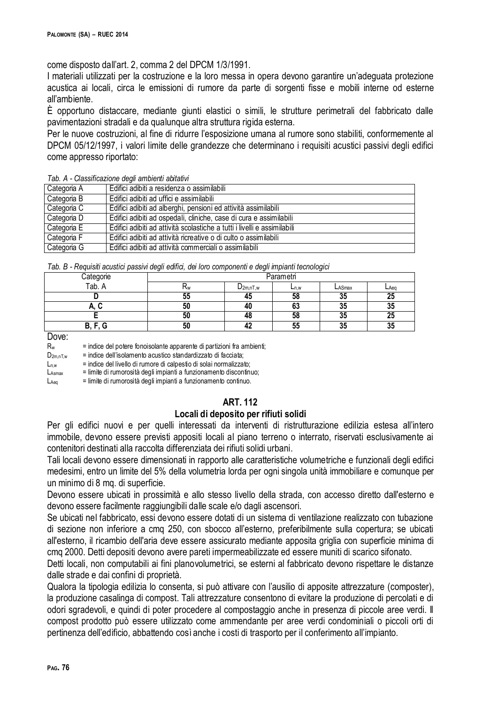come disposto dall'art. 2, comma 2 del DPCM 1/3/1991.

I materiali utilizzati per la costruzione e la loro messa in opera devono garantire un'adeguata protezione acustica ai locali, circa le emissioni di rumore da parte di sorgenti fisse e mobili interne od esterne all'ambiente.

È opportuno distaccare, mediante giunti elastici o simili, le strutture perimetrali del fabbricato dalle pavimentazioni stradali e da qualunque altra struttura rigida esterna.

Per le nuove costruzioni, al fine di ridurre l'esposizione umana al rumore sono stabiliti, conformemente al DPCM 05/12/1997, i valori limite delle grandezze che determinano i requisiti acustici passivi degli edifici come appresso riportato:

Tab. A - Classificazione degli ambienti abitativi

| rap. The cracemodatoric acquitational apitaliti |                                                                          |  |  |
|-------------------------------------------------|--------------------------------------------------------------------------|--|--|
| Categoria A                                     | Edifici adibiti a residenza o assimilabili                               |  |  |
| Categoria B                                     | Edifici adibiti ad uffici e assimilabili                                 |  |  |
| Categoria C                                     | Edifici adibiti ad alberghi, pensioni ed attività assimilabili           |  |  |
| Categoria D                                     | Edifici adibiti ad ospedali, cliniche, case di cura e assimilabili       |  |  |
| Categoria E                                     | Edifici adibiti ad attività scolastiche a tutti i livelli e assimilabili |  |  |
| Categoria F                                     | Edifici adibiti ad attività ricreative o di culto o assimilabili         |  |  |
| Categoria G                                     | Edifici adibiti ad attività commerciali o assimilabili                   |  |  |

Tab. B - Requisiti acustici passivi degli edifici, dei loro componenti e degli impianti tecnologici

| Categorie<br>Tab. A | Parametri |               |           |               |           |
|---------------------|-----------|---------------|-----------|---------------|-----------|
|                     | <b>Kw</b> | $D_{2m,nT,w}$ | Ln,w      | <b>LASmax</b> | LAeg      |
|                     | -.<br>ວະ  |               | 58        | ວວ            | OE.<br>εJ |
|                     | c,<br>ວເ  | 41            | r n<br>სა | კე            | n r<br>vu |
|                     | 50        |               | 58        | აა            | n F<br>23 |
| D                   | ่วเ       |               | 55        | υu            | vu        |

Dove:

| Rw | = indice del potere fonoisolante apparente di partizioni fra ambienti; |
|----|------------------------------------------------------------------------|
|----|------------------------------------------------------------------------|

 $D_{2m,nT,w}$  = indice dell'isolamento acustico standardizzato di facciata;

 $L_{\text{nw}}$  = indice del livello di rumore di calpestio di solai normalizzato;

 $L_{\text{Asmax}}$  = limite di rumorosità degli impianti a funzionamento discontinuo;

 $L_{Aeq}$  = limite di rumorosità degli impianti a funzionamento continuo.

### ART. 112

### Locali di deposito per rifiuti solidi

Per gli edifici nuovi e per quelli interessati da interventi di ristrutturazione edilizia estesa all'intero immobile, devono essere previsti appositi locali al piano terreno o interrato, riservati esclusivamente ai contenitori destinati alla raccolta differenziata dei rifiuti solidi urbani.

Tali locali devono essere dimensionati in rapporto alle caratteristiche volumetriche e funzionali degli edifici medesimi, entro un limite del 5% della volumetria lorda per ogni singola unità immobiliare e comunque per un minimo di 8 mq. di superficie.

Devono essere ubicati in prossimità e allo stesso livello della strada, con accesso diretto dall'esterno e devono essere facilmente raggiungibili dalle scale e/o dagli ascensori.

Se ubicati nel fabbricato, essi devono essere dotati di un sistema di ventilazione realizzato con tubazione di sezione non inferiore a cmq 250, con sbocco all'esterno, preferibilmente sulla copertura; se ubicati all'esterno, il ricambio dell'aria deve essere assicurato mediante apposita griglia con superficie minima di cmq 2000. Detti depositi devono avere pareti impermeabilizzate ed essere muniti di scarico sifonato.

Detti locali, non computabili ai fini planovolumetrici, se esterni al fabbricato devono rispettare le distanze dalle strade e dai confini di proprietà.

Qualora la tipologia edilizia lo consenta, si può attivare con l'ausilio di apposite attrezzature (composter), la produzione casalinga di compost. Tali attrezzature consentono di evitare la produzione di percolati e di odori sgradevoli, e quindi di poter procedere al compostaggio anche in presenza di piccole aree verdi. Il compost prodotto può essere utilizzato come ammendante per aree verdi condominiali o piccoli orti di pertinenza dell'edificio, abbattendo così anche i costi di trasporto per il conferimento all'impianto.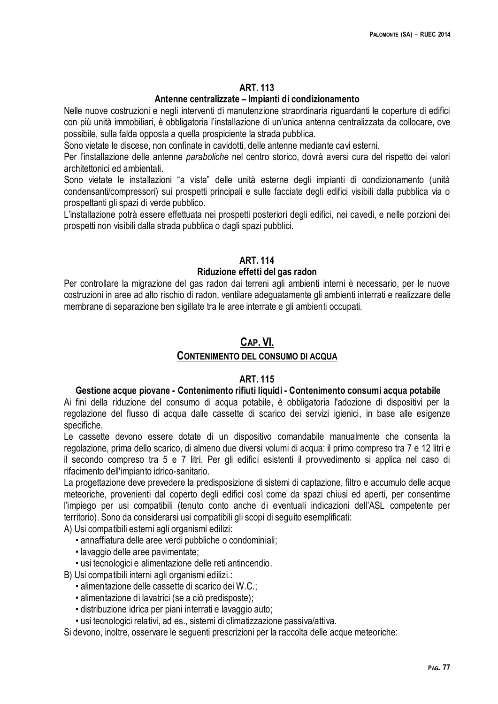### Antenne centralizzate – Impianti di condizionamento

Nelle nuove costruzioni e negli interventi di manutenzione straordinaria riguardanti le coperture di edifici con più unità immobiliari, è obbligatoria l'installazione di un'unica antenna centralizzata da collocare, ove possibile, sulla falda opposta a quella prospiciente la strada pubblica.

Sono vietate le discese, non confinate in cavidotti, delle antenne mediante cavi esterni.

Per l'installazione delle antenne paraboliche nel centro storico, dovrà aversi cura del rispetto dei valori architettonici ed ambientali.

Sono vietate le installazioni "a vista" delle unità esterne degli impianti di condizionamento (unità condensanti/compressori) sui prospetti principali e sulle facciate degli edifici visibili dalla pubblica via o prospettanti gli spazi di verde pubblico.

L'installazione potrà essere effettuata nei prospetti posteriori degli edifici, nei cavedi, e nelle porzioni dei prospetti non visibili dalla strada pubblica o dagli spazi pubblici.

### ART. 114

### Riduzione effetti del gas radon

Per controllare la migrazione del gas radon dai terreni agli ambienti interni è necessario, per le nuove costruzioni in aree ad alto rischio di radon, ventilare adeguatamente gli ambienti interrati e realizzare delle membrane di separazione ben sigillate tra le aree interrate e gli ambienti occupati.

## CAP. VI.

## CONTENIMENTO DEL CONSUMO DI ACQUA

### ART. 115

### Gestione acque piovane - Contenimento rifiuti liquidi - Contenimento consumi acqua potabile

Ai fini della riduzione del consumo di acqua potabile, è obbligatoria l'adozione di dispositivi per la regolazione del flusso di acqua dalle cassette di scarico dei servizi igienici, in base alle esigenze specifiche.

Le cassette devono essere dotate di un dispositivo comandabile manualmente che consenta la regolazione, prima dello scarico, di almeno due diversi volumi di acqua: il primo compreso tra 7 e 12 litri e il secondo compreso tra 5 e 7 litri. Per gli edifici esistenti il provvedimento si applica nel caso di rifacimento dell'impianto idrico-sanitario.

La progettazione deve prevedere la predisposizione di sistemi di captazione, filtro e accumulo delle acque meteoriche, provenienti dal coperto degli edifici così come da spazi chiusi ed aperti, per consentirne l'impiego per usi compatibili (tenuto conto anche di eventuali indicazioni dell'ASL competente per territorio). Sono da considerarsi usi compatibili gli scopi di seguito esemplificati:

A) Usi compatibili esterni agli organismi edilizi:

- annaffiatura delle aree verdi pubbliche o condominiali;
- lavaggio delle aree pavimentate;
- usi tecnologici e alimentazione delle reti antincendio.

B) Usi compatibili interni agli organismi edilizi.:

- alimentazione delle cassette di scarico dei W.C.;
- alimentazione di lavatrici (se a ciò predisposte);
- distribuzione idrica per piani interrati e lavaggio auto;
- usi tecnologici relativi, ad es., sistemi di climatizzazione passiva/attiva.

Si devono, inoltre, osservare le seguenti prescrizioni per la raccolta delle acque meteoriche: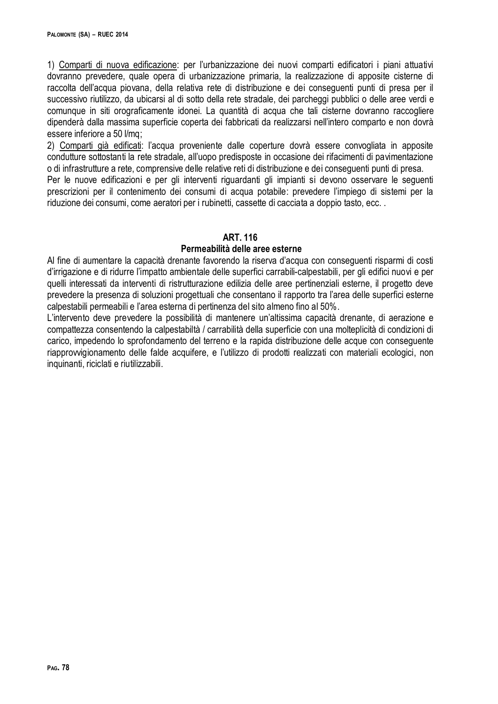1) Comparti di nuova edificazione: per l'urbanizzazione dei nuovi comparti edificatori i piani attuativi dovranno prevedere, quale opera di urbanizzazione primaria, la realizzazione di apposite cisterne di raccolta dell'acqua piovana, della relativa rete di distribuzione e dei conseguenti punti di presa per il successivo riutilizzo, da ubicarsi al di sotto della rete stradale, dei parcheggi pubblici o delle aree verdi e comunque in siti orograficamente idonei. La quantità di acqua che tali cisterne dovranno raccogliere dipenderà dalla massima superficie coperta dei fabbricati da realizzarsi nell'intero comparto e non dovrà essere inferiore a 50 l/mq;

2) Comparti già edificati: l'acqua proveniente dalle coperture dovrà essere convogliata in apposite condutture sottostanti la rete stradale, all'uopo predisposte in occasione dei rifacimenti di pavimentazione o di infrastrutture a rete, comprensive delle relative reti di distribuzione e dei conseguenti punti di presa.

Per le nuove edificazioni e per gli interventi riguardanti gli impianti si devono osservare le seguenti prescrizioni per il contenimento dei consumi di acqua potabile: prevedere l'impiego di sistemi per la riduzione dei consumi, come aeratori per i rubinetti, cassette di cacciata a doppio tasto, ecc. .

### ART. 116

### Permeabilità delle aree esterne

Al fine di aumentare la capacità drenante favorendo la riserva d'acqua con conseguenti risparmi di costi d'irrigazione e di ridurre l'impatto ambientale delle superfici carrabili-calpestabili, per gli edifici nuovi e per quelli interessati da interventi di ristrutturazione edilizia delle aree pertinenziali esterne, il progetto deve prevedere la presenza di soluzioni progettuali che consentano il rapporto tra l'area delle superfici esterne calpestabili permeabili e l'area esterna di pertinenza del sito almeno fino al 50%.

L'intervento deve prevedere la possibilità di mantenere un'altissima capacità drenante, di aerazione e compattezza consentendo la calpestabiltà / carrabilità della superficie con una molteplicità di condizioni di carico, impedendo lo sprofondamento del terreno e la rapida distribuzione delle acque con conseguente riapprovvigionamento delle falde acquifere, e l'utilizzo di prodotti realizzati con materiali ecologici, non inquinanti, riciclati e riutilizzabili.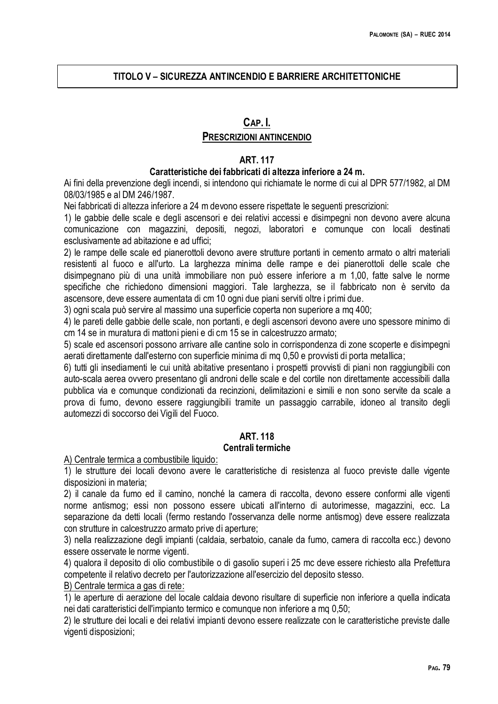# TITOLO V – SICUREZZA ANTINCENDIO E BARRIERE ARCHITETTONICHE

# CAP. I.

# PRESCRIZIONI ANTINCENDIO

### ART. 117

### Caratteristiche dei fabbricati di altezza inferiore a 24 m.

Ai fini della prevenzione degli incendi, si intendono qui richiamate le norme di cui al DPR 577/1982, al DM 08/03/1985 e al DM 246/1987.

Nei fabbricati di altezza inferiore a 24 m devono essere rispettate le seguenti prescrizioni:

1) le gabbie delle scale e degli ascensori e dei relativi accessi e disimpegni non devono avere alcuna comunicazione con magazzini, depositi, negozi, laboratori e comunque con locali destinati esclusivamente ad abitazione e ad uffici;

2) le rampe delle scale ed pianerottoli devono avere strutture portanti in cemento armato o altri materiali resistenti al fuoco e all'urto. La larghezza minima delle rampe e dei pianerottoli delle scale che disimpegnano più di una unità immobiliare non può essere inferiore a m 1,00, fatte salve le norme specifiche che richiedono dimensioni maggiori. Tale larghezza, se il fabbricato non è servito da ascensore, deve essere aumentata di cm 10 ogni due piani serviti oltre i primi due.

3) ogni scala può servire al massimo una superficie coperta non superiore a mq 400;

4) le pareti delle gabbie delle scale, non portanti, e degli ascensori devono avere uno spessore minimo di cm 14 se in muratura di mattoni pieni e di cm 15 se in calcestruzzo armato;

5) scale ed ascensori possono arrivare alle cantine solo in corrispondenza di zone scoperte e disimpegni aerati direttamente dall'esterno con superficie minima di mq 0,50 e provvisti di porta metallica;

6) tutti gli insediamenti le cui unità abitative presentano i prospetti provvisti di piani non raggiungibili con auto-scala aerea ovvero presentano gli androni delle scale e del cortile non direttamente accessibili dalla pubblica via e comunque condizionati da recinzioni, delimitazioni e simili e non sono servite da scale a prova di fumo, devono essere raggiungibili tramite un passaggio carrabile, idoneo al transito degli automezzi di soccorso dei Vigili del Fuoco.

# ART. 118

### Centrali termiche

A) Centrale termica a combustibile liquido:

1) le strutture dei locali devono avere le caratteristiche di resistenza al fuoco previste dalle vigente disposizioni in materia;

2) il canale da fumo ed il camino, nonché la camera di raccolta, devono essere conformi alle vigenti norme antismog; essi non possono essere ubicati all'interno di autorimesse, magazzini, ecc. La separazione da detti locali (fermo restando l'osservanza delle norme antismog) deve essere realizzata con strutture in calcestruzzo armato prive di aperture;

3) nella realizzazione degli impianti (caldaia, serbatoio, canale da fumo, camera di raccolta ecc.) devono essere osservate le norme vigenti.

4) qualora il deposito di olio combustibile o di gasolio superi i 25 mc deve essere richiesto alla Prefettura competente il relativo decreto per l'autorizzazione all'esercizio del deposito stesso.

B) Centrale termica a gas di rete:

1) le aperture di aerazione del locale caldaia devono risultare di superficie non inferiore a quella indicata nei dati caratteristici dell'impianto termico e comunque non inferiore a mq 0,50;

2) le strutture dei locali e dei relativi impianti devono essere realizzate con le caratteristiche previste dalle vigenti disposizioni;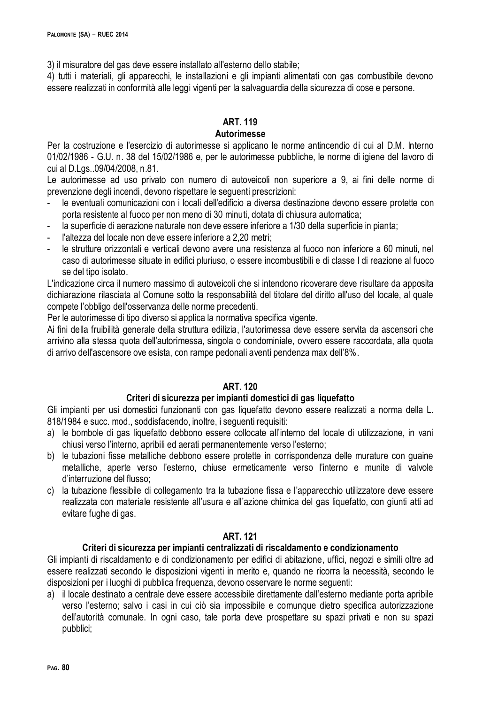3) il misuratore del gas deve essere installato all'esterno dello stabile;

4) tutti i materiali, gli apparecchi, le installazioni e gli impianti alimentati con gas combustibile devono essere realizzati in conformità alle leggi vigenti per la salvaguardia della sicurezza di cose e persone.

# ART. 119

# Autorimesse

Per la costruzione e l'esercizio di autorimesse si applicano le norme antincendio di cui al D.M. Interno 01/02/1986 - G.U. n. 38 del 15/02/1986 e, per le autorimesse pubbliche, le norme di igiene del lavoro di cui al D.Lgs..09/04/2008, n.81.

Le autorimesse ad uso privato con numero di autoveicoli non superiore a 9, ai fini delle norme di prevenzione degli incendi, devono rispettare le seguenti prescrizioni:

- le eventuali comunicazioni con i locali dell'edificio a diversa destinazione devono essere protette con porta resistente al fuoco per non meno di 30 minuti, dotata di chiusura automatica;
- la superficie di aerazione naturale non deve essere inferiore a 1/30 della superficie in pianta;
- l'altezza del locale non deve essere inferiore a 2.20 metri:
- le strutture orizzontali e verticali devono avere una resistenza al fuoco non inferiore a 60 minuti, nel caso di autorimesse situate in edifici pluriuso, o essere incombustibili e di classe I di reazione al fuoco se del tipo isolato.

L'indicazione circa il numero massimo di autoveicoli che si intendono ricoverare deve risultare da apposita dichiarazione rilasciata al Comune sotto la responsabilità del titolare del diritto all'uso del locale, al quale compete l'obbligo dell'osservanza delle norme precedenti.

Per le autorimesse di tipo diverso si applica la normativa specifica vigente.

Ai fini della fruibilità generale della struttura edilizia, l'autorimessa deve essere servita da ascensori che arrivino alla stessa quota dell'autorimessa, singola o condominiale, ovvero essere raccordata, alla quota di arrivo dell'ascensore ove esista, con rampe pedonali aventi pendenza max dell'8%.

## ART. 120

### Criteri di sicurezza per impianti domestici di gas liquefatto

Gli impianti per usi domestici funzionanti con gas liquefatto devono essere realizzati a norma della L. 818/1984 e succ. mod., soddisfacendo, inoltre, i seguenti requisiti:

- a) le bombole di gas liquefatto debbono essere collocate all'interno del locale di utilizzazione, in vani chiusi verso l'interno, apribili ed aerati permanentemente verso l'esterno;
- b) le tubazioni fisse metalliche debbono essere protette in corrispondenza delle murature con guaine metalliche, aperte verso l'esterno, chiuse ermeticamente verso l'interno e munite di valvole d'interruzione del flusso;
- c) la tubazione flessibile di collegamento tra la tubazione fissa e l'apparecchio utilizzatore deve essere realizzata con materiale resistente all'usura e all'azione chimica del gas liquefatto, con giunti atti ad evitare fughe di gas.

### ART. 121

### Criteri di sicurezza per impianti centralizzati di riscaldamento e condizionamento

Gli impianti di riscaldamento e di condizionamento per edifici di abitazione, uffici, negozi e simili oltre ad essere realizzati secondo le disposizioni vigenti in merito e, quando ne ricorra la necessità, secondo le disposizioni per i luoghi di pubblica frequenza, devono osservare le norme seguenti:

a) il locale destinato a centrale deve essere accessibile direttamente dall'esterno mediante porta apribile verso l'esterno; salvo i casi in cui ciò sia impossibile e comunque dietro specifica autorizzazione dell'autorità comunale. In ogni caso, tale porta deve prospettare su spazi privati e non su spazi pubblici;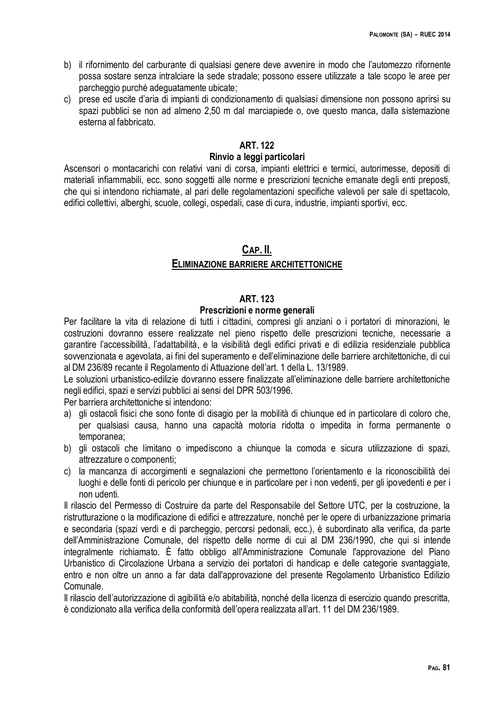- b) il rifornimento del carburante di qualsiasi genere deve avvenire in modo che l'automezzo rifornente possa sostare senza intralciare la sede stradale; possono essere utilizzate a tale scopo le aree per parcheggio purché adeguatamente ubicate;
- c) prese ed uscite d'aria di impianti di condizionamento di qualsiasi dimensione non possono aprirsi su spazi pubblici se non ad almeno 2,50 m dal marciapiede o, ove questo manca, dalla sistemazione esterna al fabbricato.

#### Rinvio a leggi particolari

Ascensori o montacarichi con relativi vani di corsa, impianti elettrici e termici, autorimesse, depositi di materiali infiammabili, ecc. sono soggetti alle norme e prescrizioni tecniche emanate degli enti preposti, che qui si intendono richiamate, al pari delle regolamentazioni specifiche valevoli per sale di spettacolo, edifici collettivi, alberghi, scuole, collegi, ospedali, case di cura, industrie, impianti sportivi, ecc.

# CAP. II. ELIMINAZIONE BARRIERE ARCHITETTONICHE

### ART. 123

### Prescrizioni e norme generali

Per facilitare la vita di relazione di tutti i cittadini, compresi gli anziani o i portatori di minorazioni, le costruzioni dovranno essere realizzate nel pieno rispetto delle prescrizioni tecniche, necessarie a garantire l'accessibilità, l'adattabilità, e la visibilità degli edifici privati e di edilizia residenziale pubblica sovvenzionata e agevolata, ai fini del superamento e dell'eliminazione delle barriere architettoniche, di cui al DM 236/89 recante il Regolamento di Attuazione dell'art. 1 della L. 13/1989.

Le soluzioni urbanistico-edilizie dovranno essere finalizzate all'eliminazione delle barriere architettoniche negli edifici, spazi e servizi pubblici ai sensi del DPR 503/1996.

Per barriera architettoniche si intendono:

- a) gli ostacoli fisici che sono fonte di disagio per la mobilità di chiunque ed in particolare di coloro che, per qualsiasi causa, hanno una capacità motoria ridotta o impedita in forma permanente o temporanea;
- b) gli ostacoli che limitano o impediscono a chiunque la comoda e sicura utilizzazione di spazi, attrezzature o componenti;
- c) la mancanza di accorgimenti e segnalazioni che permettono l'orientamento e la riconoscibilità dei luoghi e delle fonti di pericolo per chiunque e in particolare per i non vedenti, per gli ipovedenti e per i non udenti.

Il rilascio del Permesso di Costruire da parte del Responsabile del Settore UTC, per la costruzione, la ristrutturazione o la modificazione di edifici e attrezzature, nonché per le opere di urbanizzazione primaria e secondaria (spazi verdi e di parcheggio, percorsi pedonali, ecc.), è subordinato alla verifica, da parte dell'Amministrazione Comunale, del rispetto delle norme di cui al DM 236/1990, che qui si intende integralmente richiamato. È fatto obbligo all'Amministrazione Comunale l'approvazione del Piano Urbanistico di Circolazione Urbana a servizio dei portatori di handicap e delle categorie svantaggiate, entro e non oltre un anno a far data dall'approvazione del presente Regolamento Urbanistico Edilizio Comunale.

Il rilascio dell'autorizzazione di agibilità e/o abitabilità, nonché della licenza di esercizio quando prescritta, è condizionato alla verifica della conformità dell'opera realizzata all'art. 11 del DM 236/1989.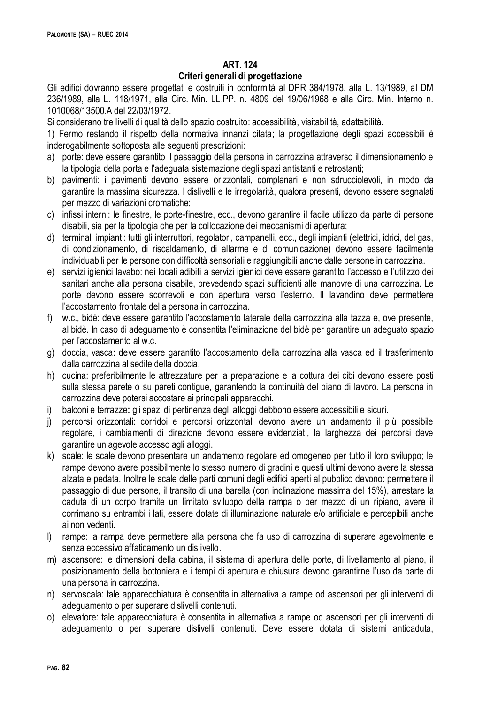### Criteri generali di progettazione

Gli edifici dovranno essere progettati e costruiti in conformità al DPR 384/1978, alla L. 13/1989, al DM 236/1989, alla L. 118/1971, alla Circ. Min. LL.PP. n. 4809 del 19/06/1968 e alla Circ. Min. Interno n. 1010068/13500.A del 22/03/1972.

Si considerano tre livelli di qualità dello spazio costruito: accessibilità, visitabilità, adattabilità.

1) Fermo restando il rispetto della normativa innanzi citata; la progettazione degli spazi accessibili è inderogabilmente sottoposta alle seguenti prescrizioni:

- a) porte: deve essere garantito il passaggio della persona in carrozzina attraverso il dimensionamento e la tipologia della porta e l'adeguata sistemazione degli spazi antistanti e retrostanti;
- b) pavimenti: i pavimenti devono essere orizzontali, complanari e non sdrucciolevoli, in modo da garantire la massima sicurezza. I dislivelli e le irregolarità, qualora presenti, devono essere segnalati per mezzo di variazioni cromatiche;
- c) infissi interni: le finestre, le porte-finestre, ecc., devono garantire il facile utilizzo da parte di persone disabili, sia per la tipologia che per la collocazione dei meccanismi di apertura;
- d) terminali impianti: tutti gli interruttori, regolatori, campanelli, ecc., degli impianti (elettrici, idrici, del gas, di condizionamento, di riscaldamento, di allarme e di comunicazione) devono essere facilmente individuabili per le persone con difficoltà sensoriali e raggiungibili anche dalle persone in carrozzina.
- e) servizi igienici lavabo: nei locali adibiti a servizi igienici deve essere garantito l'accesso e l'utilizzo dei sanitari anche alla persona disabile, prevedendo spazi sufficienti alle manovre di una carrozzina. Le porte devono essere scorrevoli e con apertura verso l'esterno. Il lavandino deve permettere l'accostamento frontale della persona in carrozzina.
- f) w.c., bidè: deve essere garantito l'accostamento laterale della carrozzina alla tazza e, ove presente, al bidè. In caso di adeguamento è consentita l'eliminazione del bidè per garantire un adeguato spazio per l'accostamento al w.c.
- g) doccia, vasca: deve essere garantito l'accostamento della carrozzina alla vasca ed il trasferimento dalla carrozzina al sedile della doccia.
- h) cucina: preferibilmente le attrezzature per la preparazione e la cottura dei cibi devono essere posti sulla stessa parete o su pareti contigue, garantendo la continuità del piano di lavoro. La persona in carrozzina deve potersi accostare ai principali apparecchi.
- i) balconi e terrazze: gli spazi di pertinenza degli alloggi debbono essere accessibili e sicuri.
- j) percorsi orizzontali: corridoi e percorsi orizzontali devono avere un andamento il più possibile regolare, i cambiamenti di direzione devono essere evidenziati, la larghezza dei percorsi deve garantire un agevole accesso agli alloggi.
- k) scale: le scale devono presentare un andamento regolare ed omogeneo per tutto il loro sviluppo; le rampe devono avere possibilmente lo stesso numero di gradini e questi ultimi devono avere la stessa alzata e pedata. Inoltre le scale delle parti comuni degli edifici aperti al pubblico devono: permettere il passaggio di due persone, il transito di una barella (con inclinazione massima del 15%), arrestare la caduta di un corpo tramite un limitato sviluppo della rampa o per mezzo di un ripiano, avere il corrimano su entrambi i lati, essere dotate di illuminazione naturale e/o artificiale e percepibili anche ai non vedenti.
- l) rampe: la rampa deve permettere alla persona che fa uso di carrozzina di superare agevolmente e senza eccessivo affaticamento un dislivello.
- m) ascensore: le dimensioni della cabina, il sistema di apertura delle porte, di livellamento al piano, il posizionamento della bottoniera e i tempi di apertura e chiusura devono garantirne l'uso da parte di una persona in carrozzina.
- n) servoscala: tale apparecchiatura è consentita in alternativa a rampe od ascensori per gli interventi di adeguamento o per superare dislivelli contenuti.
- o) elevatore: tale apparecchiatura è consentita in alternativa a rampe od ascensori per gli interventi di adeguamento o per superare dislivelli contenuti. Deve essere dotata di sistemi anticaduta,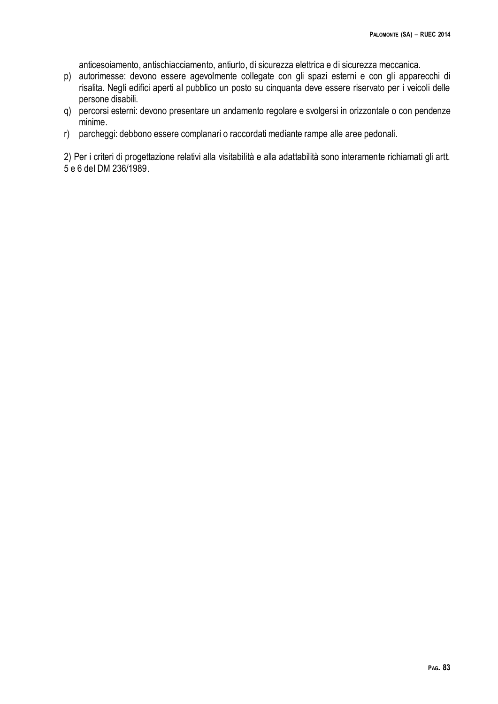anticesoiamento, antischiacciamento, antiurto, di sicurezza elettrica e di sicurezza meccanica.

- p) autorimesse: devono essere agevolmente collegate con gli spazi esterni e con gli apparecchi di risalita. Negli edifici aperti al pubblico un posto su cinquanta deve essere riservato per i veicoli delle persone disabili.
- q) percorsi esterni: devono presentare un andamento regolare e svolgersi in orizzontale o con pendenze minime.
- r) parcheggi: debbono essere complanari o raccordati mediante rampe alle aree pedonali.

2) Per i criteri di progettazione relativi alla visitabilità e alla adattabilità sono interamente richiamati gli artt. 5 e 6 del DM 236/1989.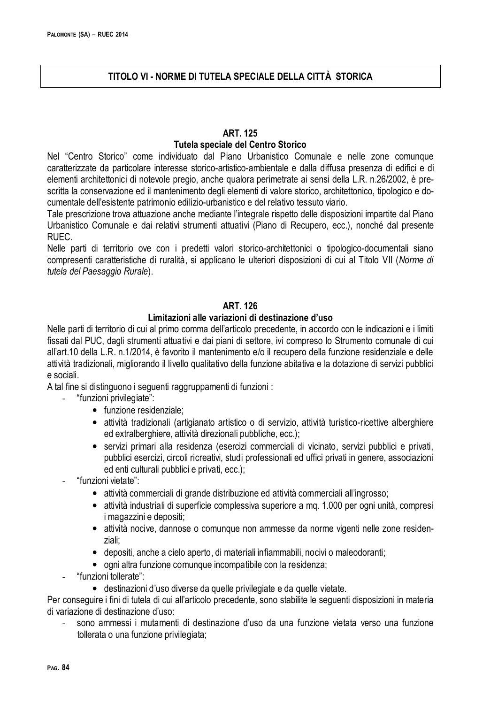# TITOLO VI - NORME DI TUTELA SPECIALE DELLA CITTÀ STORICA

# ART. 125

### Tutela speciale del Centro Storico

Nel "Centro Storico" come individuato dal Piano Urbanistico Comunale e nelle zone comunque caratterizzate da particolare interesse storico-artistico-ambientale e dalla diffusa presenza di edifici e di elementi architettonici di notevole pregio, anche qualora perimetrate ai sensi della L.R. n.26/2002, è prescritta la conservazione ed il mantenimento degli elementi di valore storico, architettonico, tipologico e documentale dell'esistente patrimonio edilizio-urbanistico e del relativo tessuto viario.

Tale prescrizione trova attuazione anche mediante l'integrale rispetto delle disposizioni impartite dal Piano Urbanistico Comunale e dai relativi strumenti attuativi (Piano di Recupero, ecc.), nonché dal presente RUEC.

Nelle parti di territorio ove con i predetti valori storico-architettonici o tipologico-documentali siano compresenti caratteristiche di ruralità, si applicano le ulteriori disposizioni di cui al Titolo VII (Norme di tutela del Paesaggio Rurale).

### ART. 126

### Limitazioni alle variazioni di destinazione d'uso

Nelle parti di territorio di cui al primo comma dell'articolo precedente, in accordo con le indicazioni e i limiti fissati dal PUC, dagli strumenti attuativi e dai piani di settore, ivi compreso lo Strumento comunale di cui all'art.10 della L.R. n.1/2014, è favorito il mantenimento e/o il recupero della funzione residenziale e delle attività tradizionali, migliorando il livello qualitativo della funzione abitativa e la dotazione di servizi pubblici e sociali.

A tal fine si distinguono i seguenti raggruppamenti di funzioni :

- "funzioni privilegiate":
	- funzione residenziale:
	- attività tradizionali (artigianato artistico o di servizio, attività turistico-ricettive alberghiere ed extralberghiere, attività direzionali pubbliche, ecc.);
	- servizi primari alla residenza (esercizi commerciali di vicinato, servizi pubblici e privati, pubblici esercizi, circoli ricreativi, studi professionali ed uffici privati in genere, associazioni ed enti culturali pubblici e privati, ecc.);
- "funzioni vietate":
	- attività commerciali di grande distribuzione ed attività commerciali all'ingrosso;
	- attività industriali di superficie complessiva superiore a mq. 1.000 per ogni unità, compresi i magazzini e depositi;
	- attività nocive, dannose o comunque non ammesse da norme vigenti nelle zone residenziali;
	- depositi, anche a cielo aperto, di materiali infiammabili, nocivi o maleodoranti;
	- ogni altra funzione comunque incompatibile con la residenza;
- "funzioni tollerate":
	- destinazioni d'uso diverse da quelle privilegiate e da quelle vietate.

Per conseguire i fini di tutela di cui all'articolo precedente, sono stabilite le seguenti disposizioni in materia di variazione di destinazione d'uso:

- sono ammessi i mutamenti di destinazione d'uso da una funzione vietata verso una funzione tollerata o una funzione privilegiata;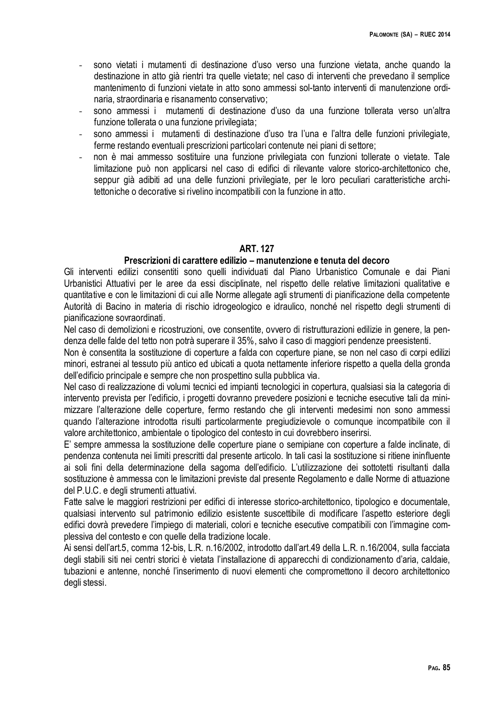- sono vietati i mutamenti di destinazione d'uso verso una funzione vietata, anche quando la destinazione in atto già rientri tra quelle vietate; nel caso di interventi che prevedano il semplice mantenimento di funzioni vietate in atto sono ammessi sol-tanto interventi di manutenzione ordinaria, straordinaria e risanamento conservativo;
- sono ammessi i mutamenti di destinazione d'uso da una funzione tollerata verso un'altra funzione tollerata o una funzione privilegiata;
- sono ammessi i mutamenti di destinazione d'uso tra l'una e l'altra delle funzioni privilegiate, ferme restando eventuali prescrizioni particolari contenute nei piani di settore;
- non è mai ammesso sostituire una funzione privilegiata con funzioni tollerate o vietate. Tale limitazione può non applicarsi nel caso di edifici di rilevante valore storico-architettonico che, seppur già adibiti ad una delle funzioni privilegiate, per le loro peculiari caratteristiche architettoniche o decorative si rivelino incompatibili con la funzione in atto.

### Prescrizioni di carattere edilizio – manutenzione e tenuta del decoro

Gli interventi edilizi consentiti sono quelli individuati dal Piano Urbanistico Comunale e dai Piani Urbanistici Attuativi per le aree da essi disciplinate, nel rispetto delle relative limitazioni qualitative e quantitative e con le limitazioni di cui alle Norme allegate agli strumenti di pianificazione della competente Autorità di Bacino in materia di rischio idrogeologico e idraulico, nonché nel rispetto degli strumenti di pianificazione sovraordinati.

Nel caso di demolizioni e ricostruzioni, ove consentite, ovvero di ristrutturazioni edilizie in genere, la pendenza delle falde del tetto non potrà superare il 35%, salvo il caso di maggiori pendenze preesistenti.

Non è consentita la sostituzione di coperture a falda con coperture piane, se non nel caso di corpi edilizi minori, estranei al tessuto più antico ed ubicati a quota nettamente inferiore rispetto a quella della gronda dell'edificio principale e sempre che non prospettino sulla pubblica via.

Nel caso di realizzazione di volumi tecnici ed impianti tecnologici in copertura, qualsiasi sia la categoria di intervento prevista per l'edificio, i progetti dovranno prevedere posizioni e tecniche esecutive tali da minimizzare l'alterazione delle coperture, fermo restando che gli interventi medesimi non sono ammessi quando l'alterazione introdotta risulti particolarmente pregiudizievole o comunque incompatibile con il valore architettonico, ambientale o tipologico del contesto in cui dovrebbero inserirsi.

E' sempre ammessa la sostituzione delle coperture piane o semipiane con coperture a falde inclinate, di pendenza contenuta nei limiti prescritti dal presente articolo. In tali casi la sostituzione si ritiene ininfluente ai soli fini della determinazione della sagoma dell'edificio. L'utilizzazione dei sottotetti risultanti dalla sostituzione è ammessa con le limitazioni previste dal presente Regolamento e dalle Norme di attuazione del P.U.C. e degli strumenti attuativi.

Fatte salve le maggiori restrizioni per edifici di interesse storico-architettonico, tipologico e documentale, qualsiasi intervento sul patrimonio edilizio esistente suscettibile di modificare l'aspetto esteriore degli edifici dovrà prevedere l'impiego di materiali, colori e tecniche esecutive compatibili con l'immagine complessiva del contesto e con quelle della tradizione locale.

Ai sensi dell'art.5, comma 12-bis, L.R. n.16/2002, introdotto dall'art.49 della L.R. n.16/2004, sulla facciata degli stabili siti nei centri storici è vietata l'installazione di apparecchi di condizionamento d'aria, caldaie, tubazioni e antenne, nonché l'inserimento di nuovi elementi che compromettono il decoro architettonico degli stessi.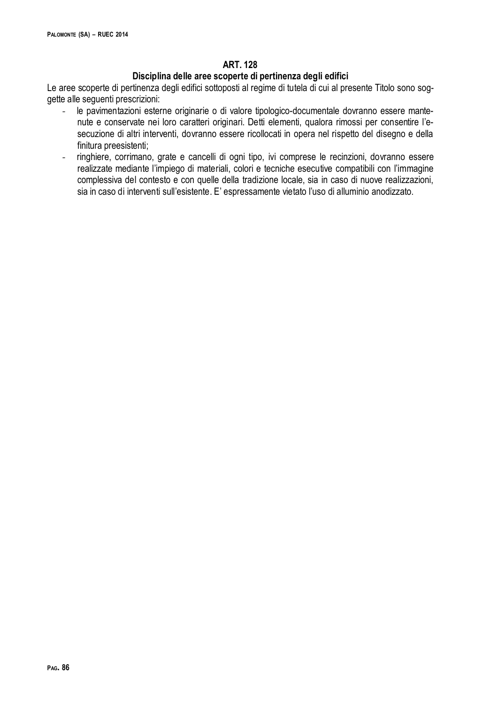### Disciplina delle aree scoperte di pertinenza degli edifici

Le aree scoperte di pertinenza degli edifici sottoposti al regime di tutela di cui al presente Titolo sono soggette alle seguenti prescrizioni:

- le pavimentazioni esterne originarie o di valore tipologico-documentale dovranno essere mantenute e conservate nei loro caratteri originari. Detti elementi, qualora rimossi per consentire l'esecuzione di altri interventi, dovranno essere ricollocati in opera nel rispetto del disegno e della finitura preesistenti;
- ringhiere, corrimano, grate e cancelli di ogni tipo, ivi comprese le recinzioni, dovranno essere realizzate mediante l'impiego di materiali, colori e tecniche esecutive compatibili con l'immagine complessiva del contesto e con quelle della tradizione locale, sia in caso di nuove realizzazioni, sia in caso di interventi sull'esistente. E' espressamente vietato l'uso di alluminio anodizzato.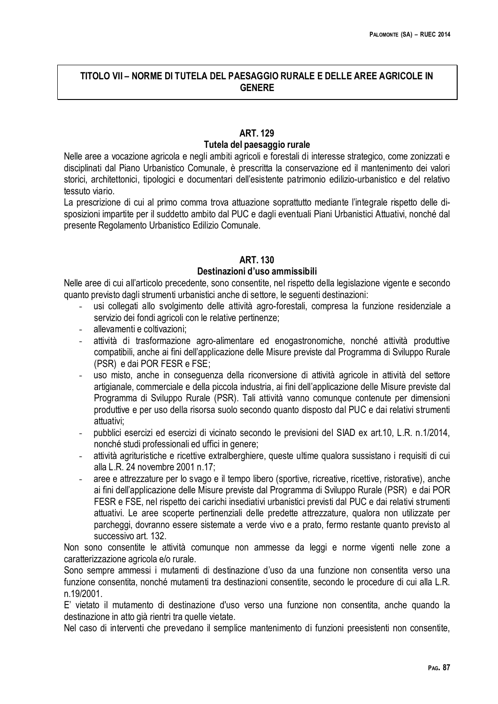# TITOLO VII – NORME DI TUTELA DEL PAESAGGIO RURALE E DELLE AREE AGRICOLE IN GENERE

### ART. 129

### Tutela del paesaggio rurale

Nelle aree a vocazione agricola e negli ambiti agricoli e forestali di interesse strategico, come zonizzati e disciplinati dal Piano Urbanistico Comunale, è prescritta la conservazione ed il mantenimento dei valori storici, architettonici, tipologici e documentari dell'esistente patrimonio edilizio-urbanistico e del relativo tessuto viario.

La prescrizione di cui al primo comma trova attuazione soprattutto mediante l'integrale rispetto delle disposizioni impartite per il suddetto ambito dal PUC e dagli eventuali Piani Urbanistici Attuativi, nonché dal presente Regolamento Urbanistico Edilizio Comunale.

#### ART. 130

#### Destinazioni d'uso ammissibili

Nelle aree di cui all'articolo precedente, sono consentite, nel rispetto della legislazione vigente e secondo quanto previsto dagli strumenti urbanistici anche di settore, le seguenti destinazioni:

- usi collegati allo svolgimento delle attività agro-forestali, compresa la funzione residenziale a servizio dei fondi agricoli con le relative pertinenze;
- allevamenti e coltivazioni;
- attività di trasformazione agro-alimentare ed enogastronomiche, nonché attività produttive compatibili, anche ai fini dell'applicazione delle Misure previste dal Programma di Sviluppo Rurale (PSR) e dai POR FESR e FSE;
- uso misto, anche in conseguenza della riconversione di attività agricole in attività del settore artigianale, commerciale e della piccola industria, ai fini dell'applicazione delle Misure previste dal Programma di Sviluppo Rurale (PSR). Tali attività vanno comunque contenute per dimensioni produttive e per uso della risorsa suolo secondo quanto disposto dal PUC e dai relativi strumenti attuativi;
- pubblici esercizi ed esercizi di vicinato secondo le previsioni del SIAD ex art.10, L.R. n.1/2014, nonché studi professionali ed uffici in genere;
- attività agrituristiche e ricettive extralberghiere, queste ultime qualora sussistano i requisiti di cui alla L.R. 24 novembre 2001 n.17;
- aree e attrezzature per lo svago e il tempo libero (sportive, ricreative, ricettive, ristorative), anche ai fini dell'applicazione delle Misure previste dal Programma di Sviluppo Rurale (PSR) e dai POR FESR e FSE, nel rispetto dei carichi insediativi urbanistici previsti dal PUC e dai relativi strumenti attuativi. Le aree scoperte pertinenziali delle predette attrezzature, qualora non utilizzate per parcheggi, dovranno essere sistemate a verde vivo e a prato, fermo restante quanto previsto al successivo art. 132.

Non sono consentite le attività comunque non ammesse da leggi e norme vigenti nelle zone a caratterizzazione agricola e/o rurale.

Sono sempre ammessi i mutamenti di destinazione d'uso da una funzione non consentita verso una funzione consentita, nonché mutamenti tra destinazioni consentite, secondo le procedure di cui alla L.R. n.19/2001.

E' vietato il mutamento di destinazione d'uso verso una funzione non consentita, anche quando la destinazione in atto già rientri tra quelle vietate.

Nel caso di interventi che prevedano il semplice mantenimento di funzioni preesistenti non consentite,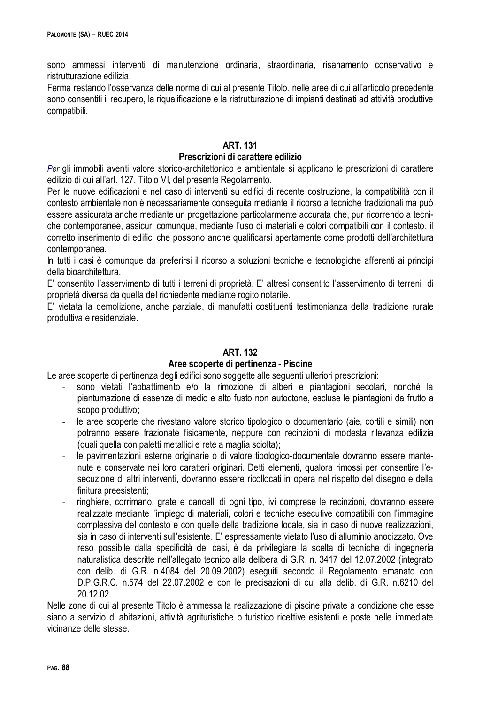sono ammessi interventi di manutenzione ordinaria, straordinaria, risanamento conservativo e ristrutturazione edilizia.

Ferma restando l'osservanza delle norme di cui al presente Titolo, nelle aree di cui all'articolo precedente sono consentiti il recupero, la riqualificazione e la ristrutturazione di impianti destinati ad attività produttive compatibili.

## ART. 131

### Prescrizioni di carattere edilizio

Per gli immobili aventi valore storico-architettonico e ambientale si applicano le prescrizioni di carattere edilizio di cui all'art. 127, Titolo VI, del presente Regolamento.

Per le nuove edificazioni e nel caso di interventi su edifici di recente costruzione, la compatibilità con il contesto ambientale non è necessariamente conseguita mediante il ricorso a tecniche tradizionali ma può essere assicurata anche mediante un progettazione particolarmente accurata che, pur ricorrendo a tecniche contemporanee, assicuri comunque, mediante l'uso di materiali e colori compatibili con il contesto, il corretto inserimento di edifici che possono anche qualificarsi apertamente come prodotti dell'architettura contemporanea.

In tutti i casi è comunque da preferirsi il ricorso a soluzioni tecniche e tecnologiche afferenti ai principi della bioarchitettura.

E' consentito l'asservimento di tutti i terreni di proprietà. E' altresì consentito l'asservimento di terreni di proprietà diversa da quella del richiedente mediante rogito notarile.

E' vietata la demolizione, anche parziale, di manufatti costituenti testimonianza della tradizione rurale produttiva e residenziale.

#### ART. 132

#### Aree scoperte di pertinenza - Piscine

Le aree scoperte di pertinenza degli edifici sono soggette alle seguenti ulteriori prescrizioni:

- sono vietati l'abbattimento e/o la rimozione di alberi e piantagioni secolari, nonché la piantumazione di essenze di medio e alto fusto non autoctone, escluse le piantagioni da frutto a scopo produttivo;
- le aree scoperte che rivestano valore storico tipologico o documentario (aie, cortili e simili) non potranno essere frazionate fisicamente, neppure con recinzioni di modesta rilevanza edilizia (quali quella con paletti metallici e rete a maglia sciolta);
- le pavimentazioni esterne originarie o di valore tipologico-documentale dovranno essere mantenute e conservate nei loro caratteri originari. Detti elementi, qualora rimossi per consentire l'esecuzione di altri interventi, dovranno essere ricollocati in opera nel rispetto del disegno e della finitura preesistenti;
- ringhiere, corrimano, grate e cancelli di ogni tipo, ivi comprese le recinzioni, dovranno essere realizzate mediante l'impiego di materiali, colori e tecniche esecutive compatibili con l'immagine complessiva del contesto e con quelle della tradizione locale, sia in caso di nuove realizzazioni, sia in caso di interventi sull'esistente. E' espressamente vietato l'uso di alluminio anodizzato. Ove reso possibile dalla specificità dei casi, è da privilegiare la scelta di tecniche di ingegneria naturalistica descritte nell'allegato tecnico alla delibera di G.R. n. 3417 del 12.07.2002 (integrato con delib. di G.R. n.4084 del 20.09.2002) eseguiti secondo il Regolamento emanato con D.P.G.R.C. n.574 del 22.07.2002 e con le precisazioni di cui alla delib. di G.R. n.6210 del 20.12.02.

Nelle zone di cui al presente Titolo è ammessa la realizzazione di piscine private a condizione che esse siano a servizio di abitazioni, attività agrituristiche o turistico ricettive esistenti e poste nelle immediate vicinanze delle stesse.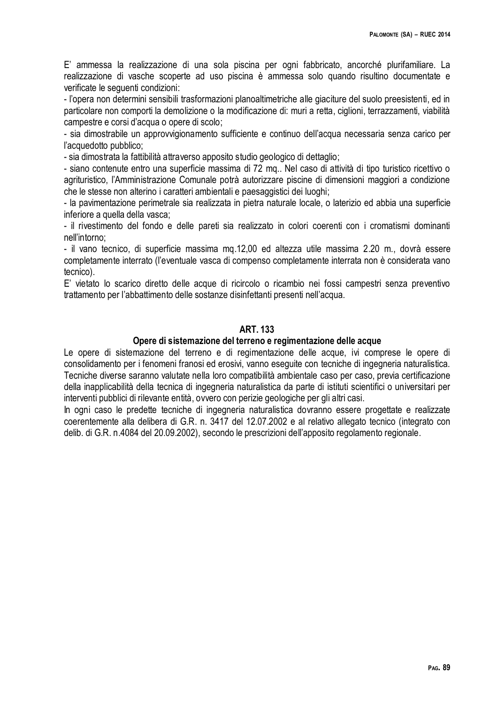E' ammessa la realizzazione di una sola piscina per ogni fabbricato, ancorché plurifamiliare. La realizzazione di vasche scoperte ad uso piscina è ammessa solo quando risultino documentate e verificate le seguenti condizioni:

- l'opera non determini sensibili trasformazioni planoaltimetriche alle giaciture del suolo preesistenti, ed in particolare non comporti la demolizione o la modificazione di: muri a retta, ciglioni, terrazzamenti, viabilità campestre e corsi d'acqua o opere di scolo;

- sia dimostrabile un approvvigionamento sufficiente e continuo dell'acqua necessaria senza carico per l'acquedotto pubblico;

- sia dimostrata la fattibilità attraverso apposito studio geologico di dettaglio;

- siano contenute entro una superficie massima di 72 mq.. Nel caso di attività di tipo turistico ricettivo o agrituristico, l'Amministrazione Comunale potrà autorizzare piscine di dimensioni maggiori a condizione che le stesse non alterino i caratteri ambientali e paesaggistici dei luoghi;

- la pavimentazione perimetrale sia realizzata in pietra naturale locale, o laterizio ed abbia una superficie inferiore a quella della vasca;

- il rivestimento del fondo e delle pareti sia realizzato in colori coerenti con i cromatismi dominanti nell'intorno;

- il vano tecnico, di superficie massima mq.12,00 ed altezza utile massima 2.20 m., dovrà essere completamente interrato (l'eventuale vasca di compenso completamente interrata non è considerata vano tecnico).

E' vietato lo scarico diretto delle acque di ricircolo o ricambio nei fossi campestri senza preventivo trattamento per l'abbattimento delle sostanze disinfettanti presenti nell'acqua.

### ART. 133

#### Opere di sistemazione del terreno e regimentazione delle acque

Le opere di sistemazione del terreno e di regimentazione delle acque, ivi comprese le opere di consolidamento per i fenomeni franosi ed erosivi, vanno eseguite con tecniche di ingegneria naturalistica. Tecniche diverse saranno valutate nella loro compatibilità ambientale caso per caso, previa certificazione della inapplicabilità della tecnica di ingegneria naturalistica da parte di istituti scientifici o universitari per interventi pubblici di rilevante entità, ovvero con perizie geologiche per gli altri casi.

In ogni caso le predette tecniche di ingegneria naturalistica dovranno essere progettate e realizzate coerentemente alla delibera di G.R. n. 3417 del 12.07.2002 e al relativo allegato tecnico (integrato con delib. di G.R. n.4084 del 20.09.2002), secondo le prescrizioni dell'apposito regolamento regionale.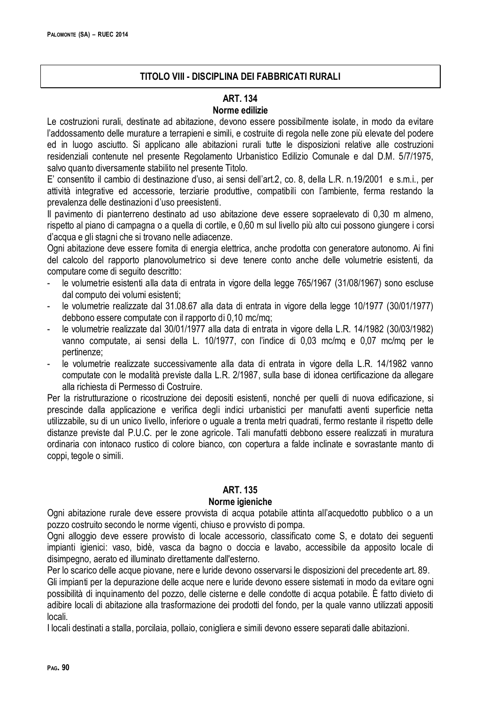# TITOLO VIII - DISCIPLINA DEI FABBRICATI RURALI

## ART. 134 Norme edilizie

Le costruzioni rurali, destinate ad abitazione, devono essere possibilmente isolate, in modo da evitare l'addossamento delle murature a terrapieni e simili, e costruite di regola nelle zone più elevate del podere ed in luogo asciutto. Si applicano alle abitazioni rurali tutte le disposizioni relative alle costruzioni residenziali contenute nel presente Regolamento Urbanistico Edilizio Comunale e dal D.M. 5/7/1975, salvo quanto diversamente stabilito nel presente Titolo.

E' consentito il cambio di destinazione d'uso, ai sensi dell'art.2, co. 8, della L.R. n.19/2001 e s.m.i., per attività integrative ed accessorie, terziarie produttive, compatibili con l'ambiente, ferma restando la prevalenza delle destinazioni d'uso preesistenti.

Il pavimento di pianterreno destinato ad uso abitazione deve essere sopraelevato di 0,30 m almeno, rispetto al piano di campagna o a quella di cortile, e 0,60 m sul livello più alto cui possono giungere i corsi d'acqua e gli stagni che si trovano nelle adiacenze.

Ogni abitazione deve essere fornita di energia elettrica, anche prodotta con generatore autonomo. Ai fini del calcolo del rapporto planovolumetrico si deve tenere conto anche delle volumetrie esistenti, da computare come di seguito descritto:

- le volumetrie esistenti alla data di entrata in vigore della legge 765/1967 (31/08/1967) sono escluse dal computo dei volumi esistenti;
- le volumetrie realizzate dal 31.08.67 alla data di entrata in vigore della legge 10/1977 (30/01/1977) debbono essere computate con il rapporto di 0,10 mc/mq;
- le volumetrie realizzate dal 30/01/1977 alla data di entrata in vigore della L.R. 14/1982 (30/03/1982) vanno computate, ai sensi della L. 10/1977, con l'indice di 0,03 mc/mq e 0,07 mc/mq per le pertinenze;
- le volumetrie realizzate successivamente alla data di entrata in vigore della L.R. 14/1982 vanno computate con le modalità previste dalla L.R. 2/1987, sulla base di idonea certificazione da allegare alla richiesta di Permesso di Costruire.

Per la ristrutturazione o ricostruzione dei depositi esistenti, nonché per quelli di nuova edificazione, si prescinde dalla applicazione e verifica degli indici urbanistici per manufatti aventi superficie netta utilizzabile, su di un unico livello, inferiore o uguale a trenta metri quadrati, fermo restante il rispetto delle distanze previste dal P.U.C. per le zone agricole. Tali manufatti debbono essere realizzati in muratura ordinaria con intonaco rustico di colore bianco, con copertura a falde inclinate e sovrastante manto di coppi, tegole o simili.

### ART. 135

### Norme igieniche

Ogni abitazione rurale deve essere provvista di acqua potabile attinta all'acquedotto pubblico o a un pozzo costruito secondo le norme vigenti, chiuso e provvisto di pompa.

Ogni alloggio deve essere provvisto di locale accessorio, classificato come S, e dotato dei seguenti impianti igienici: vaso, bidè, vasca da bagno o doccia e lavabo, accessibile da apposito locale di disimpegno, aerato ed illuminato direttamente dall'esterno.

Per lo scarico delle acque piovane, nere e luride devono osservarsi le disposizioni del precedente art. 89. Gli impianti per la depurazione delle acque nere e luride devono essere sistemati in modo da evitare ogni possibilità di inquinamento del pozzo, delle cisterne e delle condotte di acqua potabile. È fatto divieto di adibire locali di abitazione alla trasformazione dei prodotti del fondo, per la quale vanno utilizzati appositi locali.

I locali destinati a stalla, porcilaia, pollaio, conigliera e simili devono essere separati dalle abitazioni.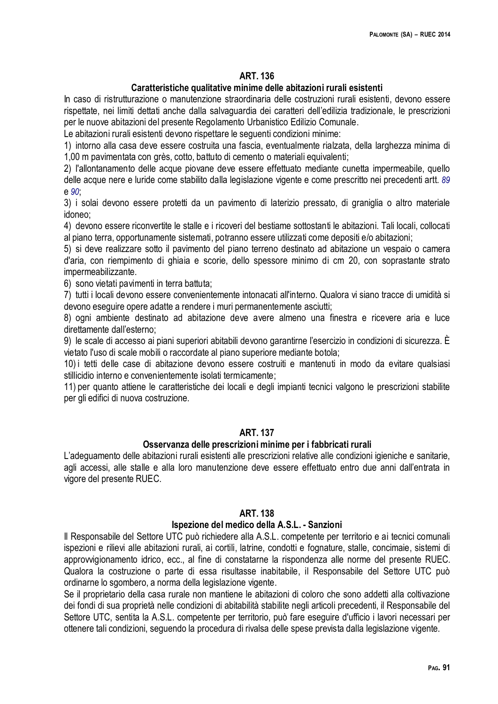### Caratteristiche qualitative minime delle abitazioni rurali esistenti

In caso di ristrutturazione o manutenzione straordinaria delle costruzioni rurali esistenti, devono essere rispettate, nei limiti dettati anche dalla salvaguardia dei caratteri dell'edilizia tradizionale, le prescrizioni per le nuove abitazioni del presente Regolamento Urbanistico Edilizio Comunale.

Le abitazioni rurali esistenti devono rispettare le seguenti condizioni minime:

1) intorno alla casa deve essere costruita una fascia, eventualmente rialzata, della larghezza minima di 1,00 m pavimentata con grès, cotto, battuto di cemento o materiali equivalenti;

2) l'allontanamento delle acque piovane deve essere effettuato mediante cunetta impermeabile, quello delle acque nere e luride come stabilito dalla legislazione vigente e come prescritto nei precedenti artt. 89 e 90;

3) i solai devono essere protetti da un pavimento di laterizio pressato, di graniglia o altro materiale idoneo;

4) devono essere riconvertite le stalle e i ricoveri del bestiame sottostanti le abitazioni. Tali locali, collocati al piano terra, opportunamente sistemati, potranno essere utilizzati come depositi e/o abitazioni;

5) si deve realizzare sotto il pavimento del piano terreno destinato ad abitazione un vespaio o camera d'aria, con riempimento di ghiaia e scorie, dello spessore minimo di cm 20, con soprastante strato impermeabilizzante.

6) sono vietati pavimenti in terra battuta;

7) tutti i locali devono essere convenientemente intonacati all'interno. Qualora vi siano tracce di umidità si devono eseguire opere adatte a rendere i muri permanentemente asciutti;

8) ogni ambiente destinato ad abitazione deve avere almeno una finestra e ricevere aria e luce direttamente dall'esterno;

9) le scale di accesso ai piani superiori abitabili devono garantirne l'esercizio in condizioni di sicurezza. È vietato l'uso di scale mobili o raccordate al piano superiore mediante botola;

10) i tetti delle case di abitazione devono essere costruiti e mantenuti in modo da evitare qualsiasi stillicidio interno e convenientemente isolati termicamente;

11) per quanto attiene le caratteristiche dei locali e degli impianti tecnici valgono le prescrizioni stabilite per gli edifici di nuova costruzione.

### ART. 137

### Osservanza delle prescrizioni minime per i fabbricati rurali

L'adeguamento delle abitazioni rurali esistenti alle prescrizioni relative alle condizioni igieniche e sanitarie, agli accessi, alle stalle e alla loro manutenzione deve essere effettuato entro due anni dall'entrata in vigore del presente RUEC.

### ART. 138

### Ispezione del medico della A.S.L. - Sanzioni

Il Responsabile del Settore UTC può richiedere alla A.S.L. competente per territorio e ai tecnici comunali ispezioni e rilievi alle abitazioni rurali, ai cortili, latrine, condotti e fognature, stalle, concimaie, sistemi di approvvigionamento idrico, ecc., al fine di constatarne la rispondenza alle norme del presente RUEC. Qualora la costruzione o parte di essa risultasse inabitabile, il Responsabile del Settore UTC può ordinarne lo sgombero, a norma della legislazione vigente.

Se il proprietario della casa rurale non mantiene le abitazioni di coloro che sono addetti alla coltivazione dei fondi di sua proprietà nelle condizioni di abitabilità stabilite negli articoli precedenti, il Responsabile del Settore UTC, sentita la A.S.L. competente per territorio, può fare eseguire d'ufficio i lavori necessari per ottenere tali condizioni, seguendo la procedura di rivalsa delle spese prevista dalla legislazione vigente.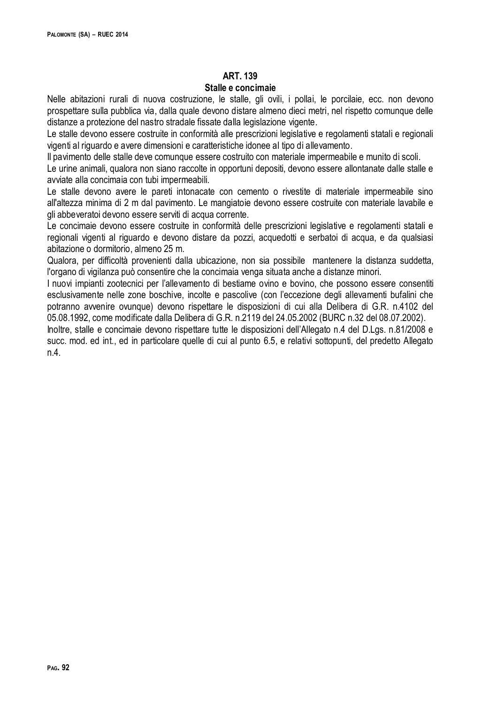### Stalle e concimaie

Nelle abitazioni rurali di nuova costruzione, le stalle, gli ovili, i pollai, le porcilaie, ecc. non devono prospettare sulla pubblica via, dalla quale devono distare almeno dieci metri, nel rispetto comunque delle distanze a protezione del nastro stradale fissate dalla legislazione vigente.

Le stalle devono essere costruite in conformità alle prescrizioni legislative e regolamenti statali e regionali vigenti al riguardo e avere dimensioni e caratteristiche idonee al tipo di allevamento.

Il pavimento delle stalle deve comunque essere costruito con materiale impermeabile e munito di scoli.

Le urine animali, qualora non siano raccolte in opportuni depositi, devono essere allontanate dalle stalle e avviate alla concimaia con tubi impermeabili.

Le stalle devono avere le pareti intonacate con cemento o rivestite di materiale impermeabile sino all'altezza minima di 2 m dal pavimento. Le mangiatoie devono essere costruite con materiale lavabile e gli abbeveratoi devono essere serviti di acqua corrente.

Le concimaie devono essere costruite in conformità delle prescrizioni legislative e regolamenti statali e regionali vigenti al riguardo e devono distare da pozzi, acquedotti e serbatoi di acqua, e da qualsiasi abitazione o dormitorio, almeno 25 m.

Qualora, per difficoltà provenienti dalla ubicazione, non sia possibile mantenere la distanza suddetta, l'organo di vigilanza può consentire che la concimaia venga situata anche a distanze minori.

I nuovi impianti zootecnici per l'allevamento di bestiame ovino e bovino, che possono essere consentiti esclusivamente nelle zone boschive, incolte e pascolive (con l'eccezione degli allevamenti bufalini che potranno avvenire ovunque) devono rispettare le disposizioni di cui alla Delibera di G.R. n.4102 del 05.08.1992, come modificate dalla Delibera di G.R. n.2119 del 24.05.2002 (BURC n.32 del 08.07.2002).

Inoltre, stalle e concimaie devono rispettare tutte le disposizioni dell'Allegato n.4 del D.Lgs. n.81/2008 e succ. mod. ed int., ed in particolare quelle di cui al punto 6.5, e relativi sottopunti, del predetto Allegato n.4.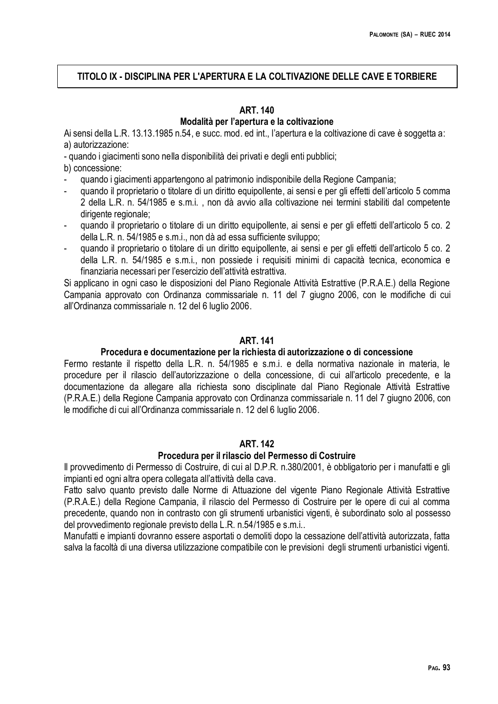# TITOLO IX - DISCIPLINA PER L'APERTURA E LA COLTIVAZIONE DELLE CAVE E TORBIERE

# ART. 140

## Modalità per l'apertura e la coltivazione

Ai sensi della L.R. 13.13.1985 n.54, e succ. mod. ed int., l'apertura e la coltivazione di cave è soggetta a: a) autorizzazione:

- quando i giacimenti sono nella disponibilità dei privati e degli enti pubblici;

b) concessione:

- quando i giacimenti appartengono al patrimonio indisponibile della Regione Campania;
- quando il proprietario o titolare di un diritto equipollente, ai sensi e per gli effetti dell'articolo 5 comma 2 della L.R. n. 54/1985 e s.m.i. , non dà avvio alla coltivazione nei termini stabiliti dal competente dirigente regionale;
- quando il proprietario o titolare di un diritto equipollente, ai sensi e per gli effetti dell'articolo 5 co. 2 della L.R. n. 54/1985 e s.m.i., non dà ad essa sufficiente sviluppo;
- quando il proprietario o titolare di un diritto equipollente, ai sensi e per gli effetti dell'articolo 5 co. 2 della L.R. n. 54/1985 e s.m.i., non possiede i requisiti minimi di capacità tecnica, economica e finanziaria necessari per l'esercizio dell'attività estrattiva.

Si applicano in ogni caso le disposizioni del Piano Regionale Attività Estrattive (P.R.A.E.) della Regione Campania approvato con Ordinanza commissariale n. 11 del 7 giugno 2006, con le modifiche di cui all'Ordinanza commissariale n. 12 del 6 luglio 2006.

### ART. 141

### Procedura e documentazione per la richiesta di autorizzazione o di concessione

Fermo restante il rispetto della L.R. n. 54/1985 e s.m.i. e della normativa nazionale in materia, le procedure per il rilascio dell'autorizzazione o della concessione, di cui all'articolo precedente, e la documentazione da allegare alla richiesta sono disciplinate dal Piano Regionale Attività Estrattive (P.R.A.E.) della Regione Campania approvato con Ordinanza commissariale n. 11 del 7 giugno 2006, con le modifiche di cui all'Ordinanza commissariale n. 12 del 6 luglio 2006.

## ART. 142

### Procedura per il rilascio del Permesso di Costruire

Il provvedimento di Permesso di Costruire, di cui al D.P.R. n.380/2001, è obbligatorio per i manufatti e gli impianti ed ogni altra opera collegata all'attività della cava.

Fatto salvo quanto previsto dalle Norme di Attuazione del vigente Piano Regionale Attività Estrattive (P.R.A.E.) della Regione Campania, il rilascio del Permesso di Costruire per le opere di cui al comma precedente, quando non in contrasto con gli strumenti urbanistici vigenti, è subordinato solo al possesso del provvedimento regionale previsto della L.R. n.54/1985 e s.m.i..

Manufatti e impianti dovranno essere asportati o demoliti dopo la cessazione dell'attività autorizzata, fatta salva la facoltà di una diversa utilizzazione compatibile con le previsioni degli strumenti urbanistici vigenti.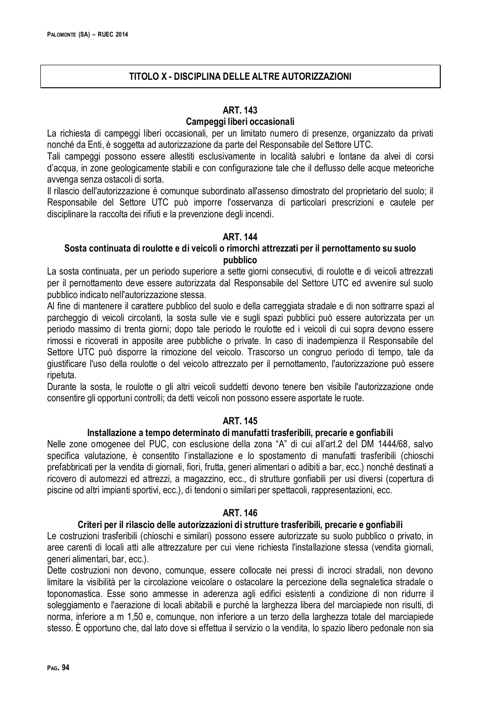# TITOLO X - DISCIPLINA DELLE ALTRE AUTORIZZAZIONI

# ART. 143

### Campeggi liberi occasionali

La richiesta di campeggi liberi occasionali, per un limitato numero di presenze, organizzato da privati nonché da Enti, è soggetta ad autorizzazione da parte del Responsabile del Settore UTC.

Tali campeggi possono essere allestiti esclusivamente in località salubri e lontane da alvei di corsi d'acqua, in zone geologicamente stabili e con configurazione tale che il deflusso delle acque meteoriche avvenga senza ostacoli di sorta.

Il rilascio dell'autorizzazione è comunque subordinato all'assenso dimostrato del proprietario del suolo; il Responsabile del Settore UTC può imporre l'osservanza di particolari prescrizioni e cautele per disciplinare la raccolta dei rifiuti e la prevenzione degli incendi.

### ART. 144

### Sosta continuata di roulotte e di veicoli o rimorchi attrezzati per il pernottamento su suolo pubblico

La sosta continuata, per un periodo superiore a sette giorni consecutivi, di roulotte e di veicoli attrezzati per il pernottamento deve essere autorizzata dal Responsabile del Settore UTC ed avvenire sul suolo pubblico indicato nell'autorizzazione stessa.

Al fine di mantenere il carattere pubblico del suolo e della carreggiata stradale e di non sottrarre spazi al parcheggio di veicoli circolanti, la sosta sulle vie e sugli spazi pubblici può essere autorizzata per un periodo massimo di trenta giorni; dopo tale periodo le roulotte ed i veicoli di cui sopra devono essere rimossi e ricoverati in apposite aree pubbliche o private. In caso di inadempienza il Responsabile del Settore UTC può disporre la rimozione del veicolo. Trascorso un congruo periodo di tempo, tale da giustificare l'uso della roulotte o del veicolo attrezzato per il pernottamento, l'autorizzazione può essere ripetuta.

Durante la sosta, le roulotte o gli altri veicoli suddetti devono tenere ben visibile l'autorizzazione onde consentire gli opportuni controlli; da detti veicoli non possono essere asportate le ruote.

### ART. 145

### Installazione a tempo determinato di manufatti trasferibili, precarie e gonfiabili

Nelle zone omogenee del PUC, con esclusione della zona "A" di cui all'art.2 del DM 1444/68, salvo specifica valutazione, è consentito l'installazione e lo spostamento di manufatti trasferibili (chioschi prefabbricati per la vendita di giornali, fiori, frutta, generi alimentari o adibiti a bar, ecc.) nonché destinati a ricovero di automezzi ed attrezzi, a magazzino, ecc., di strutture gonfiabili per usi diversi (copertura di piscine od altri impianti sportivi, ecc.), di tendoni o similari per spettacoli, rappresentazioni, ecc.

### ART. 146

### Criteri per il rilascio delle autorizzazioni di strutture trasferibili, precarie e gonfiabili

Le costruzioni trasferibili (chioschi e similari) possono essere autorizzate su suolo pubblico o privato, in aree carenti di locali atti alle attrezzature per cui viene richiesta l'installazione stessa (vendita giornali, generi alimentari, bar, ecc.).

Dette costruzioni non devono, comunque, essere collocate nei pressi di incroci stradali, non devono limitare la visibilità per la circolazione veicolare o ostacolare la percezione della segnaletica stradale o toponomastica. Esse sono ammesse in aderenza agli edifici esistenti a condizione di non ridurre il soleggiamento e l'aerazione di locali abitabili e purché la larghezza libera del marciapiede non risulti, di norma, inferiore a m 1,50 e, comunque, non inferiore a un terzo della larghezza totale del marciapiede stesso. È opportuno che, dal lato dove si effettua il servizio o la vendita, lo spazio libero pedonale non sia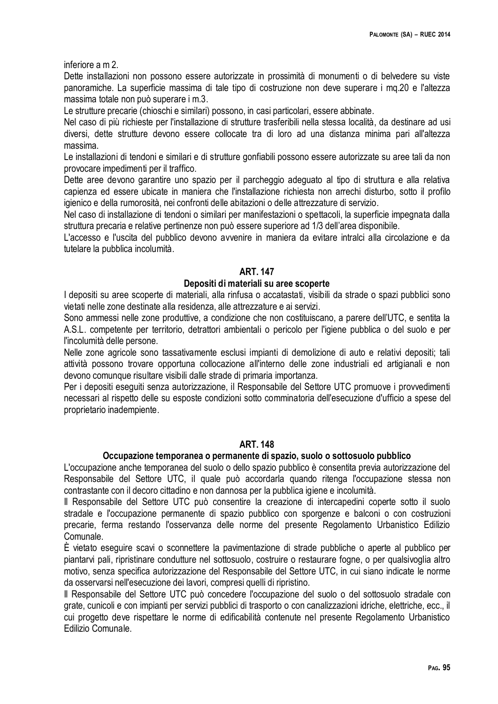inferiore a m 2.

Dette installazioni non possono essere autorizzate in prossimità di monumenti o di belvedere su viste panoramiche. La superficie massima di tale tipo di costruzione non deve superare i mq.20 e l'altezza massima totale non può superare i m.3.

Le strutture precarie (chioschi e similari) possono, in casi particolari, essere abbinate.

Nel caso di più richieste per l'installazione di strutture trasferibili nella stessa località, da destinare ad usi diversi, dette strutture devono essere collocate tra di loro ad una distanza minima pari all'altezza massima.

Le installazioni di tendoni e similari e di strutture gonfiabili possono essere autorizzate su aree tali da non provocare impedimenti per il traffico.

Dette aree devono garantire uno spazio per il parcheggio adeguato al tipo di struttura e alla relativa capienza ed essere ubicate in maniera che l'installazione richiesta non arrechi disturbo, sotto il profilo igienico e della rumorosità, nei confronti delle abitazioni o delle attrezzature di servizio.

Nel caso di installazione di tendoni o similari per manifestazioni o spettacoli, la superficie impegnata dalla struttura precaria e relative pertinenze non può essere superiore ad 1/3 dell'area disponibile.

L'accesso e l'uscita del pubblico devono avvenire in maniera da evitare intralci alla circolazione e da tutelare la pubblica incolumità.

## ART. 147

#### Depositi di materiali su aree scoperte

I depositi su aree scoperte di materiali, alla rinfusa o accatastati, visibili da strade o spazi pubblici sono vietati nelle zone destinate alla residenza, alle attrezzature e ai servizi.

Sono ammessi nelle zone produttive, a condizione che non costituiscano, a parere dell'UTC, e sentita la A.S.L. competente per territorio, detrattori ambientali o pericolo per l'igiene pubblica o del suolo e per l'incolumità delle persone.

Nelle zone agricole sono tassativamente esclusi impianti di demolizione di auto e relativi depositi; tali attività possono trovare opportuna collocazione all'interno delle zone industriali ed artigianali e non devono comunque risultare visibili dalle strade di primaria importanza.

Per i depositi eseguiti senza autorizzazione, il Responsabile del Settore UTC promuove i provvedimenti necessari al rispetto delle su esposte condizioni sotto comminatoria dell'esecuzione d'ufficio a spese del proprietario inadempiente.

### ART. 148

#### Occupazione temporanea o permanente di spazio, suolo o sottosuolo pubblico

L'occupazione anche temporanea del suolo o dello spazio pubblico è consentita previa autorizzazione del Responsabile del Settore UTC, il quale può accordarla quando ritenga l'occupazione stessa non contrastante con il decoro cittadino e non dannosa per la pubblica igiene e incolumità.

Il Responsabile del Settore UTC può consentire la creazione di intercapedini coperte sotto il suolo stradale e l'occupazione permanente di spazio pubblico con sporgenze e balconi o con costruzioni precarie, ferma restando l'osservanza delle norme del presente Regolamento Urbanistico Edilizio Comunale.

È vietato eseguire scavi o sconnettere la pavimentazione di strade pubbliche o aperte al pubblico per piantarvi pali, ripristinare condutture nel sottosuolo, costruire o restaurare fogne, o per qualsivoglia altro motivo, senza specifica autorizzazione del Responsabile del Settore UTC, in cui siano indicate le norme da osservarsi nell'esecuzione dei lavori, compresi quelli di ripristino.

Il Responsabile del Settore UTC può concedere l'occupazione del suolo o del sottosuolo stradale con grate, cunicoli e con impianti per servizi pubblici di trasporto o con canalizzazioni idriche, elettriche, ecc., il cui progetto deve rispettare le norme di edificabilità contenute nel presente Regolamento Urbanistico Edilizio Comunale.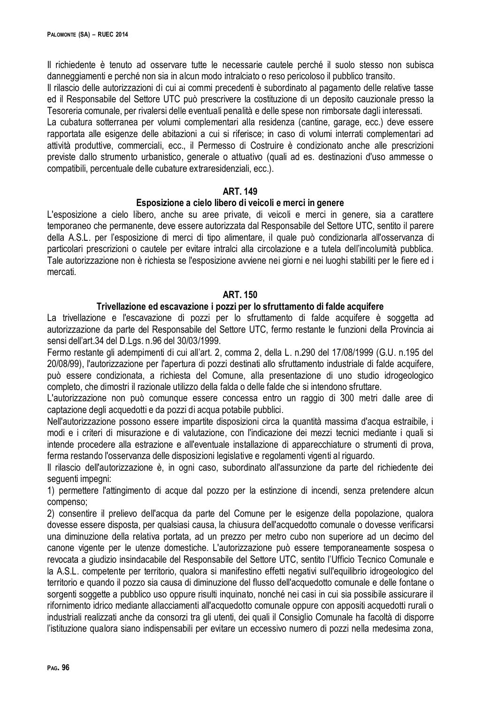Il richiedente è tenuto ad osservare tutte le necessarie cautele perché il suolo stesso non subisca danneggiamenti e perché non sia in alcun modo intralciato o reso pericoloso il pubblico transito.

Il rilascio delle autorizzazioni di cui ai commi precedenti è subordinato al pagamento delle relative tasse ed il Responsabile del Settore UTC può prescrivere la costituzione di un deposito cauzionale presso la Tesoreria comunale, per rivalersi delle eventuali penalità e delle spese non rimborsate dagli interessati.

La cubatura sotterranea per volumi complementari alla residenza (cantine, garage, ecc.) deve essere rapportata alle esigenze delle abitazioni a cui si riferisce; in caso di volumi interrati complementari ad attività produttive, commerciali, ecc., il Permesso di Costruire è condizionato anche alle prescrizioni previste dallo strumento urbanistico, generale o attuativo (quali ad es. destinazioni d'uso ammesse o compatibili, percentuale delle cubature extraresidenziali, ecc.).

#### ART. 149

#### Esposizione a cielo libero di veicoli e merci in genere

L'esposizione a cielo libero, anche su aree private, di veicoli e merci in genere, sia a carattere temporaneo che permanente, deve essere autorizzata dal Responsabile del Settore UTC, sentito il parere della A.S.L. per l'esposizione di merci di tipo alimentare, il quale può condizionarla all'osservanza di particolari prescrizioni o cautele per evitare intralci alla circolazione e a tutela dell'incolumità pubblica. Tale autorizzazione non è richiesta se l'esposizione avviene nei giorni e nei luoghi stabiliti per le fiere ed i mercati.

#### ART. 150

#### Trivellazione ed escavazione i pozzi per lo sfruttamento di falde acquifere

La trivellazione e l'escavazione di pozzi per lo sfruttamento di falde acquifere è soggetta ad autorizzazione da parte del Responsabile del Settore UTC, fermo restante le funzioni della Provincia ai sensi dell'art.34 del D.Lgs. n.96 del 30/03/1999.

Fermo restante gli adempimenti di cui all'art. 2, comma 2, della L. n.290 del 17/08/1999 (G.U. n.195 del 20/08/99), l'autorizzazione per l'apertura di pozzi destinati allo sfruttamento industriale di falde acquifere, può essere condizionata, a richiesta del Comune, alla presentazione di uno studio idrogeologico completo, che dimostri il razionale utilizzo della falda o delle falde che si intendono sfruttare.

L'autorizzazione non può comunque essere concessa entro un raggio di 300 metri dalle aree di captazione degli acquedotti e da pozzi di acqua potabile pubblici.

Nell'autorizzazione possono essere impartite disposizioni circa la quantità massima d'acqua estraibile, i modi e i criteri di misurazione e di valutazione, con l'indicazione dei mezzi tecnici mediante i quali si intende procedere alla estrazione e all'eventuale installazione di apparecchiature o strumenti di prova, ferma restando l'osservanza delle disposizioni legislative e regolamenti vigenti al riguardo.

Il rilascio dell'autorizzazione è, in ogni caso, subordinato all'assunzione da parte del richiedente dei seguenti impegni:

1) permettere l'attingimento di acque dal pozzo per la estinzione di incendi, senza pretendere alcun compenso;

2) consentire il prelievo dell'acqua da parte del Comune per le esigenze della popolazione, qualora dovesse essere disposta, per qualsiasi causa, la chiusura dell'acquedotto comunale o dovesse verificarsi una diminuzione della relativa portata, ad un prezzo per metro cubo non superiore ad un decimo del canone vigente per le utenze domestiche. L'autorizzazione può essere temporaneamente sospesa o revocata a giudizio insindacabile del Responsabile del Settore UTC, sentito l'Ufficio Tecnico Comunale e la A.S.L. competente per territorio, qualora si manifestino effetti negativi sull'equilibrio idrogeologico del territorio e quando il pozzo sia causa di diminuzione del flusso dell'acquedotto comunale e delle fontane o sorgenti soggette a pubblico uso oppure risulti inquinato, nonché nei casi in cui sia possibile assicurare il rifornimento idrico mediante allacciamenti all'acquedotto comunale oppure con appositi acquedotti rurali o industriali realizzati anche da consorzi tra gli utenti, dei quali il Consiglio Comunale ha facoltà di disporre l'istituzione qualora siano indispensabili per evitare un eccessivo numero di pozzi nella medesima zona,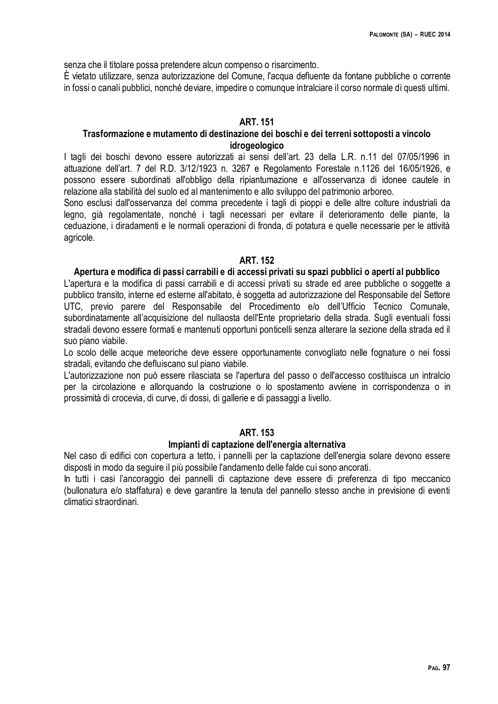senza che il titolare possa pretendere alcun compenso o risarcimento.

È vietato utilizzare, senza autorizzazione del Comune, l'acqua defluente da fontane pubbliche o corrente in fossi o canali pubblici, nonché deviare, impedire o comunque intralciare il corso normale di questi ultimi.

## ART. 151

### Trasformazione e mutamento di destinazione dei boschi e dei terreni sottoposti a vincolo idrogeologico

I tagli dei boschi devono essere autorizzati ai sensi dell'art. 23 della L.R. n.11 del 07/05/1996 in attuazione dell'art. 7 del R.D. 3/12/1923 n. 3267 e Regolamento Forestale n.1126 del 16/05/1926, e possono essere subordinati all'obbligo della ripiantumazione e all'osservanza di idonee cautele in relazione alla stabilità del suolo ed al mantenimento e allo sviluppo del patrimonio arboreo.

Sono esclusi dall'osservanza del comma precedente i tagli di pioppi e delle altre colture industriali da legno, già regolamentate, nonché i tagli necessari per evitare il deterioramento delle piante, la ceduazione, i diradamenti e le normali operazioni di fronda, di potatura e quelle necessarie per le attività agricole.

### ART. 152

#### Apertura e modifica di passi carrabili e di accessi privati su spazi pubblici o aperti al pubblico

L'apertura e la modifica di passi carrabili e di accessi privati su strade ed aree pubbliche o soggette a pubblico transito, interne ed esterne all'abitato, è soggetta ad autorizzazione del Responsabile del Settore UTC, previo parere del Responsabile del Procedimento e/o dell'Ufficio Tecnico Comunale, subordinatamente all'acquisizione del nullaosta dell'Ente proprietario della strada. Sugli eventuali fossi stradali devono essere formati e mantenuti opportuni ponticelli senza alterare la sezione della strada ed il suo piano viabile.

Lo scolo delle acque meteoriche deve essere opportunamente convogliato nelle fognature o nei fossi stradali, evitando che defluiscano sul piano viabile.

L'autorizzazione non può essere rilasciata se l'apertura del passo o dell'accesso costituisca un intralcio per la circolazione e allorquando la costruzione o lo spostamento avviene in corrispondenza o in prossimità di crocevia, di curve, di dossi, di gallerie e di passaggi a livello.

### ART. 153

### Impianti di captazione dell'energia alternativa

Nel caso di edifici con copertura a tetto, i pannelli per la captazione dell'energia solare devono essere disposti in modo da seguire il più possibile l'andamento delle falde cui sono ancorati.

In tutti i casi l'ancoraggio dei pannelli di captazione deve essere di preferenza di tipo meccanico (bullonatura e/o staffatura) e deve garantire la tenuta del pannello stesso anche in previsione di eventi climatici straordinari.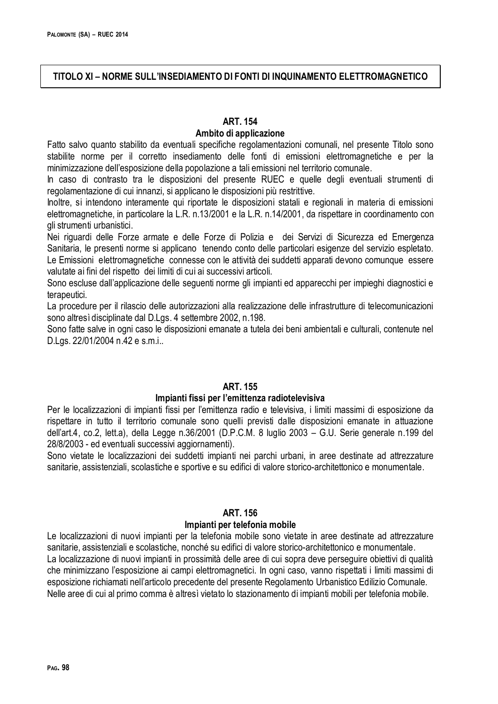# TITOLO XI – NORME SULL'INSEDIAMENTO DI FONTI DI INQUINAMENTO ELETTROMAGNETICO

### ART. 154

### Ambito di applicazione

Fatto salvo quanto stabilito da eventuali specifiche regolamentazioni comunali, nel presente Titolo sono stabilite norme per il corretto insediamento delle fonti di emissioni elettromagnetiche e per la minimizzazione dell'esposizione della popolazione a tali emissioni nel territorio comunale.

In caso di contrasto tra le disposizioni del presente RUEC e quelle degli eventuali strumenti di regolamentazione di cui innanzi, si applicano le disposizioni più restrittive.

Inoltre, si intendono interamente qui riportate le disposizioni statali e regionali in materia di emissioni elettromagnetiche, in particolare la L.R. n.13/2001 e la L.R. n.14/2001, da rispettare in coordinamento con gli strumenti urbanistici.

Nei riguardi delle Forze armate e delle Forze di Polizia e dei Servizi di Sicurezza ed Emergenza Sanitaria, le presenti norme si applicano tenendo conto delle particolari esigenze del servizio espletato. Le Emissioni elettromagnetiche connesse con le attività dei suddetti apparati devono comunque essere valutate ai fini del rispetto dei limiti di cui ai successivi articoli.

Sono escluse dall'applicazione delle seguenti norme gli impianti ed apparecchi per impieghi diagnostici e terapeutici.

La procedure per il rilascio delle autorizzazioni alla realizzazione delle infrastrutture di telecomunicazioni sono altresì disciplinate dal D.Lgs. 4 settembre 2002, n.198.

Sono fatte salve in ogni caso le disposizioni emanate a tutela dei beni ambientali e culturali, contenute nel D.Lgs. 22/01/2004 n.42 e s.m.i..

### ART. 155

### Impianti fissi per l'emittenza radiotelevisiva

Per le localizzazioni di impianti fissi per l'emittenza radio e televisiva, i limiti massimi di esposizione da rispettare in tutto il territorio comunale sono quelli previsti dalle disposizioni emanate in attuazione dell'art.4, co.2, lett.a), della Legge n.36/2001 (D.P.C.M. 8 luglio 2003 – G.U. Serie generale n.199 del 28/8/2003 - ed eventuali successivi aggiornamenti).

Sono vietate le localizzazioni dei suddetti impianti nei parchi urbani, in aree destinate ad attrezzature sanitarie, assistenziali, scolastiche e sportive e su edifici di valore storico-architettonico e monumentale.

### ART. 156

### Impianti per telefonia mobile

Le localizzazioni di nuovi impianti per la telefonia mobile sono vietate in aree destinate ad attrezzature sanitarie, assistenziali e scolastiche, nonché su edifici di valore storico-architettonico e monumentale. La localizzazione di nuovi impianti in prossimità delle aree di cui sopra deve perseguire obiettivi di qualità che minimizzano l'esposizione ai campi elettromagnetici. In ogni caso, vanno rispettati i limiti massimi di esposizione richiamati nell'articolo precedente del presente Regolamento Urbanistico Edilizio Comunale. Nelle aree di cui al primo comma è altresì vietato lo stazionamento di impianti mobili per telefonia mobile.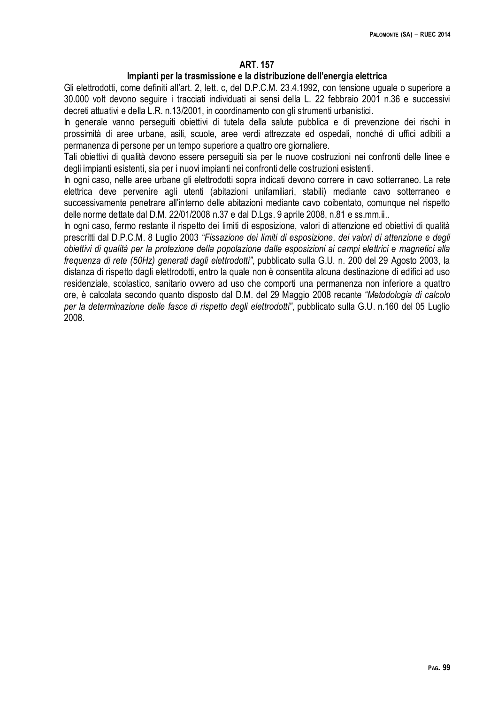#### Impianti per la trasmissione e la distribuzione dell'energia elettrica

Gli elettrodotti, come definiti all'art. 2, lett. c, del D.P.C.M. 23.4.1992, con tensione uguale o superiore a 30.000 volt devono seguire i tracciati individuati ai sensi della L. 22 febbraio 2001 n.36 e successivi decreti attuativi e della L.R. n.13/2001, in coordinamento con gli strumenti urbanistici.

In generale vanno perseguiti obiettivi di tutela della salute pubblica e di prevenzione dei rischi in prossimità di aree urbane, asili, scuole, aree verdi attrezzate ed ospedali, nonché di uffici adibiti a permanenza di persone per un tempo superiore a quattro ore giornaliere.

Tali obiettivi di qualità devono essere perseguiti sia per le nuove costruzioni nei confronti delle linee e degli impianti esistenti, sia per i nuovi impianti nei confronti delle costruzioni esistenti.

In ogni caso, nelle aree urbane gli elettrodotti sopra indicati devono correre in cavo sotterraneo. La rete elettrica deve pervenire agli utenti (abitazioni unifamiliari, stabili) mediante cavo sotterraneo e successivamente penetrare all'interno delle abitazioni mediante cavo coibentato, comunque nel rispetto delle norme dettate dal D.M. 22/01/2008 n.37 e dal D.Lgs. 9 aprile 2008, n.81 e ss.mm.ii..

In ogni caso, fermo restante il rispetto dei limiti di esposizione, valori di attenzione ed obiettivi di qualità prescritti dal D.P.C.M. 8 Luglio 2003 "Fissazione dei limiti di esposizione, dei valori di attenzione e degli obiettivi di qualità per la protezione della popolazione dalle esposizioni ai campi elettrici e magnetici alla frequenza di rete (50Hz) generati dagli elettrodotti", pubblicato sulla G.U. n. 200 del 29 Agosto 2003, la distanza di rispetto dagli elettrodotti, entro la quale non è consentita alcuna destinazione di edifici ad uso residenziale, scolastico, sanitario ovvero ad uso che comporti una permanenza non inferiore a quattro ore, è calcolata secondo quanto disposto dal D.M. del 29 Maggio 2008 recante "Metodologia di calcolo per la determinazione delle fasce di rispetto degli elettrodotti", pubblicato sulla G.U. n.160 del 05 Luglio 2008.